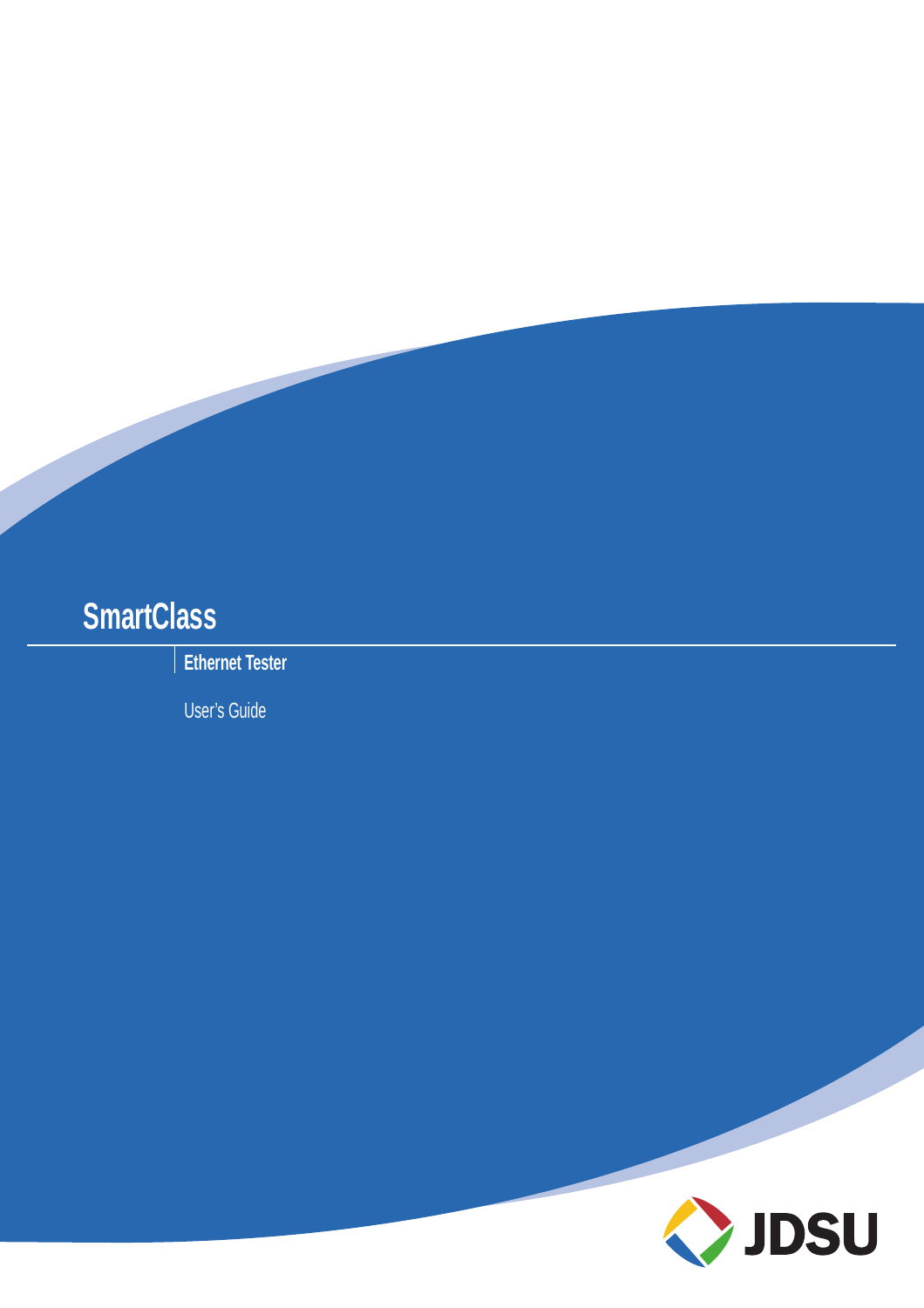# **SmartClass**

**Ethernet Tester**

User's Guide

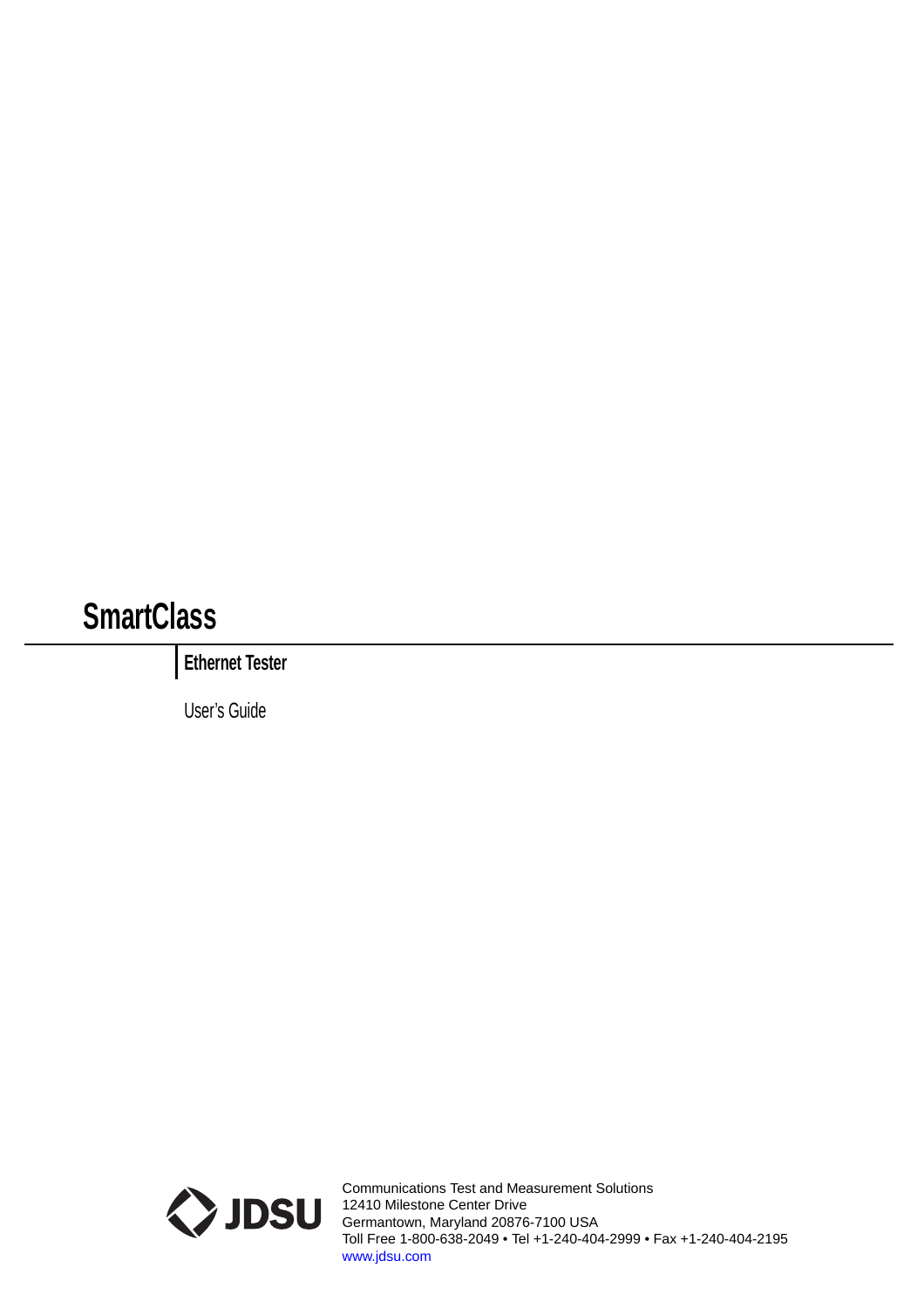# **SmartClass**

**Ethernet Tester** 

User's Guide



Communications Test and Measurement Solutions 12410 Milestone Center Drive Germantown, Maryland 20876-7100 USA Toll Free 1-800-638-2049 • Tel +1-240-404-2999 • Fax +1-240-404-2195 [www.jdsu.com](http://www.acterna.com)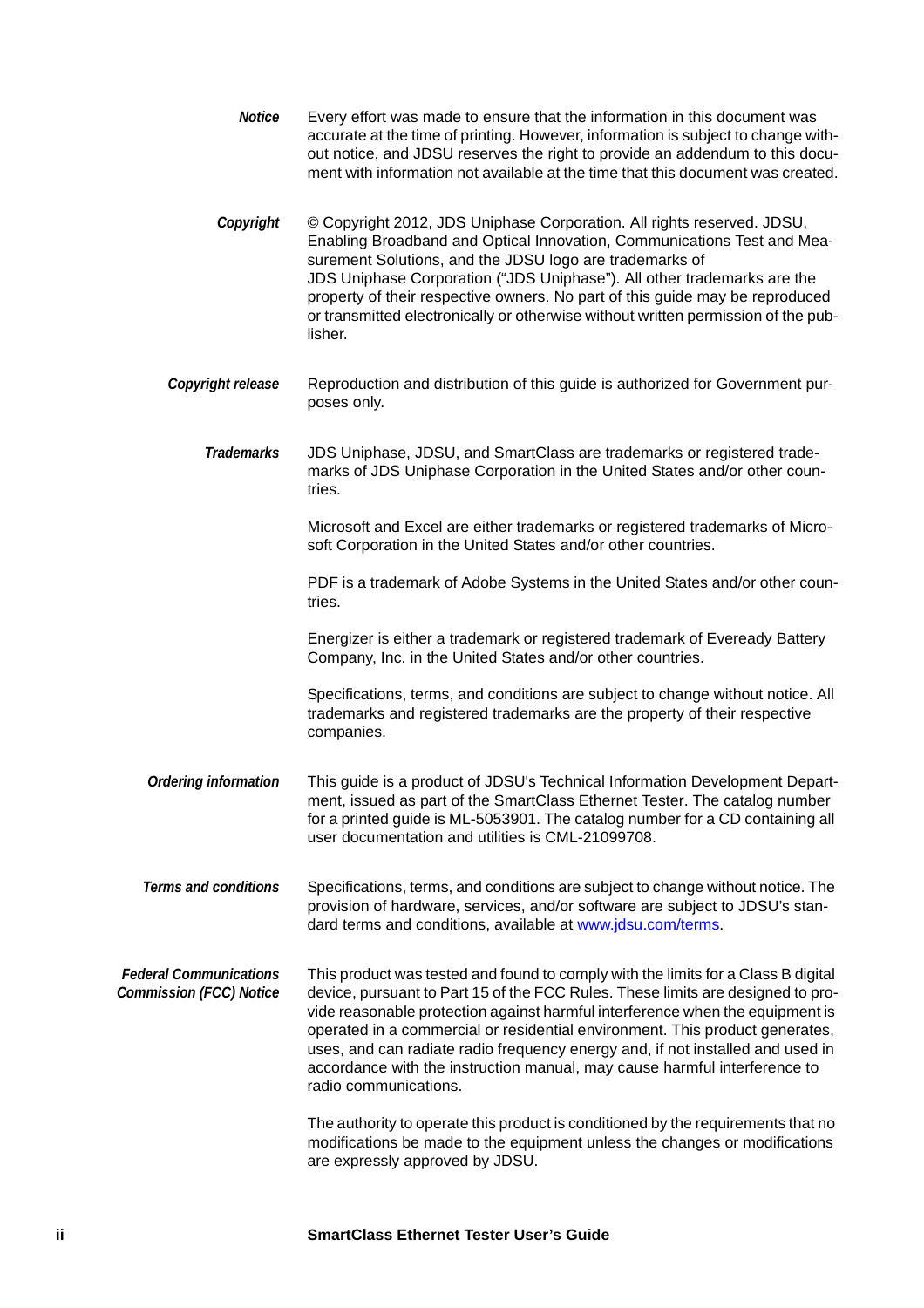| <b>Notice</b>                                                   | Every effort was made to ensure that the information in this document was<br>accurate at the time of printing. However, information is subject to change with-<br>out notice, and JDSU reserves the right to provide an addendum to this docu-<br>ment with information not available at the time that this document was created.                                                                                                                                                                                             |
|-----------------------------------------------------------------|-------------------------------------------------------------------------------------------------------------------------------------------------------------------------------------------------------------------------------------------------------------------------------------------------------------------------------------------------------------------------------------------------------------------------------------------------------------------------------------------------------------------------------|
| Copyright                                                       | © Copyright 2012, JDS Uniphase Corporation. All rights reserved. JDSU,<br>Enabling Broadband and Optical Innovation, Communications Test and Mea-<br>surement Solutions, and the JDSU logo are trademarks of<br>JDS Uniphase Corporation ("JDS Uniphase"). All other trademarks are the<br>property of their respective owners. No part of this guide may be reproduced<br>or transmitted electronically or otherwise without written permission of the pub-<br>lisher.                                                       |
| <b>Copyright release</b>                                        | Reproduction and distribution of this guide is authorized for Government pur-<br>poses only.                                                                                                                                                                                                                                                                                                                                                                                                                                  |
| <b>Trademarks</b>                                               | JDS Uniphase, JDSU, and SmartClass are trademarks or registered trade-<br>marks of JDS Uniphase Corporation in the United States and/or other coun-<br>tries.                                                                                                                                                                                                                                                                                                                                                                 |
|                                                                 | Microsoft and Excel are either trademarks or registered trademarks of Micro-<br>soft Corporation in the United States and/or other countries.                                                                                                                                                                                                                                                                                                                                                                                 |
|                                                                 | PDF is a trademark of Adobe Systems in the United States and/or other coun-<br>tries.                                                                                                                                                                                                                                                                                                                                                                                                                                         |
|                                                                 | Energizer is either a trademark or registered trademark of Eveready Battery<br>Company, Inc. in the United States and/or other countries.                                                                                                                                                                                                                                                                                                                                                                                     |
|                                                                 | Specifications, terms, and conditions are subject to change without notice. All<br>trademarks and registered trademarks are the property of their respective<br>companies.                                                                                                                                                                                                                                                                                                                                                    |
| <b>Ordering information</b>                                     | This guide is a product of JDSU's Technical Information Development Depart-<br>ment, issued as part of the SmartClass Ethernet Tester. The catalog number<br>for a printed guide is ML-5053901. The catalog number for a CD containing all<br>user documentation and utilities is CML-21099708.                                                                                                                                                                                                                               |
| <b>Terms and conditions</b>                                     | Specifications, terms, and conditions are subject to change without notice. The<br>provision of hardware, services, and/or software are subject to JDSU's stan-<br>dard terms and conditions, available at www.jdsu.com/terms.                                                                                                                                                                                                                                                                                                |
| <b>Federal Communications</b><br><b>Commission (FCC) Notice</b> | This product was tested and found to comply with the limits for a Class B digital<br>device, pursuant to Part 15 of the FCC Rules. These limits are designed to pro-<br>vide reasonable protection against harmful interference when the equipment is<br>operated in a commercial or residential environment. This product generates,<br>uses, and can radiate radio frequency energy and, if not installed and used in<br>accordance with the instruction manual, may cause harmful interference to<br>radio communications. |
|                                                                 | The authority to operate this product is conditioned by the requirements that no<br>modifications be made to the equipment unless the changes or modifications<br>are expressly approved by JDSU.                                                                                                                                                                                                                                                                                                                             |

**ii SmartClass Ethernet Tester User's Guide**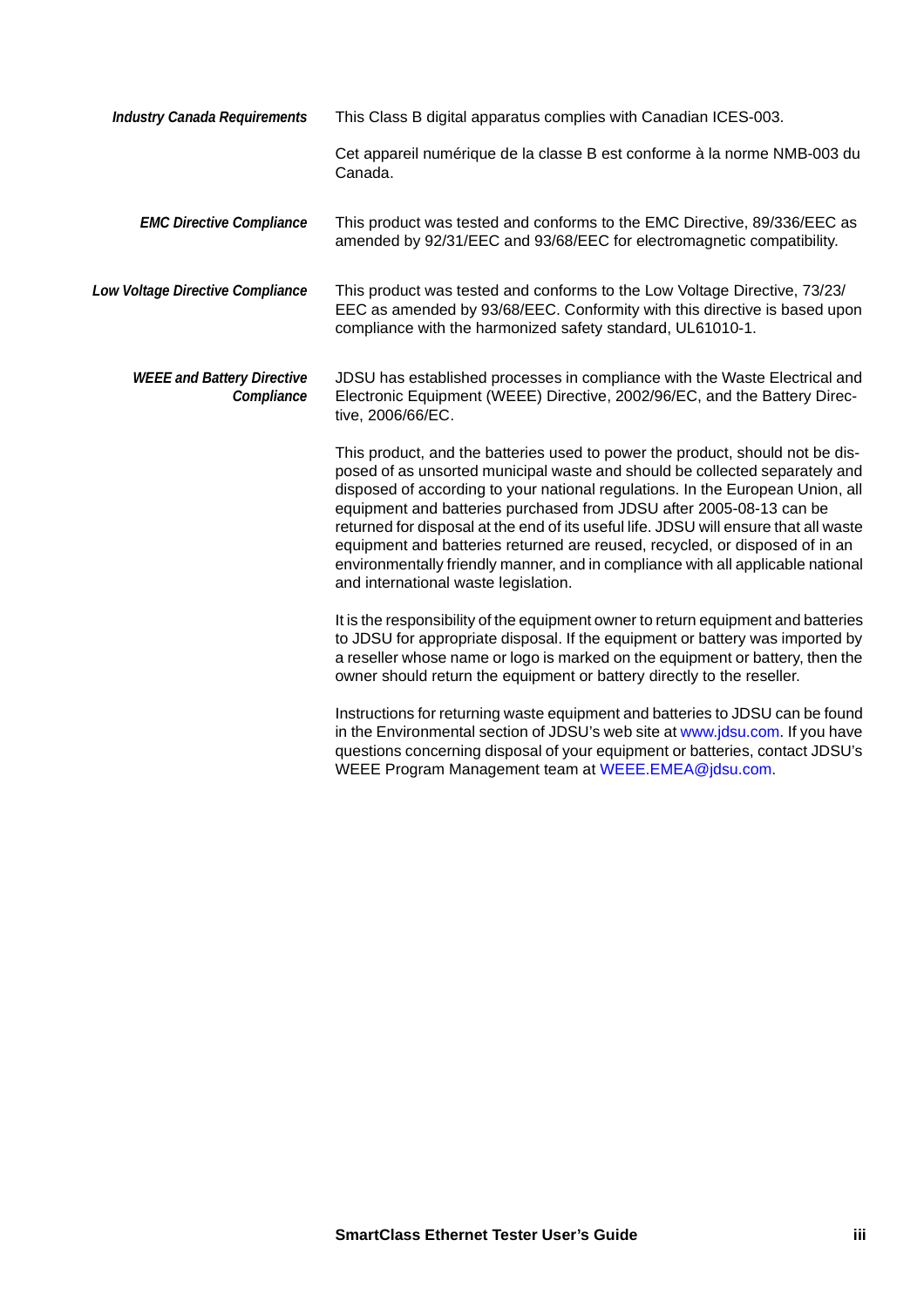| <b>Industry Canada Requirements</b>             | This Class B digital apparatus complies with Canadian ICES-003.                                                                                                                                                                                                                                                                                                                                                                                                                                                                                                                                                         |
|-------------------------------------------------|-------------------------------------------------------------------------------------------------------------------------------------------------------------------------------------------------------------------------------------------------------------------------------------------------------------------------------------------------------------------------------------------------------------------------------------------------------------------------------------------------------------------------------------------------------------------------------------------------------------------------|
|                                                 | Cet appareil numérique de la classe B est conforme à la norme NMB-003 du<br>Canada.                                                                                                                                                                                                                                                                                                                                                                                                                                                                                                                                     |
| <b>EMC Directive Compliance</b>                 | This product was tested and conforms to the EMC Directive, 89/336/EEC as<br>amended by 92/31/EEC and 93/68/EEC for electromagnetic compatibility.                                                                                                                                                                                                                                                                                                                                                                                                                                                                       |
| <b>Low Voltage Directive Compliance</b>         | This product was tested and conforms to the Low Voltage Directive, 73/23/<br>EEC as amended by 93/68/EEC. Conformity with this directive is based upon<br>compliance with the harmonized safety standard, UL61010-1.                                                                                                                                                                                                                                                                                                                                                                                                    |
| <b>WEEE and Battery Directive</b><br>Compliance | JDSU has established processes in compliance with the Waste Electrical and<br>Electronic Equipment (WEEE) Directive, 2002/96/EC, and the Battery Direc-<br>tive, 2006/66/EC.                                                                                                                                                                                                                                                                                                                                                                                                                                            |
|                                                 | This product, and the batteries used to power the product, should not be dis-<br>posed of as unsorted municipal waste and should be collected separately and<br>disposed of according to your national regulations. In the European Union, all<br>equipment and batteries purchased from JDSU after 2005-08-13 can be<br>returned for disposal at the end of its useful life. JDSU will ensure that all waste<br>equipment and batteries returned are reused, recycled, or disposed of in an<br>environmentally friendly manner, and in compliance with all applicable national<br>and international waste legislation. |
|                                                 | It is the responsibility of the equipment owner to return equipment and batteries<br>to JDSU for appropriate disposal. If the equipment or battery was imported by<br>a reseller whose name or logo is marked on the equipment or battery, then the<br>owner should return the equipment or battery directly to the reseller.                                                                                                                                                                                                                                                                                           |
|                                                 | Instructions for returning waste equipment and batteries to JDSU can be found<br>in the Environmental section of JDSU's web site at www.jdsu.com. If you have<br>questions concerning disposal of your equipment or batteries, contact JDSU's<br>WEEE Program Management team at WEEE.EMEA@jdsu.com.                                                                                                                                                                                                                                                                                                                    |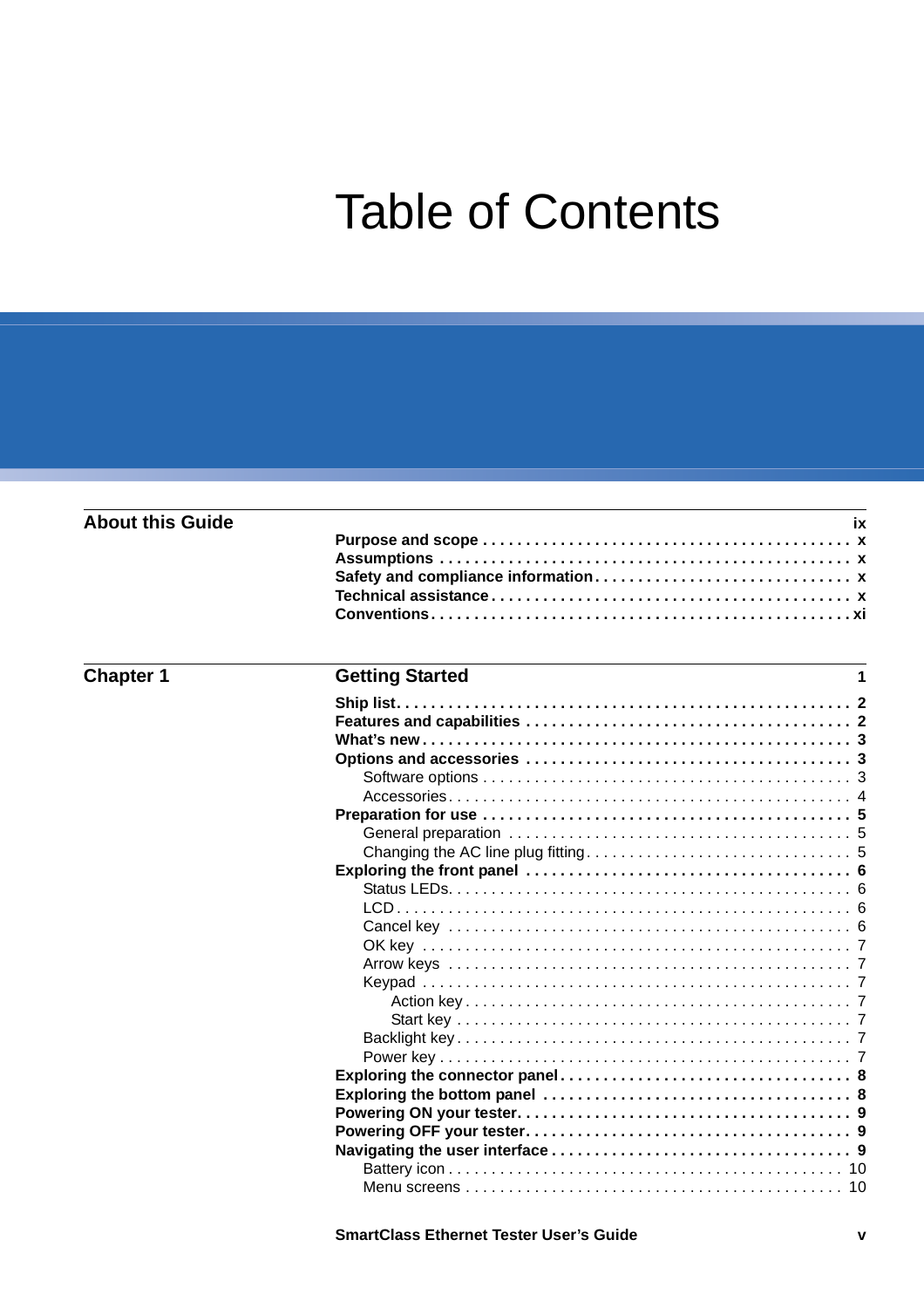# Table of Contents

| <b>Chapter 1</b> | <b>Getting Started</b><br>Options and accessories |
|------------------|---------------------------------------------------|
|                  |                                                   |
|                  |                                                   |
|                  |                                                   |
|                  |                                                   |
|                  |                                                   |
|                  |                                                   |
|                  |                                                   |
|                  |                                                   |
|                  |                                                   |
|                  |                                                   |
|                  |                                                   |
|                  |                                                   |
|                  |                                                   |
|                  |                                                   |
|                  |                                                   |
|                  |                                                   |
|                  |                                                   |
|                  |                                                   |
|                  |                                                   |
|                  |                                                   |
|                  |                                                   |
|                  |                                                   |
|                  |                                                   |
|                  |                                                   |
|                  |                                                   |
|                  |                                                   |
|                  |                                                   |
|                  |                                                   |
|                  |                                                   |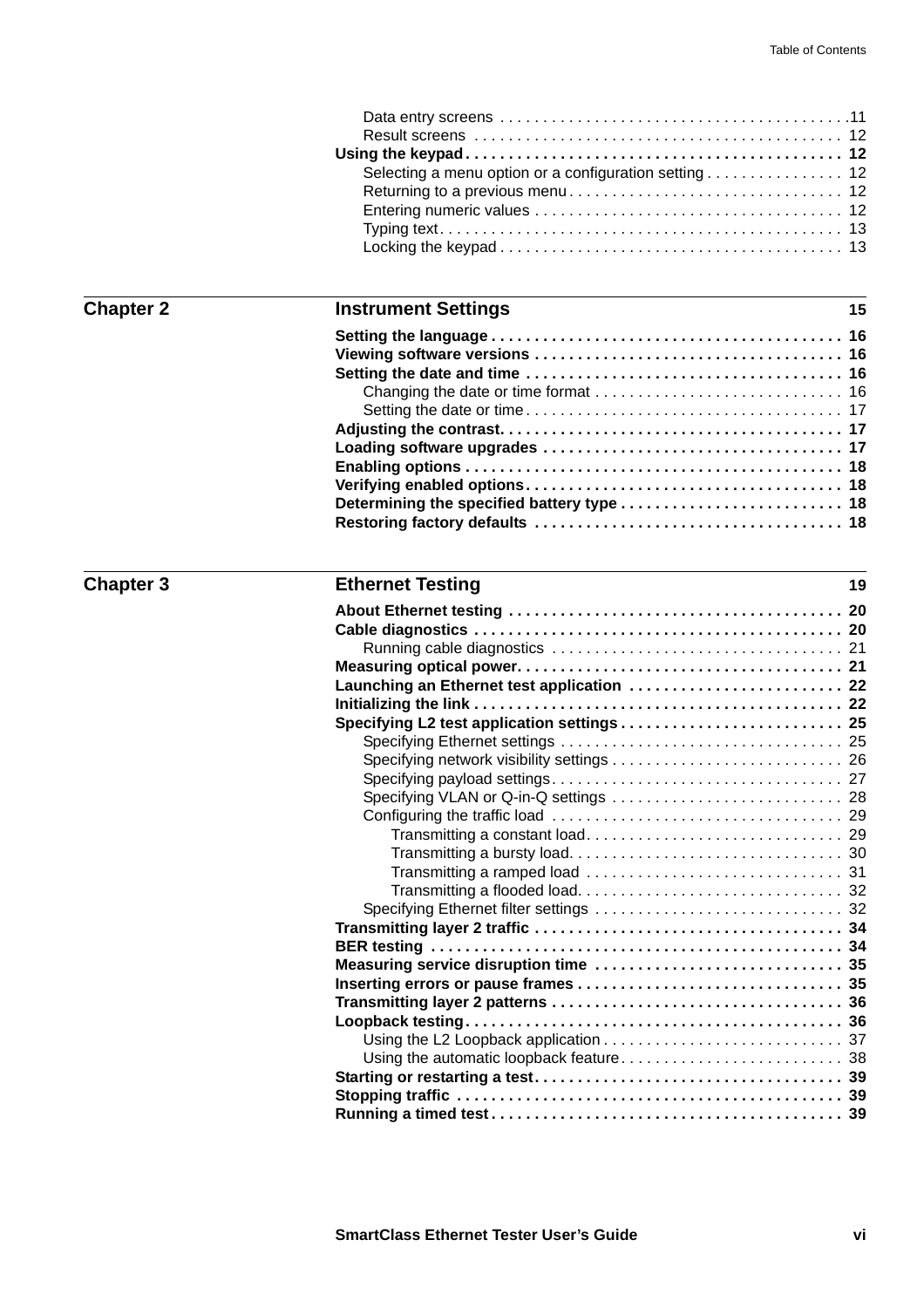| Using the keypad………………………………………………… 12                |  |
|-------------------------------------------------------|--|
| Selecting a menu option or a configuration setting 12 |  |
|                                                       |  |
|                                                       |  |
|                                                       |  |
|                                                       |  |
|                                                       |  |

# **Chapter 2** Instrument Settings 15

| <b>Chapter 3</b> | <b>Ethernet Testing</b>                    | 19 |
|------------------|--------------------------------------------|----|
|                  |                                            |    |
|                  |                                            |    |
|                  |                                            |    |
|                  |                                            |    |
|                  | Launching an Ethernet test application  22 |    |
|                  |                                            |    |
|                  |                                            |    |
|                  |                                            |    |
|                  |                                            |    |
|                  |                                            |    |
|                  |                                            |    |
|                  |                                            |    |
|                  |                                            |    |
|                  |                                            |    |
|                  |                                            |    |
|                  |                                            |    |
|                  |                                            |    |
|                  |                                            |    |
|                  |                                            |    |
|                  |                                            |    |
|                  |                                            |    |
|                  |                                            |    |
|                  |                                            |    |
|                  |                                            |    |
|                  |                                            |    |
|                  |                                            |    |
|                  |                                            |    |
|                  |                                            |    |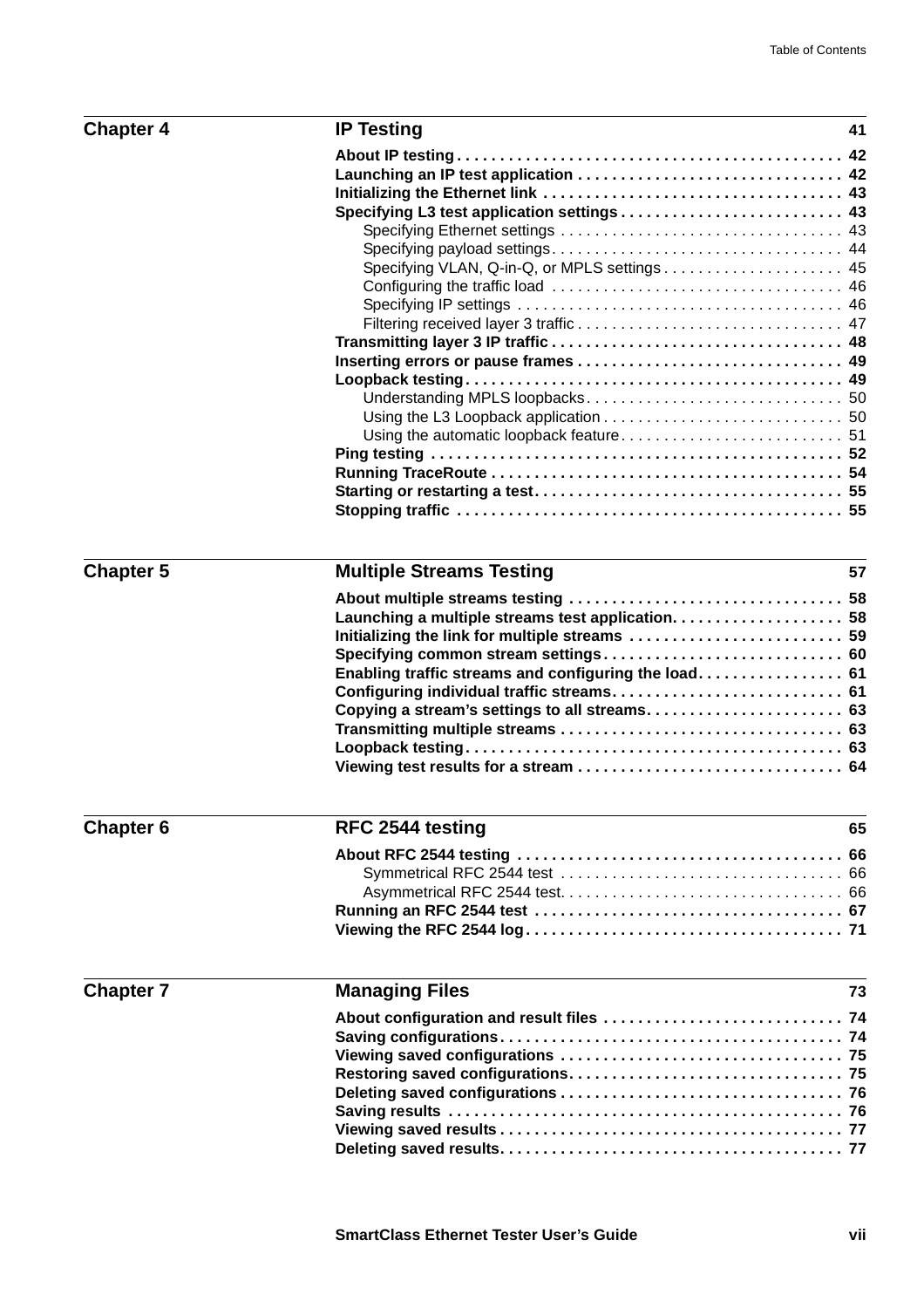| <b>IP Testing</b>                                                                                         | 41                              |
|-----------------------------------------------------------------------------------------------------------|---------------------------------|
| Specifying L3 test application settings 43                                                                |                                 |
|                                                                                                           | 57                              |
| Launching a multiple streams test application. 58<br>Enabling traffic streams and configuring the load 61 |                                 |
| RFC 2544 testing                                                                                          | 65                              |
| <b>Managing Files</b>                                                                                     | 73                              |
|                                                                                                           | <b>Multiple Streams Testing</b> |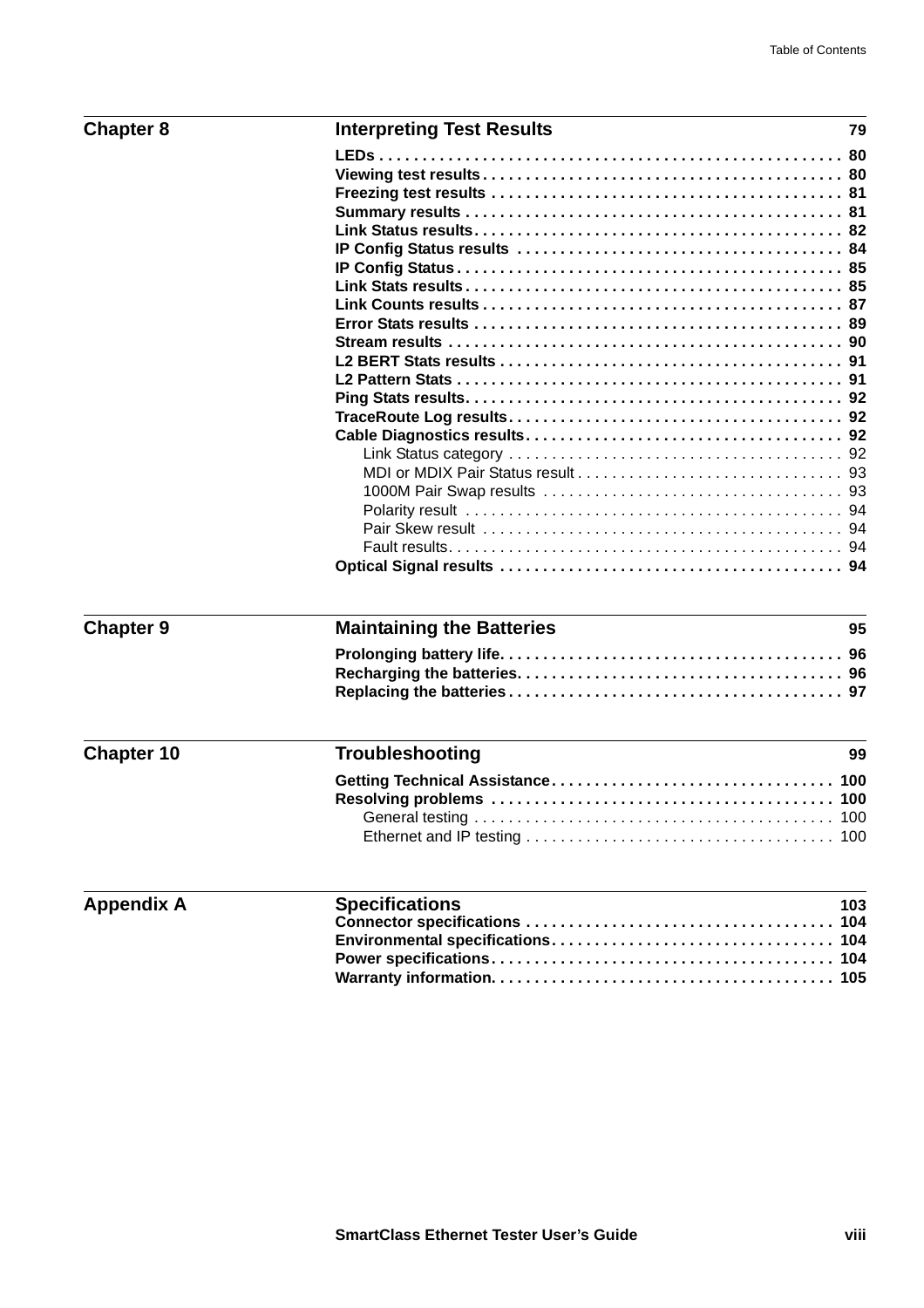| <b>Chapter 8</b>  | <b>Interpreting Test Results</b> | 79  |
|-------------------|----------------------------------|-----|
|                   |                                  |     |
|                   |                                  |     |
|                   |                                  |     |
|                   |                                  |     |
|                   |                                  |     |
|                   |                                  |     |
|                   |                                  |     |
|                   |                                  |     |
|                   |                                  |     |
|                   |                                  |     |
|                   |                                  |     |
|                   |                                  |     |
|                   |                                  |     |
|                   |                                  |     |
|                   |                                  |     |
|                   |                                  |     |
|                   |                                  |     |
|                   |                                  |     |
|                   |                                  |     |
|                   |                                  |     |
|                   |                                  |     |
|                   |                                  |     |
| <b>Chapter 9</b>  | <b>Maintaining the Batteries</b> | 95  |
|                   |                                  |     |
|                   |                                  |     |
|                   |                                  |     |
| <b>Chapter 10</b> | <b>Troubleshooting</b>           | 99  |
|                   |                                  |     |
|                   |                                  |     |
|                   |                                  |     |
|                   |                                  | 100 |
| <b>Appendix A</b> | <b>Specifications</b>            | 103 |
|                   |                                  | 104 |
|                   |                                  |     |

**[Power specifications](#page-117-2). . . . . . . . . . . . . . . . . . . . . . . . . . . . . . . . . . . . . . . . 104 [Warranty information.](#page-118-0) . . . . . . . . . . . . . . . . . . . . . . . . . . . . . . . . . . . . . . . 105**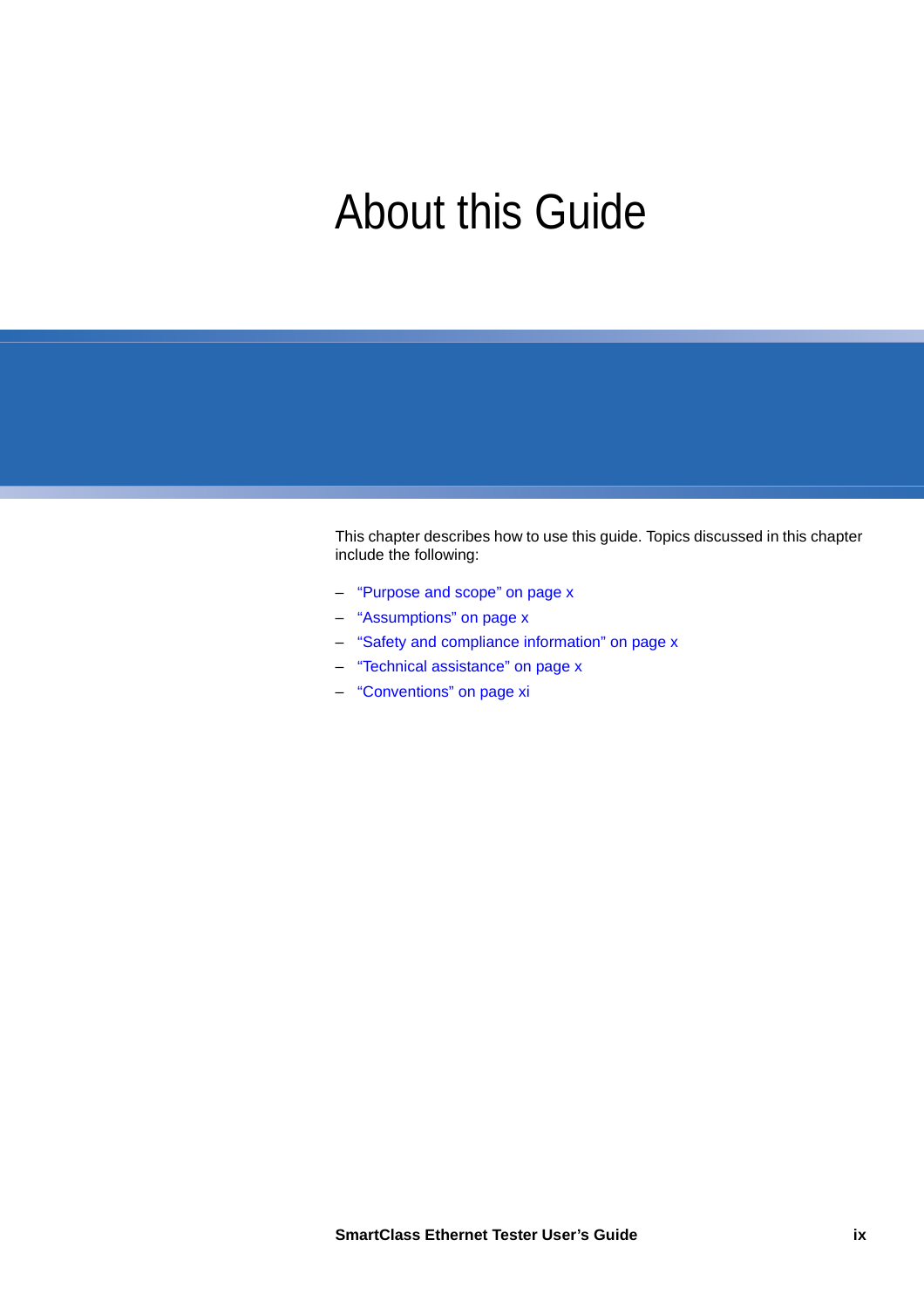# <span id="page-10-0"></span>About this Guide

This chapter describes how to use this guide. Topics discussed in this chapter include the following:

- ["Purpose and scope" on page x](#page-11-0)
- ["Assumptions" on page x](#page-11-1)
- ["Safety and compliance information" on page x](#page-11-2)
- ["Technical assistance" on page x](#page-11-3)
- ["Conventions" on page xi](#page-12-0)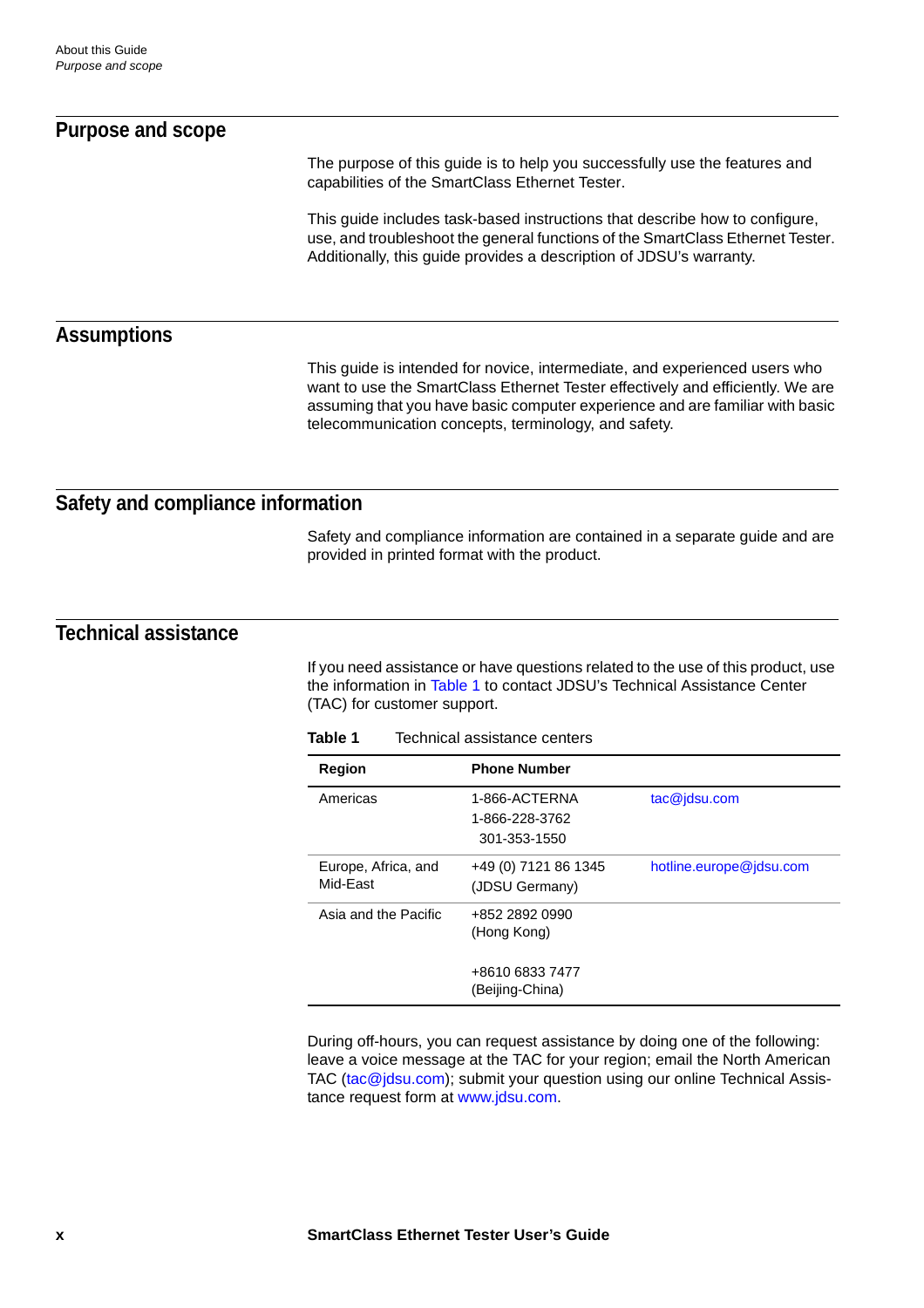# <span id="page-11-0"></span>**Purpose and scope**

The purpose of this guide is to help you successfully use the features and capabilities of the SmartClass Ethernet Tester.

This guide includes task-based instructions that describe how to configure, use, and troubleshoot the general functions of the SmartClass Ethernet Tester. Additionally, this guide provides a description of JDSU's warranty.

# <span id="page-11-1"></span>**Assumptions**

This guide is intended for novice, intermediate, and experienced users who want to use the SmartClass Ethernet Tester effectively and efficiently. We are assuming that you have basic computer experience and are familiar with basic telecommunication concepts, terminology, and safety.

# <span id="page-11-2"></span>**Safety and compliance information**

Safety and compliance information are contained in a separate guide and are provided in printed format with the product.

# <span id="page-11-3"></span>**Technical assistance**

If you need assistance or have questions related to the use of this product, use the information in Table 1 to contact JDSU's Technical Assistance Center (TAC) for customer support.

| Region                          | <b>Phone Number</b>                             |                         |
|---------------------------------|-------------------------------------------------|-------------------------|
| Americas                        | 1-866-ACTERNA<br>1-866-228-3762<br>301-353-1550 | tac@jdsu.com            |
| Europe, Africa, and<br>Mid-East | +49 (0) 7121 86 1345<br>(JDSU Germany)          | hotline.europe@idsu.com |
| Asia and the Pacific            | +852 2892 0990<br>(Hong Kong)                   |                         |
|                                 | +8610 6833 7477<br>(Beijing-China)              |                         |

**Table 1** Technical assistance centers

During off-hours, you can request assistance by doing one of the following: leave a voice message at the TAC for your region; email the North American TAC [\(tac@jdsu.com\)](mailto:tac@jdsu.com); submit your question using our online Technical Assistance request form at [www.jdsu.com.](http://www.jdsu.com)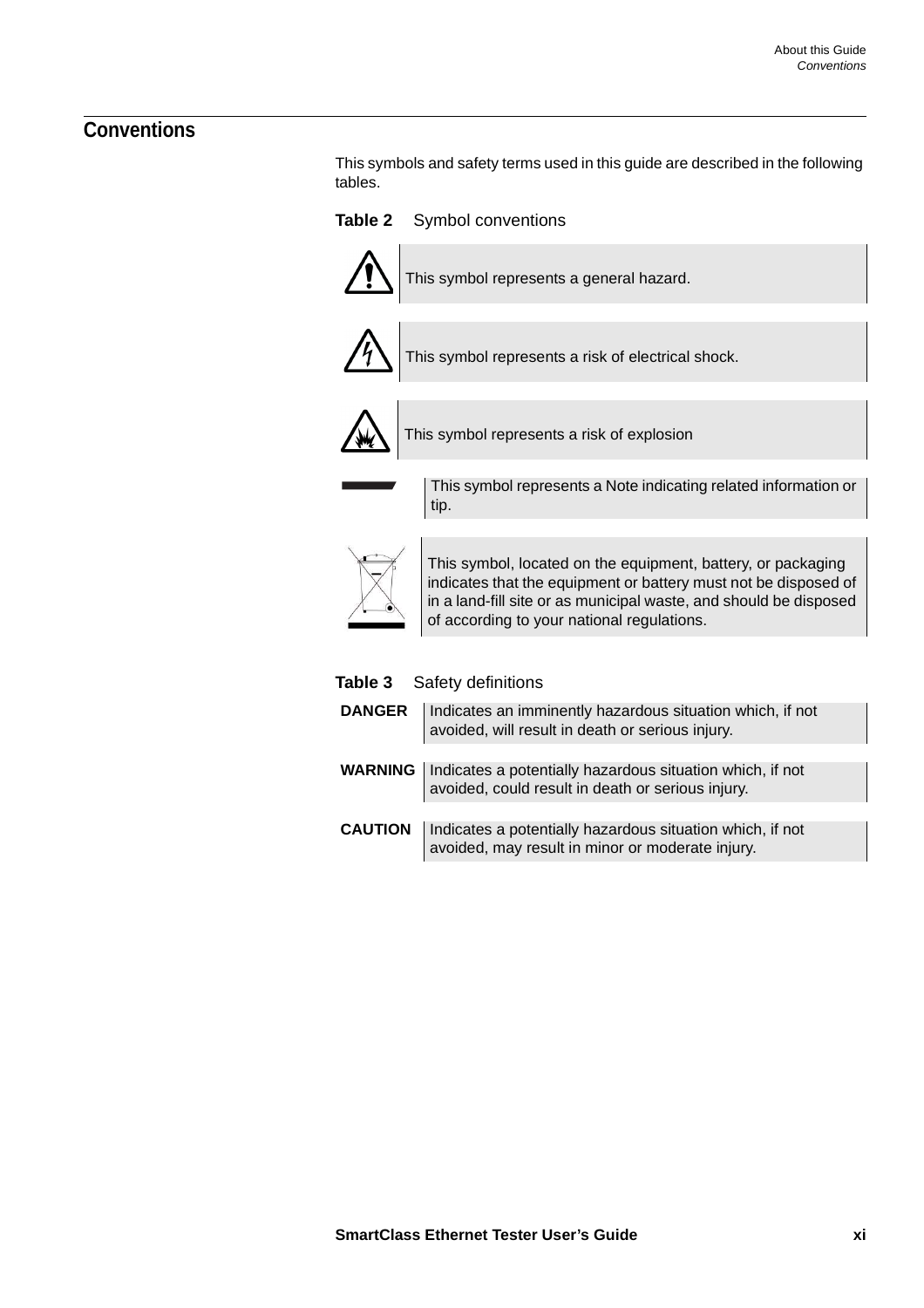# <span id="page-12-0"></span>**Conventions**

This symbols and safety terms used in this guide are described in the following tables.

### **Table 2** Symbol conventions



This symbol represents a general hazard.



This symbol represents a risk of electrical shock.



This symbol represents a risk of explosion



This symbol, located on the equipment, battery, or packaging indicates that the equipment or battery must not be disposed of in a land-fill site or as municipal waste, and should be disposed of according to your national regulations.

| Table 3 | Safety definitions |
|---------|--------------------|
|---------|--------------------|

| <b>DANGER</b>  | Indicates an imminently hazardous situation which, if not<br>avoided, will result in death or serious injury.  |
|----------------|----------------------------------------------------------------------------------------------------------------|
| <b>WARNING</b> | Indicates a potentially hazardous situation which, if not<br>avoided, could result in death or serious injury. |
| <b>CAUTION</b> | Indicates a potentially hazardous situation which, if not<br>avoided, may result in minor or moderate injury.  |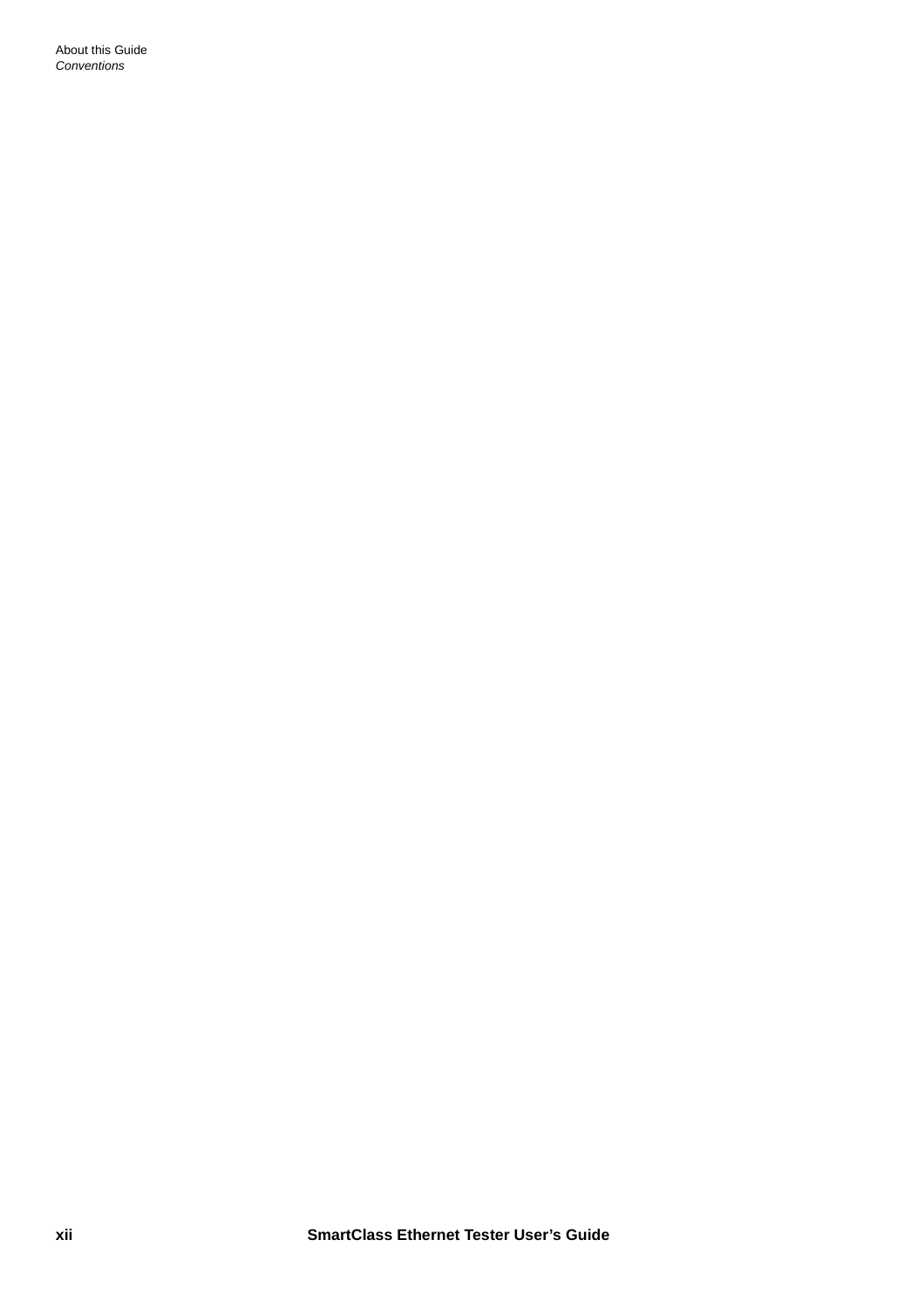About this Guide **Conventions**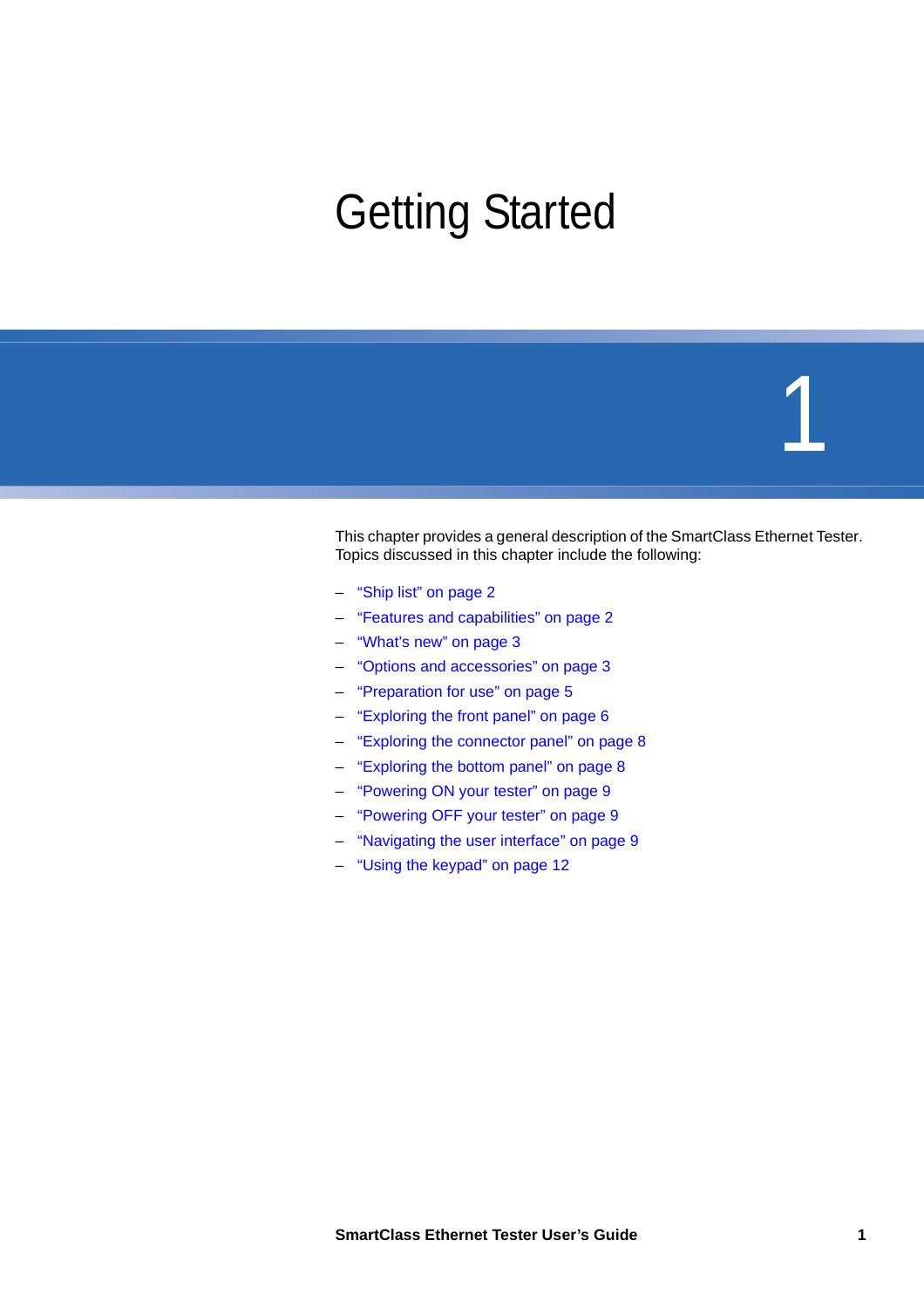# <span id="page-14-0"></span>**Getting Started**

This chapter provides a general description of the SmartClass Ethernet Tester. Topics discussed in this chapter include the following:

- ["Ship list" on page 2](#page-15-0)
- ["Features and capabilities" on page 2](#page-15-1)
- ["What's new" on page 3](#page-16-0)
- ["Options and accessories" on page 3](#page-16-1)
- ["Preparation for use" on page 5](#page-18-0)
- ["Exploring the front panel" on page 6](#page-19-0)
- ["Exploring the connector panel" on page 8](#page-21-0)
- ["Exploring the bottom panel" on page 8](#page-21-1)
- ["Powering ON your tester" on page 9](#page-22-0)
- ["Powering OFF your tester" on page 9](#page-22-1)
- ["Navigating the user interface" on page 9](#page-22-2)
- ["Using the keypad" on page 12](#page-25-1)

1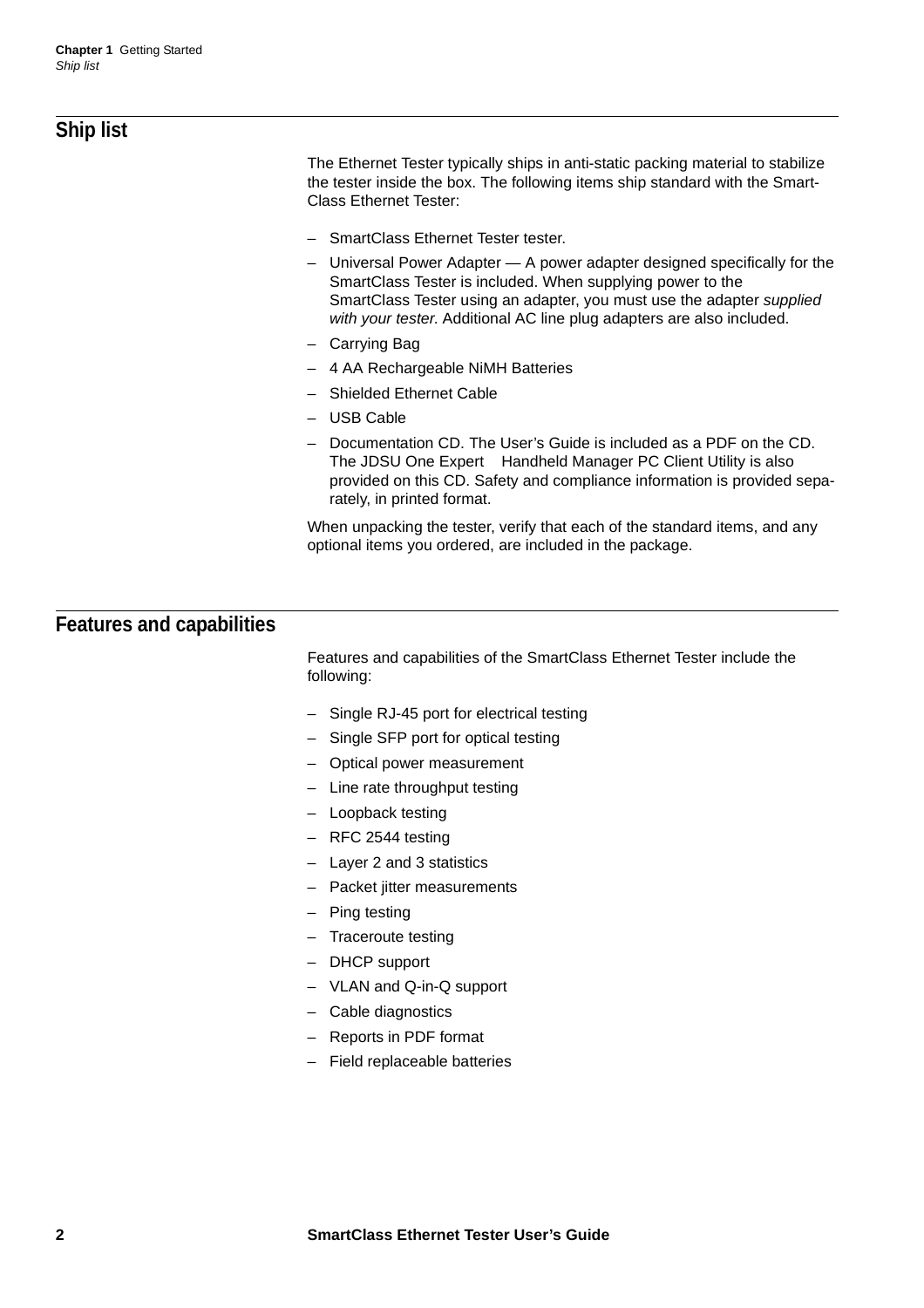<span id="page-15-1"></span><span id="page-15-0"></span>

| <b>Ship list</b>                 |                                                                                                                                                                                                                                                                                           |
|----------------------------------|-------------------------------------------------------------------------------------------------------------------------------------------------------------------------------------------------------------------------------------------------------------------------------------------|
|                                  | The Ethernet Tester typically ships in anti-static packing material to stabilize<br>the tester inside the box. The following items ship standard with the Smart-<br><b>Class Ethernet Tester:</b>                                                                                         |
|                                  | SmartClass Ethernet Tester tester.                                                                                                                                                                                                                                                        |
|                                  | - Universal Power Adapter - A power adapter designed specifically for the<br>SmartClass Tester is included. When supplying power to the<br>SmartClass Tester using an adapter, you must use the adapter supplied<br>with your tester. Additional AC line plug adapters are also included. |
|                                  | Carrying Bag                                                                                                                                                                                                                                                                              |
|                                  | 4 AA Rechargeable NiMH Batteries                                                                                                                                                                                                                                                          |
|                                  | <b>Shielded Ethernet Cable</b>                                                                                                                                                                                                                                                            |
|                                  | <b>USB Cable</b>                                                                                                                                                                                                                                                                          |
|                                  | Documentation CD. The User's Guide is included as a PDF on the CD.<br>The JDSU One Expert™ Handheld Manager PC Client Utility is also<br>provided on this CD. Safety and compliance information is provided sepa-<br>rately, in printed format.                                           |
|                                  | When unpacking the tester, verify that each of the standard items, and any<br>optional items you ordered, are included in the package.                                                                                                                                                    |
| <b>Features and capabilities</b> | Features and capabilities of the SmartClass Ethernet Tester include the                                                                                                                                                                                                                   |
|                                  | following:                                                                                                                                                                                                                                                                                |
|                                  | Single RJ-45 port for electrical testing                                                                                                                                                                                                                                                  |
|                                  | Single SFP port for optical testing                                                                                                                                                                                                                                                       |
|                                  | Optical power measurement                                                                                                                                                                                                                                                                 |
|                                  | Line rate throughput testing                                                                                                                                                                                                                                                              |
|                                  | Loopback testing                                                                                                                                                                                                                                                                          |
|                                  | RFC 2544 testing                                                                                                                                                                                                                                                                          |
|                                  | Layer 2 and 3 statistics                                                                                                                                                                                                                                                                  |
|                                  | Packet jitter measurements                                                                                                                                                                                                                                                                |
|                                  | Ping testing                                                                                                                                                                                                                                                                              |
|                                  | Traceroute testing                                                                                                                                                                                                                                                                        |
|                                  | DHCP support                                                                                                                                                                                                                                                                              |
|                                  | VLAN and Q-in-Q support                                                                                                                                                                                                                                                                   |
|                                  | Cable diagnostics                                                                                                                                                                                                                                                                         |
|                                  | Reports in PDF format                                                                                                                                                                                                                                                                     |
|                                  | Field replaceable batteries                                                                                                                                                                                                                                                               |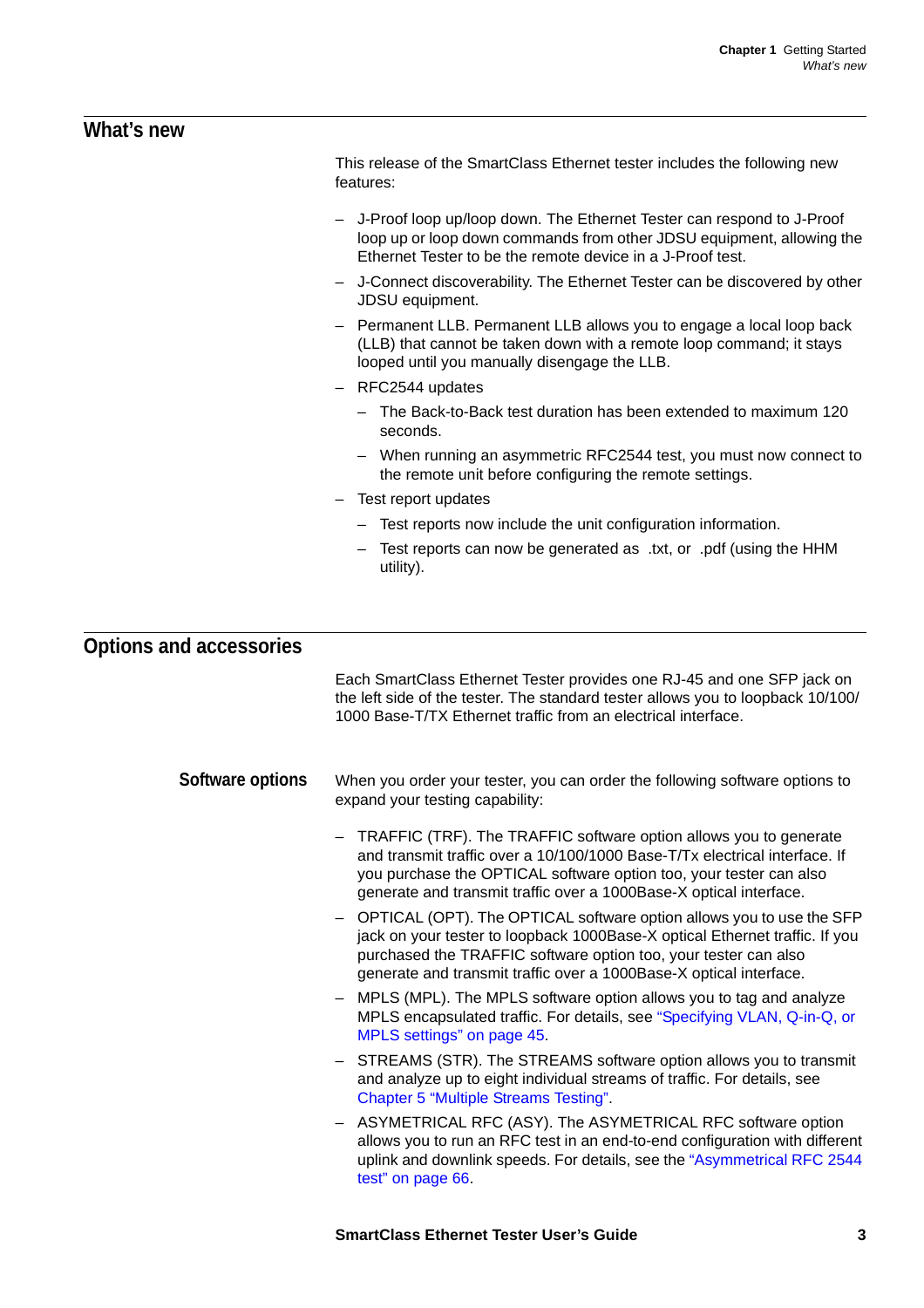<span id="page-16-3"></span><span id="page-16-2"></span><span id="page-16-1"></span><span id="page-16-0"></span>

| What's new                     |                                                                                                                                                                                                                                                                                                |
|--------------------------------|------------------------------------------------------------------------------------------------------------------------------------------------------------------------------------------------------------------------------------------------------------------------------------------------|
|                                | This release of the SmartClass Ethernet tester includes the following new<br>features:                                                                                                                                                                                                         |
|                                | J-Proof loop up/loop down. The Ethernet Tester can respond to J-Proof<br>loop up or loop down commands from other JDSU equipment, allowing the<br>Ethernet Tester to be the remote device in a J-Proof test.                                                                                   |
|                                | J-Connect discoverability. The Ethernet Tester can be discovered by other<br>JDSU equipment.                                                                                                                                                                                                   |
|                                | Permanent LLB. Permanent LLB allows you to engage a local loop back<br>(LLB) that cannot be taken down with a remote loop command; it stays<br>looped until you manually disengage the LLB.                                                                                                    |
|                                | - RFC2544 updates                                                                                                                                                                                                                                                                              |
|                                | The Back-to-Back test duration has been extended to maximum 120<br>seconds.                                                                                                                                                                                                                    |
|                                | - When running an asymmetric RFC2544 test, you must now connect to<br>the remote unit before configuring the remote settings.                                                                                                                                                                  |
|                                | Test report updates<br>-                                                                                                                                                                                                                                                                       |
|                                | Test reports now include the unit configuration information.                                                                                                                                                                                                                                   |
|                                | Test reports can now be generated as .txt, or .pdf (using the HHM<br>utility).                                                                                                                                                                                                                 |
| <b>Options and accessories</b> | Each SmartClass Ethernet Tester provides one RJ-45 and one SFP jack on<br>the left side of the tester. The standard tester allows you to loopback 10/100/<br>1000 Base-T/TX Ethernet traffic from an electrical interface.                                                                     |
| <b>Software options</b>        | When you order your tester, you can order the following software options to<br>expand your testing capability:                                                                                                                                                                                 |
|                                | - TRAFFIC (TRF). The TRAFFIC software option allows you to generate<br>and transmit traffic over a 10/100/1000 Base-T/Tx electrical interface. If<br>you purchase the OPTICAL software option too, your tester can also<br>generate and transmit traffic over a 1000Base-X optical interface.  |
|                                | - OPTICAL (OPT). The OPTICAL software option allows you to use the SFP<br>jack on your tester to loopback 1000Base-X optical Ethernet traffic. If you<br>purchased the TRAFFIC software option too, your tester can also<br>generate and transmit traffic over a 1000Base-X optical interface. |
|                                | MPLS (MPL). The MPLS software option allows you to tag and analyze<br>MPLS encapsulated traffic. For details, see "Specifying VLAN, Q-in-Q, or<br>MPLS settings" on page 45.                                                                                                                   |
|                                | STREAMS (STR). The STREAMS software option allows you to transmit<br>$\overline{\phantom{m}}$<br>and analyze up to eight individual streams of traffic. For details, see<br><b>Chapter 5 "Multiple Streams Testing".</b>                                                                       |
|                                | ASYMETRICAL RFC (ASY). The ASYMETRICAL RFC software option<br>allows you to run an RFC test in an end-to-end configuration with different<br>uplink and downlink speeds. For details, see the "Asymmetrical RFC 2544<br>test" on page 66.                                                      |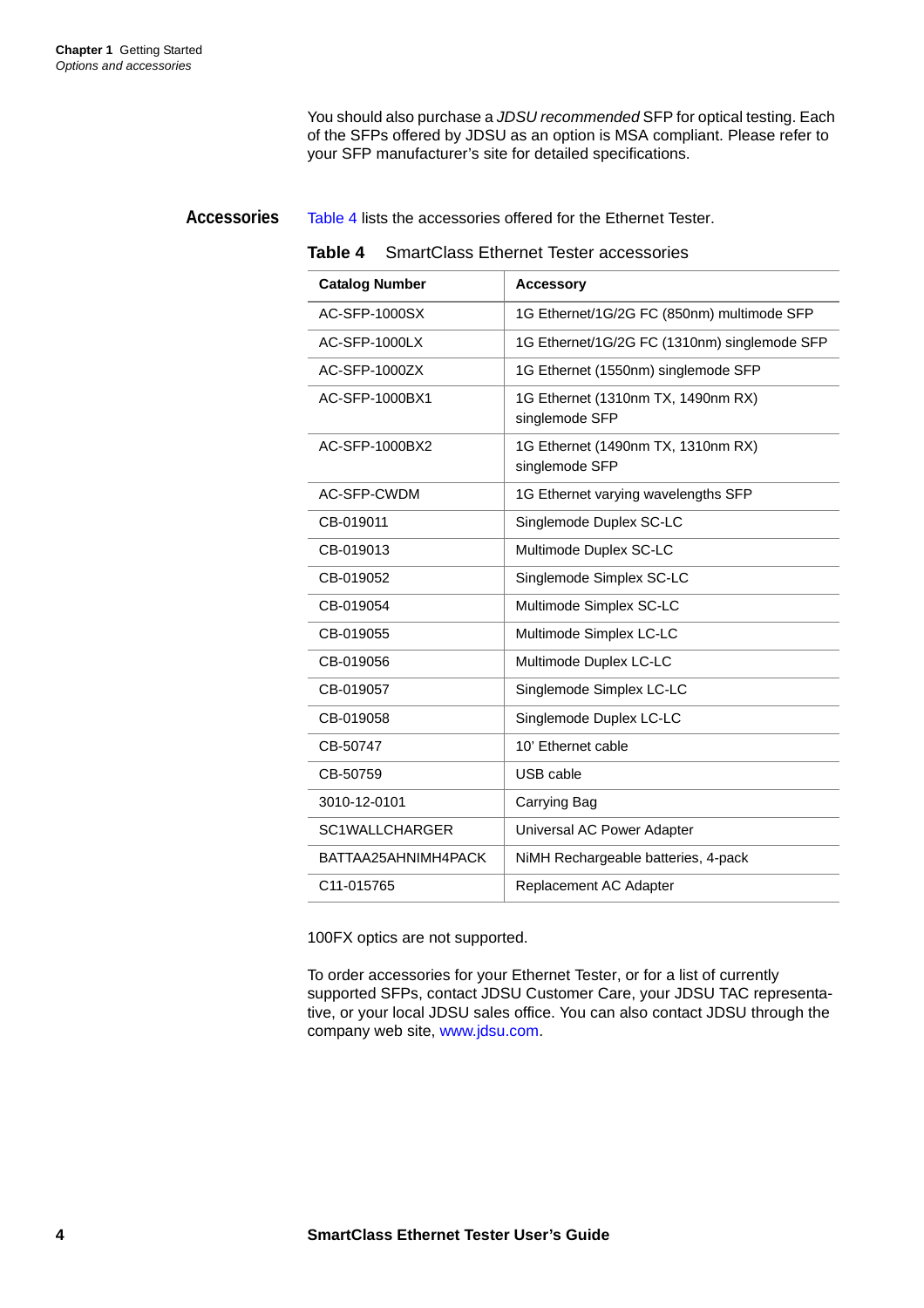You should also purchase a JDSU recommended SFP for optical testing. Each of the SFPs offered by JDSU as an option is MSA compliant. Please refer to your SFP manufacturer's site for detailed specifications.

### <span id="page-17-0"></span>**Accessories** [Table 4](#page-17-1) lists the accessories offered for the Ethernet Tester.

### <span id="page-17-1"></span>**Table 4** SmartClass Ethernet Tester accessories

| <b>Catalog Number</b> | <b>Accessory</b>                                     |
|-----------------------|------------------------------------------------------|
| AC-SFP-1000SX         | 1G Ethernet/1G/2G FC (850nm) multimode SFP           |
| AC-SFP-1000LX         | 1G Ethernet/1G/2G FC (1310nm) singlemode SFP         |
| AC-SFP-1000ZX         | 1G Ethernet (1550nm) singlemode SFP                  |
| AC-SFP-1000BX1        | 1G Ethernet (1310nm TX, 1490nm RX)<br>singlemode SFP |
| AC-SFP-1000BX2        | 1G Ethernet (1490nm TX, 1310nm RX)<br>singlemode SFP |
| AC-SFP-CWDM           | 1G Ethernet varying wavelengths SFP                  |
| CB-019011             | Singlemode Duplex SC-LC                              |
| CB-019013             | Multimode Duplex SC-LC                               |
| CB-019052             | Singlemode Simplex SC-LC                             |
| CB-019054             | Multimode Simplex SC-LC                              |
| CB-019055             | Multimode Simplex LC-LC                              |
| CB-019056             | Multimode Duplex LC-LC                               |
| CB-019057             | Singlemode Simplex LC-LC                             |
| CB-019058             | Singlemode Duplex LC-LC                              |
| CB-50747              | 10' Ethernet cable                                   |
| CB-50759              | USB cable                                            |
| 3010-12-0101          | Carrying Bag                                         |
| SC1WALLCHARGER        | Universal AC Power Adapter                           |
| BATTAA25AHNIMH4PACK   | NiMH Rechargeable batteries, 4-pack                  |
| C11-015765            | Replacement AC Adapter                               |

100FX optics are not supported.

To order accessories for your Ethernet Tester, or for a list of currently supported SFPs, contact JDSU Customer Care, your JDSU [TAC representa](http://jdsu.com)[tive, or your local JDSU sales office. You can also contact JDSU through the](http://jdsu.com)  [company web site,](http://jdsu.com) www.jdsu.com.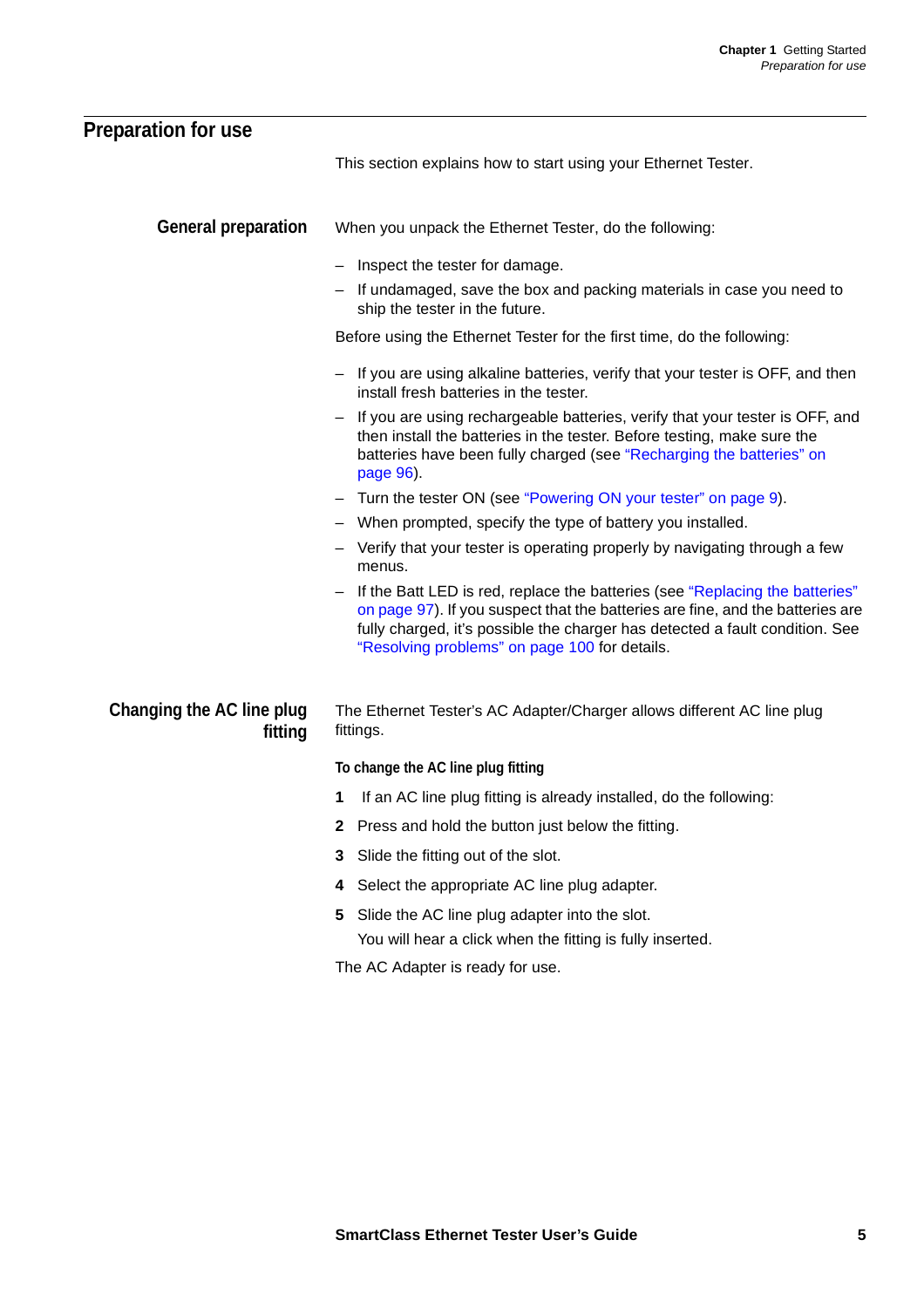<span id="page-18-2"></span><span id="page-18-1"></span><span id="page-18-0"></span>

| <b>Preparation for use</b>           |                                                                                                                                                                                                                                                                                                 |
|--------------------------------------|-------------------------------------------------------------------------------------------------------------------------------------------------------------------------------------------------------------------------------------------------------------------------------------------------|
|                                      | This section explains how to start using your Ethernet Tester.                                                                                                                                                                                                                                  |
|                                      |                                                                                                                                                                                                                                                                                                 |
| <b>General preparation</b>           | When you unpack the Ethernet Tester, do the following:                                                                                                                                                                                                                                          |
|                                      | - Inspect the tester for damage.                                                                                                                                                                                                                                                                |
|                                      | - If undamaged, save the box and packing materials in case you need to<br>ship the tester in the future.                                                                                                                                                                                        |
|                                      | Before using the Ethernet Tester for the first time, do the following:                                                                                                                                                                                                                          |
|                                      | If you are using alkaline batteries, verify that your tester is OFF, and then<br>install fresh batteries in the tester.                                                                                                                                                                         |
|                                      | If you are using rechargeable batteries, verify that your tester is OFF, and<br>then install the batteries in the tester. Before testing, make sure the<br>batteries have been fully charged (see "Recharging the batteries" on<br>page 96).                                                    |
|                                      | Turn the tester ON (see "Powering ON your tester" on page 9).                                                                                                                                                                                                                                   |
|                                      | When prompted, specify the type of battery you installed.                                                                                                                                                                                                                                       |
|                                      | Verify that your tester is operating properly by navigating through a few<br>menus.                                                                                                                                                                                                             |
|                                      | If the Batt LED is red, replace the batteries (see "Replacing the batteries"<br>on page 97). If you suspect that the batteries are fine, and the batteries are<br>fully charged, it's possible the charger has detected a fault condition. See<br>"Resolving problems" on page 100 for details. |
| Changing the AC line plug<br>fitting | The Ethernet Tester's AC Adapter/Charger allows different AC line plug<br>fittings.                                                                                                                                                                                                             |
|                                      | To change the AC line plug fitting                                                                                                                                                                                                                                                              |
|                                      | If an AC line plug fitting is already installed, do the following:<br>1                                                                                                                                                                                                                         |
|                                      | Press and hold the button just below the fitting.<br>2                                                                                                                                                                                                                                          |
|                                      | Slide the fitting out of the slot.<br>3                                                                                                                                                                                                                                                         |
|                                      | Select the appropriate AC line plug adapter.<br>4                                                                                                                                                                                                                                               |
|                                      | Slide the AC line plug adapter into the slot.<br>5                                                                                                                                                                                                                                              |
|                                      | You will hear a click when the fitting is fully inserted.                                                                                                                                                                                                                                       |
|                                      | The AC Adapter is ready for use.                                                                                                                                                                                                                                                                |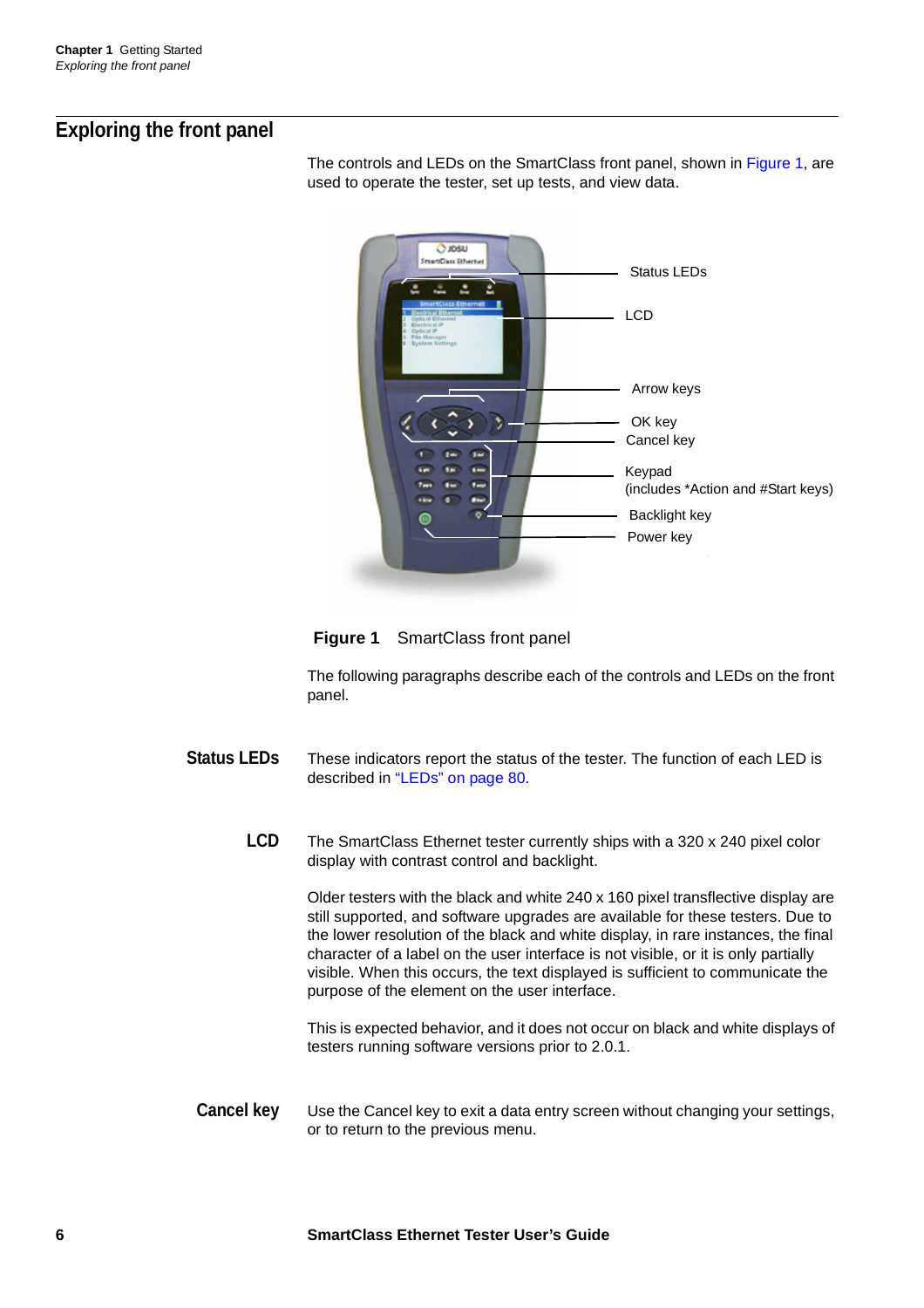# <span id="page-19-0"></span>**Exploring the front panel**

The controls and LEDs on the SmartClass front panel, shown in Figure 1, are used to operate the tester, set up tests, and view data.



**Figure 1** SmartClass front panel

The following paragraphs describe each of the controls and LEDs on the front panel.

- <span id="page-19-2"></span><span id="page-19-1"></span>**Status LEDs** These indicators report the status of the tester. The function of each LED is described in ["LEDs" on page 80](#page-93-2).
	- **LCD** The SmartClass Ethernet tester currently ships with a 320 x 240 pixel color display with contrast control and backlight.

Older testers with the black and white 240 x 160 pixel transflective display are still supported, and software upgrades are available for these testers. Due to the lower resolution of the black and white display, in rare instances, the final character of a label on the user interface is not visible, or it is only partially visible. When this occurs, the text displayed is sufficient to communicate the purpose of the element on the user interface.

This is expected behavior, and it does not occur on black and white displays of testers running software versions prior to 2.0.1.

<span id="page-19-3"></span>**Cancel key** Use the Cancel key to exit a data entry screen without changing your settings, or to return to the previous menu.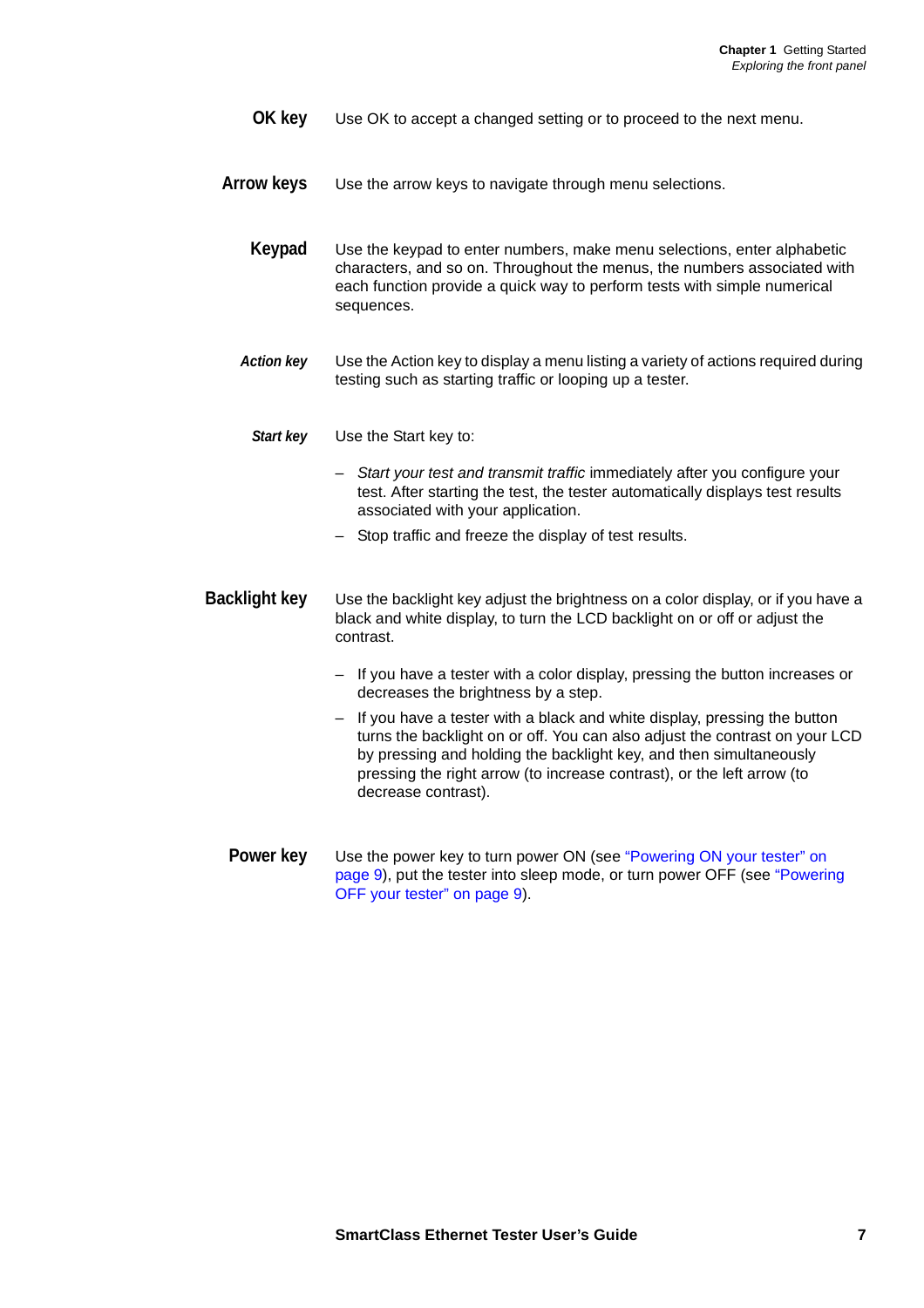- **OK key** Use OK to accept a changed setting or to proceed to the next menu.
- <span id="page-20-3"></span><span id="page-20-2"></span><span id="page-20-1"></span><span id="page-20-0"></span>**Arrow keys** Use the arrow keys to navigate through menu selections.
	- **Keypad** Use the keypad to enter numbers, make menu selections, enter alphabetic characters, and so on. Throughout the menus, the numbers associated with each function provide a quick way to perform tests with simple numerical sequences.
	- **Action key** Use the Action key to display a menu listing a variety of actions required during testing such as starting traffic or looping up a tester.
	- **Start key** Use the Start key to:
		- Start your test and transmit traffic immediately after you configure your test. After starting the test, the tester automatically displays test results associated with your application.
		- Stop traffic and freeze the display of test results.
- <span id="page-20-6"></span><span id="page-20-5"></span><span id="page-20-4"></span>**Backlight key** Use the backlight key adjust the brightness on a color display, or if you have a black and white display, to turn the LCD backlight on or off or adjust the contrast.
	- If you have a tester with a color display, pressing the button increases or decreases the brightness by a step.
	- If you have a tester with a black and white display, pressing the button turns the backlight on or off. You can also adjust the contrast on your LCD by pressing and holding the backlight key, and then simultaneously pressing the right arrow (to increase contrast), or the left arrow (to decrease contrast).
	- **Power key** Use the power key to turn power ON (see "Powering ON your tester" on [page 9](#page-22-0)), put the tester into sleep mode, or turn power OFF (see ["Powering](#page-22-1)  [OFF your tester" on page 9](#page-22-1)).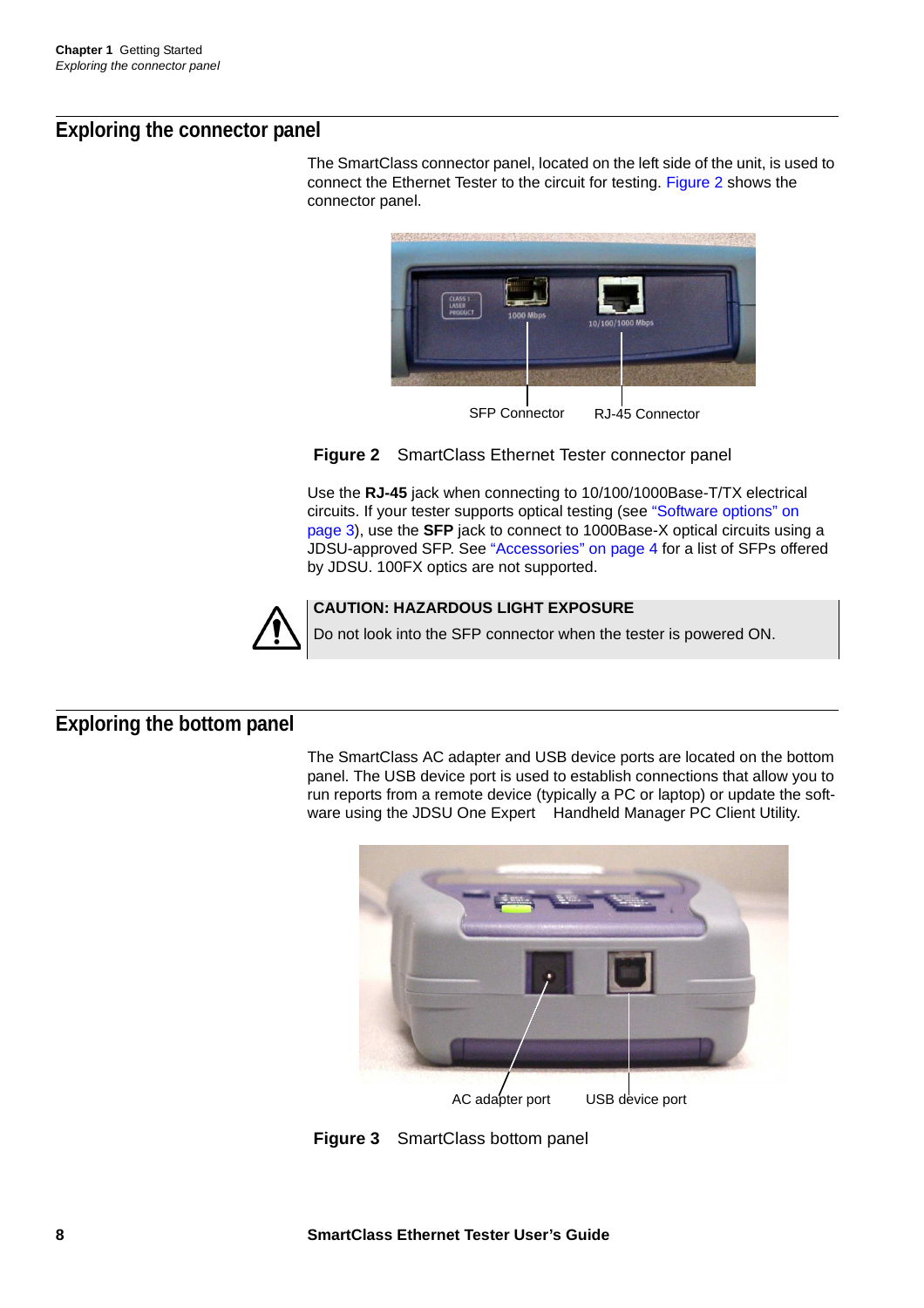# <span id="page-21-0"></span>**Exploring the connector panel**

The SmartClass connector panel, located on the left side of the unit, is used to connect the Ethernet Tester to the circuit for testing. Figure 2 shows the connector panel.





Use the **RJ-45** jack when connecting to 10/100/1000Base-T/TX electrical circuits. If your tester supports optical testing (see ["Software options" on](#page-16-2)  [page 3](#page-16-2)), use the **SFP** jack to connect to 1000Base-X optical circuits using a JDSU-approved SFP. See ["Accessories" on page 4](#page-17-0) for a list of SFPs offered by JDSU. 100FX optics are not supported.



### **CAUTION: HAZARDOUS LIGHT EXPOSURE**

Do not look into the SFP connector when the tester is powered ON.

# <span id="page-21-1"></span>**Exploring the bottom panel**

The SmartClass AC adapter and USB device ports are located on the bottom panel. The USB device port is used to establish connections that allow you to run reports from a remote device (typically a PC or laptop) or update the software using the JDSU One Expert<sup>TM</sup> Handheld Manager PC Client Utility.



**Figure 3** SmartClass bottom panel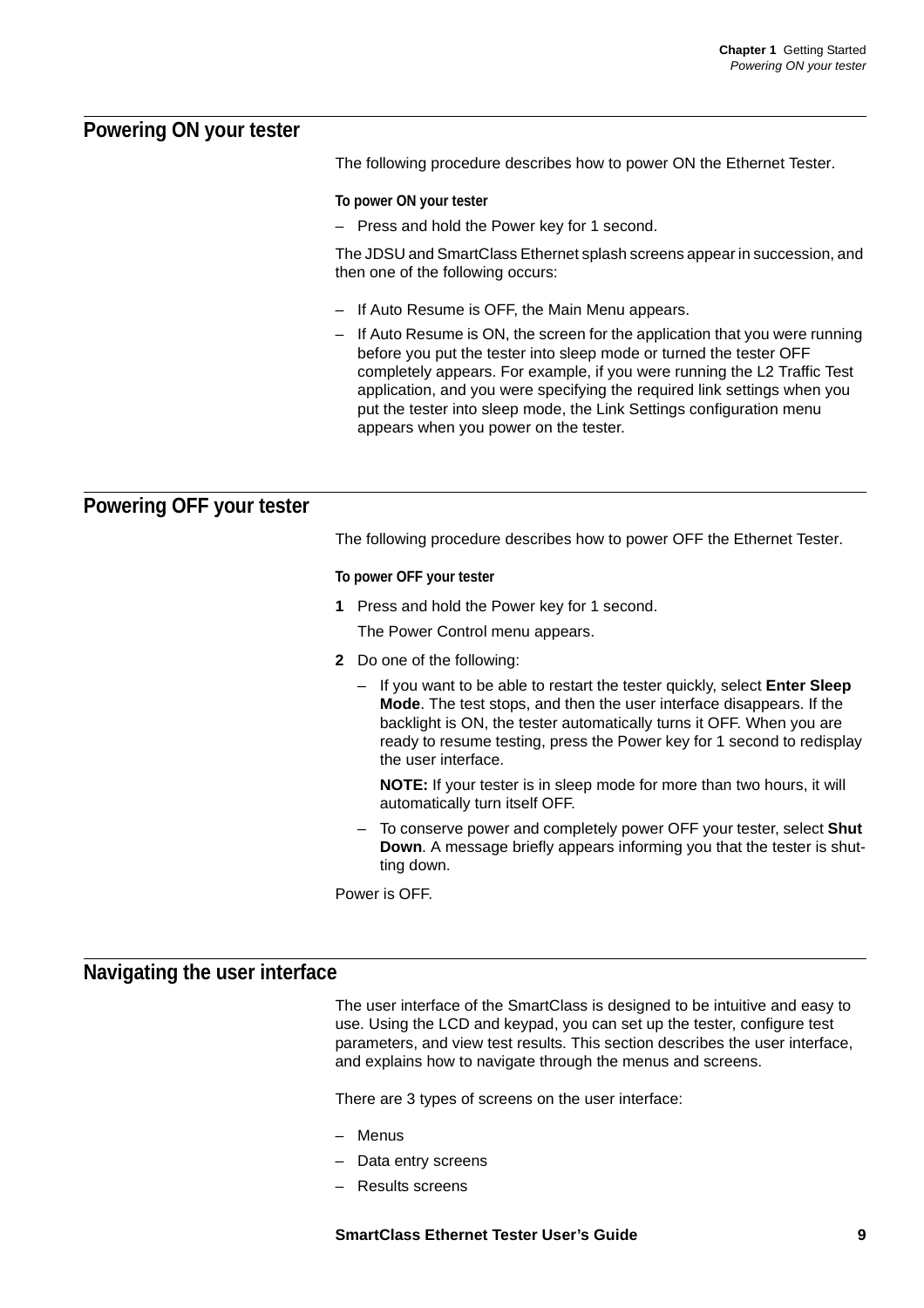# <span id="page-22-0"></span>**Powering ON your tester**

The following procedure describes how to power ON the Ethernet Tester.

#### **To power ON your tester**

– Press and hold the Power key for 1 second.

The JDSU and SmartClass Ethernet splash screens appear in succession, and then one of the following occurs:

- If Auto Resume is OFF, the Main Menu appears.
- If Auto Resume is ON, the screen for the application that you were running before you put the tester into sleep mode or turned the tester OFF completely appears. For example, if you were running the L2 Traffic Test application, and you were specifying the required link settings when you put the tester into sleep mode, the Link Settings configuration menu appears when you power on the tester.

# <span id="page-22-1"></span>**Powering OFF your tester**

The following procedure describes how to power OFF the Ethernet Tester.

#### **To power OFF your tester**

**1** Press and hold the Power key for 1 second.

The Power Control menu appears.

- **2** Do one of the following:
	- If you want to be able to restart the tester quickly, select **Enter Sleep Mode**. The test stops, and then the user interface disappears. If the backlight is ON, the tester automatically turns it OFF. When you are ready to resume testing, press the Power key for 1 second to redisplay the user interface.

**NOTE:** If your tester is in sleep mode for more than two hours, it will automatically turn itself OFF.

– To conserve power and completely power OFF your tester, select **Shut Down**. A message briefly appears informing you that the tester is shutting down.

Power is OFF.

### <span id="page-22-2"></span>**Navigating the user interface**

The user interface of the SmartClass is designed to be intuitive and easy to use. Using the LCD and keypad, you can set up the tester, configure test parameters, and view test results. This section describes the user interface, and explains how to navigate through the menus and screens.

There are 3 types of screens on the user interface:

- Menus
- Data entry screens
- Results screens

#### **SmartClass Ethernet Tester User's Guide 9**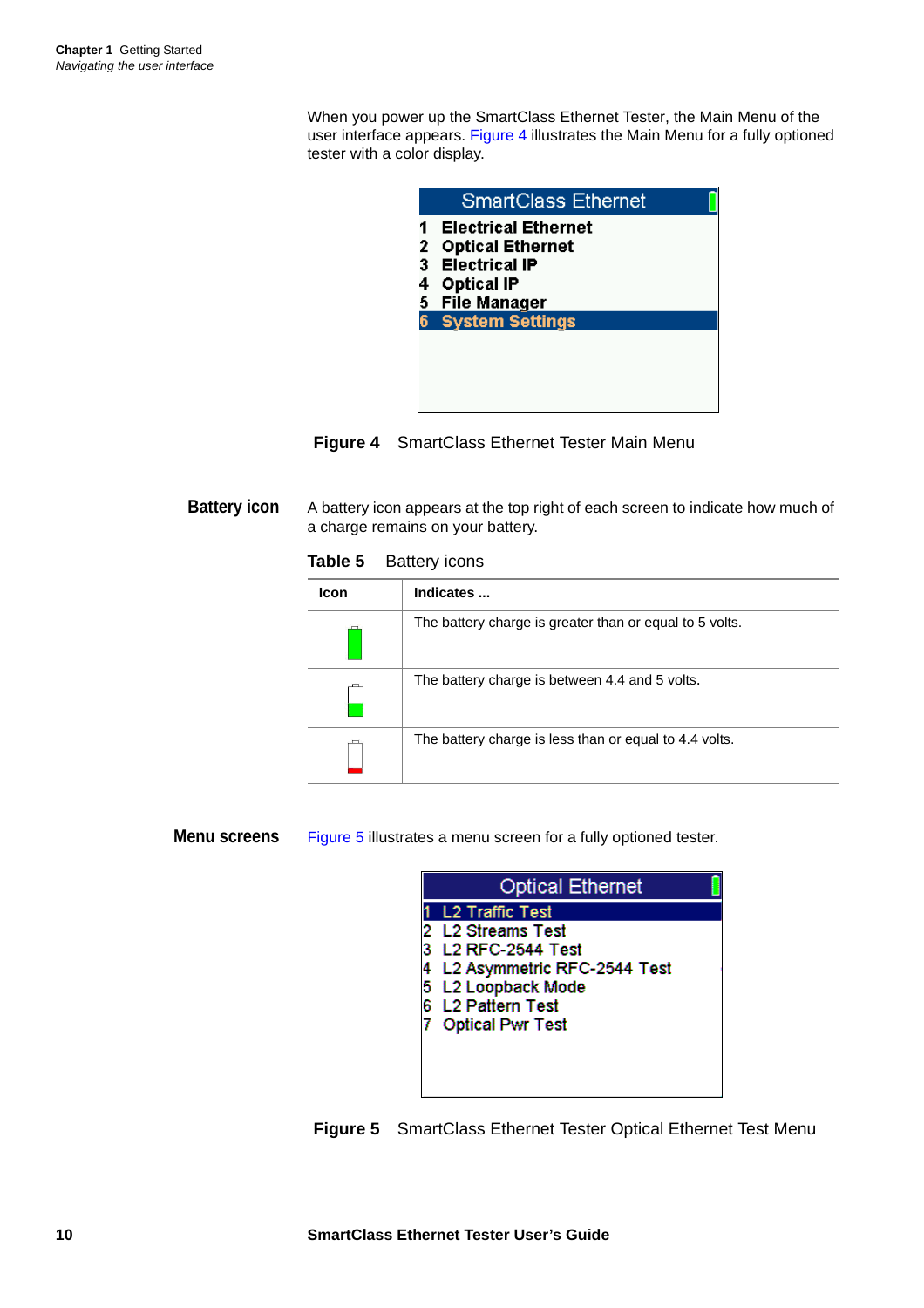When you power up the SmartClass Ethernet Tester, the Main Menu of the user interface appears. Figure 4 illustrates the Main Menu for a fully optioned tester with a color display.

|        | <b>SmartClass Ethernet</b>                                                                                                           |  |
|--------|--------------------------------------------------------------------------------------------------------------------------------------|--|
| 2<br>3 | <b>Electrical Ethernet</b><br><b>Optical Ethernet</b><br><b>Electrical IP</b><br>4 Optical IP<br>5 File Manager<br>6 System Settings |  |
|        |                                                                                                                                      |  |



<span id="page-23-0"></span>**Battery icon** A battery icon appears at the top right of each screen to indicate how much of a charge remains on your battery.

**Table 5** Battery icons

| <b>Icon</b> | Indicates                                               |
|-------------|---------------------------------------------------------|
|             | The battery charge is greater than or equal to 5 volts. |
|             | The battery charge is between 4.4 and 5 volts.          |
|             | The battery charge is less than or equal to 4.4 volts.  |

<span id="page-23-1"></span>**Menu screens** [Figure 5](#page-23-2) illustrates a menu screen for a fully optioned tester.



<span id="page-23-2"></span>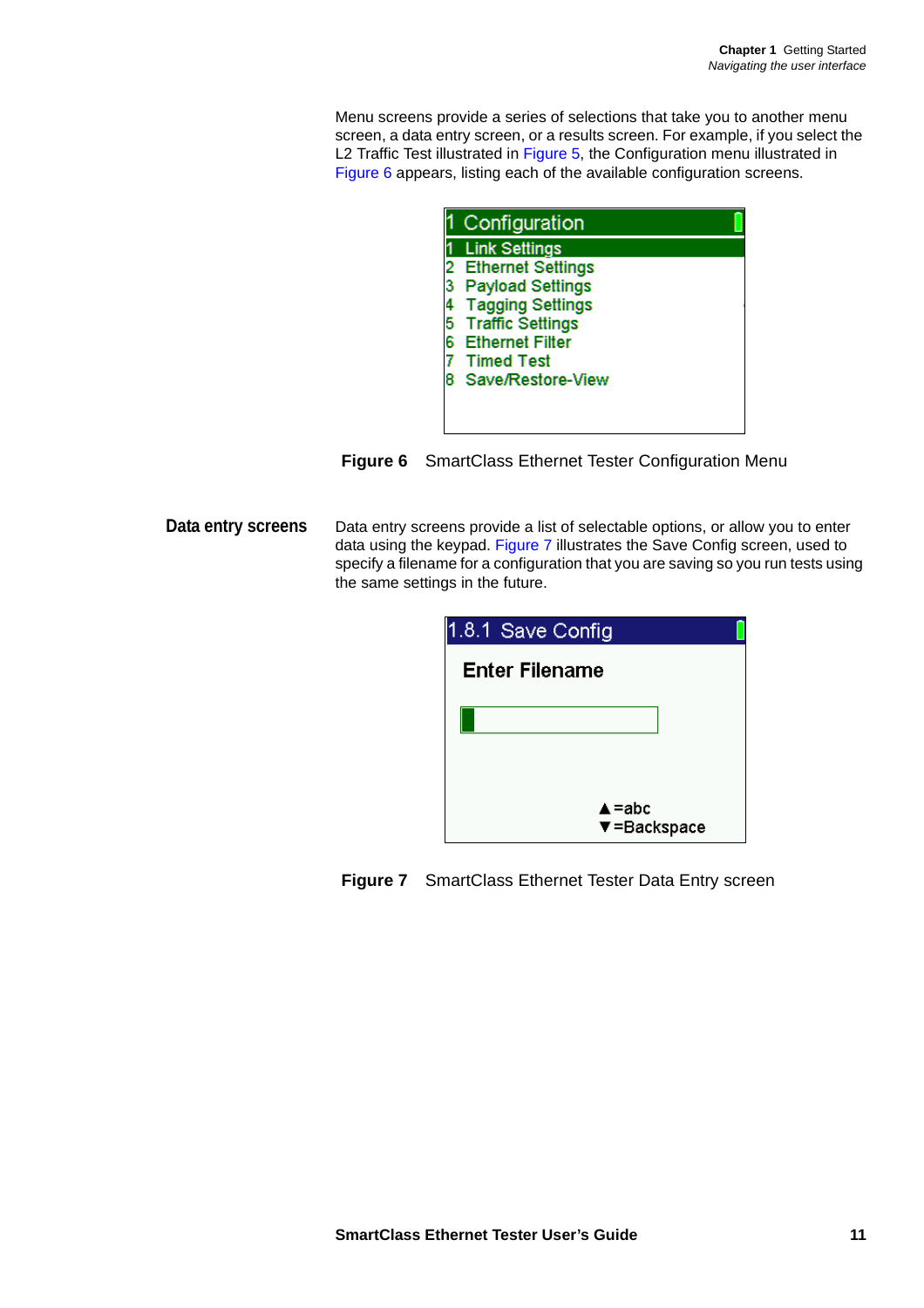Menu screens provide a series of selections that take you to another menu screen, a data entry screen, or a results screen. For example, if you select the L2 Traffic Test illustrated in [Figure 5,](#page-23-2) the Configuration menu illustrated in Figure 6 appears, listing each of the available configuration screens.





<span id="page-24-0"></span>**Data entry screens** Data entry screens provide a list of selectable options, or allow you to enter data using the keypad. [Figure 7](#page-24-1) illustrates the Save Config screen, used to specify a filename for a configuration that you are saving so you run tests using the same settings in the future.

| 1.8.1 Save Config     |                                  |
|-----------------------|----------------------------------|
| <b>Enter Filename</b> |                                  |
|                       |                                  |
|                       |                                  |
|                       |                                  |
| $\triangle$ =abc      |                                  |
|                       | $\blacktriangledown$ = Backspace |

<span id="page-24-1"></span>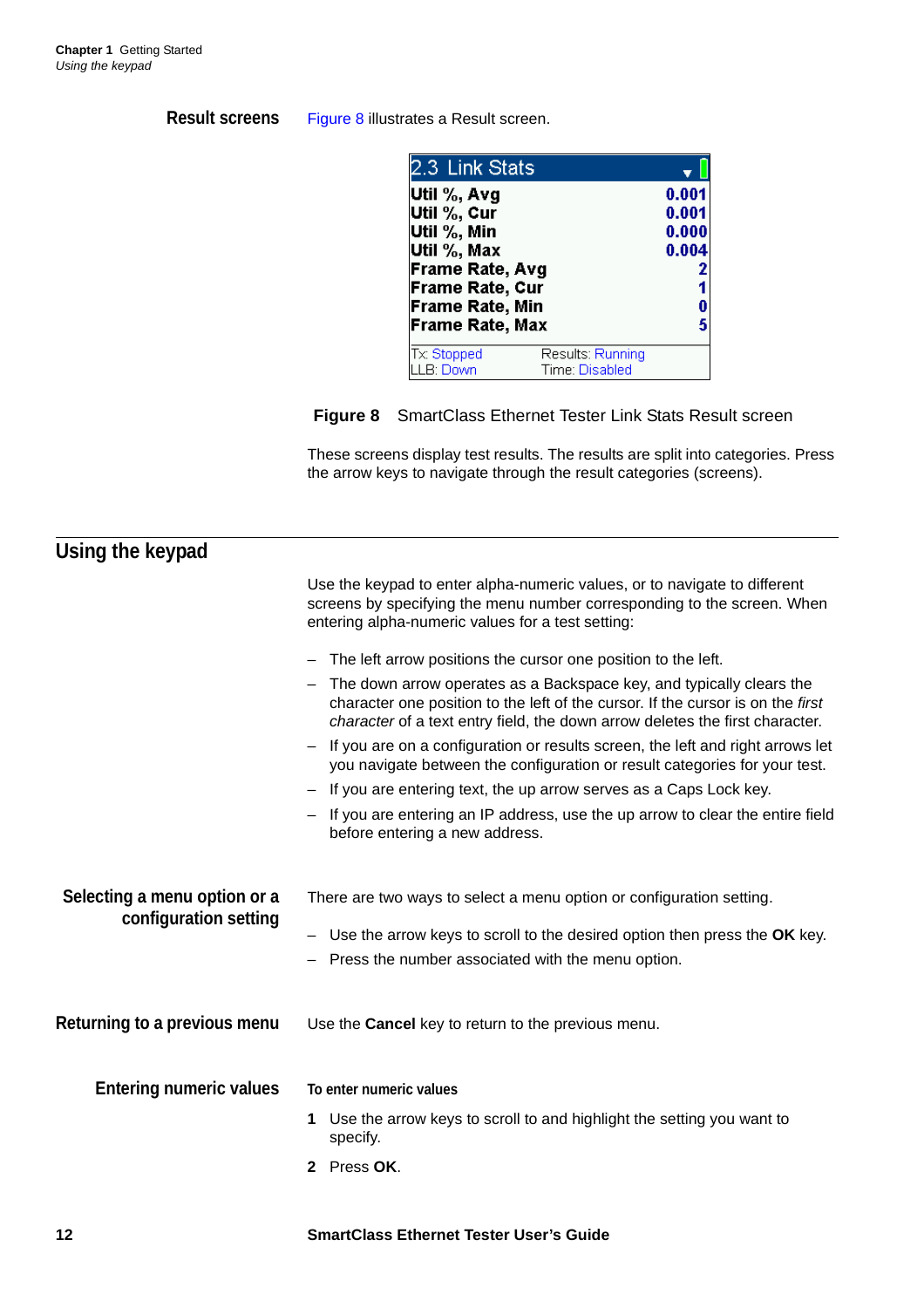<span id="page-25-0"></span>**Result screens** [Figure 8](#page-25-5) illustrates a Result screen.

| 2.3 Link Stats                                                                                                                       |                                    |                                                             |
|--------------------------------------------------------------------------------------------------------------------------------------|------------------------------------|-------------------------------------------------------------|
| Util %, Avg<br>Util %, Cur<br>Util %, Min<br>Util %, Max<br>Frame Rate, Avg<br>Frame Rate, Cur<br>Frame Rate, Min<br>Frame Rate, Max |                                    | 0.001<br>0.001<br>0.000<br>0.004<br>2<br>1<br>$\frac{0}{5}$ |
| Tx: Stopped<br>LLB: Down                                                                                                             | Results: Running<br>Time: Disabled |                                                             |

<span id="page-25-5"></span>**Figure 8** SmartClass Ethernet Tester Link Stats Result screen

These screens display test results. The results are split into categories. Press the arrow keys to navigate through the result categories (screens).

<span id="page-25-4"></span><span id="page-25-3"></span><span id="page-25-2"></span><span id="page-25-1"></span>

| Using the keypad                                      |                                                                                                                                                                                                                                         |
|-------------------------------------------------------|-----------------------------------------------------------------------------------------------------------------------------------------------------------------------------------------------------------------------------------------|
|                                                       | Use the keypad to enter alpha-numeric values, or to navigate to different<br>screens by specifying the menu number corresponding to the screen. When<br>entering alpha-numeric values for a test setting:                               |
|                                                       | The left arrow positions the cursor one position to the left.                                                                                                                                                                           |
|                                                       | The down arrow operates as a Backspace key, and typically clears the<br>character one position to the left of the cursor. If the cursor is on the first<br>character of a text entry field, the down arrow deletes the first character. |
|                                                       | If you are on a configuration or results screen, the left and right arrows let<br>-<br>you navigate between the configuration or result categories for your test.                                                                       |
|                                                       | If you are entering text, the up arrow serves as a Caps Lock key.                                                                                                                                                                       |
|                                                       | - If you are entering an IP address, use the up arrow to clear the entire field<br>before entering a new address.                                                                                                                       |
|                                                       |                                                                                                                                                                                                                                         |
| Selecting a menu option or a<br>configuration setting | There are two ways to select a menu option or configuration setting.                                                                                                                                                                    |
|                                                       | Use the arrow keys to scroll to the desired option then press the OK key.                                                                                                                                                               |
|                                                       | Press the number associated with the menu option.                                                                                                                                                                                       |
| Returning to a previous menu                          | Use the <b>Cancel</b> key to return to the previous menu.                                                                                                                                                                               |
| <b>Entering numeric values</b>                        | To enter numeric values                                                                                                                                                                                                                 |
|                                                       | Use the arrow keys to scroll to and highlight the setting you want to<br>1<br>specify.                                                                                                                                                  |
|                                                       | Press OK.<br>$\mathbf{2}$                                                                                                                                                                                                               |
|                                                       |                                                                                                                                                                                                                                         |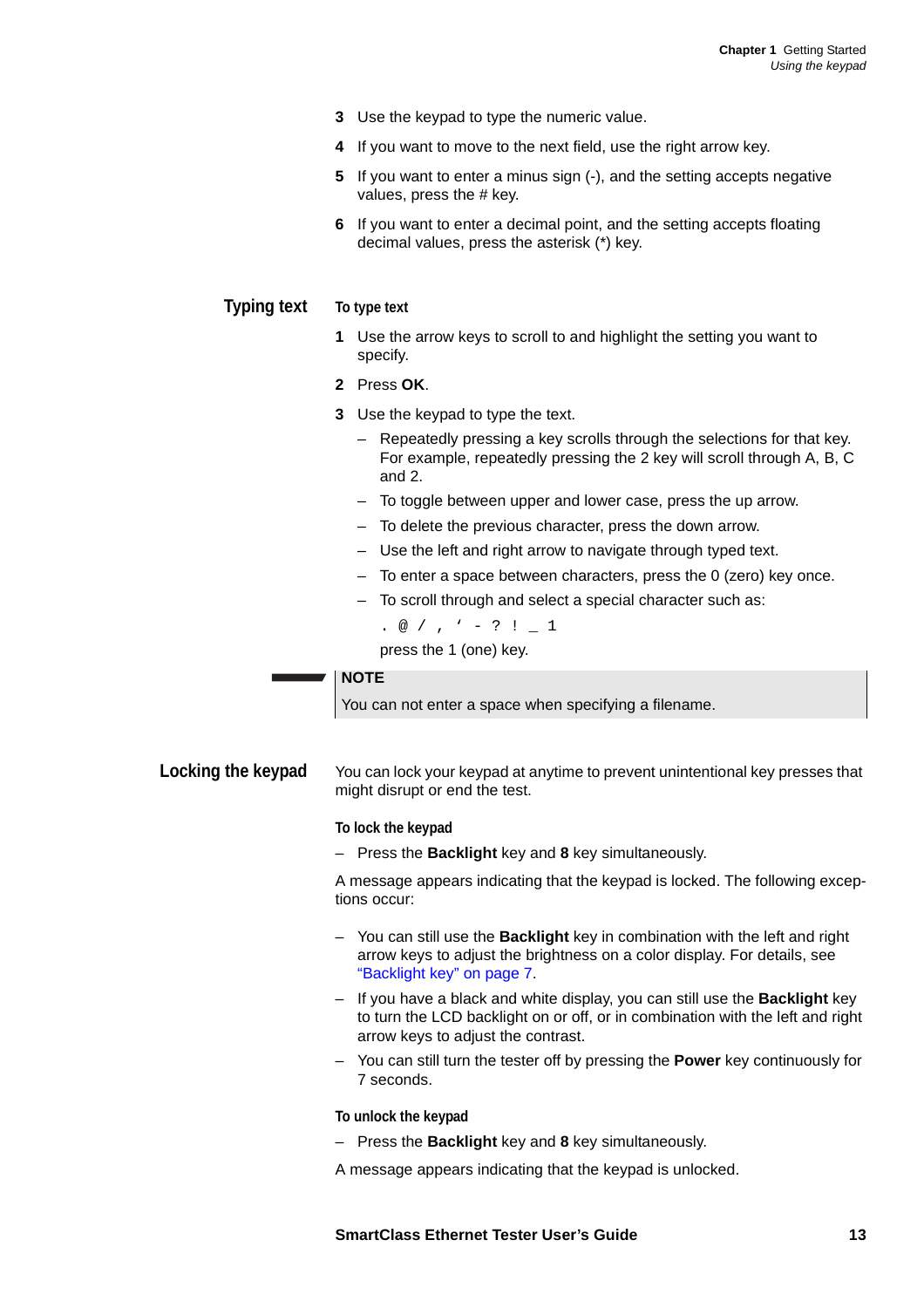- **3** Use the keypad to type the numeric value.
- **4** If you want to move to the next field, use the right arrow key.
- **5** If you want to enter a minus sign (-), and the setting accepts negative values, press the # key.
- **6** If you want to enter a decimal point, and the setting accepts floating decimal values, press the asterisk (\*) key.

#### <span id="page-26-0"></span>**Typing text To type text**

- **1** Use the arrow keys to scroll to and highlight the setting you want to specify.
- **2** Press **OK**.
- **3** Use the keypad to type the text.
	- Repeatedly pressing a key scrolls through the selections for that key. For example, repeatedly pressing the 2 key will scroll through A, B, C and 2.
	- To toggle between upper and lower case, press the up arrow.
	- To delete the previous character, press the down arrow.
	- Use the left and right arrow to navigate through typed text.
	- To enter a space between characters, press the 0 (zero) key once.
	- To scroll through and select a special character such as:
		- . @ / ,  $\cdot$  ? !  $\_$  1
		- press the 1 (one) key.

### **NOTE**

You can not enter a space when specifying a filename.

<span id="page-26-1"></span>**Locking the keypad** You can lock your keypad at anytime to prevent unintentional key presses that might disrupt or end the test.

#### **To lock the keypad**

– Press the **Backlight** key and **8** key simultaneously.

A message appears indicating that the keypad is locked. The following exceptions occur:

- You can still use the **Backlight** key in combination with the left and right arrow keys to adjust the brightness on a color display. For details, see ["Backlight key" on page 7.](#page-20-5)
- If you have a black and white display, you can still use the **Backlight** key to turn the LCD backlight on or off, or in combination with the left and right arrow keys to adjust the contrast.
- You can still turn the tester off by pressing the **Power** key continuously for 7 seconds.

**To unlock the keypad**

- Press the **Backlight** key and **8** key simultaneously.
- A message appears indicating that the keypad is unlocked.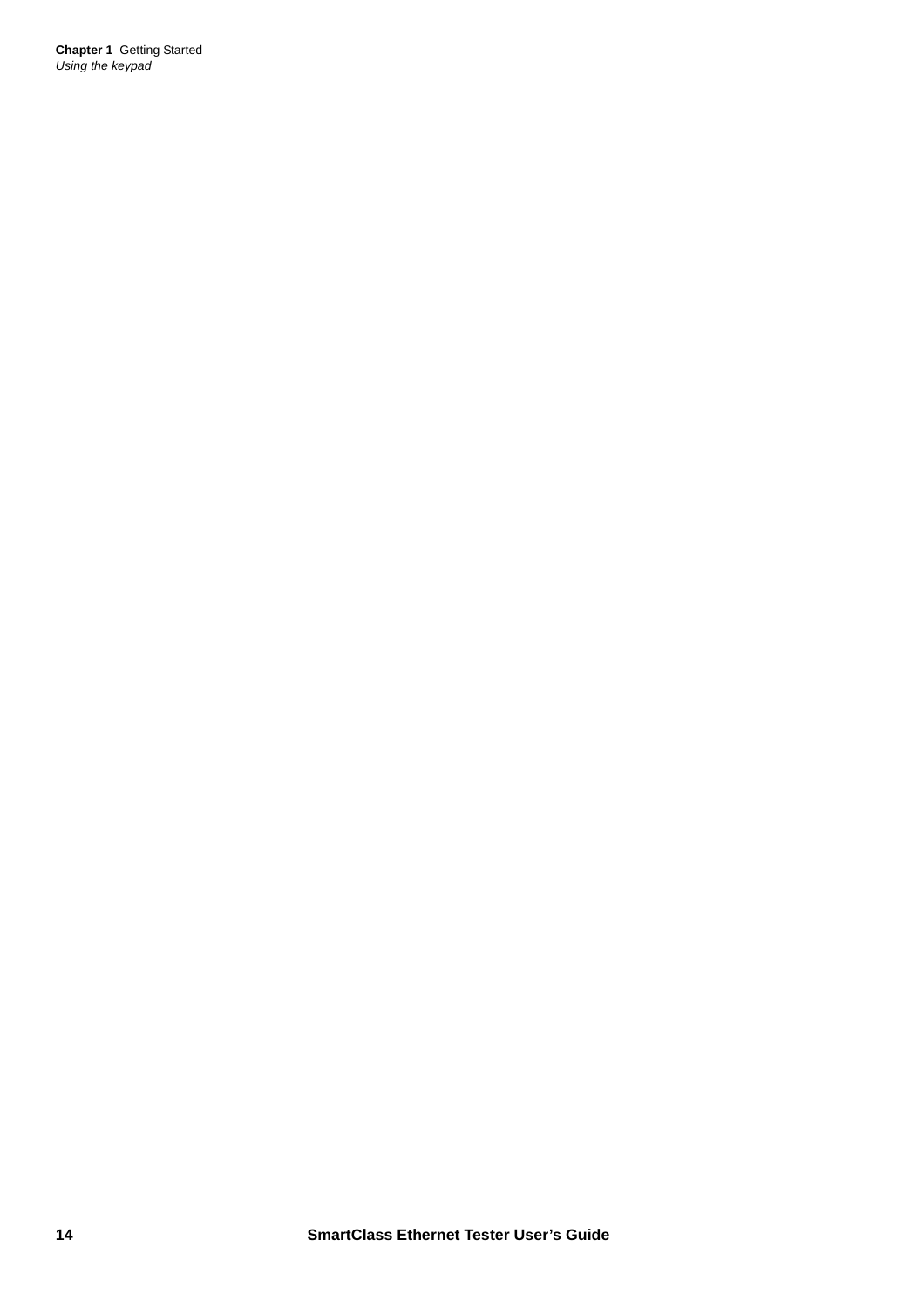**Chapter 1** Getting Started Using the keypad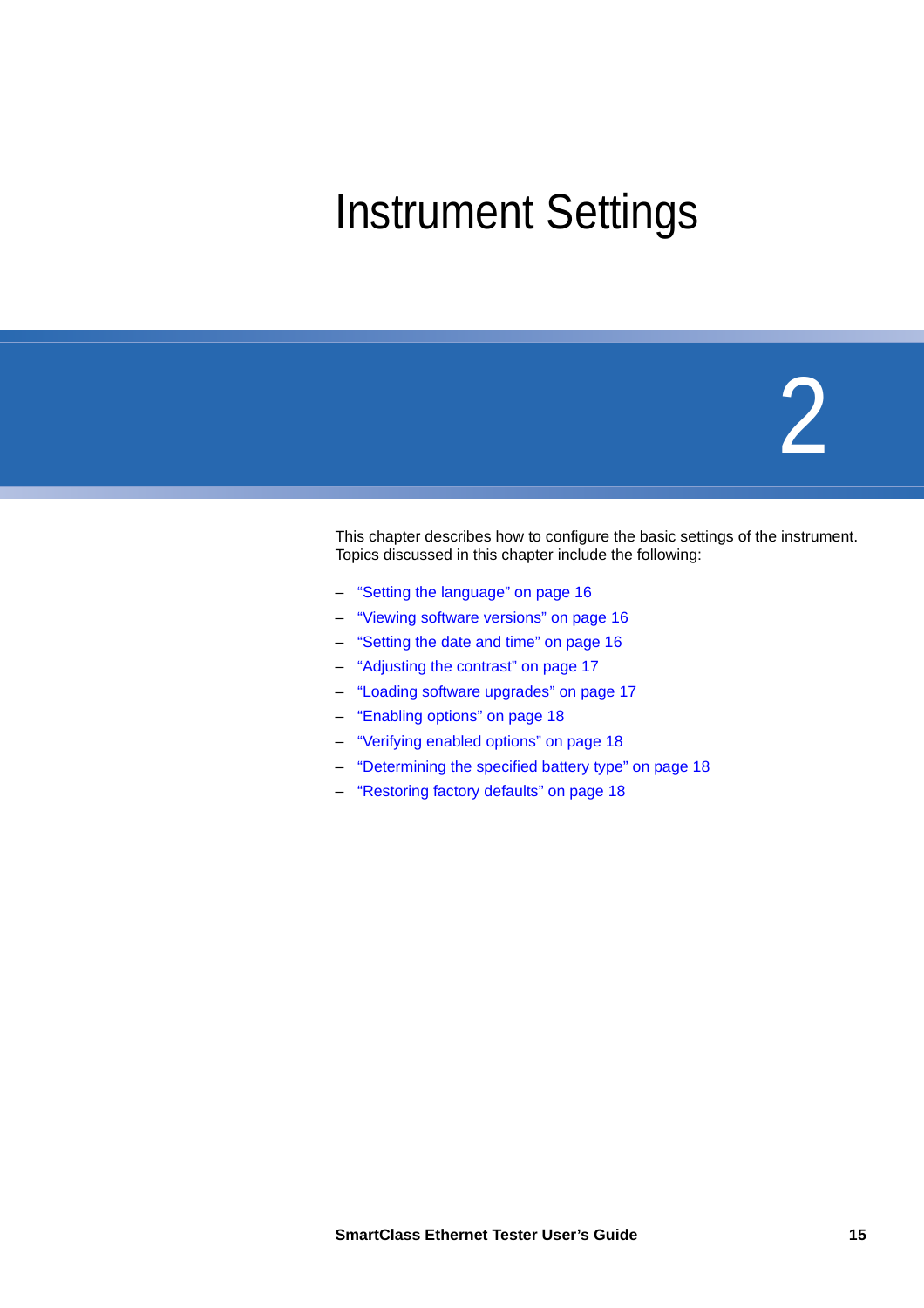# <span id="page-28-0"></span>**Instrument Settings**

This chapter describes how to configure the basic settings of the instrument. Topics discussed in this chapter include the following:

- ["Setting the language" on page 16](#page-29-0)
- ["Viewing software versions" on page 16](#page-29-1)
- ["Setting the date and time" on page 16](#page-29-2)
- ["Adjusting the contrast" on page 17](#page-30-1)
- ["Loading software upgrades" on page 17](#page-30-2)
- ["Enabling options" on page 18](#page-31-0)
- ["Verifying enabled options" on page 18](#page-31-1)
- ["Determining the specified battery type" on page 18](#page-31-2)
- ["Restoring factory defaults" on page 18](#page-31-3)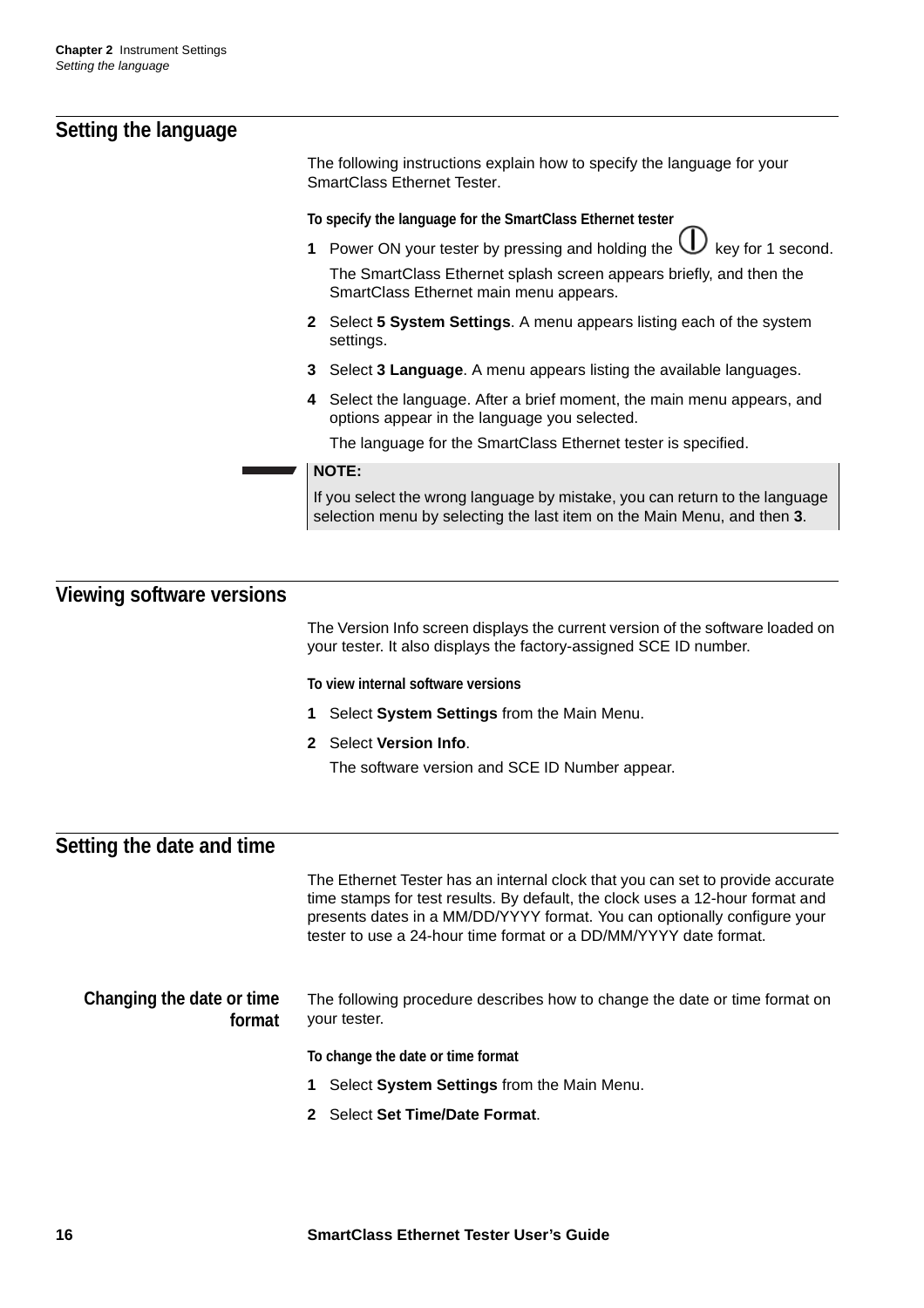# <span id="page-29-0"></span>**Setting the language**

The following instructions explain how to specify the language for your SmartClass Ethernet Tester.

#### **To specify the language for the SmartClass Ethernet tester**

- **1** Power ON your tester by pressing and holding the  $\bigcup$  key for 1 second. The SmartClass Ethernet splash screen appears briefly, and then the SmartClass Ethernet main menu appears.
- **2** Select **5 System Settings**. A menu appears listing each of the system settings.
- **3** Select **3 Language**. A menu appears listing the available languages.
- **4** Select the language. After a brief moment, the main menu appears, and options appear in the language you selected.

The language for the SmartClass Ethernet tester is specified.

#### **NOTE:**

If you select the wrong language by mistake, you can return to the language selection menu by selecting the last item on the Main Menu, and then **3**.

### <span id="page-29-1"></span>**Viewing software versions**

The Version Info screen displays the current version of the software loaded on your tester. It also displays the factory-assigned SCE ID number.

#### **To view internal software versions**

- **1** Select **System Settings** from the Main Menu.
- **2** Select **Version Info**.

The software version and SCE ID Number appear.

### <span id="page-29-2"></span>**Setting the date and time**

The Ethernet Tester has an internal clock that you can set to provide accurate time stamps for test results. By default, the clock uses a 12-hour format and presents dates in a MM/DD/YYYY format. You can optionally configure your tester to use a 24-hour time format or a DD/MM/YYYY date format.

#### <span id="page-29-3"></span>**Changing the date or time format** The following procedure describes how to change the date or time format on your tester.

#### **To change the date or time format**

- **1** Select **System Settings** from the Main Menu.
- **2** Select **Set Time/Date Format**.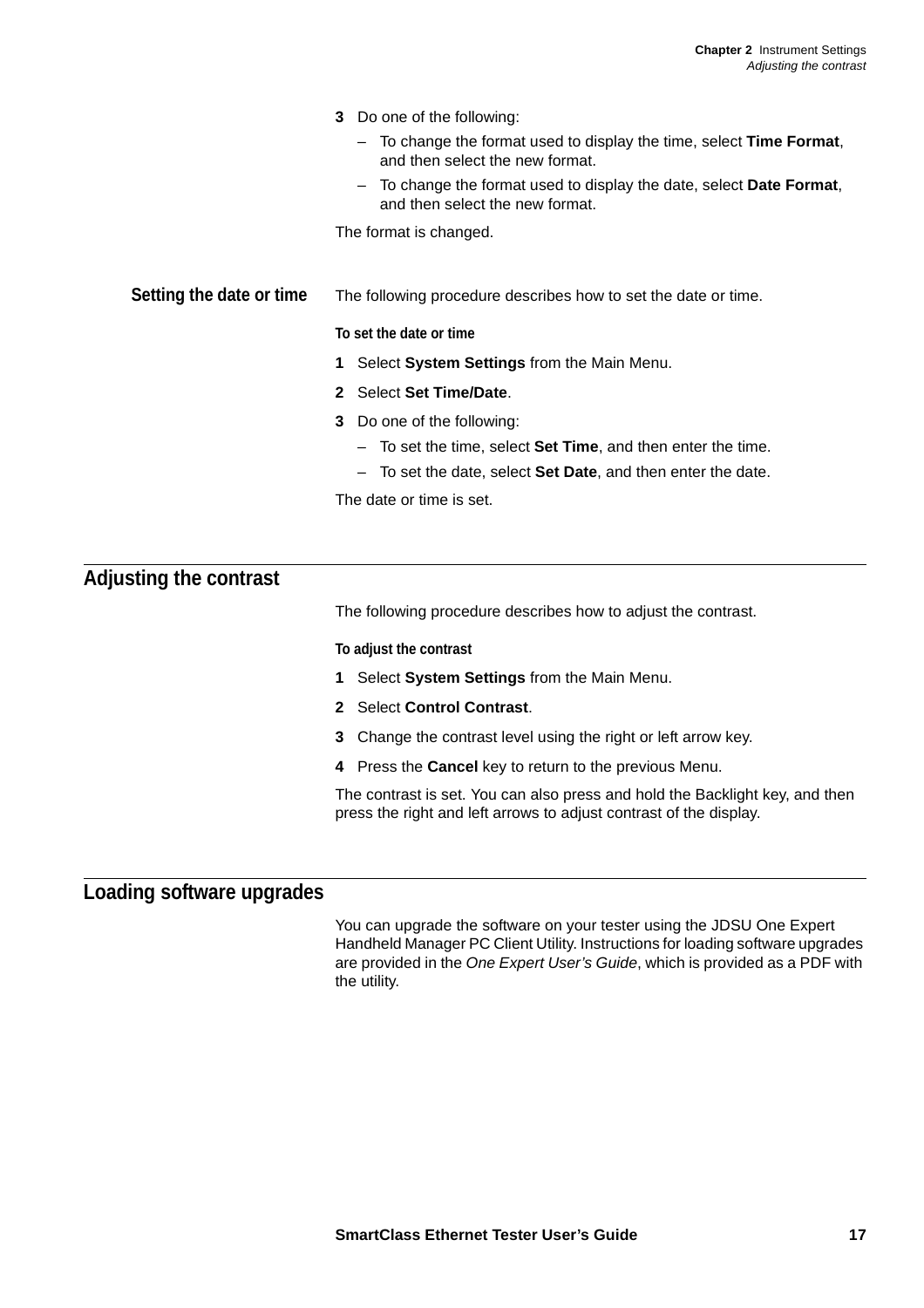<span id="page-30-0"></span>

|                          | Do one of the following:<br>3<br>To change the format used to display the time, select Time Format,<br>and then select the new format.<br>To change the format used to display the date, select Date Format,<br>and then select the new format.<br>The format is changed. |
|--------------------------|---------------------------------------------------------------------------------------------------------------------------------------------------------------------------------------------------------------------------------------------------------------------------|
| Setting the date or time | The following procedure describes how to set the date or time.                                                                                                                                                                                                            |
|                          | To set the date or time                                                                                                                                                                                                                                                   |
|                          | Select System Settings from the Main Menu.<br>1                                                                                                                                                                                                                           |
|                          | Select Set Time/Date.<br>$\mathbf{2}$                                                                                                                                                                                                                                     |
|                          | Do one of the following:<br>3                                                                                                                                                                                                                                             |
|                          | To set the time, select <b>Set Time</b> , and then enter the time.                                                                                                                                                                                                        |
|                          | To set the date, select <b>Set Date</b> , and then enter the date.<br>$\qquad \qquad -$                                                                                                                                                                                   |
|                          | The date or time is set.                                                                                                                                                                                                                                                  |

# <span id="page-30-1"></span>**Adjusting the contrast**

The following procedure describes how to adjust the contrast.

#### **To adjust the contrast**

- **1** Select **System Settings** from the Main Menu.
- **2** Select **Control Contrast**.
- **3** Change the contrast level using the right or left arrow key.
- **4** Press the **Cancel** key to return to the previous Menu.

The contrast is set. You can also press and hold the Backlight key, and then press the right and left arrows to adjust contrast of the display.

# <span id="page-30-2"></span>**Loading software upgrades**

You can upgrade the software on your tester using the JDSU One Expert™ Handheld Manager PC Client Utility. Instructions for loading software upgrades are provided in the One Expert User's Guide, which is provided as a PDF with the utility.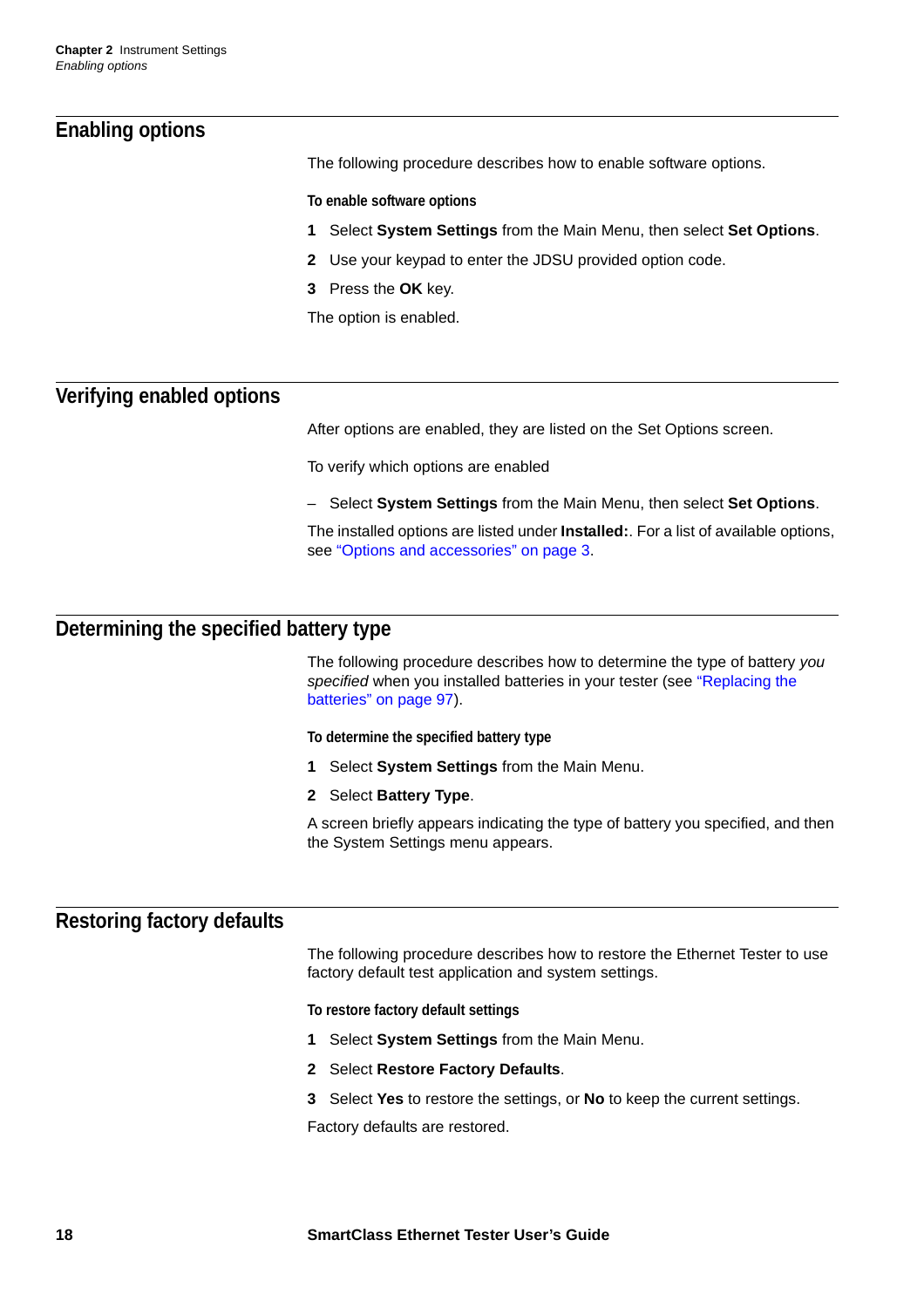# <span id="page-31-0"></span>**Enabling options**

The following procedure describes how to enable software options.

#### **To enable software options**

- **1** Select **System Settings** from the Main Menu, then select **Set Options**.
- **2** Use your keypad to enter the JDSU provided option code.
- **3** Press the **OK** key.

The option is enabled.

## <span id="page-31-1"></span>**Verifying enabled options**

After options are enabled, they are listed on the Set Options screen.

To verify which options are enabled

– Select **System Settings** from the Main Menu, then select **Set Options**.

The installed options are listed under **Installed:**. For a list of available options, see ["Options and accessories" on page 3.](#page-16-3)

## <span id="page-31-2"></span>**Determining the specified battery type**

The following procedure describes how to determine the type of battery you specified when you installed batteries in your tester (see "Replacing the [batteries" on page 97](#page-110-1)).

**To determine the specified battery type**

- **1** Select **System Settings** from the Main Menu.
- **2** Select **Battery Type**.

A screen briefly appears indicating the type of battery you specified, and then the System Settings menu appears.

## <span id="page-31-3"></span>**Restoring factory defaults**

The following procedure describes how to restore the Ethernet Tester to use factory default test application and system settings.

#### **To restore factory default settings**

- **1** Select **System Settings** from the Main Menu.
- **2** Select **Restore Factory Defaults**.
- **3** Select **Yes** to restore the settings, or **No** to keep the current settings.

Factory defaults are restored.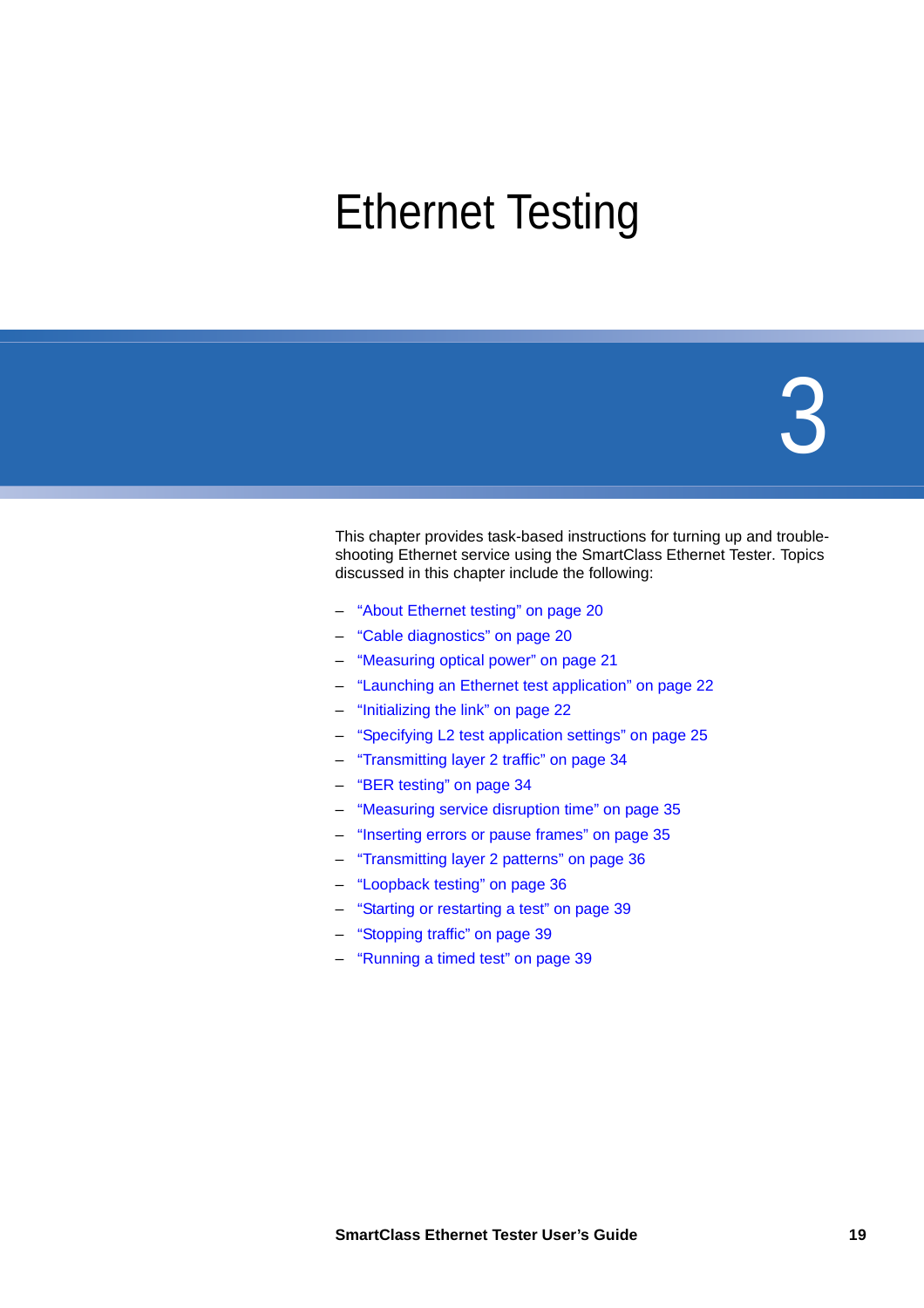# <span id="page-32-0"></span>**Ethernet Testing**

This chapter provides task-based instructions for turning up and troubleshooting Ethernet service using the SmartClass Ethernet Tester. Topics discussed in this chapter include the following:

- ["About Ethernet testing" on page 20](#page-33-0)
- ["Cable diagnostics" on page 20](#page-33-1)
- ["Measuring optical power" on page 21](#page-34-1)
- ["Launching an Ethernet test application" on page 22](#page-35-0)
- ["Initializing the link" on page 22](#page-35-1)
- ["Specifying L2 test application settings" on page 25](#page-38-0)
- ["Transmitting layer 2 traffic" on page 34](#page-47-0)
- ["BER testing" on page 34](#page-47-1)
- ["Measuring service disruption time" on page 35](#page-48-0)
- ["Inserting errors or pause frames" on page 35](#page-48-1)
- ["Transmitting layer 2 patterns" on page 36](#page-49-0)
- ["Loopback testing" on page 36](#page-49-1)
- ["Starting or restarting a test" on page 39](#page-52-0)
- ["Stopping traffic" on page 39](#page-52-1)
- ["Running a timed test" on page 39](#page-52-2)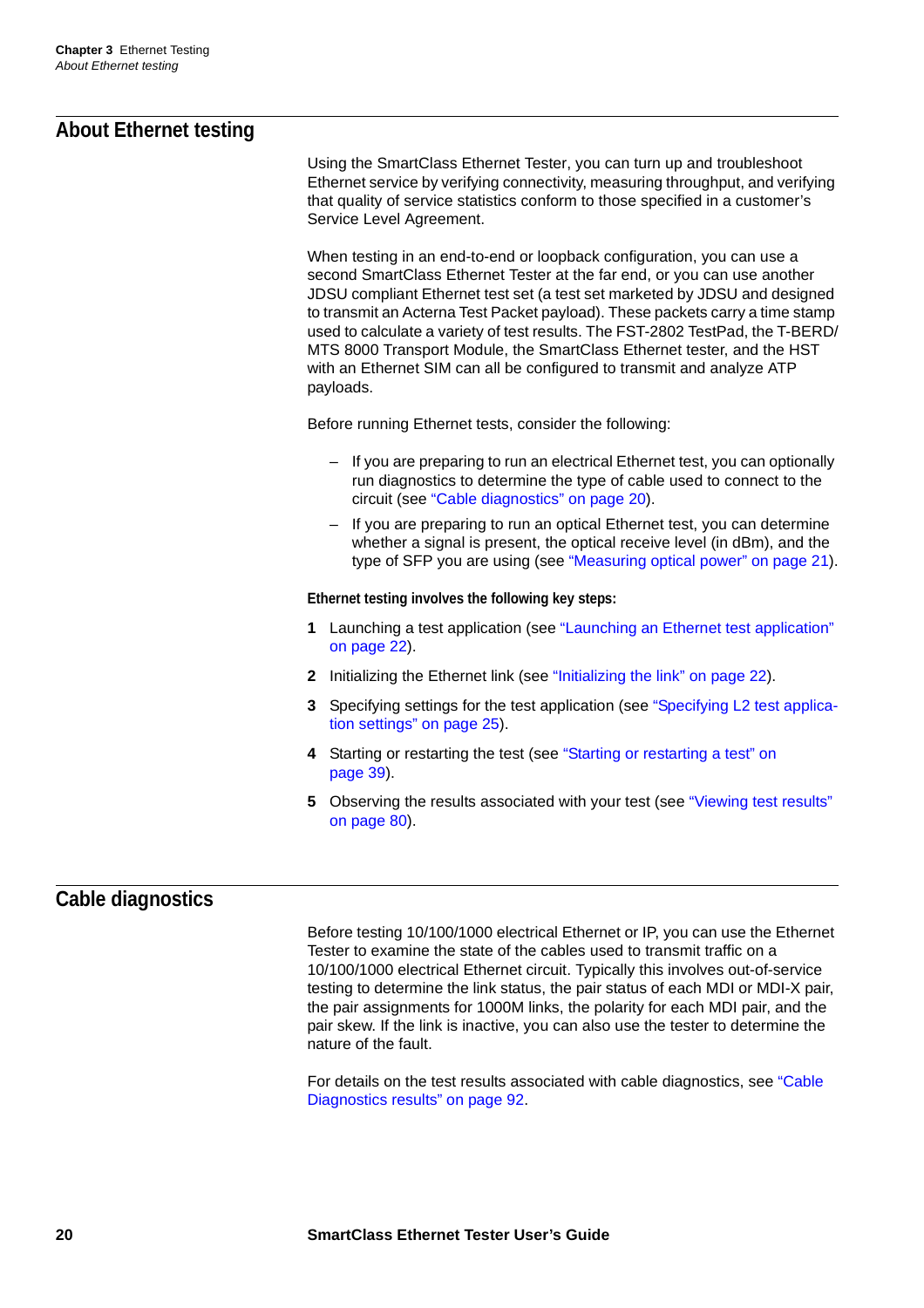# <span id="page-33-0"></span>**About Ethernet testing**

Using the SmartClass Ethernet Tester, you can turn up and troubleshoot Ethernet service by verifying connectivity, measuring throughput, and verifying that quality of service statistics conform to those specified in a customer's Service Level Agreement.

When testing in an end-to-end or loopback configuration, you can use a second SmartClass Ethernet Tester at the far end, or you can use another JDSU compliant Ethernet test set (a test set marketed by JDSU and designed to transmit an Acterna Test Packet payload). These packets carry a time stamp used to calculate a variety of test results. The FST-2802 TestPad, the T-BERD/ MTS 8000 Transport Module, the SmartClass Ethernet tester, and the HST with an Ethernet SIM can all be configured to transmit and analyze ATP payloads.

Before running Ethernet tests, consider the following:

- If you are preparing to run an electrical Ethernet test, you can optionally run diagnostics to determine the type of cable used to connect to the circuit (see ["Cable diagnostics" on page 20\)](#page-33-1).
- If you are preparing to run an optical Ethernet test, you can determine whether a signal is present, the optical receive level (in dBm), and the type of SFP you are using (see ["Measuring optical power" on page 21\)](#page-34-1).

#### **Ethernet testing involves the following key steps:**

- **1** Launching a test application (see ["Launching an Ethernet test application"](#page-35-0)  [on page 22](#page-35-0)).
- **2** Initializing the Ethernet link (see ["Initializing the link" on page 22\)](#page-35-1).
- **3** Specifying settings for the test application (see ["Specifying L2 test applica](#page-38-0)[tion settings" on page 25\)](#page-38-0).
- **4** Starting or restarting the test (see ["Starting or restarting a test" on](#page-52-0)  [page 39](#page-52-0)).
- **5** Observing the results associated with your test (see ["Viewing test results"](#page-93-3)  [on page 80](#page-93-3)).

## <span id="page-33-1"></span>**Cable diagnostics**

Before testing 10/100/1000 electrical Ethernet or IP, you can use the Ethernet Tester to examine the state of the cables used to transmit traffic on a 10/100/1000 electrical Ethernet circuit. Typically this involves out-of-service testing to determine the link status, the pair status of each MDI or MDI-X pair, the pair assignments for 1000M links, the polarity for each MDI pair, and the pair skew. If the link is inactive, you can also use the tester to determine the nature of the fault.

For details on the test results associated with cable diagnostics, see ["Cable](#page-105-4)  [Diagnostics results" on page 92.](#page-105-4)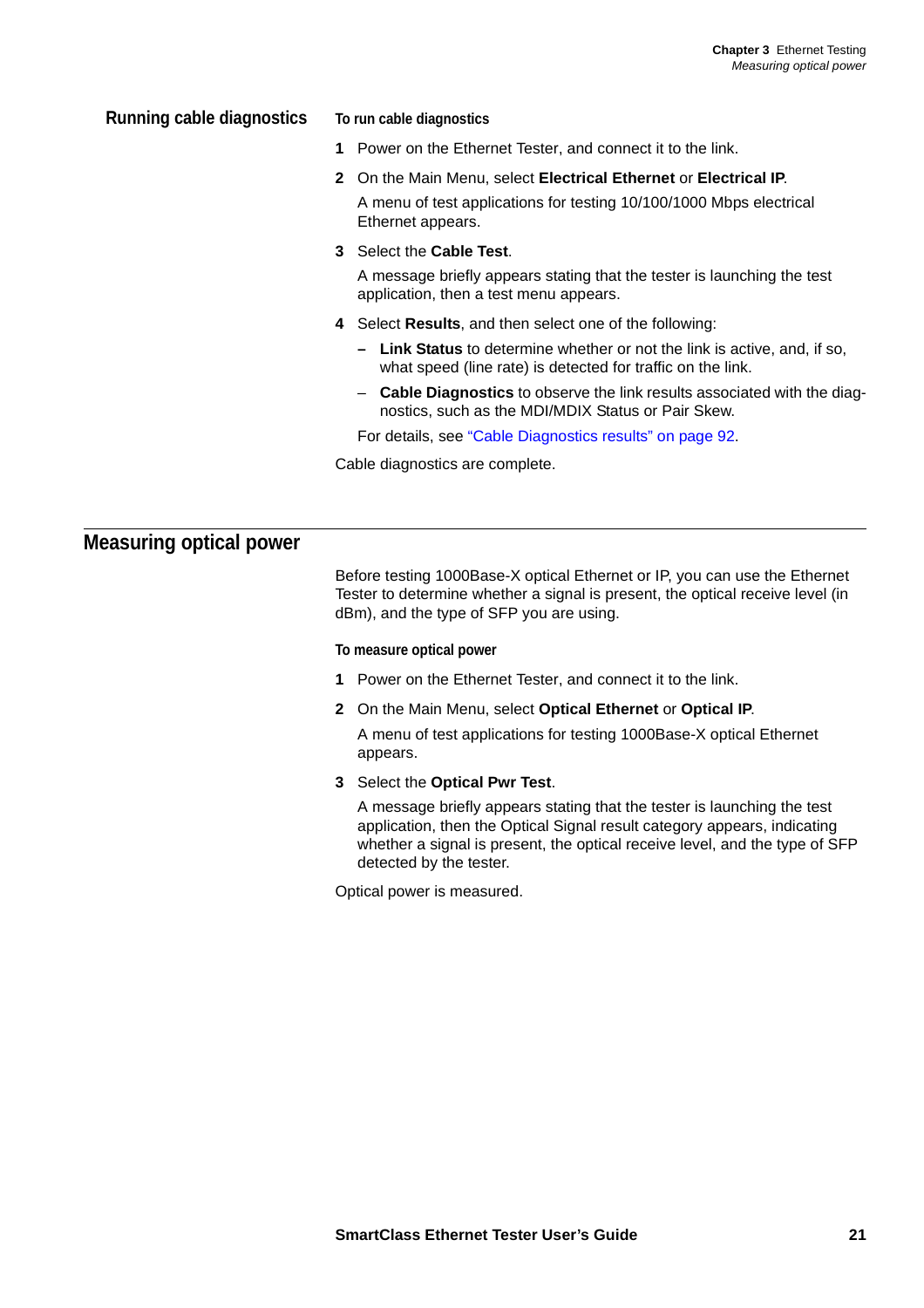#### <span id="page-34-0"></span>**Running cable diagnostics To run cable diagnostics**

- **1** Power on the Ethernet Tester, and connect it to the link.
- **2** On the Main Menu, select **Electrical Ethernet** or **Electrical IP**.

A menu of test applications for testing 10/100/1000 Mbps electrical Ethernet appears.

**3** Select the **Cable Test**.

A message briefly appears stating that the tester is launching the test application, then a test menu appears.

- **4** Select **Results**, and then select one of the following:
	- **Link Status** to determine whether or not the link is active, and, if so, what speed (line rate) is detected for traffic on the link.
	- **Cable Diagnostics** to observe the link results associated with the diagnostics, such as the MDI/MDIX Status or Pair Skew.
	- For details, see ["Cable Diagnostics results" on page 92](#page-105-4).

Cable diagnostics are complete.

## <span id="page-34-1"></span>**Measuring optical power**

Before testing 1000Base-X optical Ethernet or IP, you can use the Ethernet Tester to determine whether a signal is present, the optical receive level (in dBm), and the type of SFP you are using.

#### **To measure optical power**

- **1** Power on the Ethernet Tester, and connect it to the link.
- **2** On the Main Menu, select **Optical Ethernet** or **Optical IP**.

A menu of test applications for testing 1000Base-X optical Ethernet appears.

**3** Select the **Optical Pwr Test**.

A message briefly appears stating that the tester is launching the test application, then the Optical Signal result category appears, indicating whether a signal is present, the optical receive level, and the type of SFP detected by the tester.

Optical power is measured.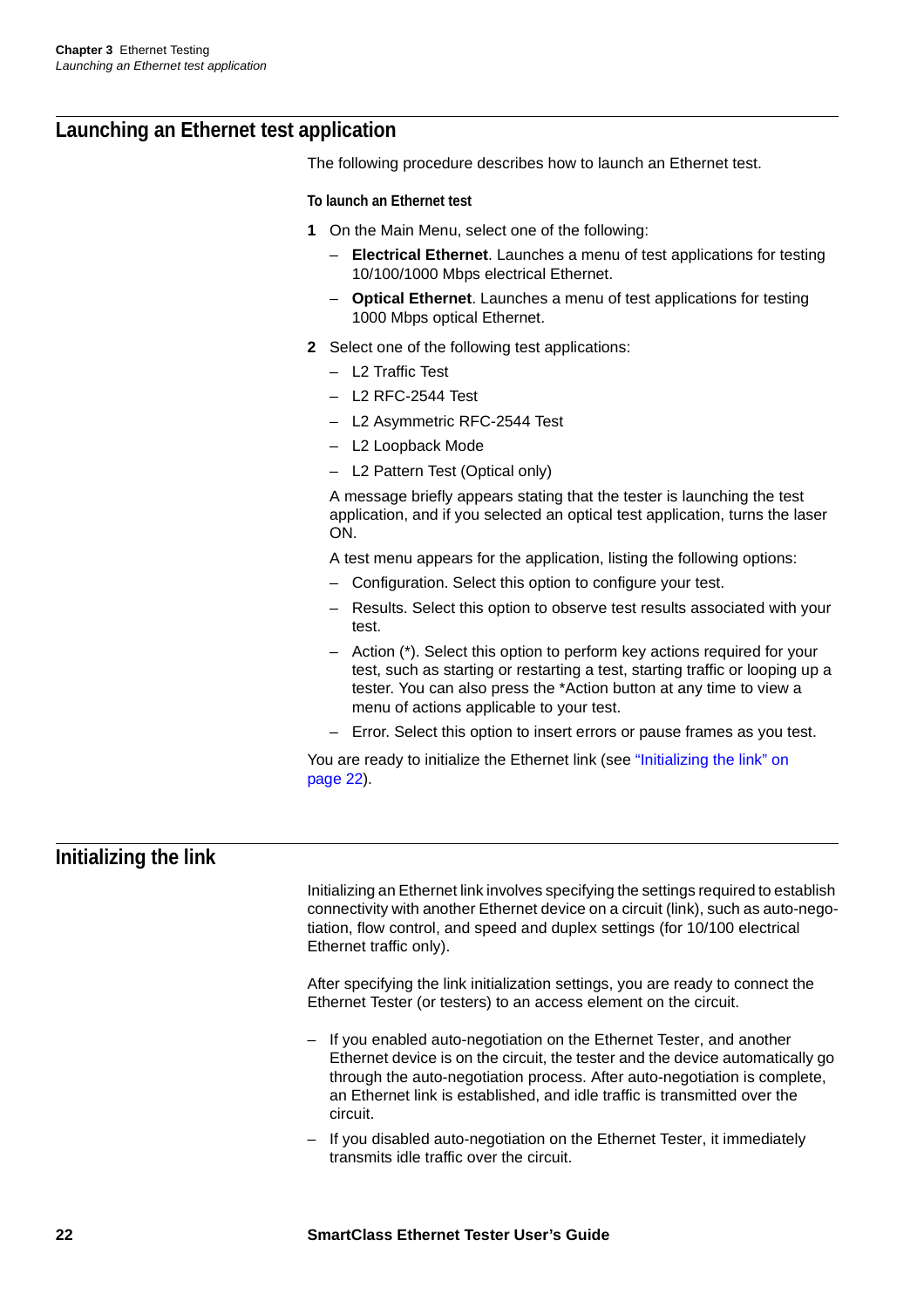# <span id="page-35-0"></span>**Launching an Ethernet test application**

The following procedure describes how to launch an Ethernet test.

#### **To launch an Ethernet test**

- **1** On the Main Menu, select one of the following:
	- **Electrical Ethernet**. Launches a menu of test applications for testing 10/100/1000 Mbps electrical Ethernet.
	- **Optical Ethernet**. Launches a menu of test applications for testing 1000 Mbps optical Ethernet.
- **2** Select one of the following test applications:
	- L2 Traffic Test
	- L2 RFC-2544 Test
	- L2 Asymmetric RFC-2544 Test
	- L2 Loopback Mode
	- L2 Pattern Test (Optical only)

A message briefly appears stating that the tester is launching the test application, and if you selected an optical test application, turns the laser ON.

A test menu appears for the application, listing the following options:

- Configuration. Select this option to configure your test.
- Results. Select this option to observe test results associated with your test.
- Action (\*). Select this option to perform key actions required for your test, such as starting or restarting a test, starting traffic or looping up a tester. You can also press the \*Action button at any time to view a menu of actions applicable to your test.
- Error. Select this option to insert errors or pause frames as you test.

You are ready to initialize the Ethernet link (see "Initializing the link" on [page 22\)](#page-35-1).

## <span id="page-35-1"></span>**Initializing the link**

Initializing an Ethernet link involves specifying the settings required to establish connectivity with another Ethernet device on a circuit (link), such as auto-negotiation, flow control, and speed and duplex settings (for 10/100 electrical Ethernet traffic only).

After specifying the link initialization settings, you are ready to connect the Ethernet Tester (or testers) to an access element on the circuit.

- If you enabled auto-negotiation on the Ethernet Tester, and another Ethernet device is on the circuit, the tester and the device automatically go through the auto-negotiation process. After auto-negotiation is complete, an Ethernet link is established, and idle traffic is transmitted over the circuit.
- If you disabled auto-negotiation on the Ethernet Tester, it immediately transmits idle traffic over the circuit.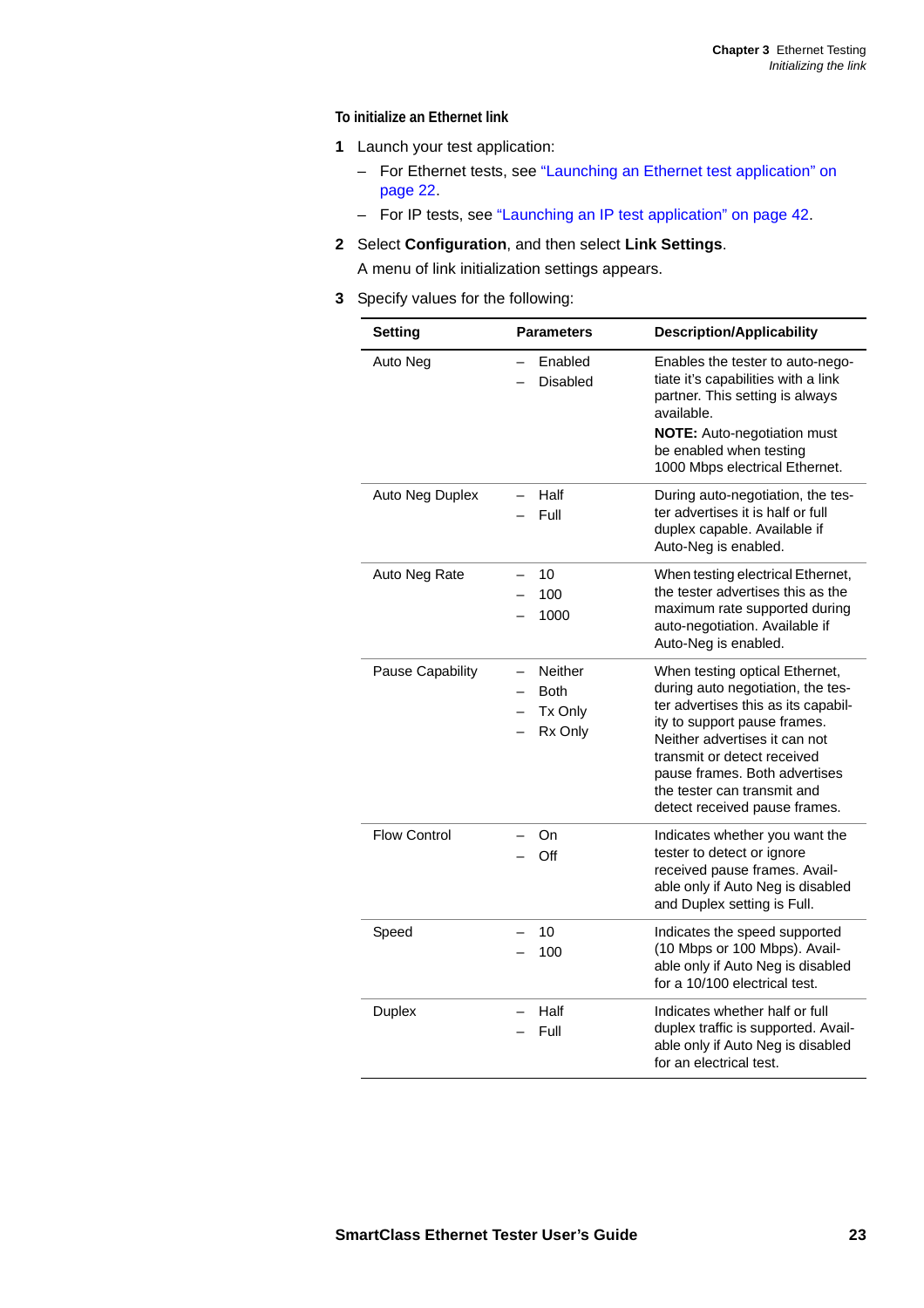#### **To initialize an Ethernet link**

- **1** Launch your test application:
	- For Ethernet tests, see ["Launching an Ethernet test application" on](#page-35-0)  [page 22.](#page-35-0)
	- For IP tests, see ["Launching an IP test application" on page 42](#page-55-0).
- **2** Select **Configuration**, and then select **Link Settings**.

A menu of link initialization settings appears.

**3** Specify values for the following:

| <b>Setting</b>      | <b>Parameters</b>                                                        | <b>Description/Applicability</b>                                                                                                                                                                                                                                                                            |
|---------------------|--------------------------------------------------------------------------|-------------------------------------------------------------------------------------------------------------------------------------------------------------------------------------------------------------------------------------------------------------------------------------------------------------|
| Auto Neg            | Enabled<br>Disabled                                                      | Enables the tester to auto-nego-<br>tiate it's capabilities with a link<br>partner. This setting is always<br>available.<br>NOTE: Auto-negotiation must<br>be enabled when testing<br>1000 Mbps electrical Ethernet.                                                                                        |
| Auto Neg Duplex     | Half<br>Full                                                             | During auto-negotiation, the tes-<br>ter advertises it is half or full<br>duplex capable. Available if<br>Auto-Neg is enabled.                                                                                                                                                                              |
| Auto Neg Rate       | 10<br>100<br>1000                                                        | When testing electrical Ethernet,<br>the tester advertises this as the<br>maximum rate supported during<br>auto-negotiation. Available if<br>Auto-Neg is enabled.                                                                                                                                           |
| Pause Capability    | Neither<br>$\overline{\phantom{0}}$<br><b>Both</b><br>Tx Only<br>Rx Only | When testing optical Ethernet,<br>during auto negotiation, the tes-<br>ter advertises this as its capabil-<br>ity to support pause frames.<br>Neither advertises it can not<br>transmit or detect received<br>pause frames. Both advertises<br>the tester can transmit and<br>detect received pause frames. |
| <b>Flow Control</b> | On<br>Off                                                                | Indicates whether you want the<br>tester to detect or ignore<br>received pause frames. Avail-<br>able only if Auto Neg is disabled<br>and Duplex setting is Full.                                                                                                                                           |
| Speed               | 10<br>100                                                                | Indicates the speed supported<br>(10 Mbps or 100 Mbps). Avail-<br>able only if Auto Neg is disabled<br>for a 10/100 electrical test.                                                                                                                                                                        |
| Duplex              | Half<br>Full                                                             | Indicates whether half or full<br>duplex traffic is supported. Avail-<br>able only if Auto Neg is disabled<br>for an electrical test.                                                                                                                                                                       |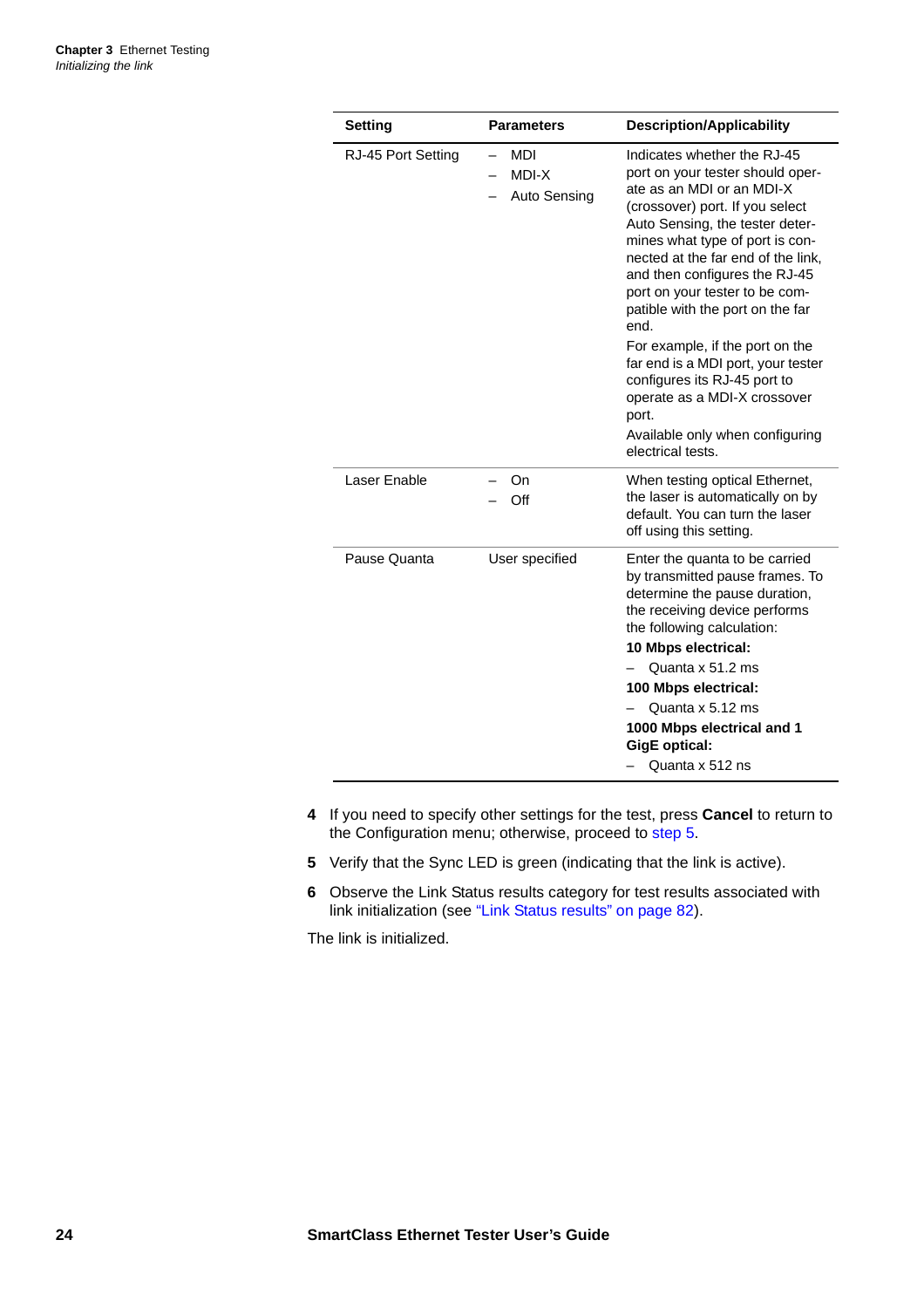| <b>Setting</b>     | <b>Parameters</b>                   | <b>Description/Applicability</b>                                                                                                                                                                                                                                                                                                                                                                                                                                                                                                                                     |
|--------------------|-------------------------------------|----------------------------------------------------------------------------------------------------------------------------------------------------------------------------------------------------------------------------------------------------------------------------------------------------------------------------------------------------------------------------------------------------------------------------------------------------------------------------------------------------------------------------------------------------------------------|
| RJ-45 Port Setting | MDI<br>MDI-X<br><b>Auto Sensing</b> | Indicates whether the RJ-45<br>port on your tester should oper-<br>ate as an MDI or an MDI-X<br>(crossover) port. If you select<br>Auto Sensing, the tester deter-<br>mines what type of port is con-<br>nected at the far end of the link,<br>and then configures the RJ-45<br>port on your tester to be com-<br>patible with the port on the far<br>end.<br>For example, if the port on the<br>far end is a MDI port, your tester<br>configures its RJ-45 port to<br>operate as a MDI-X crossover<br>port.<br>Available only when configuring<br>electrical tests. |
| Laser Enable       | On<br>Off                           | When testing optical Ethernet,<br>the laser is automatically on by<br>default. You can turn the laser<br>off using this setting.                                                                                                                                                                                                                                                                                                                                                                                                                                     |
| Pause Quanta       | User specified                      | Enter the quanta to be carried<br>by transmitted pause frames. To<br>determine the pause duration,<br>the receiving device performs<br>the following calculation:<br>10 Mbps electrical:<br>Quanta x 51.2 ms<br>100 Mbps electrical:<br>Quanta x 5.12 ms<br>1000 Mbps electrical and 1<br><b>GigE optical:</b><br>Quanta x 512 ns                                                                                                                                                                                                                                    |

- **4** If you need to specify other settings for the test, press **Cancel** to return to the Configuration menu; otherwise, proceed to step 5.
- **5** Verify that the Sync LED is green (indicating that the link is active).
- **6** Observe the Link Status results category for test results associated with link initialization (see ["Link Status results" on page 82\)](#page-95-0).

The link is initialized.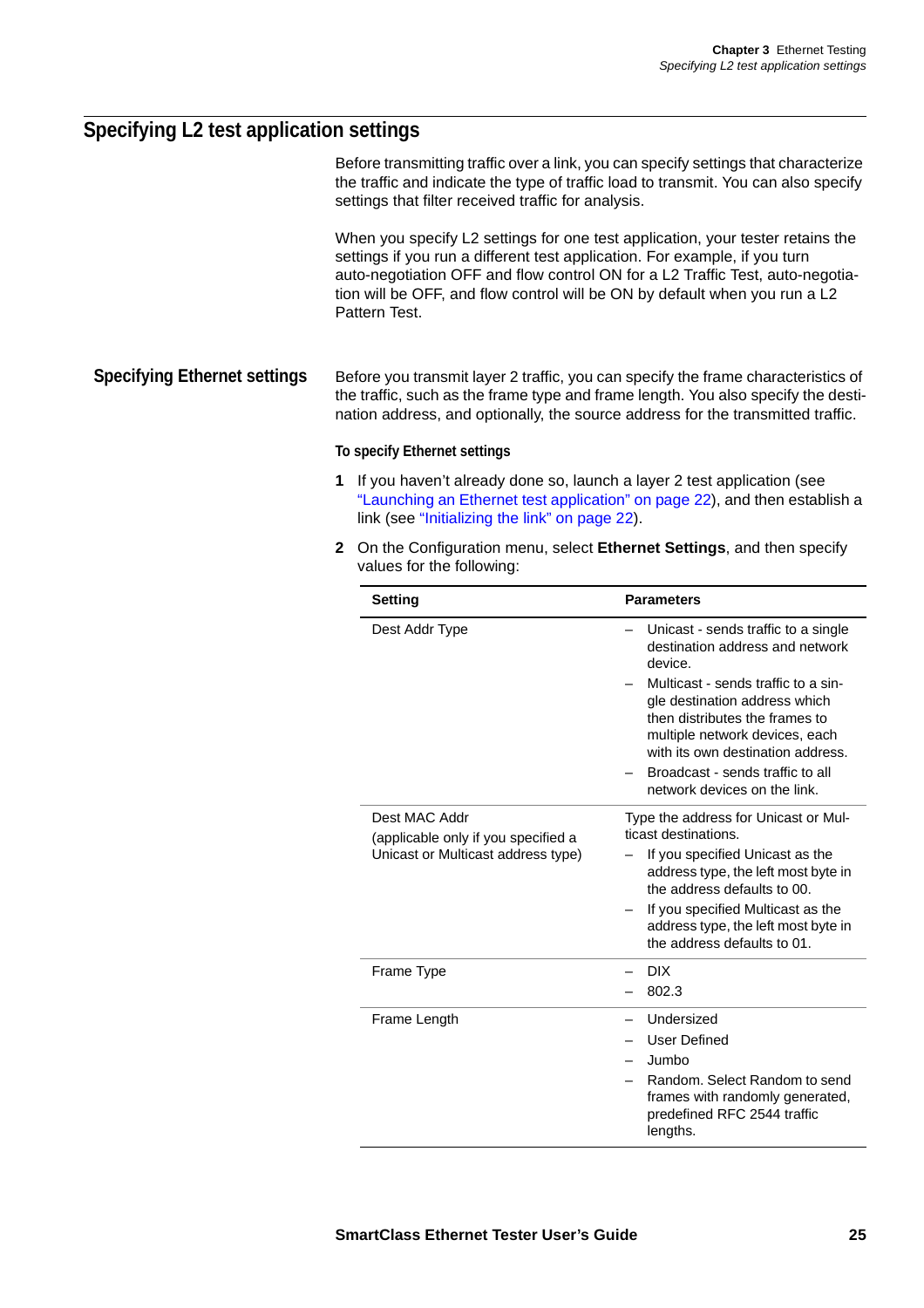## <span id="page-38-0"></span>**Specifying L2 test application settings**

Before transmitting traffic over a link, you can specify settings that characterize the traffic and indicate the type of traffic load to transmit. You can also specify settings that filter received traffic for analysis.

When you specify L2 settings for one test application, your tester retains the settings if you run a different test application. For example, if you turn auto-negotiation OFF and flow control ON for a L2 Traffic Test, auto-negotiation will be OFF, and flow control will be ON by default when you run a L2 Pattern Test.

<span id="page-38-1"></span>**Specifying Ethernet settings** Before you transmit layer 2 traffic, you can specify the frame characteristics of the traffic, such as the frame type and frame length. You also specify the destination address, and optionally, the source address for the transmitted traffic.

#### **To specify Ethernet settings**

- **1** If you haven't already done so, launch a layer 2 test application (see ["Launching an Ethernet test application" on page 22](#page-35-0)), and then establish a link (see ["Initializing the link" on page 22\)](#page-35-1).
- **2** On the Configuration menu, select **Ethernet Settings**, and then specify values for the following:

| <b>Setting</b>                                                                             | <b>Parameters</b>                                                                                                                                                                                                                                                                |
|--------------------------------------------------------------------------------------------|----------------------------------------------------------------------------------------------------------------------------------------------------------------------------------------------------------------------------------------------------------------------------------|
| Dest Addr Type                                                                             | Unicast - sends traffic to a single<br>destination address and network<br>device.<br>Multicast - sends traffic to a sin-                                                                                                                                                         |
|                                                                                            | gle destination address which<br>then distributes the frames to<br>multiple network devices, each<br>with its own destination address.                                                                                                                                           |
|                                                                                            | Broadcast - sends traffic to all<br>network devices on the link.                                                                                                                                                                                                                 |
| Dest MAC Addr<br>(applicable only if you specified a<br>Unicast or Multicast address type) | Type the address for Unicast or Mul-<br>ticast destinations.<br>If you specified Unicast as the<br>address type, the left most byte in<br>the address defaults to 00.<br>If you specified Multicast as the<br>address type, the left most byte in<br>the address defaults to 01. |
| Frame Type                                                                                 | <b>DIX</b><br>802.3                                                                                                                                                                                                                                                              |
| Frame Length                                                                               | Undersized<br><b>User Defined</b><br>Jumbo<br>Random, Select Random to send<br>frames with randomly generated,<br>predefined RFC 2544 traffic<br>lengths.                                                                                                                        |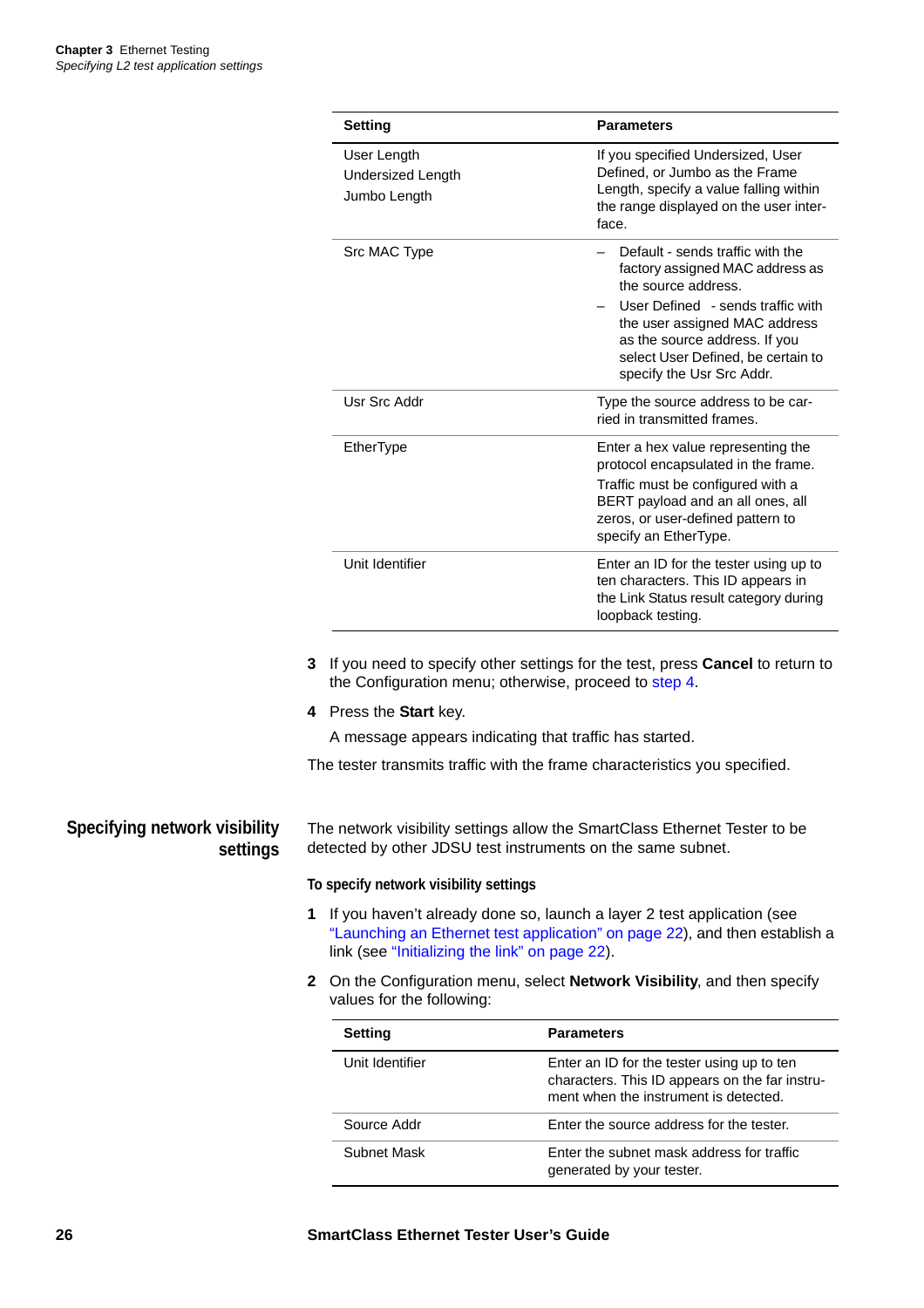| Setting                                                 | <b>Parameters</b>                                                                                                                                                                                                                                                    |
|---------------------------------------------------------|----------------------------------------------------------------------------------------------------------------------------------------------------------------------------------------------------------------------------------------------------------------------|
| User Length<br><b>Undersized Length</b><br>Jumbo Length | If you specified Undersized, User<br>Defined, or Jumbo as the Frame<br>Length, specify a value falling within<br>the range displayed on the user inter-<br>face.                                                                                                     |
| <b>Src MAC Type</b>                                     | Default - sends traffic with the<br>factory assigned MAC address as<br>the source address.<br>User Defined - sends traffic with<br>the user assigned MAC address<br>as the source address. If you<br>select User Defined, be certain to<br>specify the Usr Src Addr. |
| Usr Src Addr                                            | Type the source address to be car-<br>ried in transmitted frames.                                                                                                                                                                                                    |
| EtherType                                               | Enter a hex value representing the<br>protocol encapsulated in the frame.<br>Traffic must be configured with a<br>BERT payload and an all ones, all<br>zeros, or user-defined pattern to<br>specify an EtherType.                                                    |
| Unit Identifier                                         | Enter an ID for the tester using up to<br>ten characters. This ID appears in<br>the Link Status result category during<br>loopback testing.                                                                                                                          |

- **3** If you need to specify other settings for the test, press **Cancel** to return to the Configuration menu; otherwise, proceed to [step 4](#page-39-0).
- <span id="page-39-0"></span>**4** Press the **Start** key.

A message appears indicating that traffic has started.

The tester transmits traffic with the frame characteristics you specified.

## **Specifying network visibility settings**

The network visibility settings allow the SmartClass Ethernet Tester to be detected by other JDSU test instruments on the same subnet.

#### **To specify network visibility settings**

- **1** If you haven't already done so, launch a layer 2 test application (see ["Launching an Ethernet test application" on page 22](#page-35-0)), and then establish a link (see ["Initializing the link" on page 22\)](#page-35-1).
- **2** On the Configuration menu, select **Network Visibility**, and then specify values for the following:

| Setting         | <b>Parameters</b>                                                                                                                     |
|-----------------|---------------------------------------------------------------------------------------------------------------------------------------|
| Unit Identifier | Enter an ID for the tester using up to ten<br>characters. This ID appears on the far instru-<br>ment when the instrument is detected. |
| Source Addr     | Enter the source address for the tester.                                                                                              |
| Subnet Mask     | Enter the subnet mask address for traffic<br>generated by your tester.                                                                |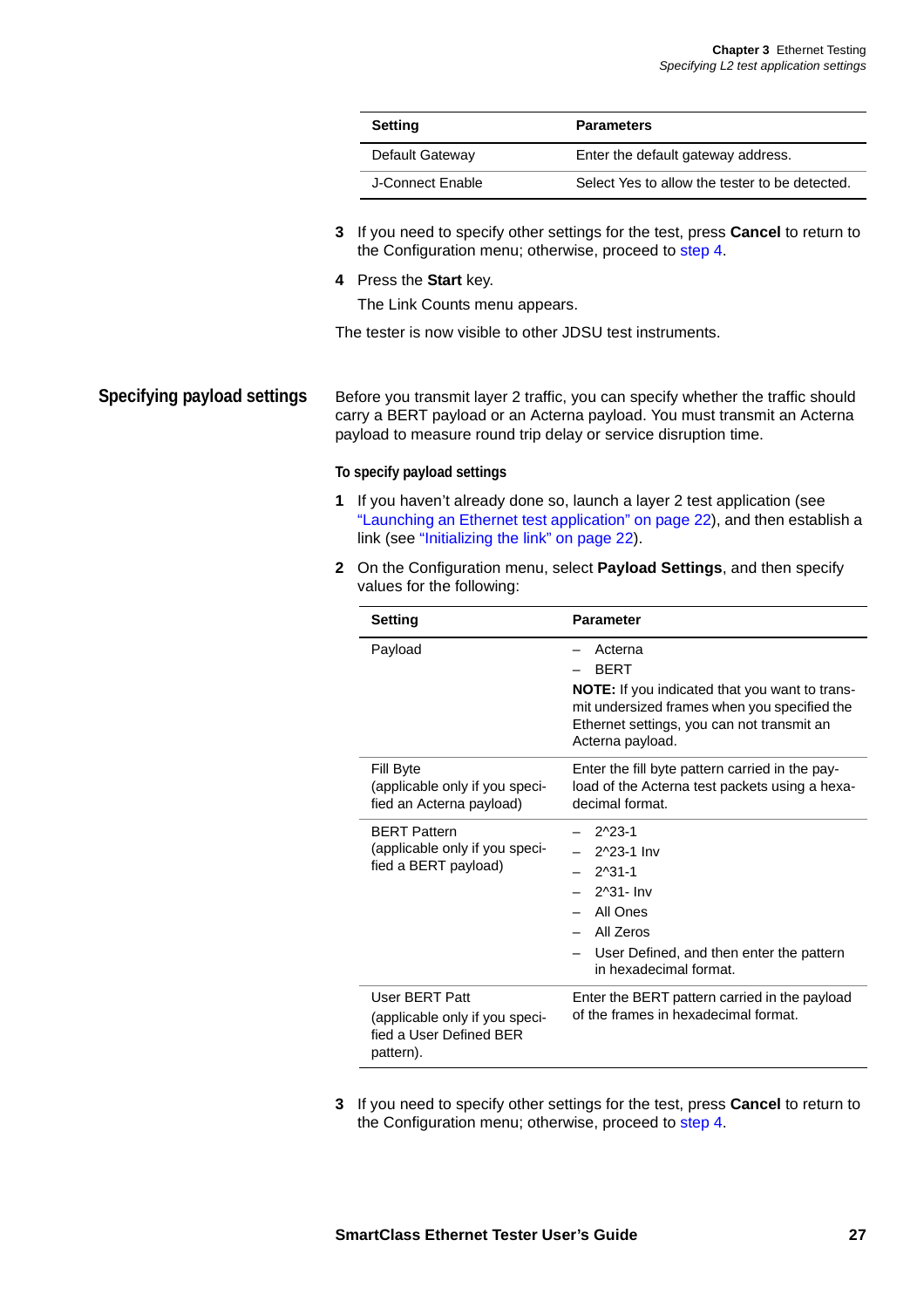| Setting          | <b>Parameters</b>                              |
|------------------|------------------------------------------------|
| Default Gateway  | Enter the default gateway address.             |
| J-Connect Enable | Select Yes to allow the tester to be detected. |

- **3** If you need to specify other settings for the test, press **Cancel** to return to the Configuration menu; otherwise, proceed to [step 4](#page-39-0).
- **4** Press the **Start** key.

The Link Counts menu appears.

The tester is now visible to other JDSU test instruments.

<span id="page-40-0"></span>**Specifying payload settings** Before you transmit layer 2 traffic, you can specify whether the traffic should carry a BERT payload or an Acterna payload. You must transmit an Acterna payload to measure round trip delay or service disruption time.

#### **To specify payload settings**

- **1** If you haven't already done so, launch a layer 2 test application (see ["Launching an Ethernet test application" on page 22](#page-35-0)), and then establish a link (see ["Initializing the link" on page 22\)](#page-35-1).
- **2** On the Configuration menu, select **Payload Settings**, and then specify values for the following:

| Setting                                                                                  | <b>Parameter</b>                                                                                                                                                                           |
|------------------------------------------------------------------------------------------|--------------------------------------------------------------------------------------------------------------------------------------------------------------------------------------------|
| Payload                                                                                  | Acterna<br><b>BERT</b><br>NOTE: If you indicated that you want to trans-<br>mit undersized frames when you specified the<br>Ethernet settings, you can not transmit an<br>Acterna payload. |
| Fill Byte<br>(applicable only if you speci-<br>fied an Acterna payload)                  | Enter the fill byte pattern carried in the pay-<br>load of the Acterna test packets using a hexa-<br>decimal format.                                                                       |
| <b>BERT Pattern</b><br>(applicable only if you speci-<br>fied a BERT payload)            | $2^{1/2}$<br>$2^{1/2}3 - 1$ lnv<br>$2^031 - 1$<br>2^31- Inv<br>All Ones<br>All Zeros<br>User Defined, and then enter the pattern<br>in hexadecimal format.                                 |
| User BERT Patt<br>(applicable only if you speci-<br>fied a User Defined BER<br>pattern). | Enter the BERT pattern carried in the payload<br>of the frames in hexadecimal format.                                                                                                      |

**3** If you need to specify other settings for the test, press **Cancel** to return to the Configuration menu; otherwise, proceed to [step 4](#page-43-0).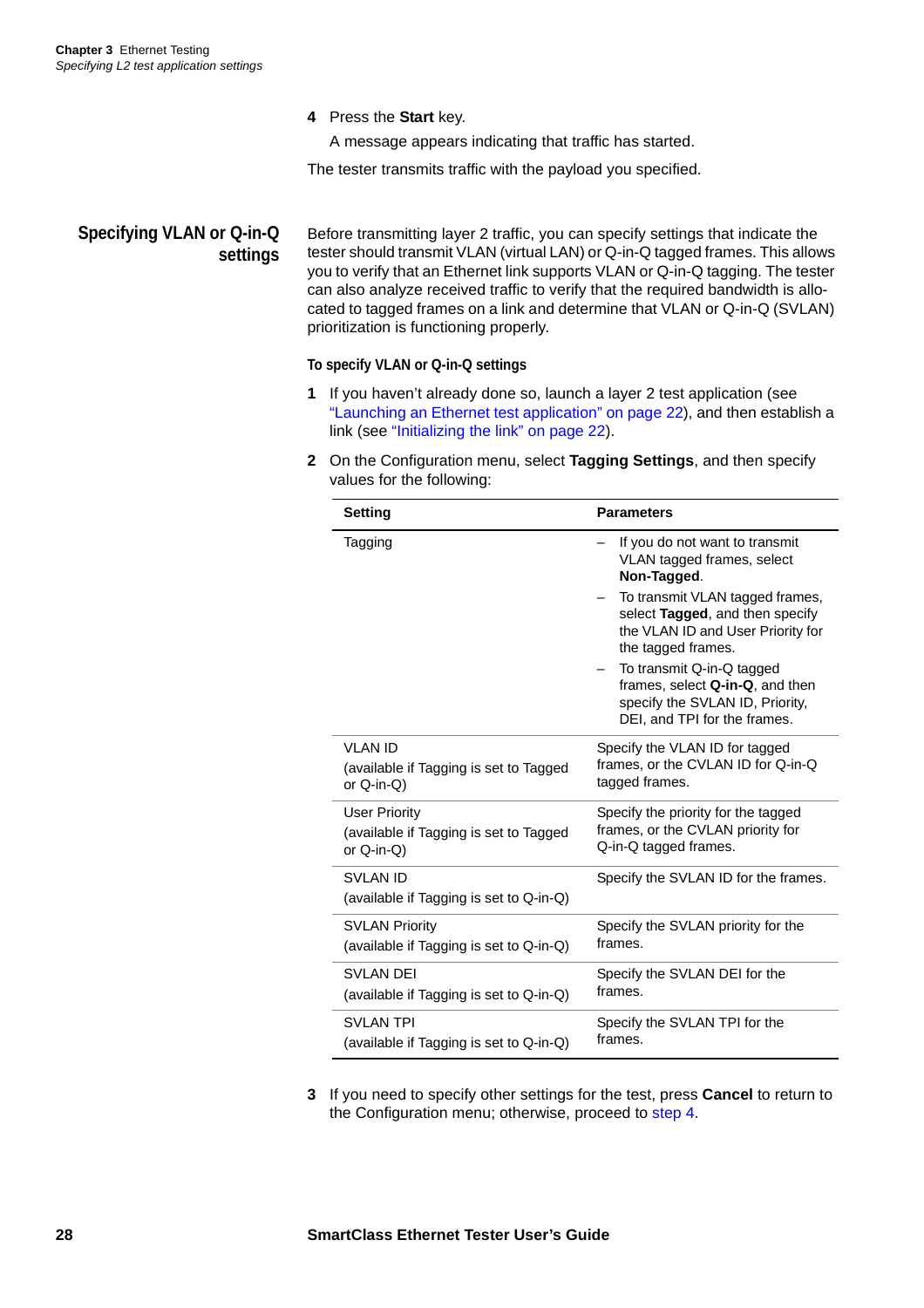**4** Press the **Start** key.

A message appears indicating that traffic has started.

The tester transmits traffic with the payload you specified.

#### <span id="page-41-1"></span><span id="page-41-0"></span>**Specifying VLAN or Q-in-Q settings**

Before transmitting layer 2 traffic, you can specify settings that indicate the tester should transmit VLAN (virtual LAN) or Q-in-Q tagged frames. This allows you to verify that an Ethernet link supports VLAN or Q-in-Q tagging. The tester can also analyze received traffic to verify that the required bandwidth is allocated to tagged frames on a link and determine that VLAN or Q-in-Q (SVLAN) prioritization is functioning properly.

#### **To specify VLAN or Q-in-Q settings**

- **1** If you haven't already done so, launch a layer 2 test application (see ["Launching an Ethernet test application" on page 22](#page-35-0)), and then establish a link (see ["Initializing the link" on page 22\)](#page-35-1).
- **2** On the Configuration menu, select **Tagging Settings**, and then specify values for the following:

| Setting                                                    | <b>Parameters</b>                                                                                                                                                                                                                                                                                               |
|------------------------------------------------------------|-----------------------------------------------------------------------------------------------------------------------------------------------------------------------------------------------------------------------------------------------------------------------------------------------------------------|
| Tagging                                                    | If you do not want to transmit<br>VLAN tagged frames, select<br>Non-Tagged.<br>To transmit VLAN tagged frames,<br>select Tagged, and then specify<br>the VLAN ID and User Priority for<br>the tagged frames.<br>To transmit Q-in-Q tagged<br>frames, select Q-in-Q, and then<br>specify the SVLAN ID, Priority, |
|                                                            | DEI, and TPI for the frames.                                                                                                                                                                                                                                                                                    |
| VLAN ID                                                    | Specify the VLAN ID for tagged                                                                                                                                                                                                                                                                                  |
| (available if Tagging is set to Tagged                     | frames, or the CVLAN ID for Q-in-Q                                                                                                                                                                                                                                                                              |
| or $Q-in-Q$ )                                              | tagged frames.                                                                                                                                                                                                                                                                                                  |
| <b>User Priority</b>                                       | Specify the priority for the tagged                                                                                                                                                                                                                                                                             |
| (available if Tagging is set to Tagged                     | frames, or the CVLAN priority for                                                                                                                                                                                                                                                                               |
| or Q-in-Q)                                                 | Q-in-Q tagged frames.                                                                                                                                                                                                                                                                                           |
| <b>SVLAN ID</b><br>(available if Tagging is set to Q-in-Q) | Specify the SVLAN ID for the frames.                                                                                                                                                                                                                                                                            |
| <b>SVLAN Priority</b>                                      | Specify the SVLAN priority for the                                                                                                                                                                                                                                                                              |
| (available if Tagging is set to Q-in-Q)                    | frames.                                                                                                                                                                                                                                                                                                         |
| SVLAN DEI                                                  | Specify the SVLAN DEI for the                                                                                                                                                                                                                                                                                   |
| (available if Tagging is set to Q-in-Q)                    | frames.                                                                                                                                                                                                                                                                                                         |
| <b>SVI AN TPI</b>                                          | Specify the SVLAN TPI for the                                                                                                                                                                                                                                                                                   |
| (available if Tagging is set to Q-in-Q)                    | frames.                                                                                                                                                                                                                                                                                                         |

**3** If you need to specify other settings for the test, press **Cancel** to return to the Configuration menu; otherwise, proceed to step 4.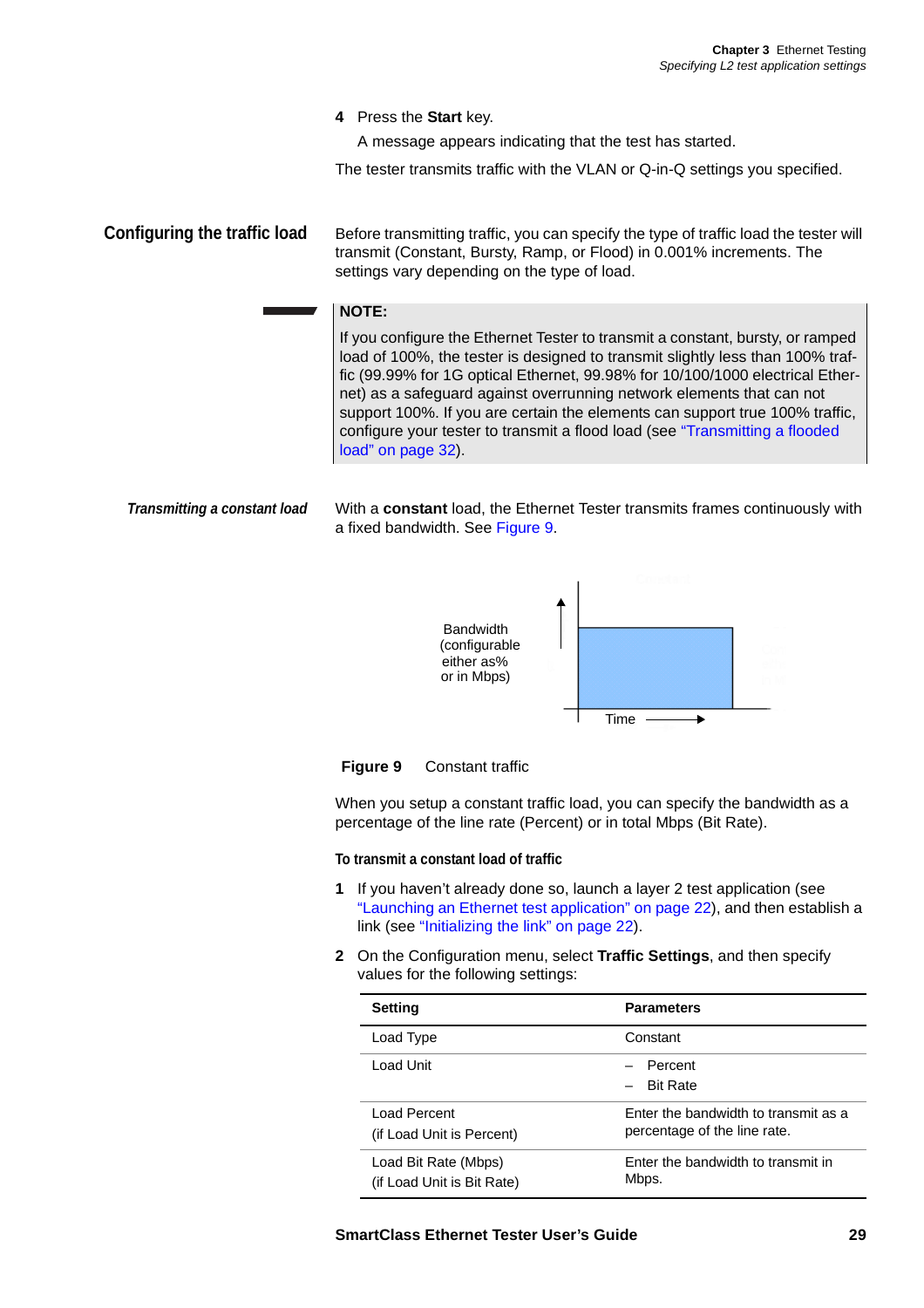**4** Press the **Start** key.

A message appears indicating that the test has started.

The tester transmits traffic with the VLAN or Q-in-Q settings you specified.

<span id="page-42-1"></span>**Configuring the traffic load** Before transmitting traffic, you can specify the type of traffic load the tester will transmit (Constant, Bursty, Ramp, or Flood) in 0.001% increments. The settings vary depending on the type of load.

#### **NOTE:**

If you configure the Ethernet Tester to transmit a constant, bursty, or ramped load of 100%, the tester is designed to transmit slightly less than 100% traffic (99.99% for 1G optical Ethernet, 99.98% for 10/100/1000 electrical Ethernet) as a safeguard against overrunning network elements that can not support 100%. If you are certain the elements can support true 100% traffic, configure your tester to transmit a flood load (see ["Transmitting a flooded](#page-45-0)  [load" on page 32\)](#page-45-0).

<span id="page-42-0"></span>

**Transmitting a constant load** With a **constant** load, the Ethernet Tester transmits frames continuously with a fixed bandwidth. See Figure 9.





When you setup a constant traffic load, you can specify the bandwidth as a percentage of the line rate (Percent) or in total Mbps (Bit Rate).

#### **To transmit a constant load of traffic**

- **1** If you haven't already done so, launch a layer 2 test application (see ["Launching an Ethernet test application" on page 22](#page-35-0)), and then establish a link (see ["Initializing the link" on page 22\)](#page-35-1).
- **2** On the Configuration menu, select **Traffic Settings**, and then specify values for the following settings:

| <b>Setting</b>                                     | <b>Parameters</b>                                                    |
|----------------------------------------------------|----------------------------------------------------------------------|
| Load Type                                          | Constant                                                             |
| Load Unit                                          | Percent<br><b>Bit Rate</b>                                           |
| Load Percent<br>(if Load Unit is Percent)          | Enter the bandwidth to transmit as a<br>percentage of the line rate. |
| Load Bit Rate (Mbps)<br>(if Load Unit is Bit Rate) | Enter the bandwidth to transmit in<br>Mbps.                          |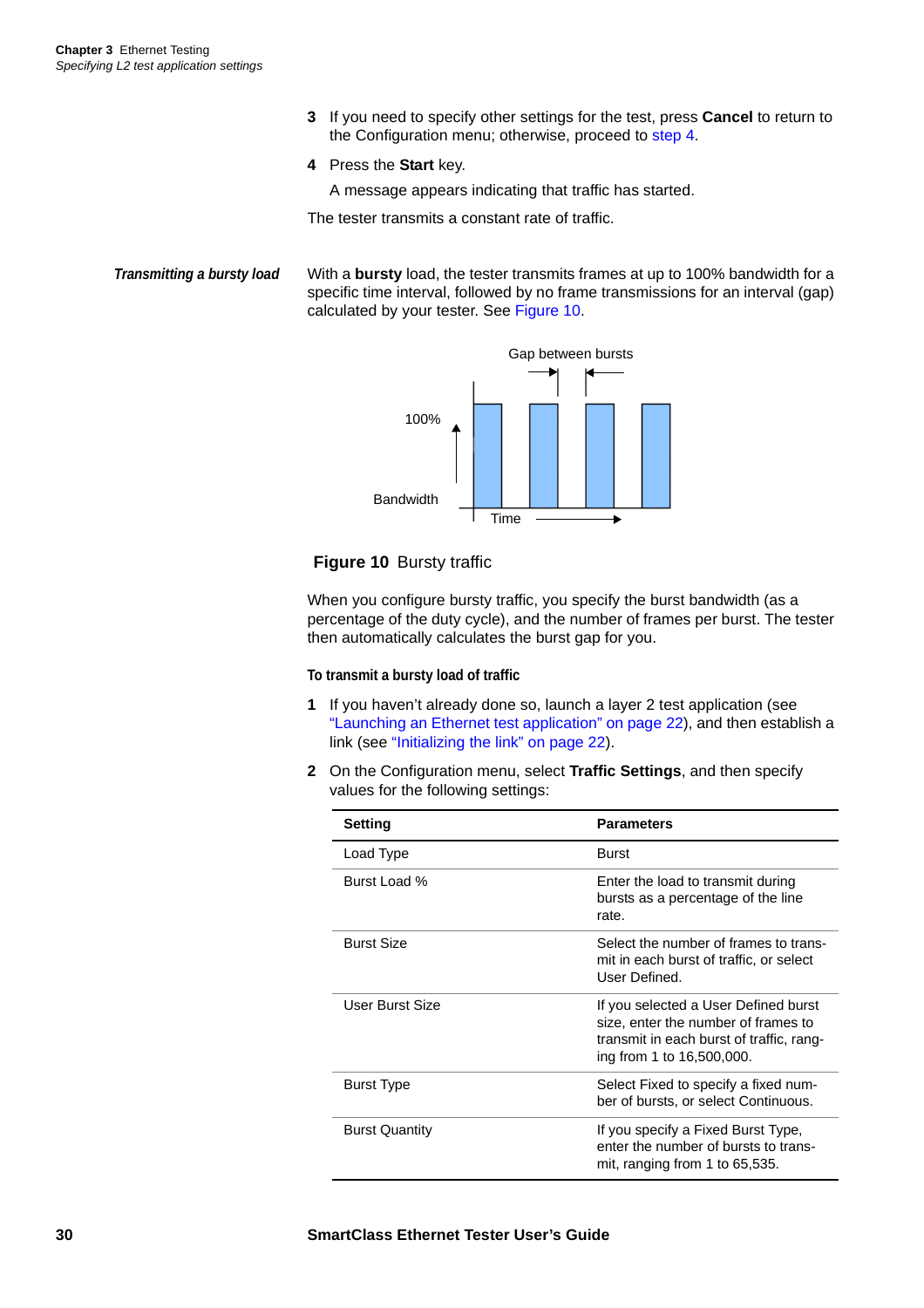- **3** If you need to specify other settings for the test, press **Cancel** to return to the Configuration menu; otherwise, proceed to [step 4](#page-43-0).
- <span id="page-43-0"></span>**4** Press the **Start** key.

A message appears indicating that traffic has started.

The tester transmits a constant rate of traffic.

**Transmitting a bursty load** With a **bursty** load, the tester transmits frames at up to 100% bandwidth for a specific time interval, followed by no frame transmissions for an interval (gap) calculated by your tester. See Figure 10.



#### **Figure 10** Bursty traffic

When you configure bursty traffic, you specify the burst bandwidth (as a percentage of the duty cycle), and the number of frames per burst. The tester then automatically calculates the burst gap for you.

#### **To transmit a bursty load of traffic**

- **1** If you haven't already done so, launch a layer 2 test application (see ["Launching an Ethernet test application" on page 22](#page-35-0)), and then establish a link (see ["Initializing the link" on page 22\)](#page-35-1).
- **2** On the Configuration menu, select **Traffic Settings**, and then specify values for the following settings:

| Setting               | <b>Parameters</b>                                                                                                                                    |
|-----------------------|------------------------------------------------------------------------------------------------------------------------------------------------------|
| Load Type             | <b>Burst</b>                                                                                                                                         |
| Burst Load %          | Enter the load to transmit during<br>bursts as a percentage of the line<br>rate.                                                                     |
| <b>Burst Size</b>     | Select the number of frames to trans-<br>mit in each burst of traffic, or select<br>User Defined.                                                    |
| User Burst Size       | If you selected a User Defined burst<br>size, enter the number of frames to<br>transmit in each burst of traffic, rang-<br>ing from 1 to 16,500,000. |
| <b>Burst Type</b>     | Select Fixed to specify a fixed num-<br>ber of bursts, or select Continuous.                                                                         |
| <b>Burst Quantity</b> | If you specify a Fixed Burst Type,<br>enter the number of bursts to trans-<br>mit, ranging from 1 to $65,535$ .                                      |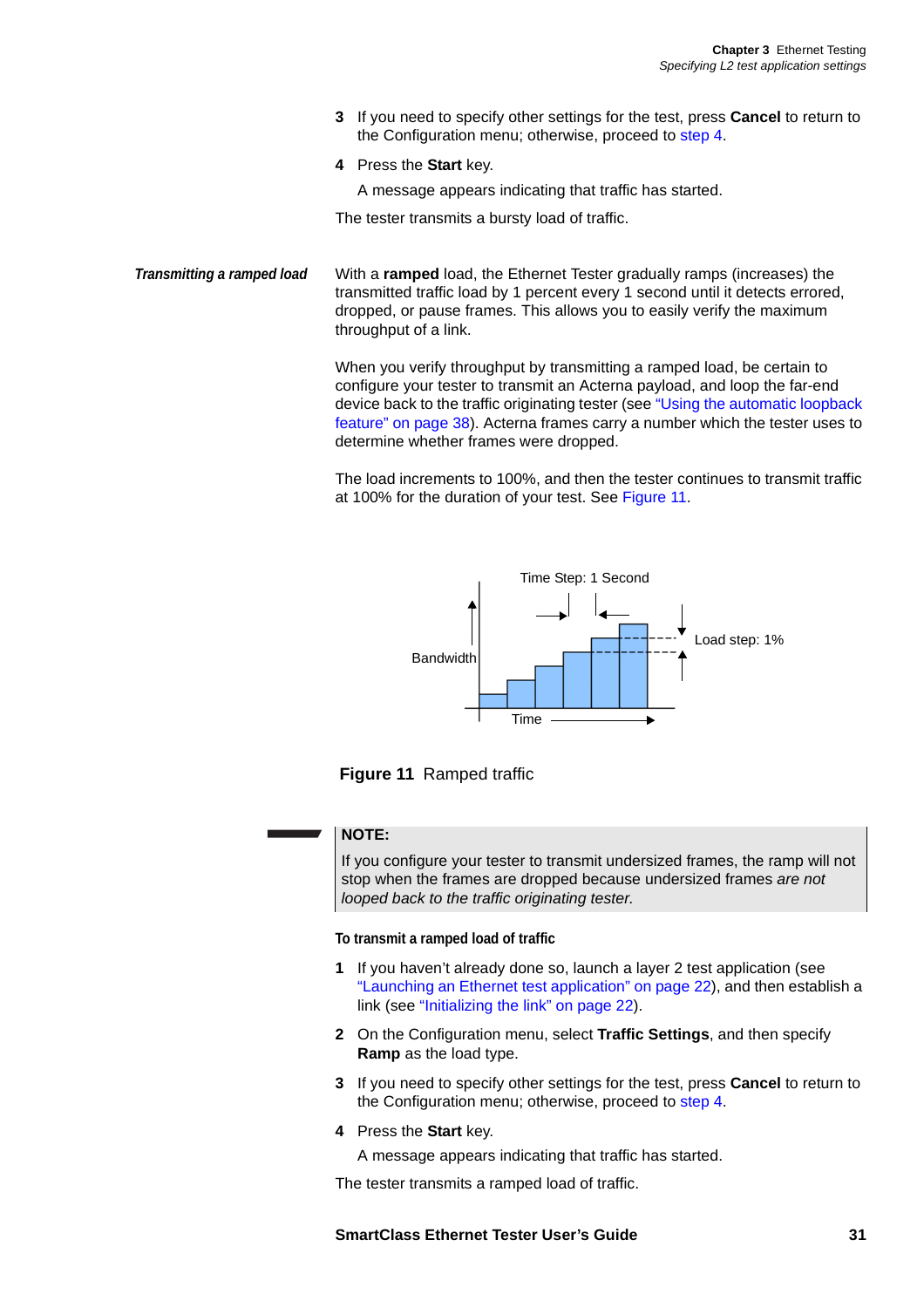- **3** If you need to specify other settings for the test, press **Cancel** to return to the Configuration menu; otherwise, proceed to [step 4](#page-44-0).
- <span id="page-44-0"></span>**4** Press the **Start** key.
	- A message appears indicating that traffic has started.

The tester transmits a bursty load of traffic.

**Transmitting a ramped load** With a **ramped** load, the Ethernet Tester gradually ramps (increases) the transmitted traffic load by 1 percent every 1 second until it detects errored, dropped, or pause frames. This allows you to easily verify the maximum throughput of a link.

> When you verify throughput by transmitting a ramped load, be certain to configure your tester to transmit an Acterna payload, and loop the far-end device back to the traffic originating tester (see ["Using the automatic loopback](#page-51-0)  [feature" on page 38\)](#page-51-0). Acterna frames carry a number which the tester uses to determine whether frames were dropped.

> The load increments to 100%, and then the tester continues to transmit traffic at 100% for the duration of your test. See Figure 11.





#### **NOTE:**

If you configure your tester to transmit undersized frames, the ramp will not stop when the frames are dropped because undersized frames are not looped back to the traffic originating tester.

#### **To transmit a ramped load of traffic**

- **1** If you haven't already done so, launch a layer 2 test application (see ["Launching an Ethernet test application" on page 22](#page-35-0)), and then establish a link (see ["Initializing the link" on page 22\)](#page-35-1).
- **2** On the Configuration menu, select **Traffic Settings**, and then specify **Ramp** as the load type.
- **3** If you need to specify other settings for the test, press **Cancel** to return to the Configuration menu; otherwise, proceed to [step 4](#page-43-0).
- **4** Press the **Start** key.

A message appears indicating that traffic has started.

The tester transmits a ramped load of traffic.

#### **SmartClass Ethernet Tester User's Guide 31**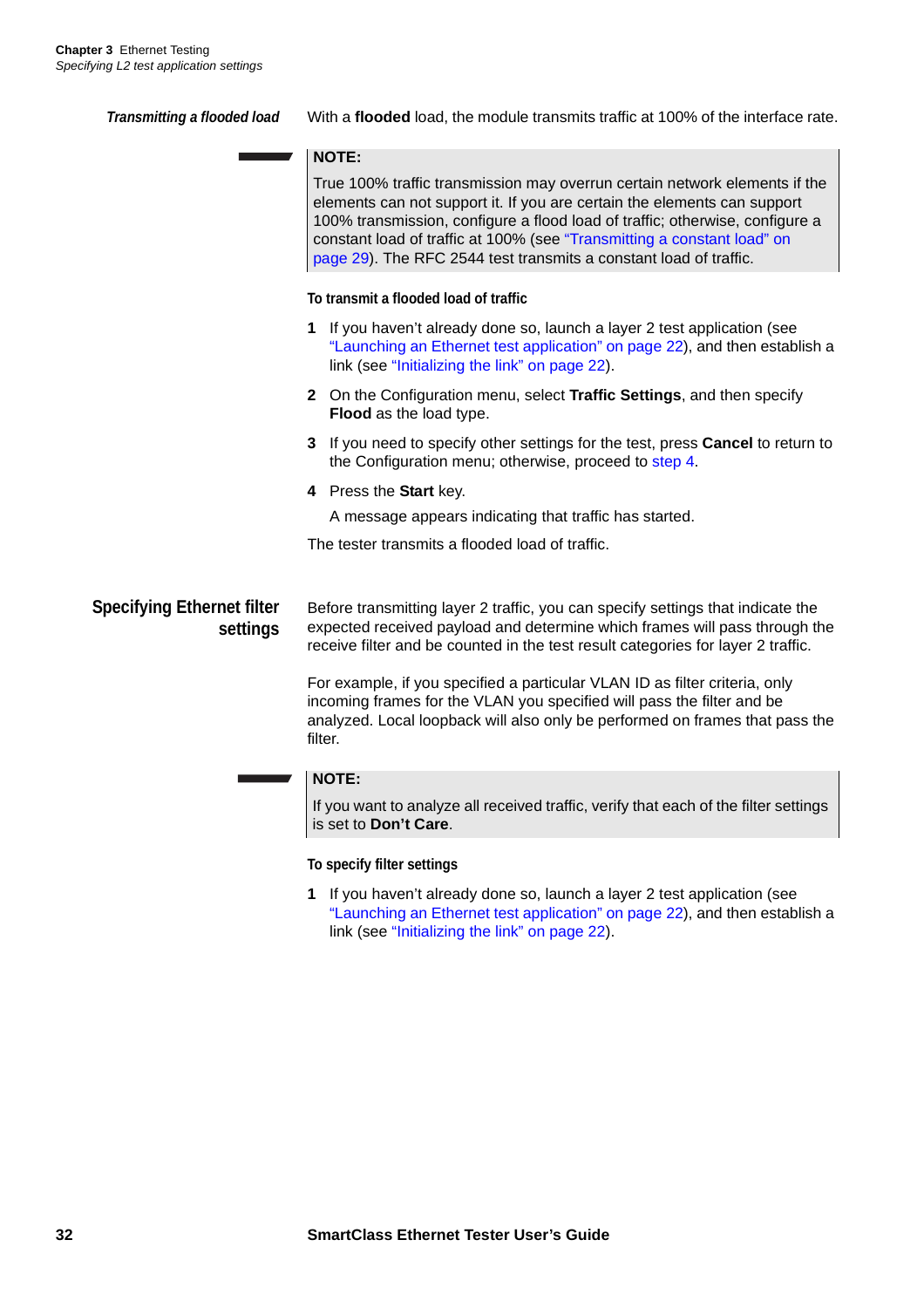#### <span id="page-45-0"></span>**Transmitting a flooded load** With a **flooded** load, the module transmits traffic at 100% of the interface rate.



True 100% traffic transmission may overrun certain network elements if the elements can not support it. If you are certain the elements can support 100% transmission, configure a flood load of traffic; otherwise, configure a constant load of traffic at 100% (see ["Transmitting a constant load" on](#page-42-0)  [page 29\)](#page-42-0). The RFC 2544 test transmits a constant load of traffic.

#### **To transmit a flooded load of traffic**

- **1** If you haven't already done so, launch a layer 2 test application (see ["Launching an Ethernet test application" on page 22](#page-35-0)), and then establish a link (see ["Initializing the link" on page 22\)](#page-35-1).
- **2** On the Configuration menu, select **Traffic Settings**, and then specify **Flood** as the load type.
- **3** If you need to specify other settings for the test, press **Cancel** to return to the Configuration menu; otherwise, proceed to [step 4](#page-43-0).
- **4** Press the **Start** key.

A message appears indicating that traffic has started.

The tester transmits a flooded load of traffic.

## <span id="page-45-2"></span><span id="page-45-1"></span>**Specifying Ethernet filter settings**

Before transmitting layer 2 traffic, you can specify settings that indicate the expected received payload and determine which frames will pass through the receive filter and be counted in the test result categories for layer 2 traffic.

For example, if you specified a particular VLAN ID as filter criteria, only incoming frames for the VLAN you specified will pass the filter and be analyzed. Local loopback will also only be performed on frames that pass the filter.

#### **NOTE:**

If you want to analyze all received traffic, verify that each of the filter settings is set to **Don't Care**.

#### **To specify filter settings**

**1** If you haven't already done so, launch a layer 2 test application (see ["Launching an Ethernet test application" on page 22](#page-35-0)), and then establish a link (see ["Initializing the link" on page 22\)](#page-35-1).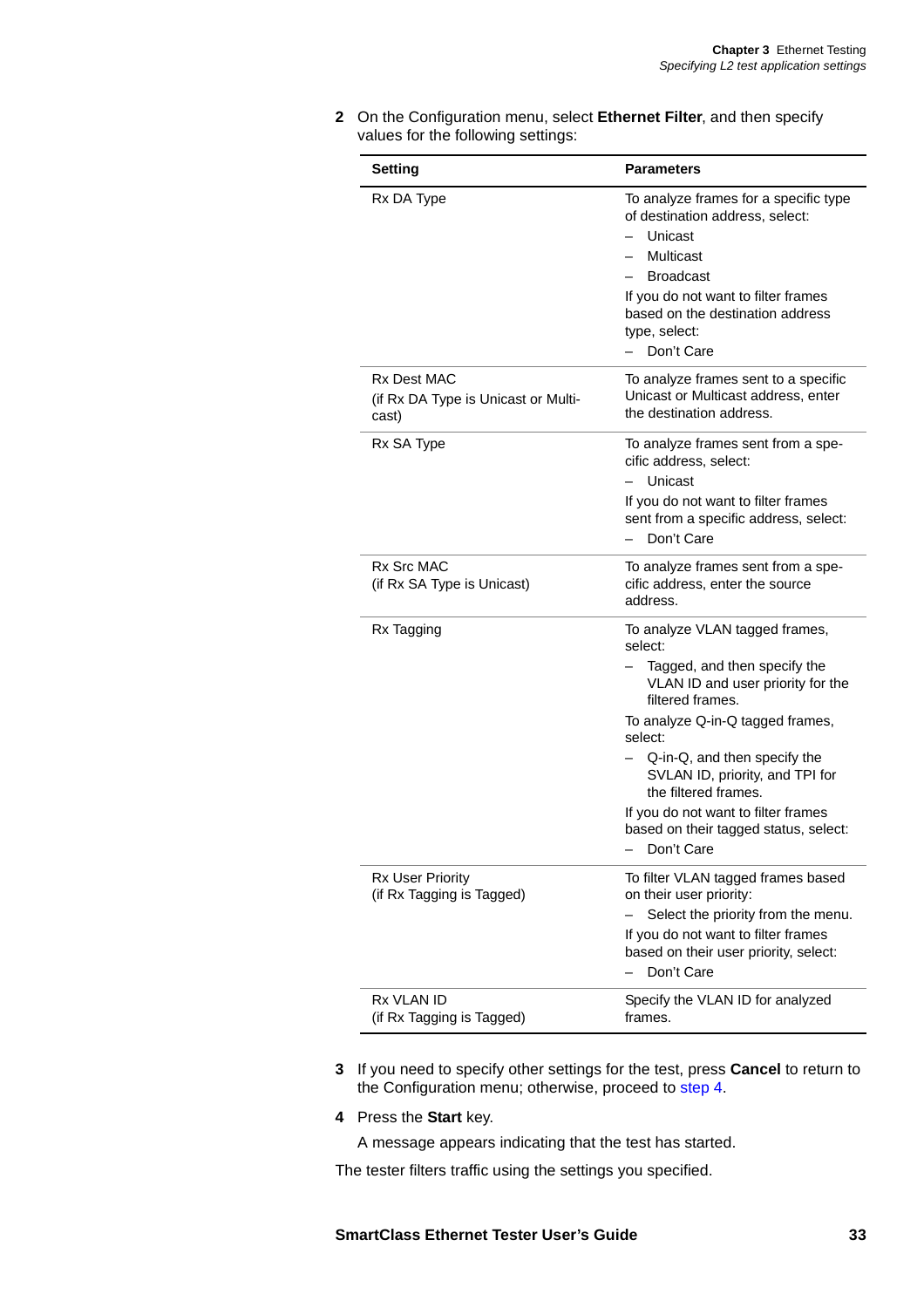| <b>Setting</b>                                                     | <b>Parameters</b>                                                                                       |
|--------------------------------------------------------------------|---------------------------------------------------------------------------------------------------------|
| Rx DA Type                                                         | To analyze frames for a specific type<br>of destination address, select:                                |
|                                                                    | Unicast                                                                                                 |
|                                                                    | Multicast                                                                                               |
|                                                                    | <b>Broadcast</b>                                                                                        |
|                                                                    | If you do not want to filter frames<br>based on the destination address<br>type, select:<br>Don't Care  |
|                                                                    |                                                                                                         |
| <b>Rx Dest MAC</b><br>(if Rx DA Type is Unicast or Multi-<br>cast) | To analyze frames sent to a specific<br>Unicast or Multicast address, enter<br>the destination address. |
| Rx SA Type                                                         | To analyze frames sent from a spe-<br>cific address, select:<br>Unicast                                 |
|                                                                    | If you do not want to filter frames<br>sent from a specific address, select:<br>Don't Care              |
| <b>Rx Src MAC</b><br>(if Rx SA Type is Unicast)                    | To analyze frames sent from a spe-<br>cific address, enter the source<br>address.                       |
| Rx Tagging                                                         | To analyze VLAN tagged frames,<br>select:                                                               |
|                                                                    | Tagged, and then specify the<br>VLAN ID and user priority for the<br>filtered frames.                   |
|                                                                    | To analyze Q-in-Q tagged frames,<br>select:                                                             |
|                                                                    | Q-in-Q, and then specify the<br>SVLAN ID, priority, and TPI for<br>the filtered frames.                 |
|                                                                    | If you do not want to filter frames<br>based on their tagged status, select:<br>Don't Care              |
| <b>Rx User Priority</b>                                            | To filter VLAN tagged frames based                                                                      |
| (if Rx Tagging is Tagged)                                          | on their user priority:                                                                                 |
|                                                                    | Select the priority from the menu.                                                                      |
|                                                                    | If you do not want to filter frames<br>based on their user priority, select:<br>Don't Care              |
|                                                                    |                                                                                                         |
| Rx VLAN ID<br>(if Rx Tagging is Tagged)                            | Specify the VLAN ID for analyzed<br>frames.                                                             |

**2** On the Configuration menu, select **Ethernet Filter**, and then specify values for the following settings:

- **3** If you need to specify other settings for the test, press **Cancel** to return to the Configuration menu; otherwise, proceed to [step 4](#page-46-0).
- <span id="page-46-0"></span>**4** Press the **Start** key.
	- A message appears indicating that the test has started.

The tester filters traffic using the settings you specified.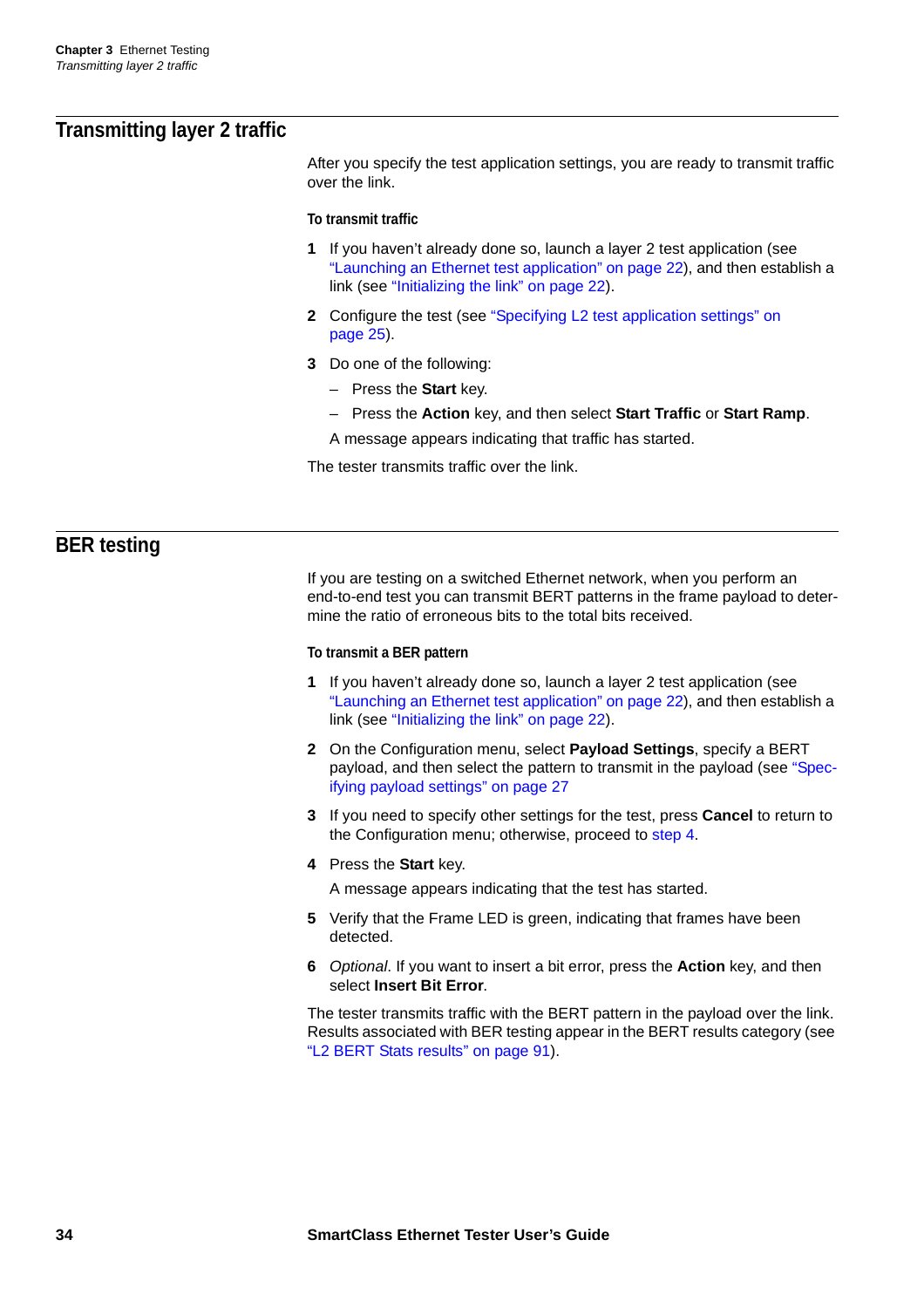## **Transmitting layer 2 traffic**

After you specify the test application settings, you are ready to transmit traffic over the link.

#### **To transmit traffic**

- **1** If you haven't already done so, launch a layer 2 test application (see ["Launching an Ethernet test application" on page 22](#page-35-0)), and then establish a link (see ["Initializing the link" on page 22\)](#page-35-1).
- **2** Configure the test (see ["Specifying L2 test application settings" on](#page-38-0)  [page 25](#page-38-0)).
- **3** Do one of the following:
	- Press the **Start** key.
	- Press the **Action** key, and then select **Start Traffic** or **Start Ramp**.
	- A message appears indicating that traffic has started.

The tester transmits traffic over the link.

## **BER testing**

If you are testing on a switched Ethernet network, when you perform an end-to-end test you can transmit BERT patterns in the frame payload to determine the ratio of erroneous bits to the total bits received.

#### **To transmit a BER pattern**

- **1** If you haven't already done so, launch a layer 2 test application (see ["Launching an Ethernet test application" on page 22](#page-35-0)), and then establish a link (see ["Initializing the link" on page 22\)](#page-35-1).
- **2** On the Configuration menu, select **Payload Settings**, specify a BERT payload, and then select the pattern to transmit in the payload (see ["Spec](#page-40-0)[ifying payload settings" on page 27](#page-40-0)
- **3** If you need to specify other settings for the test, press **Cancel** to return to the Configuration menu; otherwise, proceed to [step 4](#page-47-0).
- <span id="page-47-0"></span>**4** Press the **Start** key.

A message appears indicating that the test has started.

- **5** Verify that the Frame LED is green, indicating that frames have been detected.
- **6** Optional. If you want to insert a bit error, press the **Action** key, and then select **Insert Bit Error**.

The tester transmits traffic with the BERT pattern in the payload over the link. Results associated with BER testing appear in the BERT results category (see ["L2 BERT Stats results" on page 91](#page-104-0)).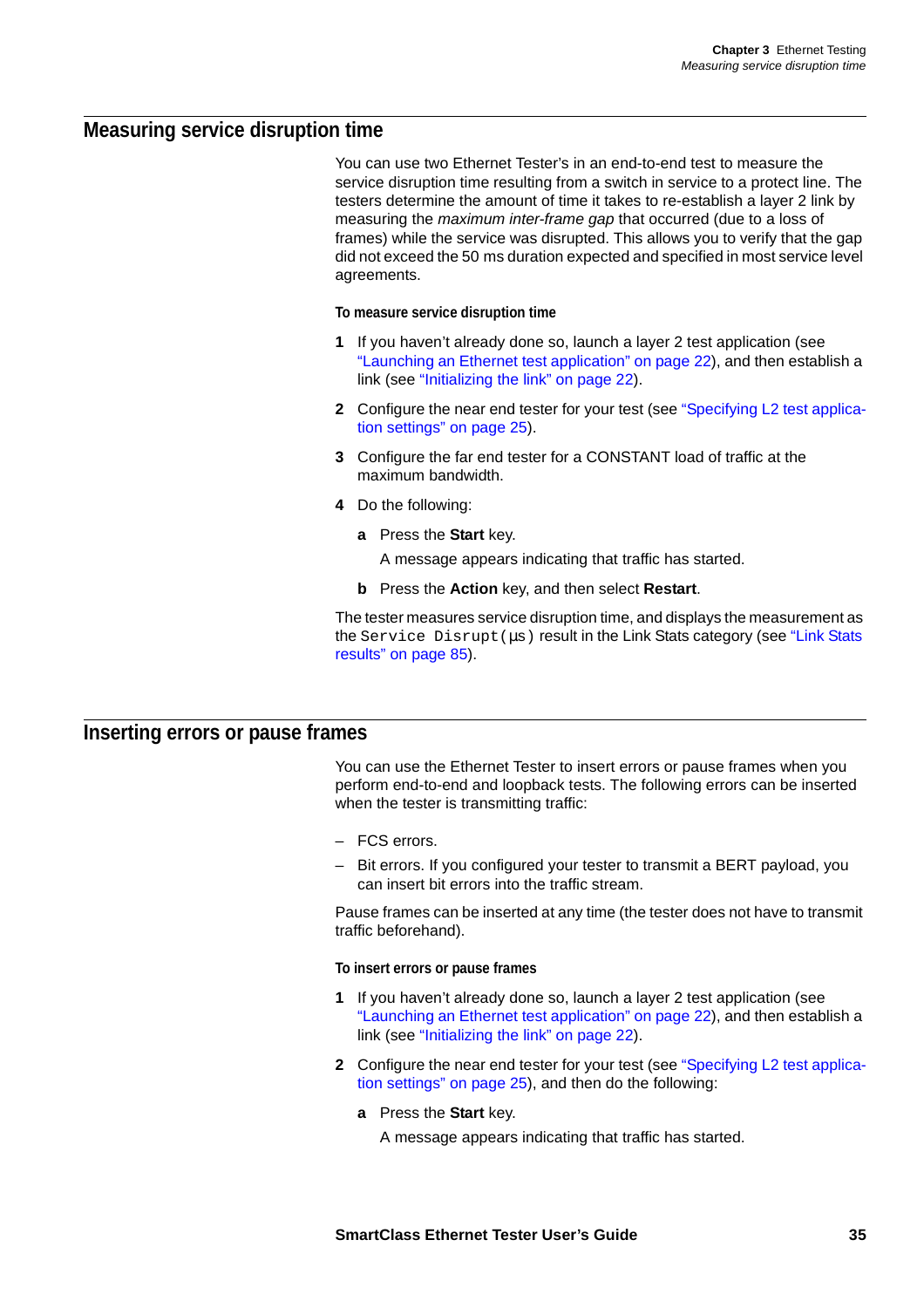## **Measuring service disruption time**

You can use two Ethernet Tester's in an end-to-end test to measure the service disruption time resulting from a switch in service to a protect line. The testers determine the amount of time it takes to re-establish a layer 2 link by measuring the maximum inter-frame gap that occurred (due to a loss of frames) while the service was disrupted. This allows you to verify that the gap did not exceed the 50 ms duration expected and specified in most service level agreements.

#### **To measure service disruption time**

- **1** If you haven't already done so, launch a layer 2 test application (see ["Launching an Ethernet test application" on page 22](#page-35-0)), and then establish a link (see ["Initializing the link" on page 22\)](#page-35-1).
- **2** Configure the near end tester for your test (see ["Specifying L2 test applica](#page-38-0)[tion settings" on page 25\)](#page-38-0).
- **3** Configure the far end tester for a CONSTANT load of traffic at the maximum bandwidth.
- **4** Do the following:
	- **a** Press the **Start** key.

A message appears indicating that traffic has started.

**b** Press the **Action** key, and then select **Restart**.

The tester measures service disruption time, and displays the measurement as the Service Disrupt (µs) result in the Link Stats category (see "Link Stats [results" on page 85](#page-98-0)).

### **Inserting errors or pause frames**

You can use the Ethernet Tester to insert errors or pause frames when you perform end-to-end and loopback tests. The following errors can be inserted when the tester is transmitting traffic:

- FCS errors.
- Bit errors. If you configured your tester to transmit a BERT payload, you can insert bit errors into the traffic stream.

Pause frames can be inserted at any time (the tester does not have to transmit traffic beforehand).

#### **To insert errors or pause frames**

- **1** If you haven't already done so, launch a layer 2 test application (see ["Launching an Ethernet test application" on page 22](#page-35-0)), and then establish a link (see ["Initializing the link" on page 22\)](#page-35-1).
- **2** Configure the near end tester for your test (see ["Specifying L2 test applica](#page-38-0)[tion settings" on page 25\)](#page-38-0), and then do the following:
	- **a** Press the **Start** key.
		- A message appears indicating that traffic has started.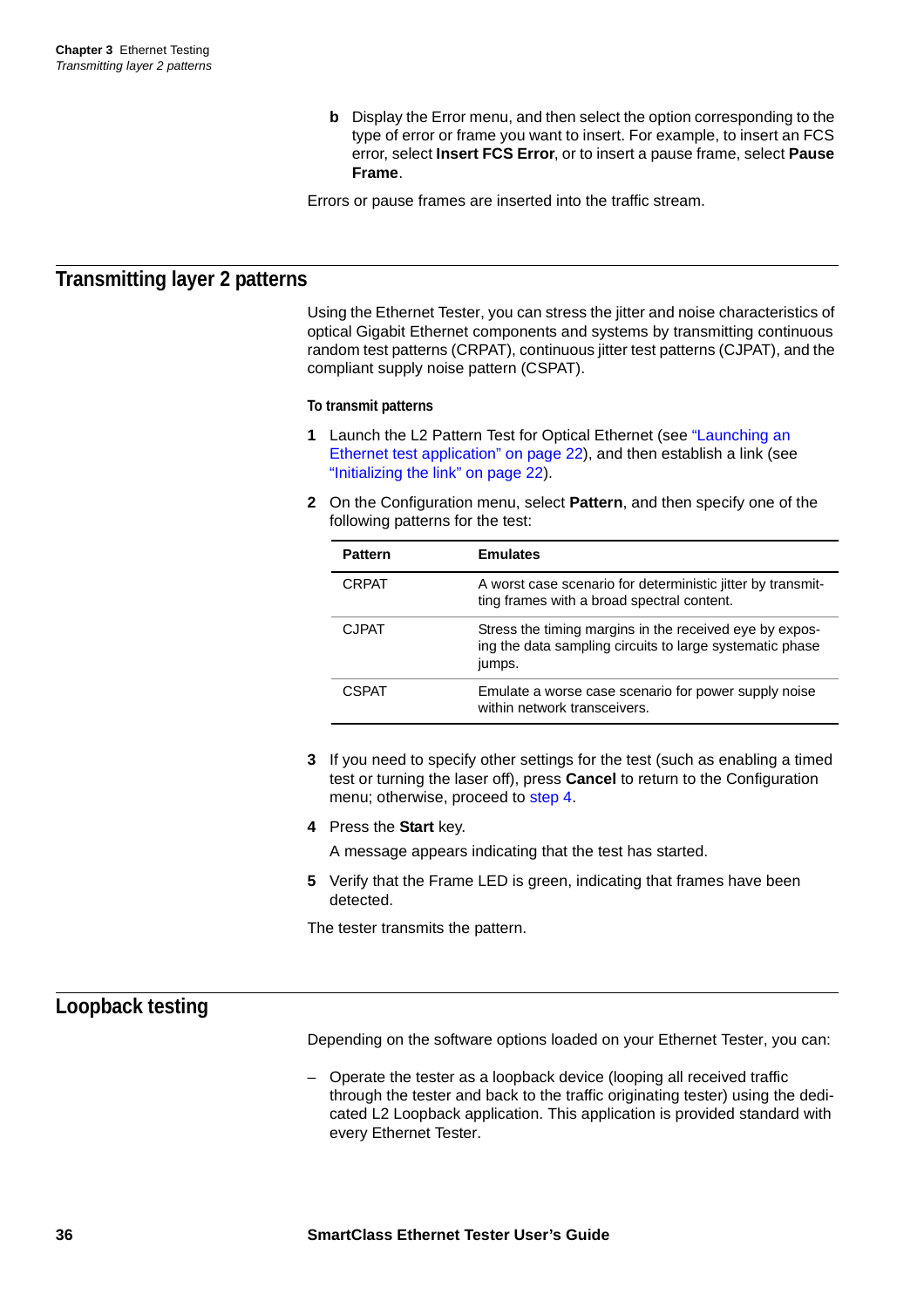**b** Display the Error menu, and then select the option corresponding to the type of error or frame you want to insert. For example, to insert an FCS error, select **Insert FCS Error**, or to insert a pause frame, select **Pause Frame**.

Errors or pause frames are inserted into the traffic stream.

## **Transmitting layer 2 patterns**

Using the Ethernet Tester, you can stress the jitter and noise characteristics of optical Gigabit Ethernet components and systems by transmitting continuous random test patterns (CRPAT), continuous jitter test patterns (CJPAT), and the compliant supply noise pattern (CSPAT).

#### **To transmit patterns**

- **1** Launch the L2 Pattern Test for Optical Ethernet (see ["Launching an](#page-35-0)  [Ethernet test application" on page 22](#page-35-0)), and then establish a link (see ["Initializing the link" on page 22\)](#page-35-1).
- **2** On the Configuration menu, select **Pattern**, and then specify one of the following patterns for the test:

| <b>Pattern</b> | <b>Emulates</b>                                                                                                               |
|----------------|-------------------------------------------------------------------------------------------------------------------------------|
| <b>CRPAT</b>   | A worst case scenario for deterministic jitter by transmit-<br>ting frames with a broad spectral content.                     |
| <b>CJPAT</b>   | Stress the timing margins in the received eye by expos-<br>ing the data sampling circuits to large systematic phase<br>jumps. |
| <b>CSPAT</b>   | Emulate a worse case scenario for power supply noise<br>within network transceivers.                                          |

- **3** If you need to specify other settings for the test (such as enabling a timed test or turning the laser off), press **Cancel** to return to the Configuration menu; otherwise, proceed to [step 4](#page-49-0).
- <span id="page-49-0"></span>**4** Press the **Start** key.

A message appears indicating that the test has started.

**5** Verify that the Frame LED is green, indicating that frames have been detected.

The tester transmits the pattern.

## **Loopback testing**

Depending on the software options loaded on your Ethernet Tester, you can:

– Operate the tester as a loopback device (looping all received traffic through the tester and back to the traffic originating tester) using the dedicated L2 Loopback application. This application is provided standard with every Ethernet Tester.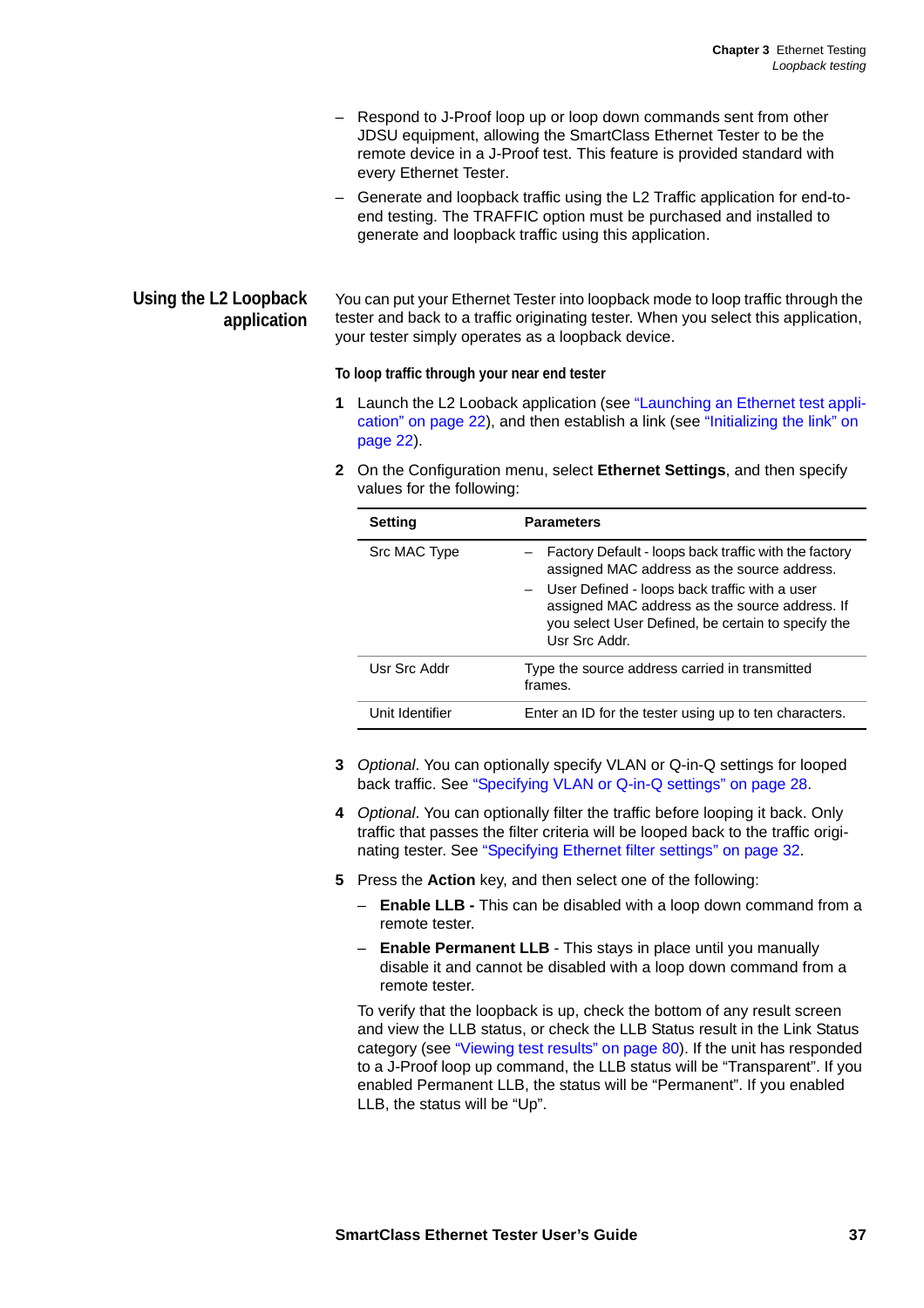- Respond to J-Proof loop up or loop down commands sent from other JDSU equipment, allowing the SmartClass Ethernet Tester to be the remote device in a J-Proof test. This feature is provided standard with every Ethernet Tester.
- Generate and loopback traffic using the L2 Traffic application for end-toend testing. The TRAFFIC option must be purchased and installed to generate and loopback traffic using this application.

#### **Using the L2 Loopback application** You can put your Ethernet Tester into loopback mode to loop traffic through the tester and back to a traffic originating tester. When you select this application, your tester simply operates as a loopback device.

#### **To loop traffic through your near end tester**

- **1** Launch the L2 Looback application (see ["Launching an Ethernet test appli](#page-35-0)[cation" on page 22\)](#page-35-0), and then establish a link (see ["Initializing the link" on](#page-35-1)  [page 22](#page-35-1)).
- **2** On the Configuration menu, select **Ethernet Settings**, and then specify values for the following:

| Setting         | <b>Parameters</b>                                                                                                                                         |
|-----------------|-----------------------------------------------------------------------------------------------------------------------------------------------------------|
| Src MAC Type    | - Factory Default - loops back traffic with the factory<br>assigned MAC address as the source address.<br>- User Defined - loops back traffic with a user |
|                 | assigned MAC address as the source address. If<br>you select User Defined, be certain to specify the<br>Usr Src Addr.                                     |
| Usr Src Addr    | Type the source address carried in transmitted<br>frames.                                                                                                 |
| Unit Identifier | Enter an ID for the tester using up to ten characters.                                                                                                    |

- **3** Optional. You can optionally specify VLAN or Q-in-Q settings for looped back traffic. See ["Specifying VLAN or Q-in-Q settings" on page 28.](#page-41-0)
- **4** Optional. You can optionally filter the traffic before looping it back. Only traffic that passes the filter criteria will be looped back to the traffic originating tester. See ["Specifying Ethernet filter settings" on page 32](#page-45-1).
- **5** Press the **Action** key, and then select one of the following:
	- **Enable LLB** This can be disabled with a loop down command from a remote tester.
	- **Enable Permanent LLB** This stays in place until you manually disable it and cannot be disabled with a loop down command from a remote tester.

To verify that the loopback is up, check the bottom of any result screen and view the LLB status, or check the LLB Status result in the Link Status category (see ["Viewing test results" on page 80](#page-93-0)). If the unit has responded to a J-Proof loop up command, the LLB status will be "Transparent". If you enabled Permanent LLB, the status will be "Permanent". If you enabled LLB, the status will be "Up".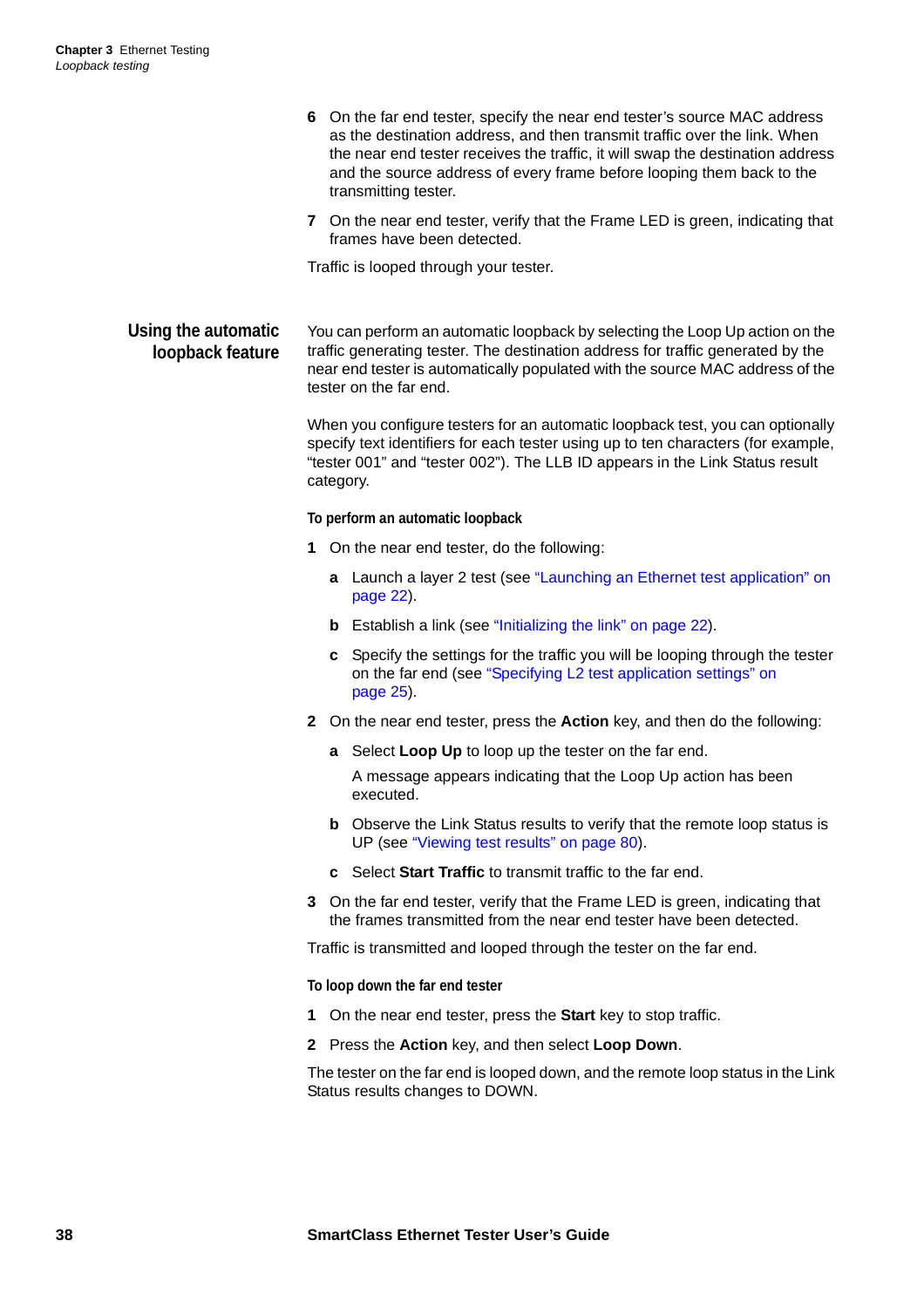- **6** On the far end tester, specify the near end tester's source MAC address as the destination address, and then transmit traffic over the link. When the near end tester receives the traffic, it will swap the destination address and the source address of every frame before looping them back to the transmitting tester.
- **7** On the near end tester, verify that the Frame LED is green, indicating that frames have been detected.

Traffic is looped through your tester.

#### <span id="page-51-0"></span>**Using the automatic loopback feature** You can perform an automatic loopback by selecting the Loop Up action on the traffic generating tester. The destination address for traffic generated by the near end tester is automatically populated with the source MAC address of the tester on the far end.

When you configure testers for an automatic loopback test, you can optionally specify text identifiers for each tester using up to ten characters (for example, "tester 001" and "tester 002"). The LLB ID appears in the Link Status result category.

#### **To perform an automatic loopback**

- **1** On the near end tester, do the following:
	- **a** Launch a layer 2 test (see ["Launching an Ethernet test application" on](#page-35-0)  [page 22\)](#page-35-0).
	- **b** Establish a link (see ["Initializing the link" on page 22\)](#page-35-1).
	- **c** Specify the settings for the traffic you will be looping through the tester on the far end (see ["Specifying L2 test application settings" on](#page-38-0)  [page 25\)](#page-38-0).
- **2** On the near end tester, press the **Action** key, and then do the following:
	- **a** Select **Loop Up** to loop up the tester on the far end. A message appears indicating that the Loop Up action has been executed.
	- **b** Observe the Link Status results to verify that the remote loop status is UP (see ["Viewing test results" on page 80\)](#page-93-0).
	- **c** Select **Start Traffic** to transmit traffic to the far end.
- **3** On the far end tester, verify that the Frame LED is green, indicating that the frames transmitted from the near end tester have been detected.

Traffic is transmitted and looped through the tester on the far end.

#### **To loop down the far end tester**

- **1** On the near end tester, press the **Start** key to stop traffic.
- **2** Press the **Action** key, and then select **Loop Down**.

The tester on the far end is looped down, and the remote loop status in the Link Status results changes to DOWN.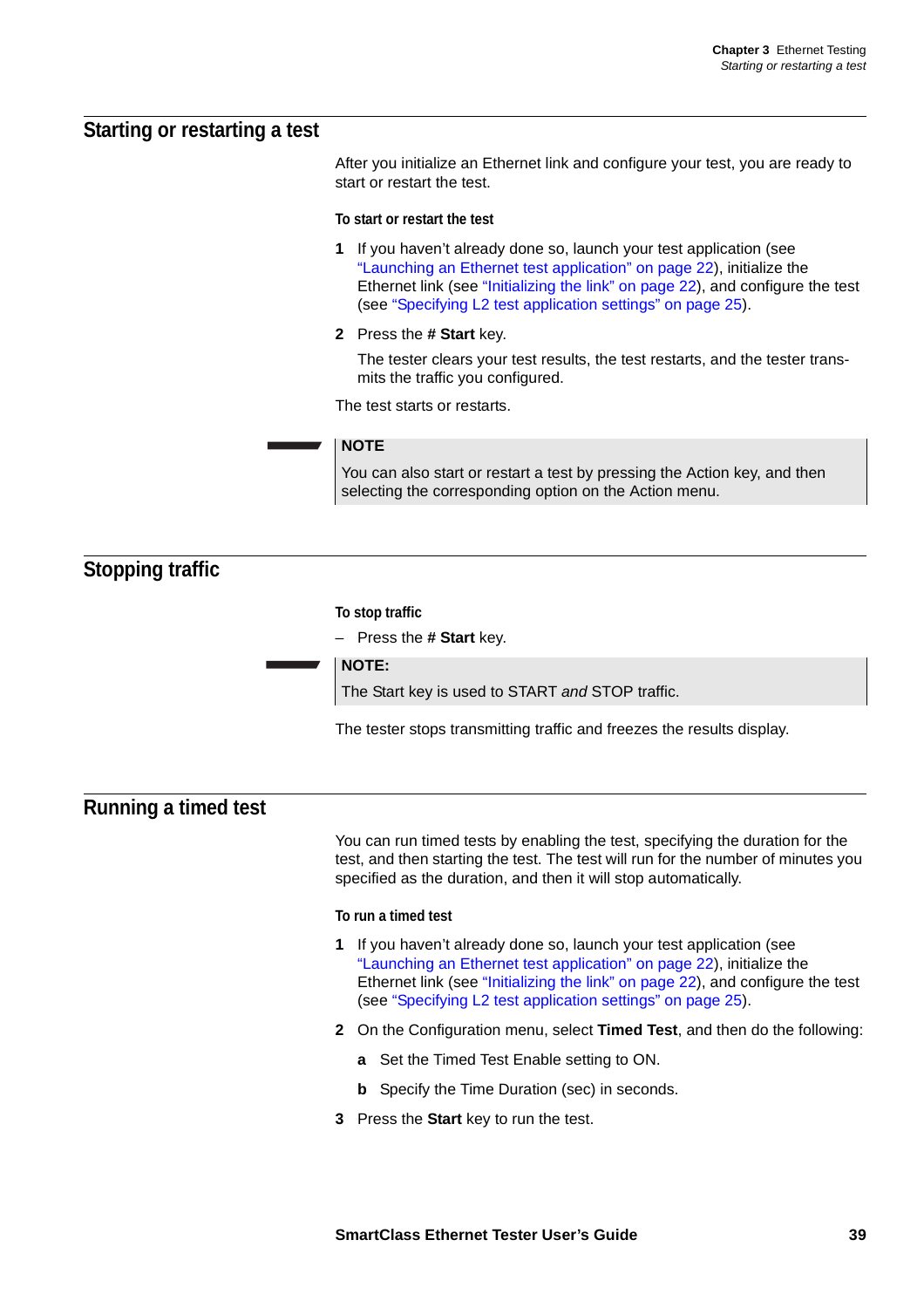## <span id="page-52-0"></span>**Starting or restarting a test**

After you initialize an Ethernet link and configure your test, you are ready to start or restart the test.

#### **To start or restart the test**

- **1** If you haven't already done so, launch your test application (see ["Launching an Ethernet test application" on page 22\)](#page-35-0), initialize the Ethernet link (see ["Initializing the link" on page 22](#page-35-1)), and configure the test (see ["Specifying L2 test application settings" on page 25\)](#page-38-0).
- **2** Press the **# Start** key.

The tester clears your test results, the test restarts, and the tester transmits the traffic you configured.

The test starts or restarts.

#### **NOTE**

You can also start or restart a test by pressing the Action key, and then selecting the corresponding option on the Action menu.

## <span id="page-52-1"></span>**Stopping traffic**

#### **To stop traffic**

– Press the **# Start** key.

#### **NOTE:**

The Start key is used to START and STOP traffic.

The tester stops transmitting traffic and freezes the results display.

## **Running a timed test**

You can run timed tests by enabling the test, specifying the duration for the test, and then starting the test. The test will run for the number of minutes you specified as the duration, and then it will stop automatically.

#### **To run a timed test**

- **1** If you haven't already done so, launch your test application (see ["Launching an Ethernet test application" on page 22\)](#page-35-0), initialize the Ethernet link (see ["Initializing the link" on page 22](#page-35-1)), and configure the test (see ["Specifying L2 test application settings" on page 25\)](#page-38-0).
- **2** On the Configuration menu, select **Timed Test**, and then do the following:
	- **a** Set the Timed Test Enable setting to ON.
	- **b** Specify the Time Duration (sec) in seconds.
- **3** Press the **Start** key to run the test.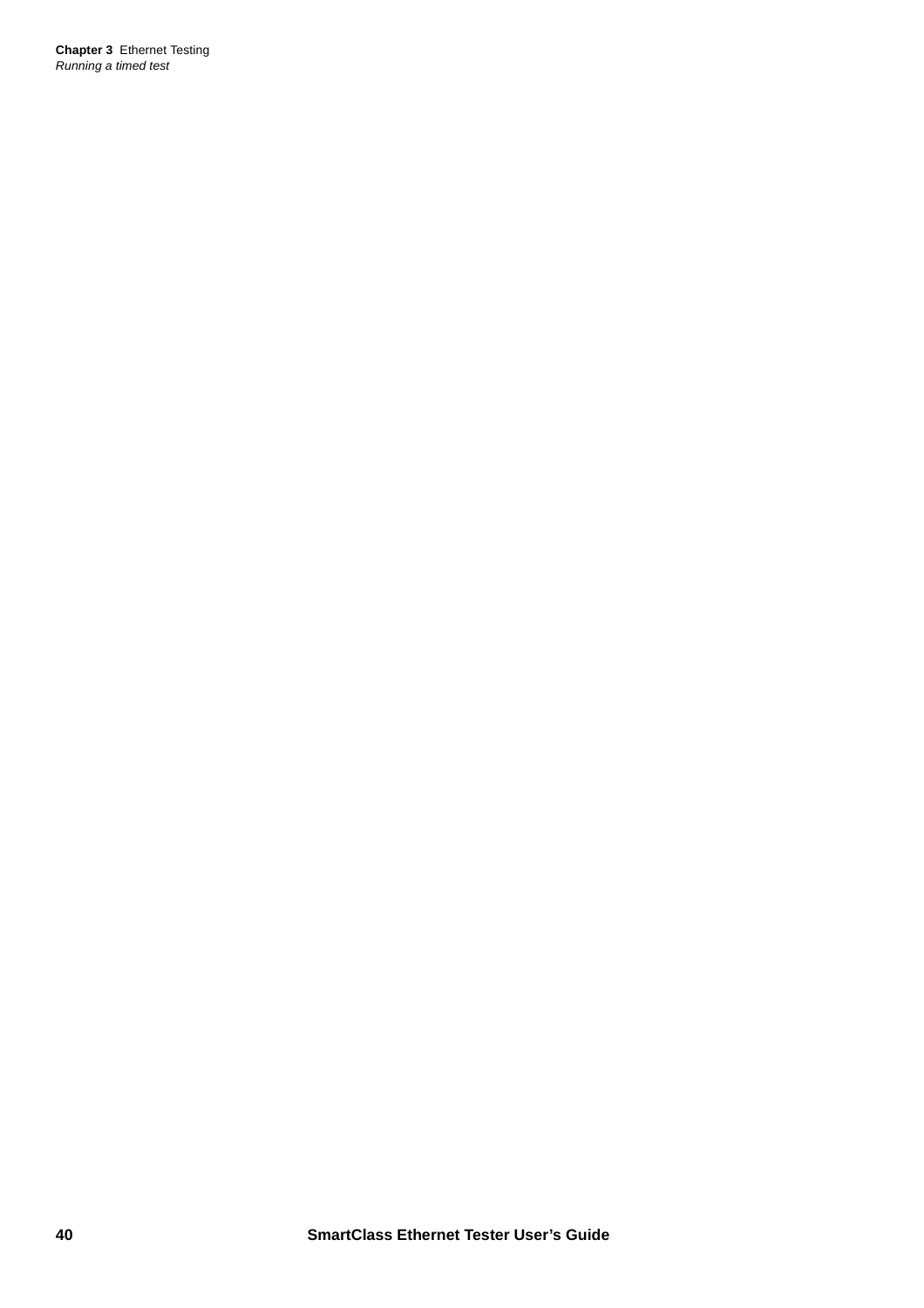**Chapter 3** Ethernet Testing Running a timed test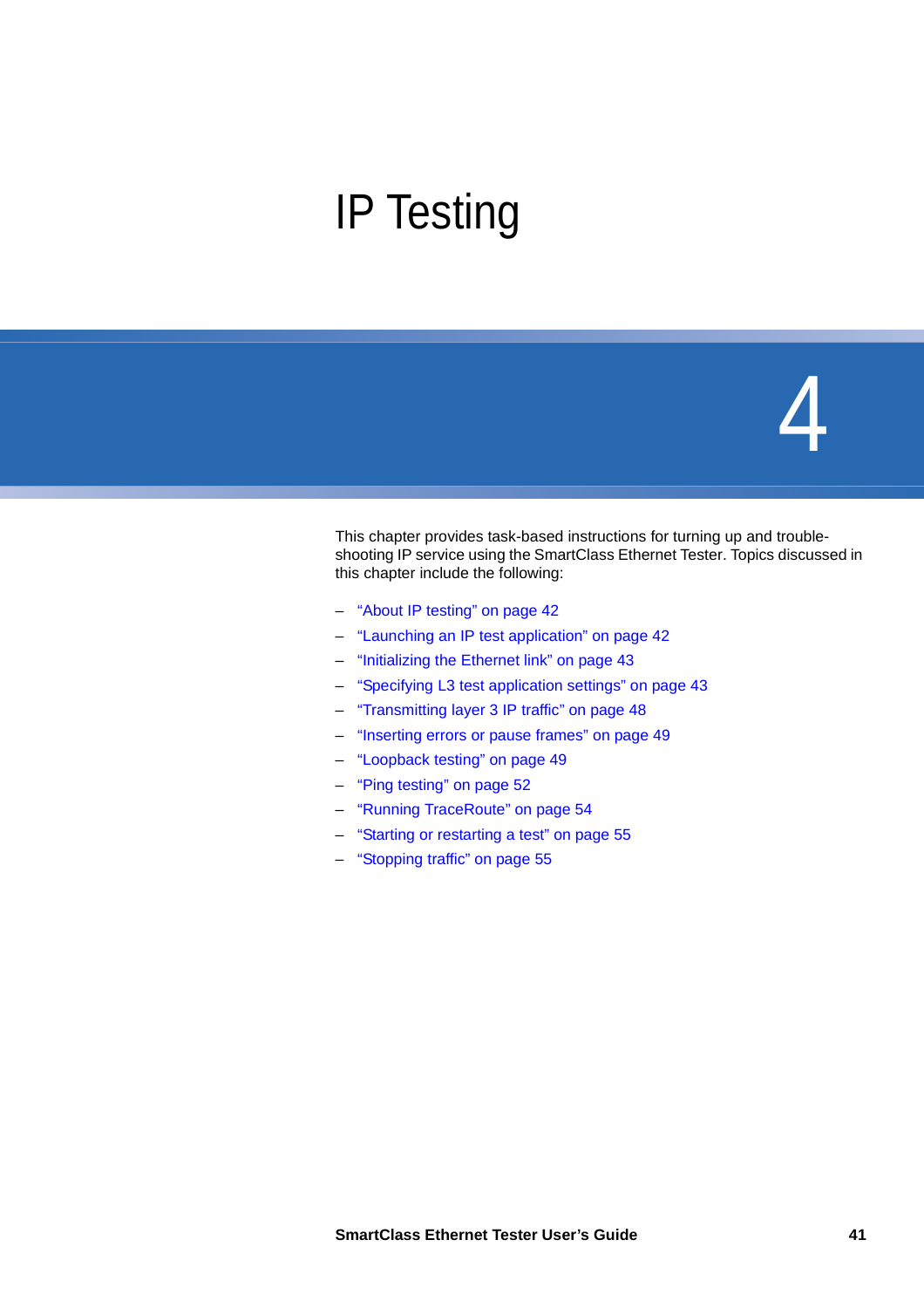# IP Testing



This chapter provides task-based instructions for turning up and troubleshooting IP service using the SmartClass Ethernet Tester. Topics discussed in this chapter include the following:

- ["About IP testing" on page 42](#page-55-1)
- ["Launching an IP test application" on page 42](#page-55-2)
- ["Initializing the Ethernet link" on page 43](#page-56-0)
- ["Specifying L3 test application settings" on page 43](#page-56-1)
- ["Transmitting layer 3 IP traffic" on page 48](#page-61-0)
- ["Inserting errors or pause frames" on page 49](#page-62-0)
- ["Loopback testing" on page 49](#page-62-1)
- ["Ping testing" on page 52](#page-65-0)
- ["Running TraceRoute" on page 54](#page-67-0)
- ["Starting or restarting a test" on page 55](#page-68-0)
- ["Stopping traffic" on page 55](#page-68-1)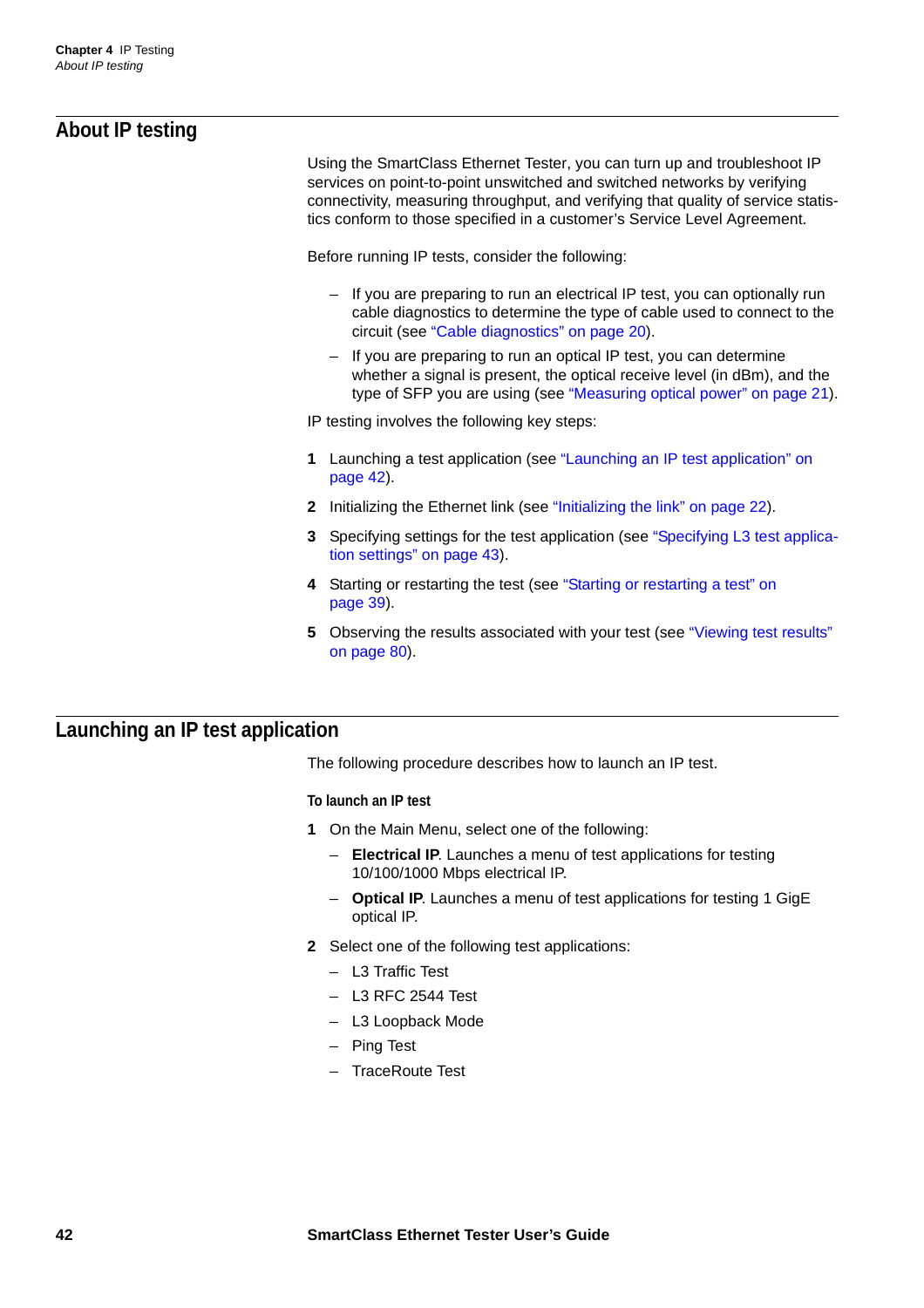## <span id="page-55-1"></span>**About IP testing**

Using the SmartClass Ethernet Tester, you can turn up and troubleshoot IP services on point-to-point unswitched and switched networks by verifying connectivity, measuring throughput, and verifying that quality of service statistics conform to those specified in a customer's Service Level Agreement.

Before running IP tests, consider the following:

- If you are preparing to run an electrical IP test, you can optionally run cable diagnostics to determine the type of cable used to connect to the circuit (see ["Cable diagnostics" on page 20\)](#page-33-0).
- If you are preparing to run an optical IP test, you can determine whether a signal is present, the optical receive level (in dBm), and the type of SFP you are using (see ["Measuring optical power" on page 21\)](#page-34-0).

IP testing involves the following key steps:

- **1** Launching a test application (see ["Launching an IP test application" on](#page-55-2)  [page 42](#page-55-2)).
- **2** Initializing the Ethernet link (see ["Initializing the link" on page 22\)](#page-35-2).
- **3** Specifying settings for the test application (see ["Specifying L3 test applica](#page-56-1)[tion settings" on page 43\)](#page-56-1).
- **4** Starting or restarting the test (see ["Starting or restarting a test" on](#page-52-0)  [page 39](#page-52-0)).
- **5** Observing the results associated with your test (see "Viewing test results" [on page 80](#page-93-0)).

## <span id="page-55-2"></span><span id="page-55-0"></span>**Launching an IP test application**

The following procedure describes how to launch an IP test.

#### **To launch an IP test**

- **1** On the Main Menu, select one of the following:
	- **Electrical IP**. Launches a menu of test applications for testing 10/100/1000 Mbps electrical IP.
	- **Optical IP**. Launches a menu of test applications for testing 1 GigE optical IP.
- **2** Select one of the following test applications:
	- L3 Traffic Test
	- L3 RFC 2544 Test
	- L3 Loopback Mode
	- Ping Test
	- TraceRoute Test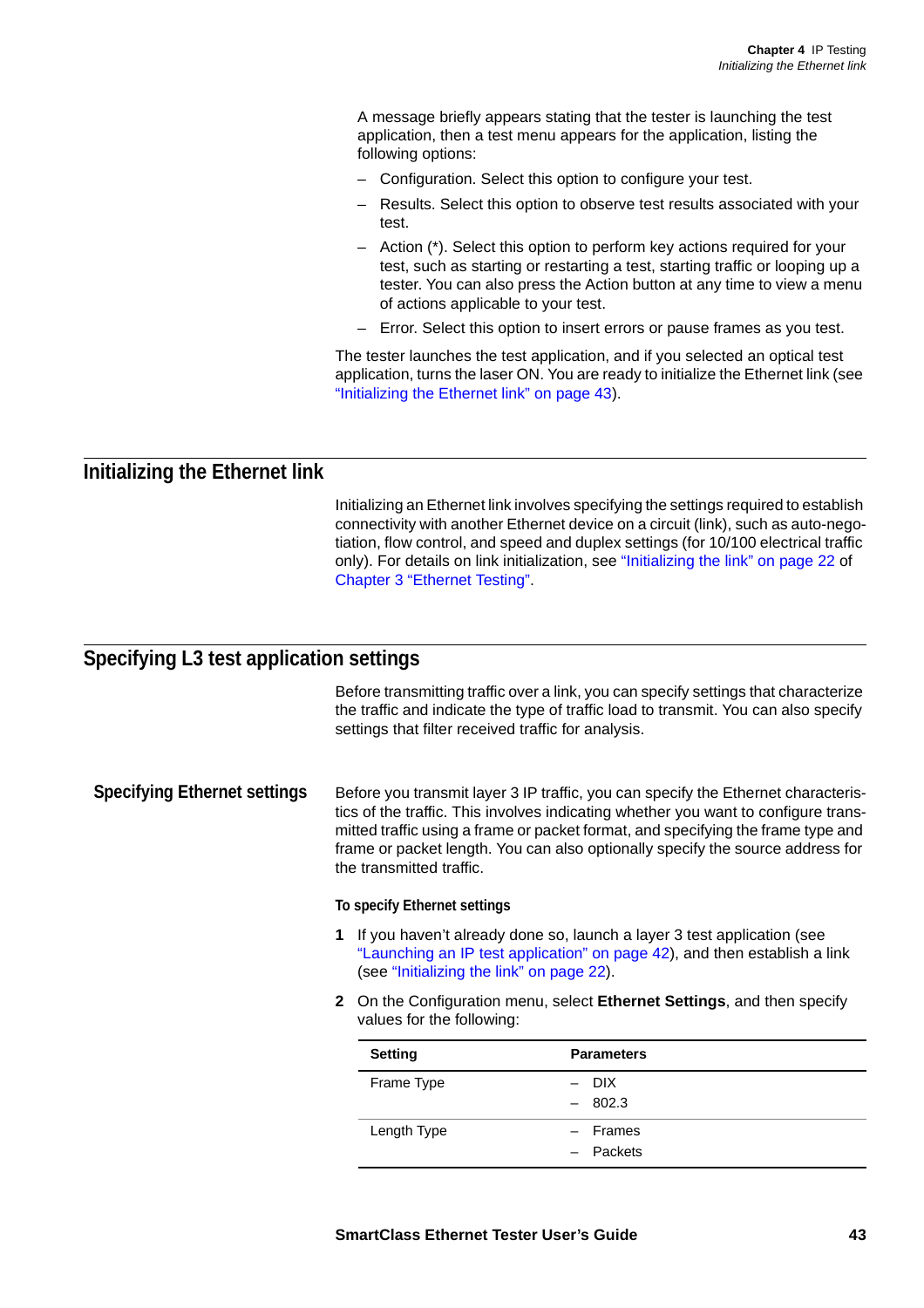A message briefly appears stating that the tester is launching the test application, then a test menu appears for the application, listing the following options:

- Configuration. Select this option to configure your test.
- Results. Select this option to observe test results associated with your test.
- Action (\*). Select this option to perform key actions required for your test, such as starting or restarting a test, starting traffic or looping up a tester. You can also press the Action button at any time to view a menu of actions applicable to your test.
- Error. Select this option to insert errors or pause frames as you test.

The tester launches the test application, and if you selected an optical test application, turns the laser ON. You are ready to initialize the Ethernet link (see ["Initializing the Ethernet link" on page 43](#page-56-0)).

## <span id="page-56-0"></span>**Initializing the Ethernet link**

Initializing an Ethernet link involves specifying the settings required to establish connectivity with another Ethernet device on a circuit (link), such as auto-negotiation, flow control, and speed and duplex settings (for 10/100 electrical traffic only). For details on link initialization, see ["Initializing the link" on page 22](#page-35-2) of [Chapter 3 "Ethernet Testing"](#page-32-0).

## <span id="page-56-1"></span>**Specifying L3 test application settings**

Before transmitting traffic over a link, you can specify settings that characterize the traffic and indicate the type of traffic load to transmit. You can also specify settings that filter received traffic for analysis.

**Specifying Ethernet settings** Before you transmit layer 3 IP traffic, you can specify the Ethernet characteristics of the traffic. This involves indicating whether you want to configure transmitted traffic using a frame or packet format, and specifying the frame type and frame or packet length. You can also optionally specify the source address for the transmitted traffic.

#### **To specify Ethernet settings**

- **1** If you haven't already done so, launch a layer 3 test application (see ["Launching an IP test application" on page 42](#page-55-2)), and then establish a link (see ["Initializing the link" on page 22](#page-35-2)).
- **2** On the Configuration menu, select **Ethernet Settings**, and then specify values for the following:

| <b>Setting</b> | <b>Parameters</b>     |
|----------------|-----------------------|
| Frame Type     | – DIX<br>$-802.3$     |
| Length Type    | - Frames<br>- Packets |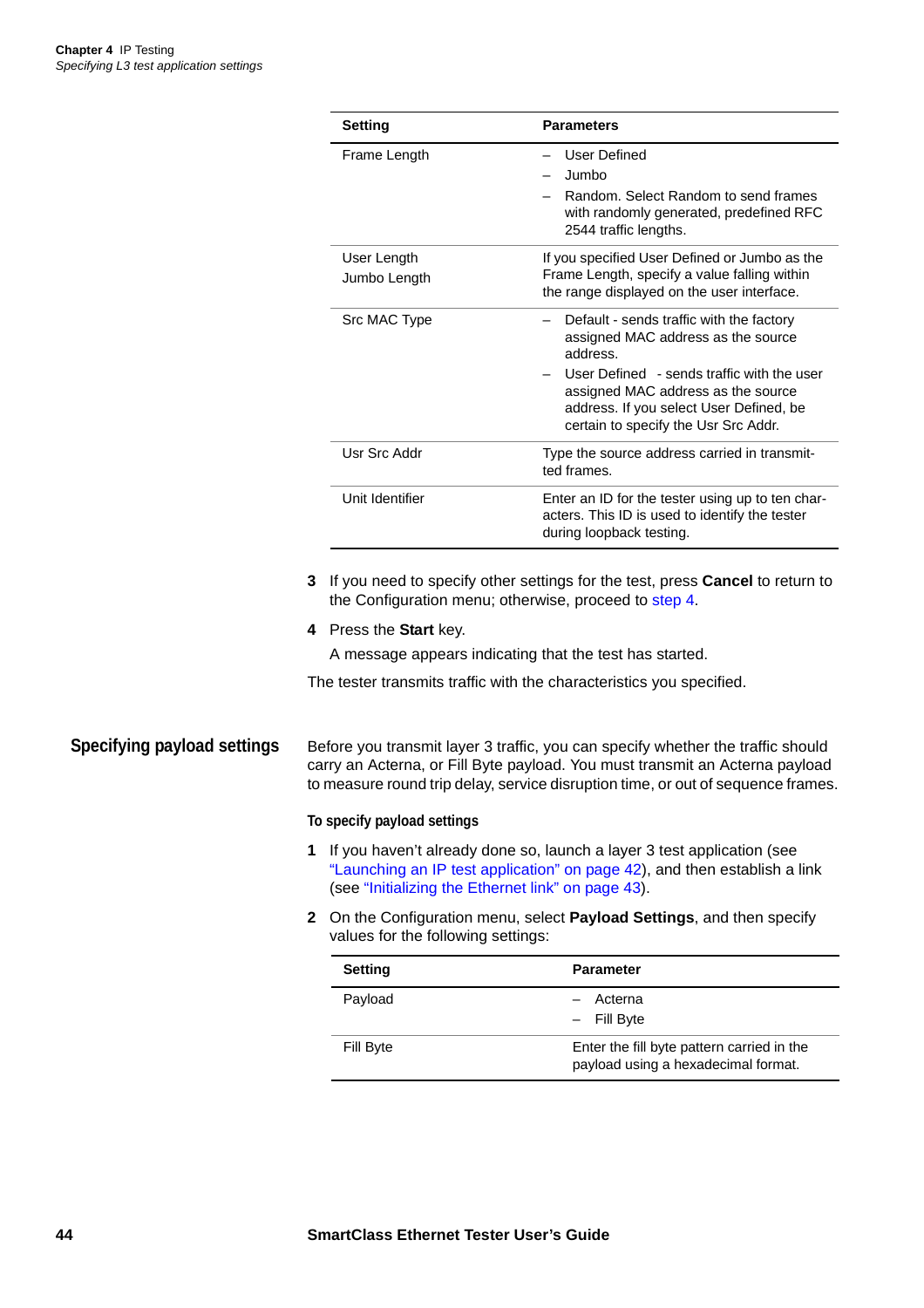| <b>Setting</b>              | <b>Parameters</b>                                                                                                                                                                                                                                                 |
|-----------------------------|-------------------------------------------------------------------------------------------------------------------------------------------------------------------------------------------------------------------------------------------------------------------|
| Frame Length                | User Defined<br>Jumbo<br>Random, Select Random to send frames<br>with randomly generated, predefined RFC<br>2544 traffic lengths.                                                                                                                                 |
| User Length<br>Jumbo Length | If you specified User Defined or Jumbo as the<br>Frame Length, specify a value falling within<br>the range displayed on the user interface.                                                                                                                       |
| Src MAC Type                | Default - sends traffic with the factory<br>assigned MAC address as the source<br>address.<br>User Defined - sends traffic with the user<br>assigned MAC address as the source<br>address. If you select User Defined, be<br>certain to specify the Usr Src Addr. |
| Usr Src Addr                | Type the source address carried in transmit-<br>ted frames.                                                                                                                                                                                                       |
| Unit Identifier             | Enter an ID for the tester using up to ten char-<br>acters. This ID is used to identify the tester<br>during loopback testing.                                                                                                                                    |

- **3** If you need to specify other settings for the test, press **Cancel** to return to the Configuration menu; otherwise, proceed to step 4.
- **4** Press the **Start** key.

A message appears indicating that the test has started.

The tester transmits traffic with the characteristics you specified.

**Specifying payload settings** Before you transmit layer 3 traffic, you can specify whether the traffic should carry an Acterna, or Fill Byte payload. You must transmit an Acterna payload to measure round trip delay, service disruption time, or out of sequence frames.

#### **To specify payload settings**

- **1** If you haven't already done so, launch a layer 3 test application (see ["Launching an IP test application" on page 42](#page-55-2)), and then establish a link (see ["Initializing the Ethernet link" on page 43\)](#page-56-0).
- **2** On the Configuration menu, select **Payload Settings**, and then specify values for the following settings:

| <b>Setting</b> | <b>Parameter</b>                                                                  |
|----------------|-----------------------------------------------------------------------------------|
| Payload        | - Acterna<br>$-$ Fill Byte                                                        |
| Fill Byte      | Enter the fill byte pattern carried in the<br>payload using a hexadecimal format. |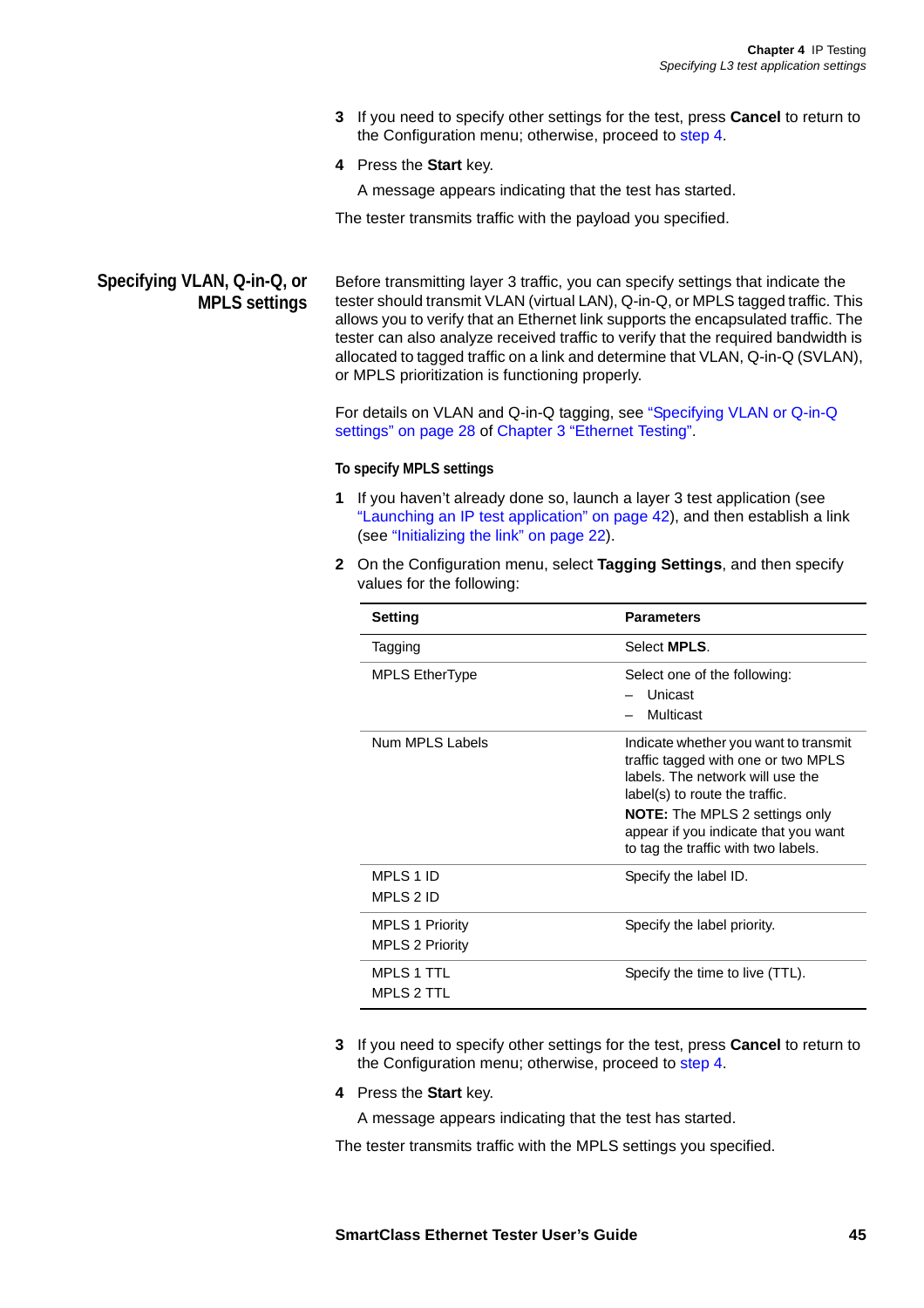- **3** If you need to specify other settings for the test, press **Cancel** to return to the Configuration menu; otherwise, proceed to [step 4](#page-58-0).
- <span id="page-58-0"></span>**4** Press the **Start** key.
	- A message appears indicating that the test has started.

The tester transmits traffic with the payload you specified.

#### **Specifying VLAN, Q-in-Q, or MPLS settings**

Before transmitting layer 3 traffic, you can specify settings that indicate the tester should transmit VLAN (virtual LAN), Q-in-Q, or MPLS tagged traffic. This allows you to verify that an Ethernet link supports the encapsulated traffic. The tester can also analyze received traffic to verify that the required bandwidth is allocated to tagged traffic on a link and determine that VLAN, Q-in-Q (SVLAN), or MPLS prioritization is functioning properly.

For details on VLAN and Q-in-Q tagging, see ["Specifying VLAN or Q-in-Q](#page-41-1)  [settings" on page 28](#page-41-1) of [Chapter 3 "Ethernet Testing".](#page-32-0)

#### **To specify MPLS settings**

- **1** If you haven't already done so, launch a layer 3 test application (see ["Launching an IP test application" on page 42](#page-55-2)), and then establish a link (see ["Initializing the link" on page 22](#page-35-2)).
- **2** On the Configuration menu, select **Tagging Settings**, and then specify values for the following:

| <b>Setting</b>                                   | <b>Parameters</b>                                                                                                                                                                                                                                                          |
|--------------------------------------------------|----------------------------------------------------------------------------------------------------------------------------------------------------------------------------------------------------------------------------------------------------------------------------|
| Tagging                                          | Select <b>MPLS</b> .                                                                                                                                                                                                                                                       |
| <b>MPLS EtherType</b>                            | Select one of the following:<br>Unicast<br>Multicast                                                                                                                                                                                                                       |
| Num MPLS Labels                                  | Indicate whether you want to transmit<br>traffic tagged with one or two MPLS<br>labels. The network will use the<br>label(s) to route the traffic.<br><b>NOTE:</b> The MPLS 2 settings only<br>appear if you indicate that you want<br>to tag the traffic with two labels. |
| MPLS 1 ID<br>MPLS 2 ID                           | Specify the label ID.                                                                                                                                                                                                                                                      |
| <b>MPLS 1 Priority</b><br><b>MPLS 2 Priority</b> | Specify the label priority.                                                                                                                                                                                                                                                |
| MPLS 1 TTL<br>MPLS 2 TTL                         | Specify the time to live (TTL).                                                                                                                                                                                                                                            |

**3** If you need to specify other settings for the test, press **Cancel** to return to the Configuration menu; otherwise, proceed to step 4.

#### **4** Press the **Start** key.

A message appears indicating that the test has started.

The tester transmits traffic with the MPLS settings you specified.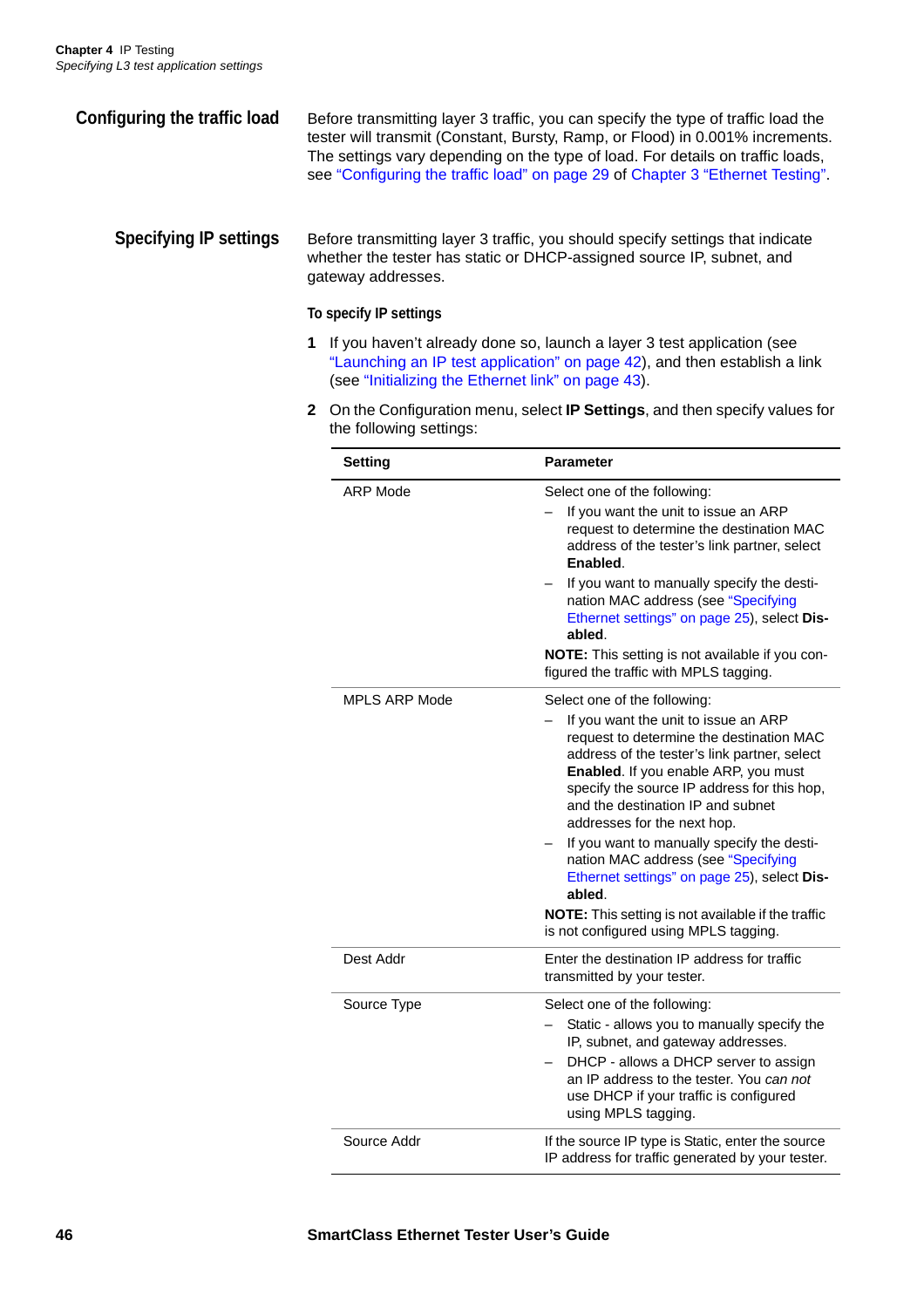| Configuring the traffic load  | Before transmitting layer 3 traffic, you can specify the type of traffic load the<br>tester will transmit (Constant, Bursty, Ramp, or Flood) in 0.001% increments.<br>The settings vary depending on the type of load. For details on traffic loads,<br>see "Configuring the traffic load" on page 29 of Chapter 3 "Ethernet Testing". |  |
|-------------------------------|----------------------------------------------------------------------------------------------------------------------------------------------------------------------------------------------------------------------------------------------------------------------------------------------------------------------------------------|--|
| <b>Snecifying IP settings</b> | Before transmitting layer 3 traffic you should specify settings that indicate                                                                                                                                                                                                                                                          |  |

**Specifying IP settings** Before transmitting layer 3 traffic, you should specify settings that indicate whether the tester has static or DHCP-assigned source IP, subnet, and gateway addresses.

#### **To specify IP settings**

- **1** If you haven't already done so, launch a layer 3 test application (see ["Launching an IP test application" on page 42](#page-55-2)), and then establish a link (see ["Initializing the Ethernet link" on page 43\)](#page-56-0).
- **2** On the Configuration menu, select **IP Settings**, and then specify values for the following settings:

| <b>Setting</b>       | <b>Parameter</b>                                                                                                                                                                                                                                                                                                                                                                                                                                                                                                                                                         |
|----------------------|--------------------------------------------------------------------------------------------------------------------------------------------------------------------------------------------------------------------------------------------------------------------------------------------------------------------------------------------------------------------------------------------------------------------------------------------------------------------------------------------------------------------------------------------------------------------------|
| ARP Mode             | Select one of the following:<br>If you want the unit to issue an ARP<br>request to determine the destination MAC<br>address of the tester's link partner, select<br>Enabled.<br>If you want to manually specify the desti-<br>nation MAC address (see "Specifying<br>Ethernet settings" on page 25), select Dis-<br>abled.<br>NOTE: This setting is not available if you con-<br>figured the traffic with MPLS tagging.                                                                                                                                                  |
| <b>MPLS ARP Mode</b> | Select one of the following:<br>If you want the unit to issue an ARP<br>request to determine the destination MAC<br>address of the tester's link partner, select<br>Enabled. If you enable ARP, you must<br>specify the source IP address for this hop,<br>and the destination IP and subnet<br>addresses for the next hop.<br>If you want to manually specify the desti-<br>nation MAC address (see "Specifying<br>Ethernet settings" on page 25), select Dis-<br>abled.<br>NOTE: This setting is not available if the traffic<br>is not configured using MPLS tagging. |
| Dest Addr            | Enter the destination IP address for traffic<br>transmitted by your tester.                                                                                                                                                                                                                                                                                                                                                                                                                                                                                              |
| Source Type          | Select one of the following:<br>Static - allows you to manually specify the<br>IP, subnet, and gateway addresses.<br>DHCP - allows a DHCP server to assign<br>$\qquad \qquad -$<br>an IP address to the tester. You can not<br>use DHCP if your traffic is configured<br>using MPLS tagging.                                                                                                                                                                                                                                                                             |
| Source Addr          | If the source IP type is Static, enter the source<br>IP address for traffic generated by your tester.                                                                                                                                                                                                                                                                                                                                                                                                                                                                    |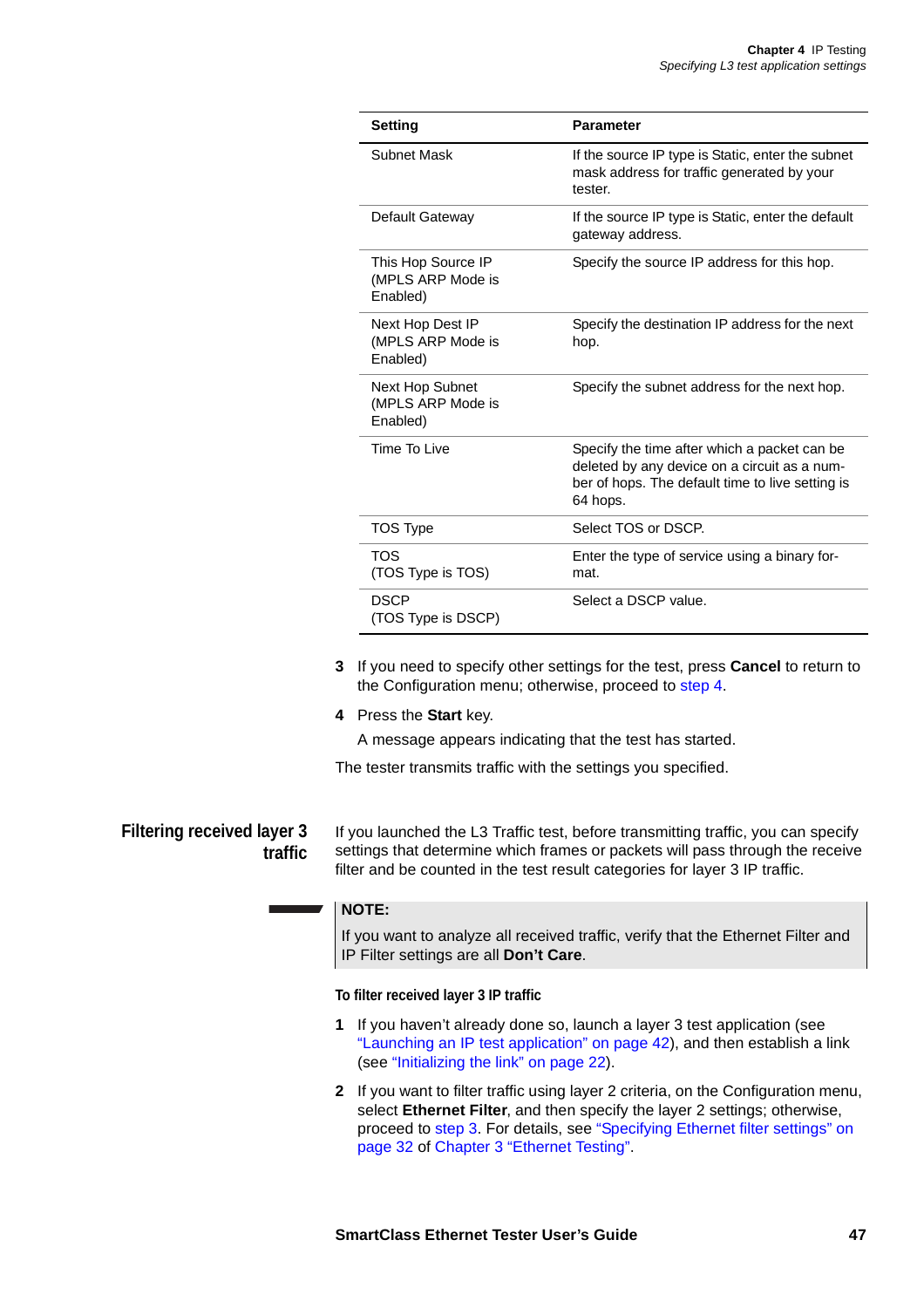| <b>Setting</b>                                      | <b>Parameter</b>                                                                                                                                              |
|-----------------------------------------------------|---------------------------------------------------------------------------------------------------------------------------------------------------------------|
| Subnet Mask                                         | If the source IP type is Static, enter the subnet<br>mask address for traffic generated by your<br>tester.                                                    |
| Default Gateway                                     | If the source IP type is Static, enter the default<br>gateway address.                                                                                        |
| This Hop Source IP<br>(MPLS ARP Mode is<br>Enabled) | Specify the source IP address for this hop.                                                                                                                   |
| Next Hop Dest IP<br>(MPLS ARP Mode is<br>Enabled)   | Specify the destination IP address for the next<br>hop.                                                                                                       |
| Next Hop Subnet<br>(MPLS ARP Mode is<br>Enabled)    | Specify the subnet address for the next hop.                                                                                                                  |
| Time To Live                                        | Specify the time after which a packet can be.<br>deleted by any device on a circuit as a num-<br>ber of hops. The default time to live setting is<br>64 hops. |
| <b>TOS Type</b>                                     | Select TOS or DSCP.                                                                                                                                           |
| <b>TOS</b><br>(TOS Type is TOS)                     | Enter the type of service using a binary for-<br>mat.                                                                                                         |
| <b>DSCP</b><br>(TOS Type is DSCP)                   | Select a DSCP value.                                                                                                                                          |

- **3** If you need to specify other settings for the test, press **Cancel** to return to the Configuration menu; otherwise, proceed to [step 4](#page-60-0).
- <span id="page-60-0"></span>**4** Press the **Start** key.
	- A message appears indicating that the test has started.

The tester transmits traffic with the settings you specified.

## <span id="page-60-1"></span>**Filtering received layer 3 traffic**

If you launched the L3 Traffic test, before transmitting traffic, you can specify settings that determine which frames or packets will pass through the receive filter and be counted in the test result categories for layer 3 IP traffic.

#### **NOTE:**

If you want to analyze all received traffic, verify that the Ethernet Filter and IP Filter settings are all **Don't Care**.

#### **To filter received layer 3 IP traffic**

- **1** If you haven't already done so, launch a layer 3 test application (see ["Launching an IP test application" on page 42](#page-55-2)), and then establish a link (see ["Initializing the link" on page 22](#page-35-2)).
- **2** If you want to filter traffic using layer 2 criteria, on the Configuration menu, select **Ethernet Filter**, and then specify the layer 2 settings; otherwise, proceed to [step 3](#page-61-1). For details, see ["Specifying Ethernet filter settings" on](#page-45-2)  [page 32](#page-45-2) of [Chapter 3 "Ethernet Testing".](#page-32-0)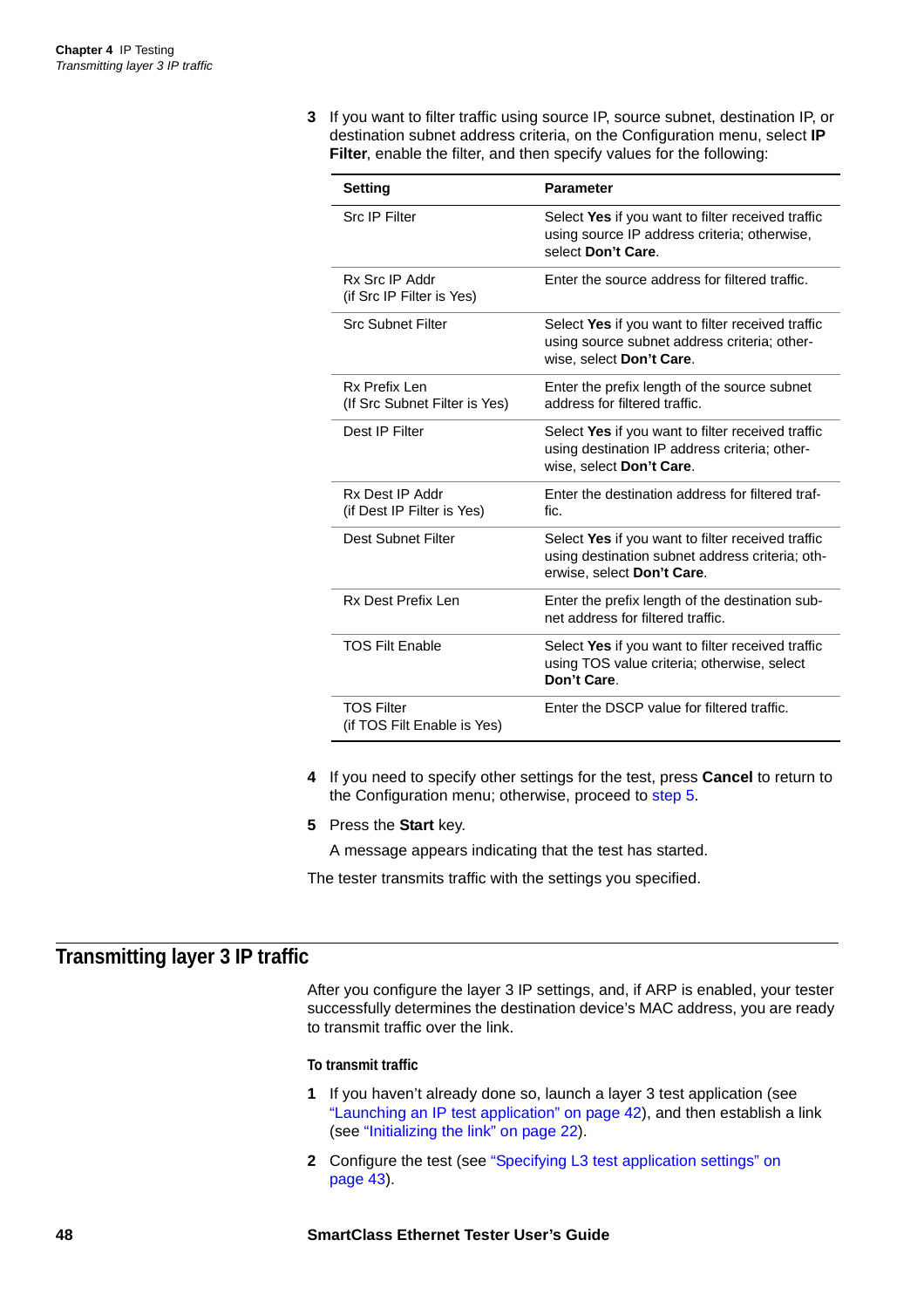<span id="page-61-1"></span>**3** If you want to filter traffic using source IP, source subnet, destination IP, or destination subnet address criteria, on the Configuration menu, select **IP Filter**, enable the filter, and then specify values for the following:

| <b>Setting</b>                                   | <b>Parameter</b>                                                                                                                   |
|--------------------------------------------------|------------------------------------------------------------------------------------------------------------------------------------|
| Src IP Filter                                    | Select Yes if you want to filter received traffic<br>using source IP address criteria; otherwise,<br>select Don't Care.            |
| Rx Src IP Addr<br>(if Src IP Filter is Yes)      | Enter the source address for filtered traffic.                                                                                     |
| <b>Src Subnet Filter</b>                         | Select Yes if you want to filter received traffic<br>using source subnet address criteria; other-<br>wise, select Don't Care.      |
| Rx Prefix Len<br>(If Src Subnet Filter is Yes)   | Enter the prefix length of the source subnet<br>address for filtered traffic.                                                      |
| Dest IP Filter                                   | Select Yes if you want to filter received traffic<br>using destination IP address criteria; other-<br>wise, select Don't Care.     |
| Rx Dest IP Addr<br>(if Dest IP Filter is Yes)    | Enter the destination address for filtered traf-<br>fic.                                                                           |
| <b>Dest Subnet Filter</b>                        | Select Yes if you want to filter received traffic<br>using destination subnet address criteria; oth-<br>erwise, select Don't Care. |
| Rx Dest Prefix Len                               | Enter the prefix length of the destination sub-<br>net address for filtered traffic.                                               |
| <b>TOS Filt Enable</b>                           | Select Yes if you want to filter received traffic<br>using TOS value criteria; otherwise, select<br>Don't Care.                    |
| <b>TOS Filter</b><br>(if TOS Filt Enable is Yes) | Enter the DSCP value for filtered traffic.                                                                                         |

- **4** If you need to specify other settings for the test, press **Cancel** to return to the Configuration menu; otherwise, proceed to [step 5](#page-61-2).
- <span id="page-61-2"></span>**5** Press the **Start** key.

A message appears indicating that the test has started.

The tester transmits traffic with the settings you specified.

## <span id="page-61-0"></span>**Transmitting layer 3 IP traffic**

After you configure the layer 3 IP settings, and, if ARP is enabled, your tester successfully determines the destination device's MAC address, you are ready to transmit traffic over the link.

#### **To transmit traffic**

- **1** If you haven't already done so, launch a layer 3 test application (see ["Launching an IP test application" on page 42](#page-55-2)), and then establish a link (see ["Initializing the link" on page 22](#page-35-2)).
- **2** Configure the test (see ["Specifying L3 test application settings" on](#page-56-1)  [page 43](#page-56-1)).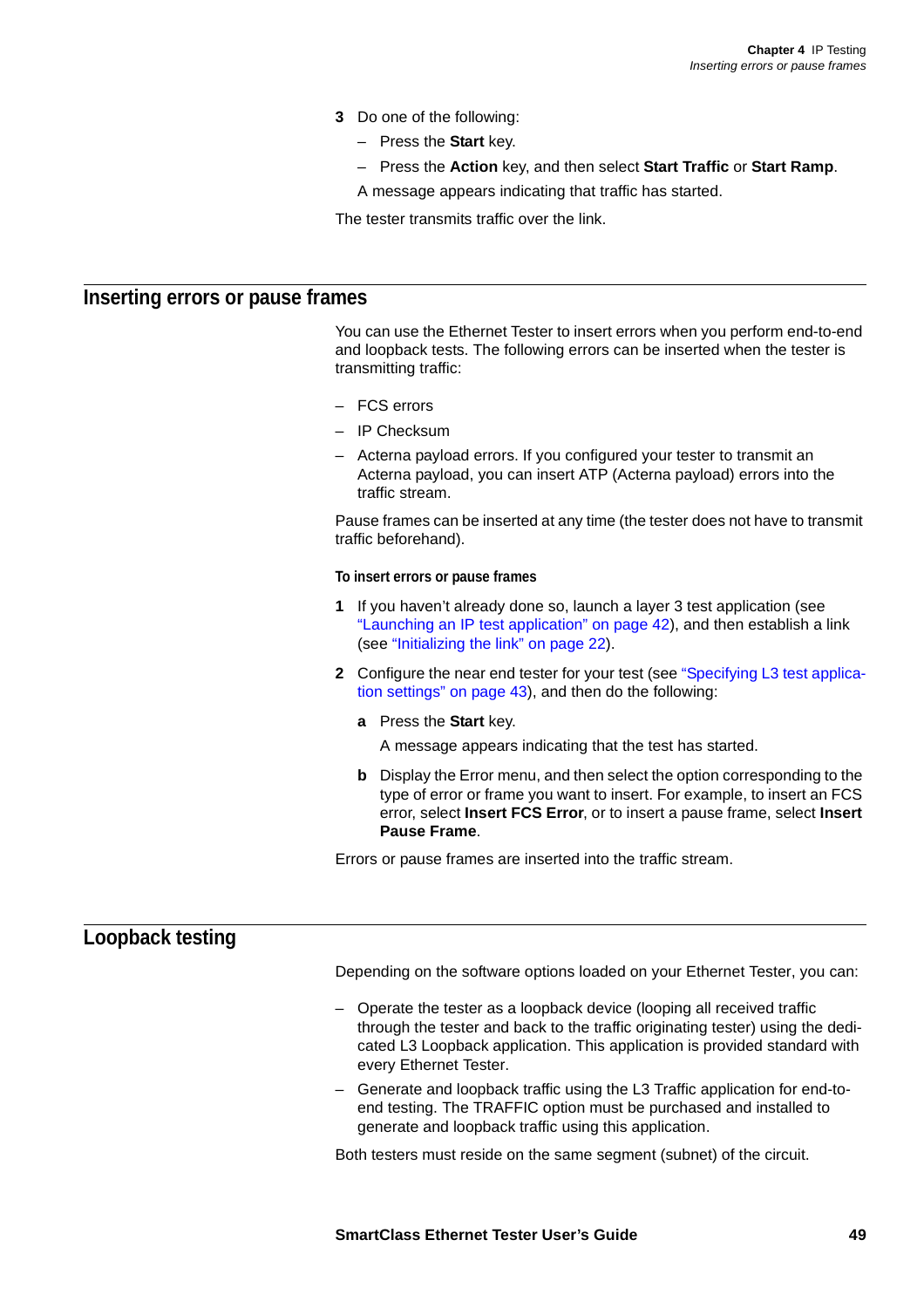- **3** Do one of the following:
	- Press the **Start** key.
	- Press the **Action** key, and then select **Start Traffic** or **Start Ramp**.
	- A message appears indicating that traffic has started.

The tester transmits traffic over the link.

## <span id="page-62-0"></span>**Inserting errors or pause frames**

You can use the Ethernet Tester to insert errors when you perform end-to-end and loopback tests. The following errors can be inserted when the tester is transmitting traffic:

- FCS errors
- IP Checksum
- Acterna payload errors. If you configured your tester to transmit an Acterna payload, you can insert ATP (Acterna payload) errors into the traffic stream.

Pause frames can be inserted at any time (the tester does not have to transmit traffic beforehand).

#### **To insert errors or pause frames**

- **1** If you haven't already done so, launch a layer 3 test application (see ["Launching an IP test application" on page 42](#page-55-2)), and then establish a link (see ["Initializing the link" on page 22](#page-35-2)).
- **2** Configure the near end tester for your test (see ["Specifying L3 test applica](#page-56-1)[tion settings" on page 43\)](#page-56-1), and then do the following:
	- **a** Press the **Start** key.

A message appears indicating that the test has started.

**b** Display the Error menu, and then select the option corresponding to the type of error or frame you want to insert. For example, to insert an FCS error, select **Insert FCS Error**, or to insert a pause frame, select **Insert Pause Frame**.

Errors or pause frames are inserted into the traffic stream.

## <span id="page-62-1"></span>**Loopback testing**

Depending on the software options loaded on your Ethernet Tester, you can:

- Operate the tester as a loopback device (looping all received traffic through the tester and back to the traffic originating tester) using the dedicated L3 Loopback application. This application is provided standard with every Ethernet Tester.
- Generate and loopback traffic using the L3 Traffic application for end-toend testing. The TRAFFIC option must be purchased and installed to generate and loopback traffic using this application.

Both testers must reside on the same segment (subnet) of the circuit.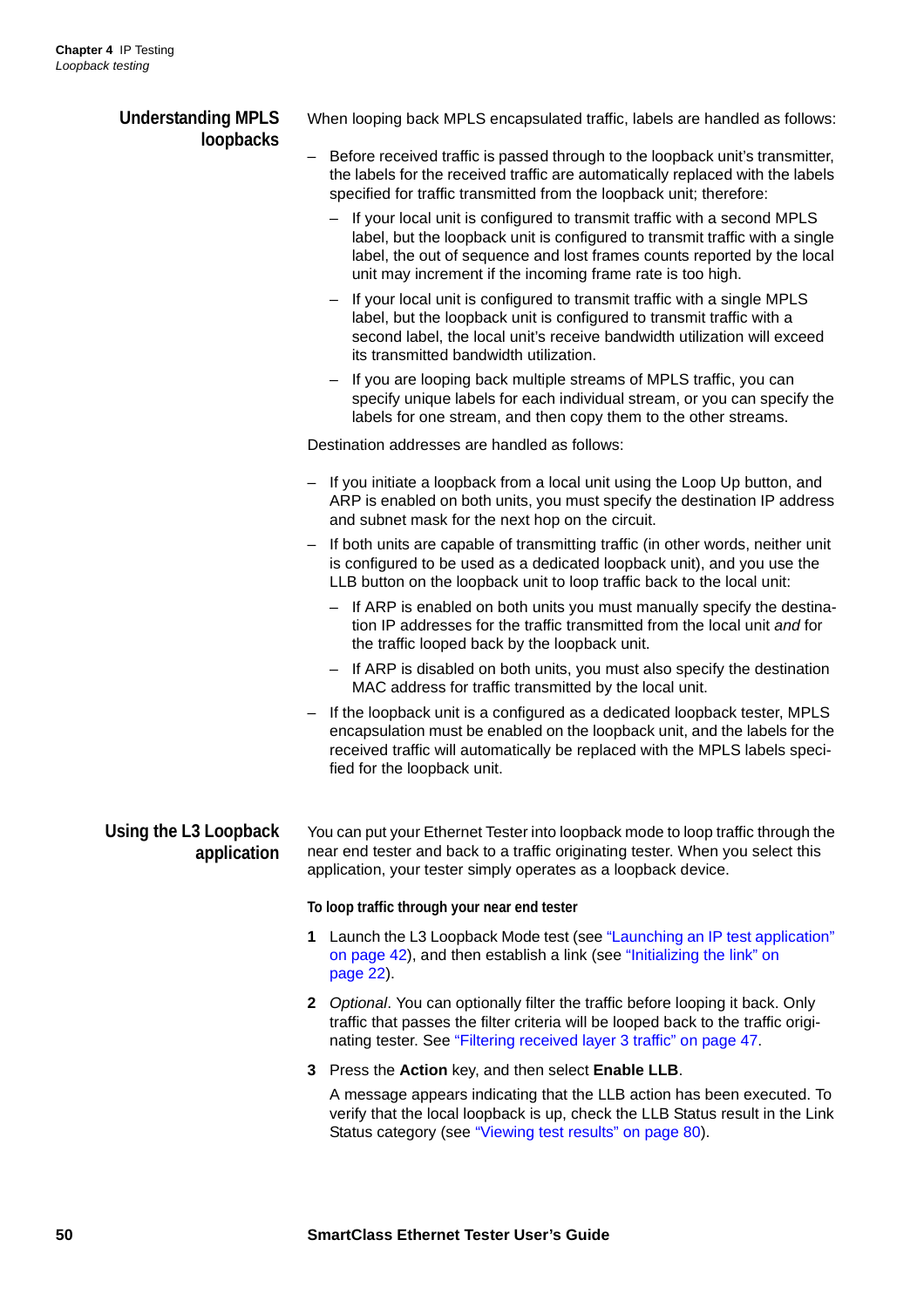## **Understanding MPLS loopbacks**

When looping back MPLS encapsulated traffic, labels are handled as follows:

- Before received traffic is passed through to the loopback unit's transmitter, the labels for the received traffic are automatically replaced with the labels specified for traffic transmitted from the loopback unit; therefore:
	- If your local unit is configured to transmit traffic with a second MPLS label, but the loopback unit is configured to transmit traffic with a single label, the out of sequence and lost frames counts reported by the local unit may increment if the incoming frame rate is too high.
	- If your local unit is configured to transmit traffic with a single MPLS label, but the loopback unit is configured to transmit traffic with a second label, the local unit's receive bandwidth utilization will exceed its transmitted bandwidth utilization.
	- If you are looping back multiple streams of MPLS traffic, you can specify unique labels for each individual stream, or you can specify the labels for one stream, and then copy them to the other streams.

Destination addresses are handled as follows:

- If you initiate a loopback from a local unit using the Loop Up button, and ARP is enabled on both units, you must specify the destination IP address and subnet mask for the next hop on the circuit.
- If both units are capable of transmitting traffic (in other words, neither unit is configured to be used as a dedicated loopback unit), and you use the LLB button on the loopback unit to loop traffic back to the local unit:
	- If ARP is enabled on both units you must manually specify the destination IP addresses for the traffic transmitted from the local unit and for the traffic looped back by the loopback unit.
	- If ARP is disabled on both units, you must also specify the destination MAC address for traffic transmitted by the local unit.
- If the loopback unit is a configured as a dedicated loopback tester, MPLS encapsulation must be enabled on the loopback unit, and the labels for the received traffic will automatically be replaced with the MPLS labels specified for the loopback unit.

#### **Using the L3 Loopback application** You can put your Ethernet Tester into loopback mode to loop traffic through the near end tester and back to a traffic originating tester. When you select this application, your tester simply operates as a loopback device.

#### **To loop traffic through your near end tester**

- **1** Launch the L3 Loopback Mode test (see ["Launching an IP test application"](#page-55-2)  [on page 42](#page-55-2)), and then establish a link (see ["Initializing the link" on](#page-35-2)  [page 22](#page-35-2)).
- **2** Optional. You can optionally filter the traffic before looping it back. Only traffic that passes the filter criteria will be looped back to the traffic originating tester. See ["Filtering received layer 3 traffic" on page 47](#page-60-1).
- **3** Press the **Action** key, and then select **Enable LLB**.

A message appears indicating that the LLB action has been executed. To verify that the local loopback is up, check the LLB Status result in the Link Status category (see ["Viewing test results" on page 80](#page-93-0)).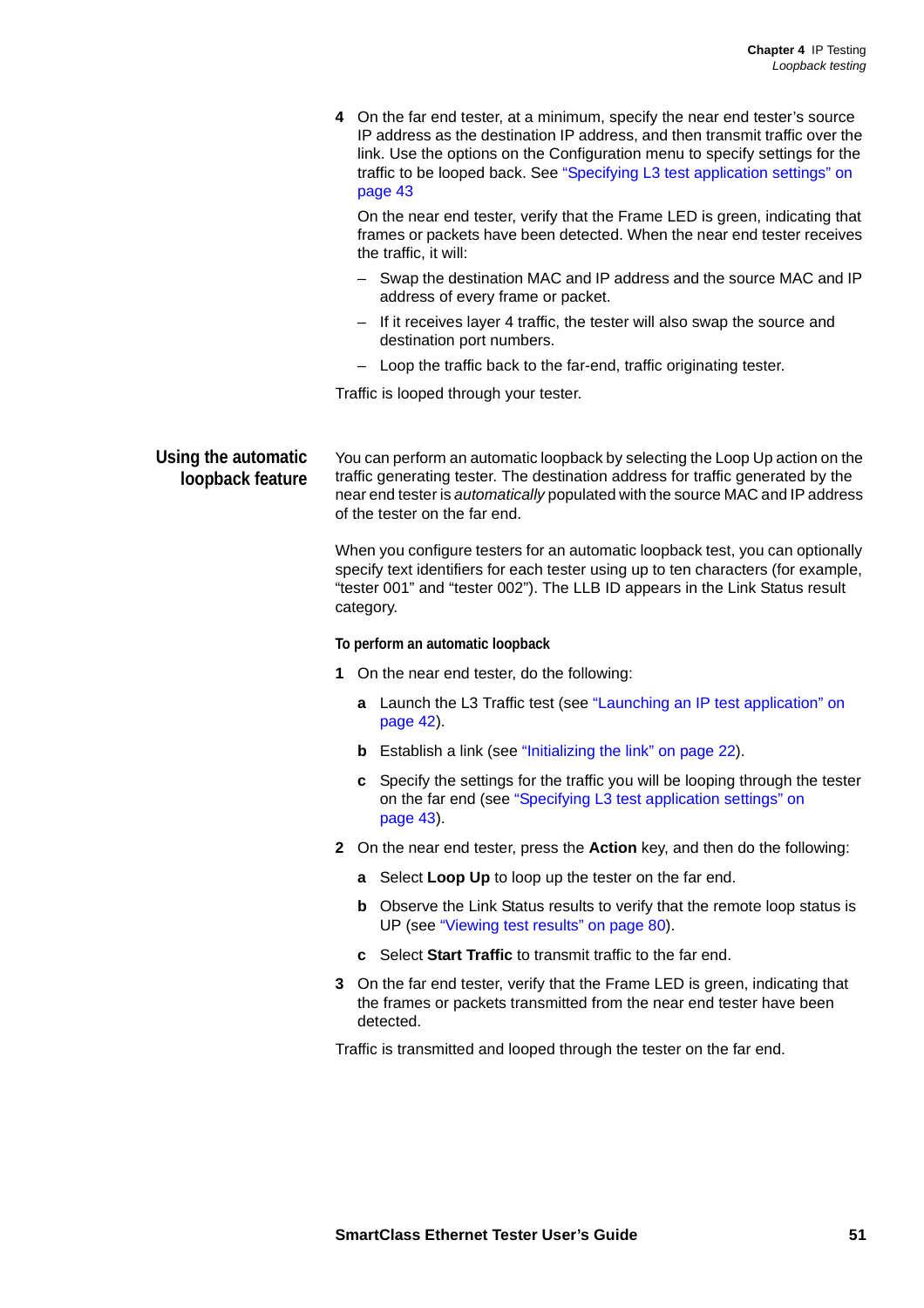**4** On the far end tester, at a minimum, specify the near end tester's source IP address as the destination IP address, and then transmit traffic over the link. Use the options on the Configuration menu to specify settings for the traffic to be looped back. See ["Specifying L3 test application settings" on](#page-56-1)  [page 43](#page-56-1)

On the near end tester, verify that the Frame LED is green, indicating that frames or packets have been detected. When the near end tester receives the traffic, it will:

- Swap the destination MAC and IP address and the source MAC and IP address of every frame or packet.
- If it receives layer 4 traffic, the tester will also swap the source and destination port numbers.
- Loop the traffic back to the far-end, traffic originating tester.

Traffic is looped through your tester.

**Using the automatic loopback feature** You can perform an automatic loopback by selecting the Loop Up action on the traffic generating tester. The destination address for traffic generated by the near end tester is automatically populated with the source MAC and IP address of the tester on the far end.

> When you configure testers for an automatic loopback test, you can optionally specify text identifiers for each tester using up to ten characters (for example, "tester 001" and "tester 002"). The LLB ID appears in the Link Status result category.

#### **To perform an automatic loopback**

- **1** On the near end tester, do the following:
	- **a** Launch the L3 Traffic test (see ["Launching an IP test application" on](#page-55-2)  [page 42\)](#page-55-2).
	- **b** Establish a link (see ["Initializing the link" on page 22\)](#page-35-2).
	- **c** Specify the settings for the traffic you will be looping through the tester on the far end (see ["Specifying L3 test application settings" on](#page-56-1)  [page 43\)](#page-56-1).
- **2** On the near end tester, press the **Action** key, and then do the following:
	- **a** Select **Loop Up** to loop up the tester on the far end.
	- **b** Observe the Link Status results to verify that the remote loop status is UP (see ["Viewing test results" on page 80\)](#page-93-0).
	- **c** Select **Start Traffic** to transmit traffic to the far end.
- **3** On the far end tester, verify that the Frame LED is green, indicating that the frames or packets transmitted from the near end tester have been detected.

Traffic is transmitted and looped through the tester on the far end.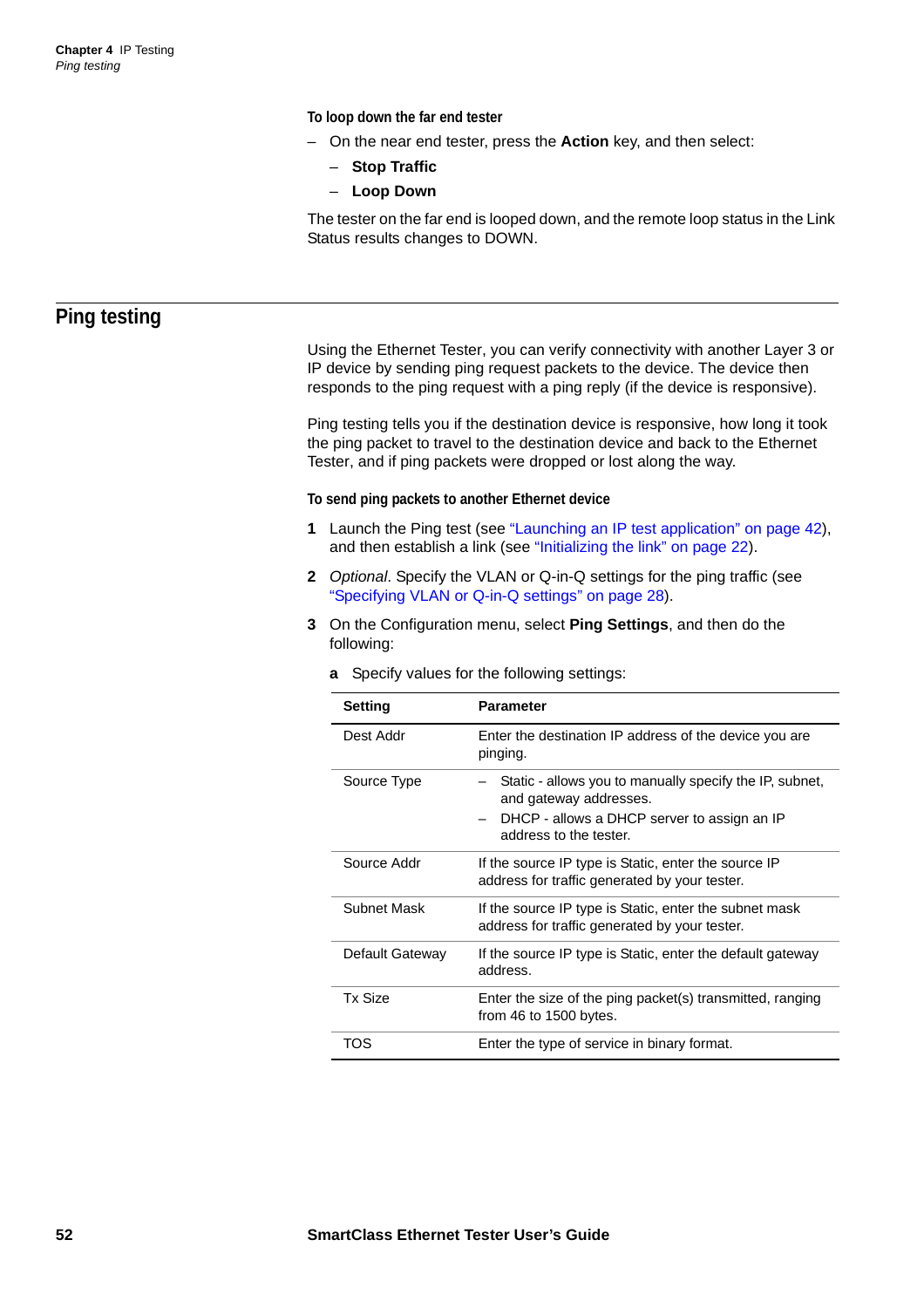#### **To loop down the far end tester**

- On the near end tester, press the **Action** key, and then select:
	- **Stop Traffic**
	- **Loop Down**

The tester on the far end is looped down, and the remote loop status in the Link Status results changes to DOWN.

## <span id="page-65-0"></span>**Ping testing**

Using the Ethernet Tester, you can verify connectivity with another Layer 3 or IP device by sending ping request packets to the device. The device then responds to the ping request with a ping reply (if the device is responsive).

Ping testing tells you if the destination device is responsive, how long it took the ping packet to travel to the destination device and back to the Ethernet Tester, and if ping packets were dropped or lost along the way.

#### **To send ping packets to another Ethernet device**

- **1** Launch the Ping test (see ["Launching an IP test application" on page 42](#page-55-2)), and then establish a link (see ["Initializing the link" on page 22\)](#page-35-2).
- **2** Optional. Specify the VLAN or Q-in-Q settings for the ping traffic (see ["Specifying VLAN or Q-in-Q settings" on page 28\)](#page-41-1).
- **3** On the Configuration menu, select **Ping Settings**, and then do the following:

| Setting         | <b>Parameter</b>                                                                                        |
|-----------------|---------------------------------------------------------------------------------------------------------|
| Dest Addr       | Enter the destination IP address of the device you are<br>pinging.                                      |
| Source Type     | Static - allows you to manually specify the IP, subnet,<br>and gateway addresses.                       |
|                 | DHCP - allows a DHCP server to assign an IP<br>address to the tester.                                   |
| Source Addr     | If the source IP type is Static, enter the source IP<br>address for traffic generated by your tester.   |
| Subnet Mask     | If the source IP type is Static, enter the subnet mask<br>address for traffic generated by your tester. |
| Default Gateway | If the source IP type is Static, enter the default gateway<br>address.                                  |
| <b>Tx Size</b>  | Enter the size of the ping packet(s) transmitted, ranging<br>from 46 to 1500 bytes.                     |
| TOS             | Enter the type of service in binary format.                                                             |

**a** Specify values for the following settings: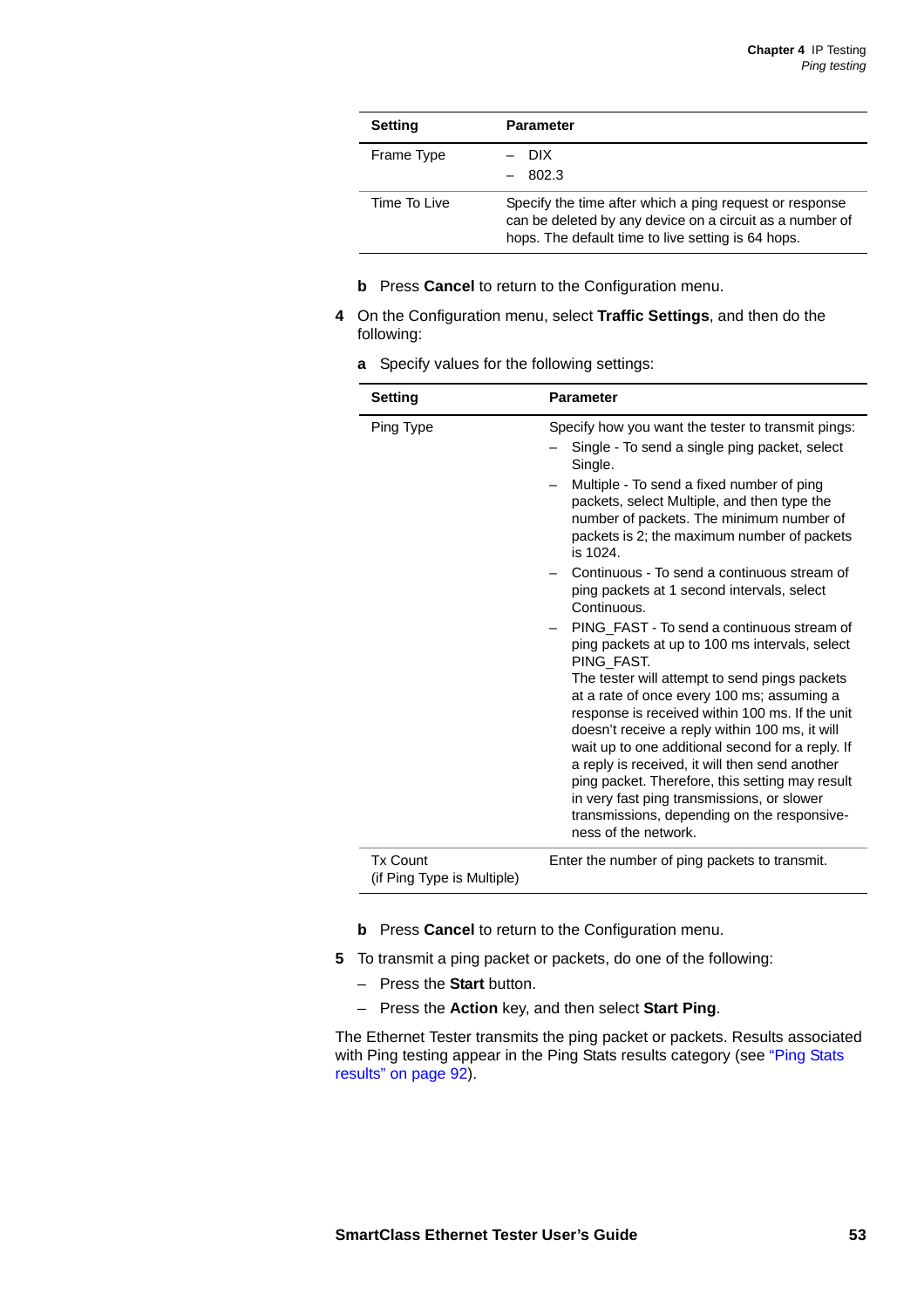| <b>Setting</b> | <b>Parameter</b>                                                                                                                                                          |
|----------------|---------------------------------------------------------------------------------------------------------------------------------------------------------------------------|
| Frame Type     | DIX.<br>802.3                                                                                                                                                             |
| Time To Live   | Specify the time after which a ping request or response<br>can be deleted by any device on a circuit as a number of<br>hops. The default time to live setting is 64 hops. |

- **b** Press **Cancel** to return to the Configuration menu.
- **4** On the Configuration menu, select **Traffic Settings**, and then do the following:
	- **a** Specify values for the following settings:

| <b>Setting</b>                                | <b>Parameter</b>                                                                                                                                                                                                                                                                                                                                                                                                                                                               |
|-----------------------------------------------|--------------------------------------------------------------------------------------------------------------------------------------------------------------------------------------------------------------------------------------------------------------------------------------------------------------------------------------------------------------------------------------------------------------------------------------------------------------------------------|
| Ping Type                                     | Specify how you want the tester to transmit pings:<br>Single - To send a single ping packet, select<br>Single.                                                                                                                                                                                                                                                                                                                                                                 |
|                                               | Multiple - To send a fixed number of ping<br>packets, select Multiple, and then type the<br>number of packets. The minimum number of<br>packets is 2; the maximum number of packets<br>is 1024.                                                                                                                                                                                                                                                                                |
|                                               | Continuous - To send a continuous stream of<br>ping packets at 1 second intervals, select<br>Continuous.                                                                                                                                                                                                                                                                                                                                                                       |
|                                               | PING FAST - To send a continuous stream of<br>ping packets at up to 100 ms intervals, select<br>PING FAST.                                                                                                                                                                                                                                                                                                                                                                     |
|                                               | The tester will attempt to send pings packets<br>at a rate of once every 100 ms; assuming a<br>response is received within 100 ms. If the unit<br>doesn't receive a reply within 100 ms, it will<br>wait up to one additional second for a reply. If<br>a reply is received, it will then send another<br>ping packet. Therefore, this setting may result<br>in very fast ping transmissions, or slower<br>transmissions, depending on the responsive-<br>ness of the network. |
| <b>Tx Count</b><br>(if Ping Type is Multiple) | Enter the number of ping packets to transmit.                                                                                                                                                                                                                                                                                                                                                                                                                                  |

- **b** Press **Cancel** to return to the Configuration menu.
- **5** To transmit a ping packet or packets, do one of the following:
	- Press the **Start** button.
	- Press the **Action** key, and then select **Start Ping**.

The Ethernet Tester transmits the ping packet or packets. Results associated with Ping testing appear in the Ping Stats results category (see ["Ping Stats](#page-105-0)  [results" on page 92](#page-105-0)).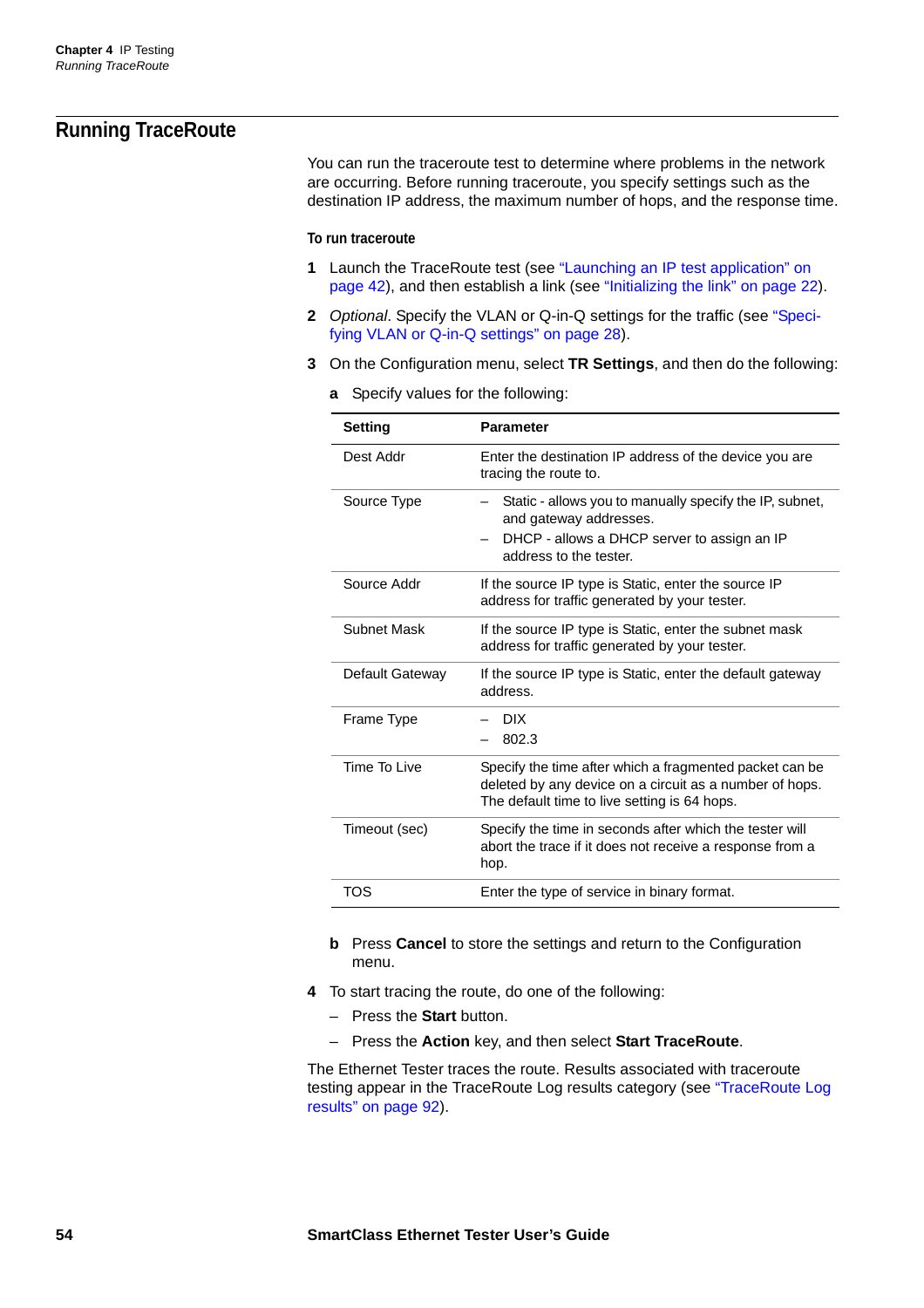## <span id="page-67-0"></span>**Running TraceRoute**

You can run the traceroute test to determine where problems in the network are occurring. Before running traceroute, you specify settings such as the destination IP address, the maximum number of hops, and the response time.

#### **To run traceroute**

- **1** Launch the TraceRoute test (see ["Launching an IP test application" on](#page-55-2)  [page 42](#page-55-2)), and then establish a link (see ["Initializing the link" on page 22\)](#page-35-2).
- **2** Optional. Specify the VLAN or Q-in-Q settings for the traffic (see ["Speci](#page-41-1)[fying VLAN or Q-in-Q settings" on page 28\)](#page-41-1).
- **3** On the Configuration menu, select **TR Settings**, and then do the following:
	- **a** Specify values for the following:

| <b>Setting</b>  | <b>Parameter</b>                                                                                                                                                   |
|-----------------|--------------------------------------------------------------------------------------------------------------------------------------------------------------------|
| Dest Addr       | Enter the destination IP address of the device you are<br>tracing the route to.                                                                                    |
| Source Type     | Static - allows you to manually specify the IP, subnet,<br>and gateway addresses.<br>DHCP - allows a DHCP server to assign an IP<br>address to the tester.         |
|                 |                                                                                                                                                                    |
| Source Addr     | If the source IP type is Static, enter the source IP<br>address for traffic generated by your tester.                                                              |
| Subnet Mask     | If the source IP type is Static, enter the subnet mask<br>address for traffic generated by your tester.                                                            |
| Default Gateway | If the source IP type is Static, enter the default gateway<br>address.                                                                                             |
| Frame Type      | <b>DIX</b><br>802.3                                                                                                                                                |
| Time To Live    | Specify the time after which a fragmented packet can be<br>deleted by any device on a circuit as a number of hops.<br>The default time to live setting is 64 hops. |
| Timeout (sec)   | Specify the time in seconds after which the tester will<br>abort the trace if it does not receive a response from a<br>hop.                                        |
| TOS             | Enter the type of service in binary format.                                                                                                                        |

- **b** Press **Cancel** to store the settings and return to the Configuration menu.
- **4** To start tracing the route, do one of the following:
	- Press the **Start** button.
	- Press the **Action** key, and then select **Start TraceRoute**.

The Ethernet Tester traces the route. Results associated with traceroute testing appear in the TraceRoute Log results category (see ["TraceRoute Log](#page-105-1)  [results" on page 92](#page-105-1)).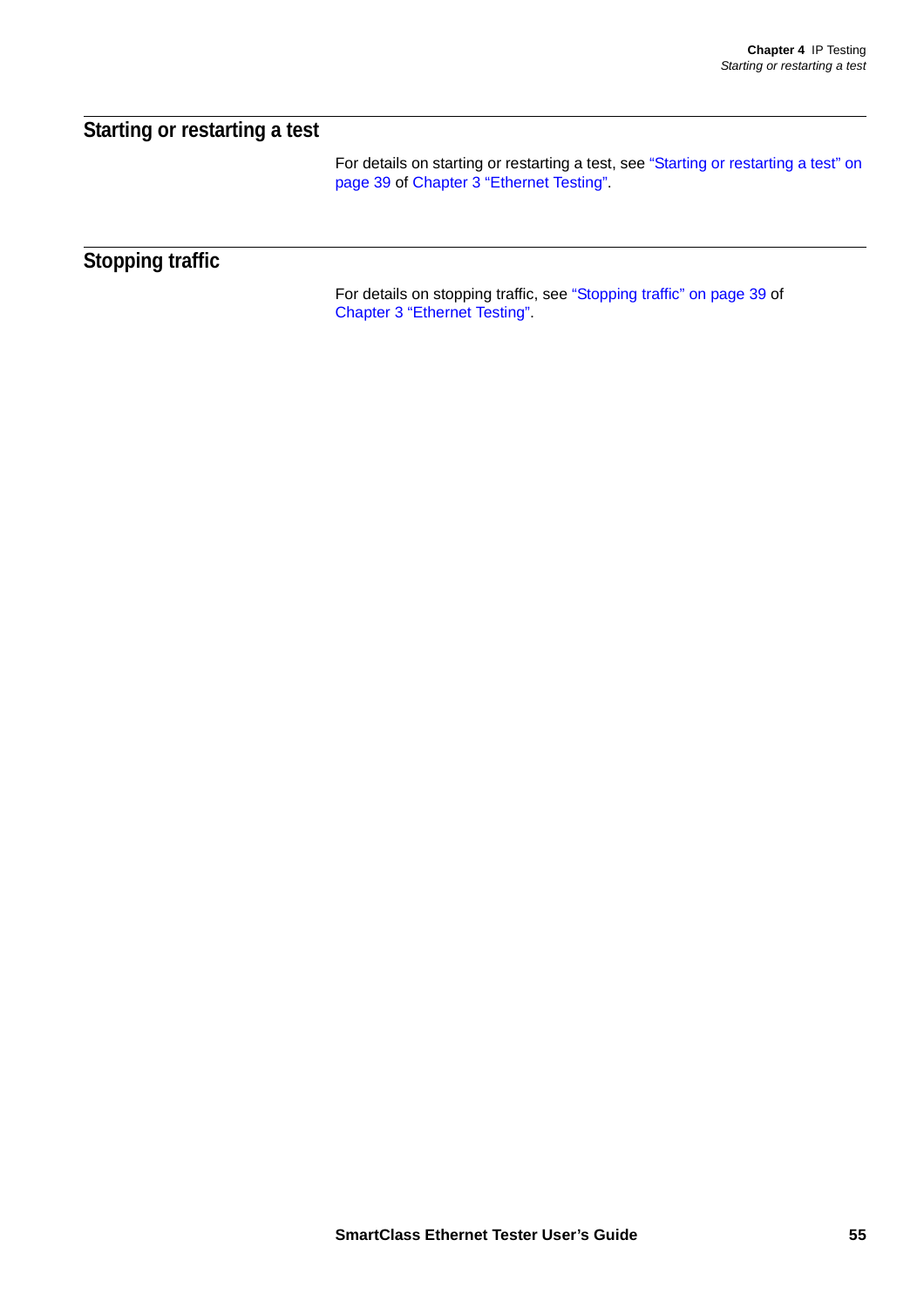## <span id="page-68-0"></span>**Starting or restarting a test**

For details on starting or restarting a test, see ["Starting or restarting a test" on](#page-52-0)  [page 39](#page-52-0) of [Chapter 3 "Ethernet Testing"](#page-32-0).

## <span id="page-68-1"></span>**Stopping traffic**

For details on stopping traffic, see ["Stopping traffic" on page 39](#page-52-1) of [Chapter 3 "Ethernet Testing"](#page-32-0).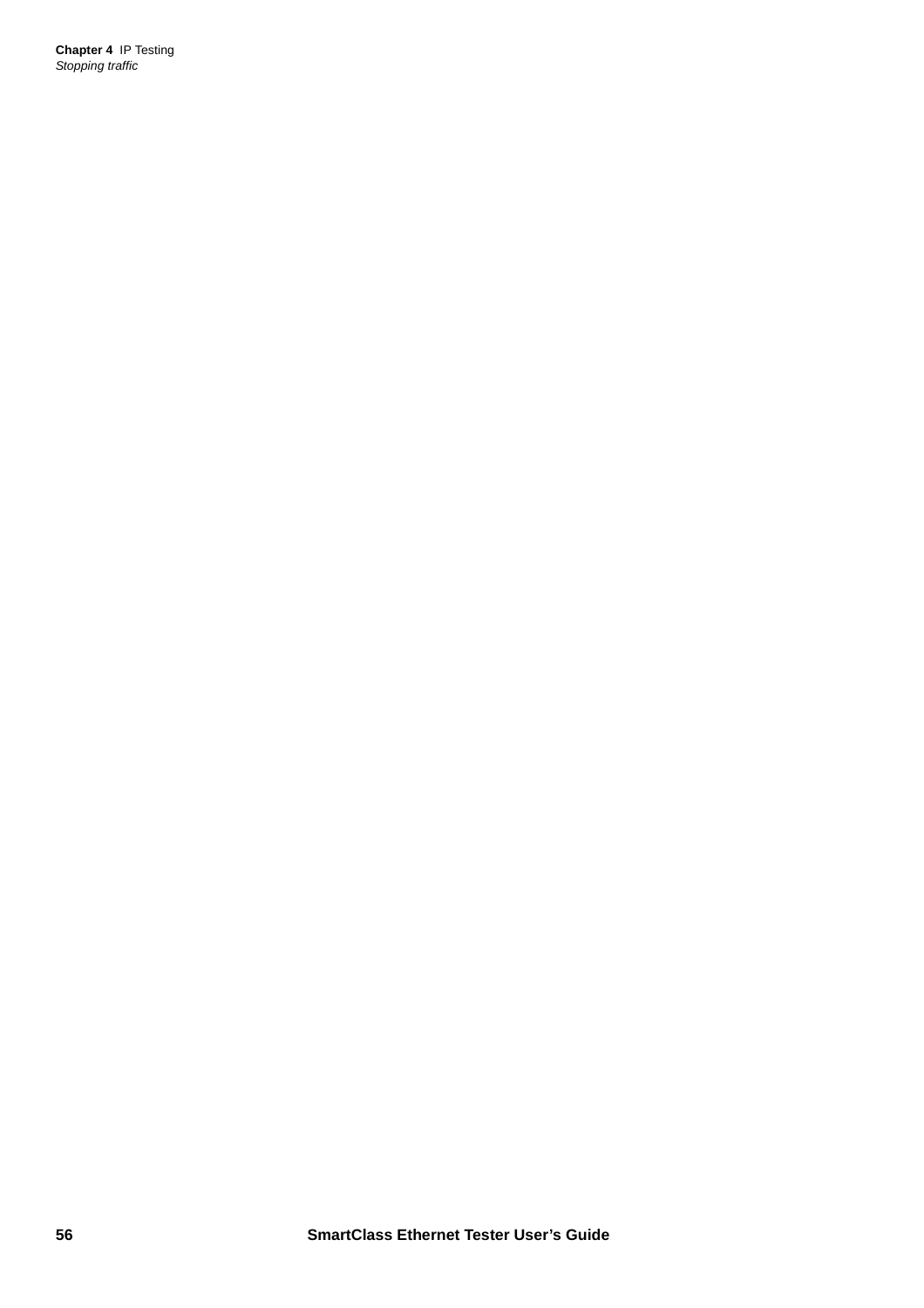**Chapter 4** IP Testing Stopping traffic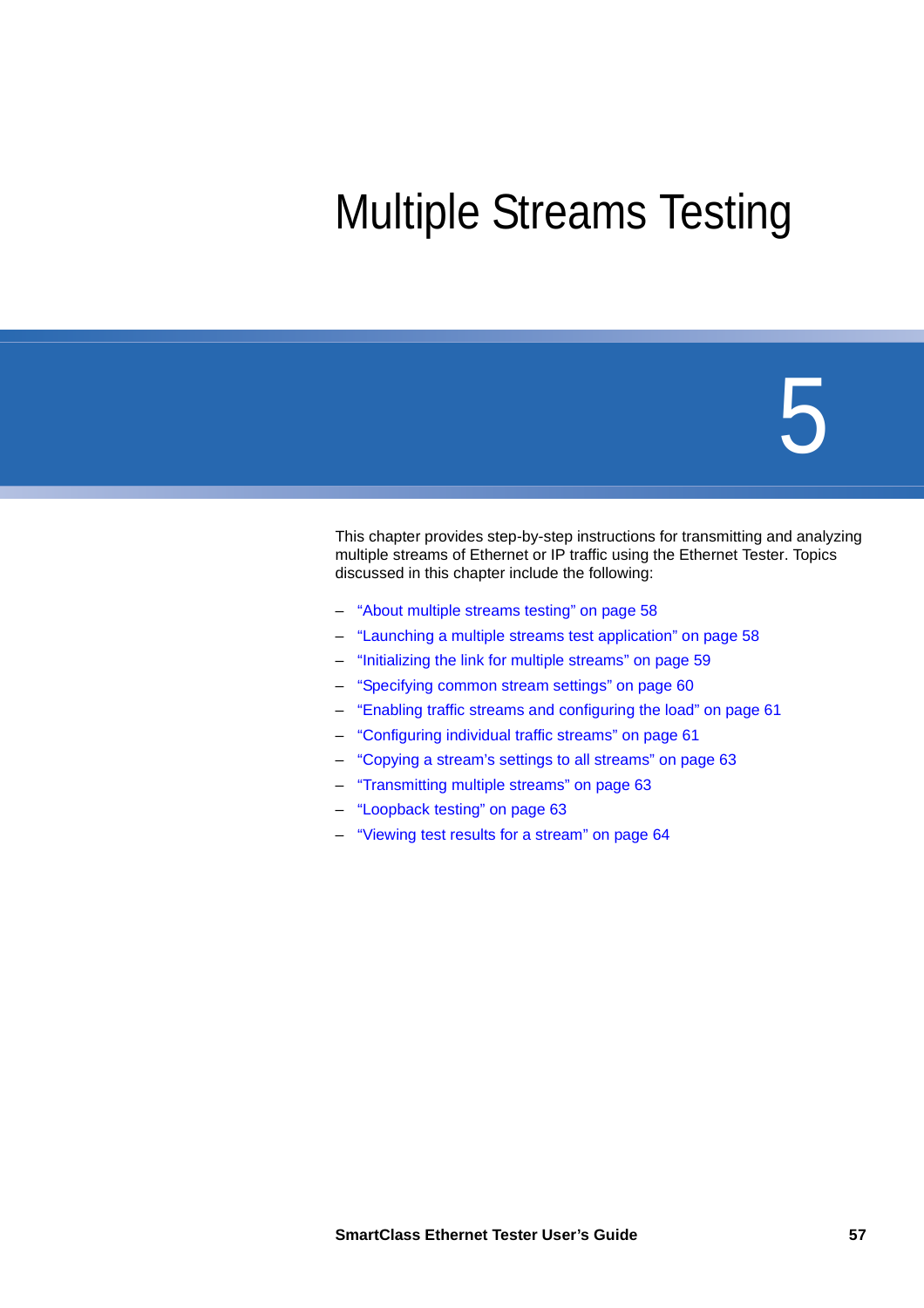# **Multiple Streams Testing**

5

This chapter provides step-by-step instructions for transmitting and analyzing multiple streams of Ethernet or IP traffic using the Ethernet Tester. Topics discussed in this chapter include the following:

- ["About multiple streams testing" on page 58](#page-71-0)
- ["Launching a multiple streams test application" on page 58](#page-71-1)
- ["Initializing the link for multiple streams" on page 59](#page-72-0)
- ["Specifying common stream settings" on page 60](#page-73-0)
- ["Enabling traffic streams and configuring the load" on page 61](#page-74-0)
- ["Configuring individual traffic streams" on page 61](#page-74-1)
- ["Copying a stream's settings to all streams" on page 63](#page-76-0)
- ["Transmitting multiple streams" on page 63](#page-76-1)
- ["Loopback testing" on page 63](#page-76-2)
- ["Viewing test results for a stream" on page 64](#page-77-0)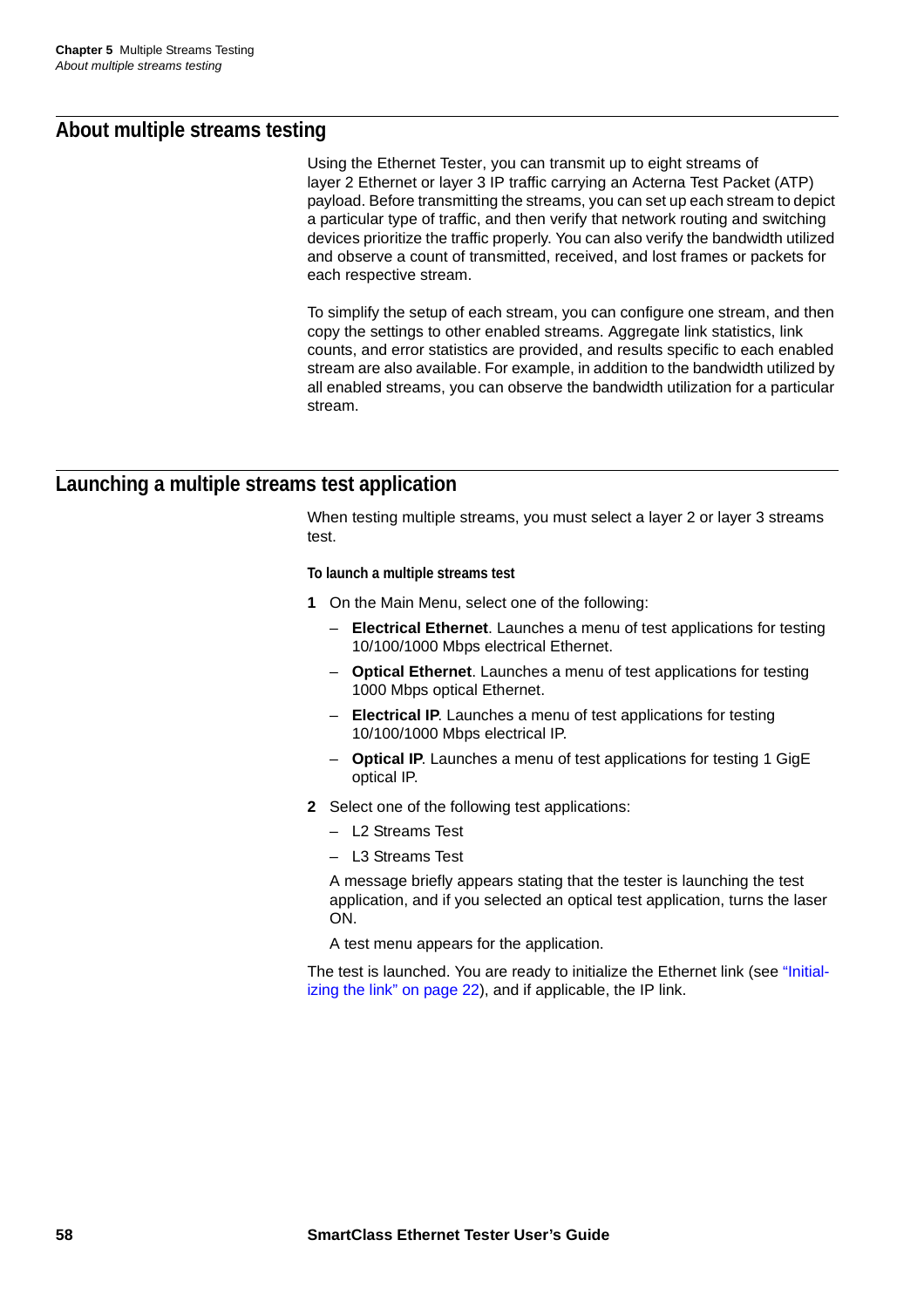## <span id="page-71-0"></span>**About multiple streams testing**

Using the Ethernet Tester, you can transmit up to eight streams of layer 2 Ethernet or layer 3 IP traffic carrying an Acterna Test Packet (ATP) payload. Before transmitting the streams, you can set up each stream to depict a particular type of traffic, and then verify that network routing and switching devices prioritize the traffic properly. You can also verify the bandwidth utilized and observe a count of transmitted, received, and lost frames or packets for each respective stream.

To simplify the setup of each stream, you can configure one stream, and then copy the settings to other enabled streams. Aggregate link statistics, link counts, and error statistics are provided, and results specific to each enabled stream are also available. For example, in addition to the bandwidth utilized by all enabled streams, you can observe the bandwidth utilization for a particular stream.

## <span id="page-71-1"></span>**Launching a multiple streams test application**

When testing multiple streams, you must select a layer 2 or layer 3 streams test.

#### **To launch a multiple streams test**

- **1** On the Main Menu, select one of the following:
	- **Electrical Ethernet**. Launches a menu of test applications for testing 10/100/1000 Mbps electrical Ethernet.
	- **Optical Ethernet**. Launches a menu of test applications for testing 1000 Mbps optical Ethernet.
	- **Electrical IP**. Launches a menu of test applications for testing 10/100/1000 Mbps electrical IP.
	- **Optical IP**. Launches a menu of test applications for testing 1 GigE optical IP.
- **2** Select one of the following test applications:
	- L2 Streams Test
	- L3 Streams Test

A message briefly appears stating that the tester is launching the test application, and if you selected an optical test application, turns the laser ON.

A test menu appears for the application.

The test is launched. You are ready to initialize the Ethernet link (see ["Initial](#page-35-2)[izing the link" on page 22\)](#page-35-2), and if applicable, the IP link.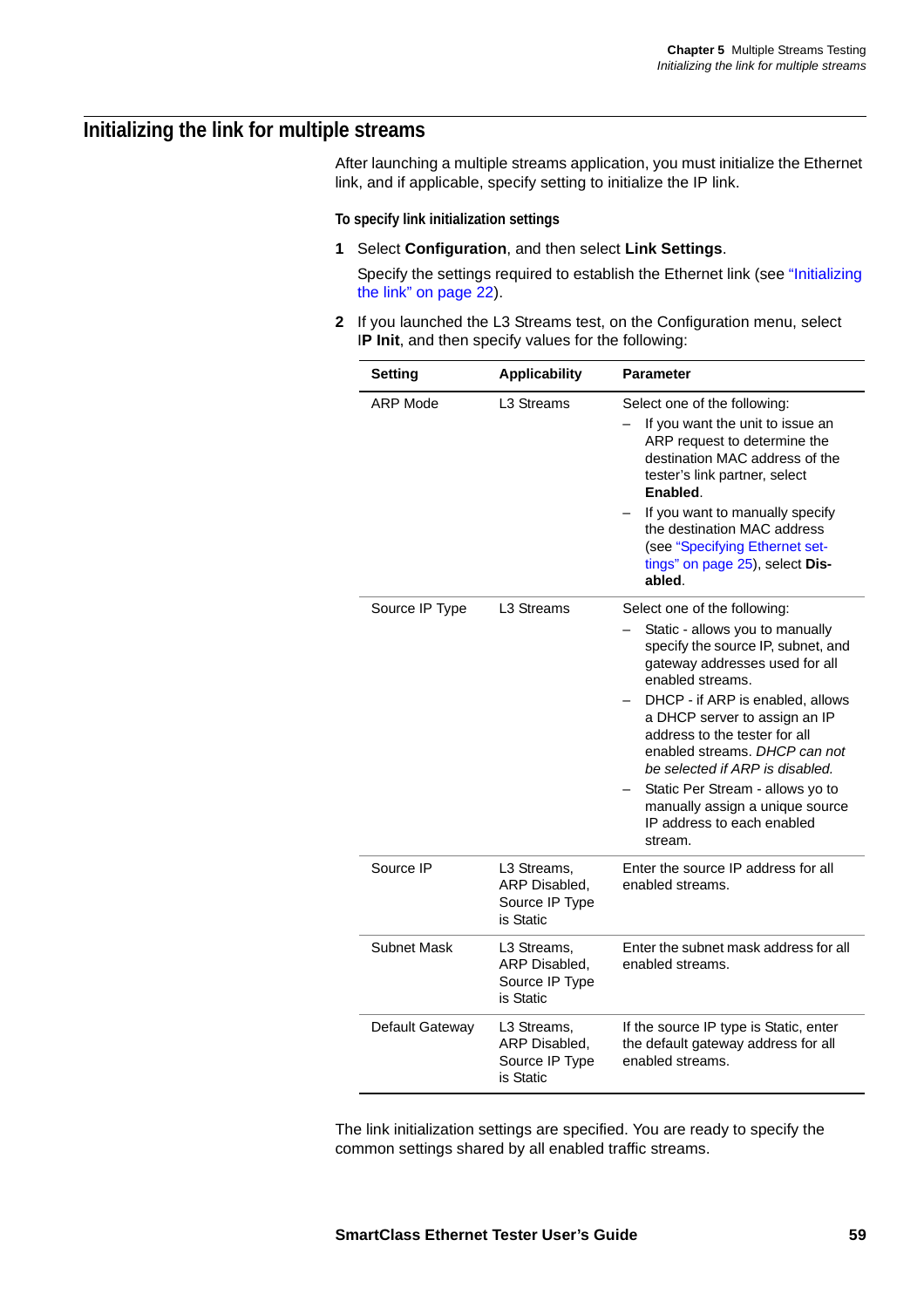# **Initializing the link for multiple streams**

After launching a multiple streams application, you must initialize the Ethernet link, and if applicable, specify setting to initialize the IP link.

## **To specify link initialization settings**

**1** Select **Configuration**, and then select **Link Settings**.

Specify the settings required to establish the Ethernet link (see "Initializing [the link" on page 22\)](#page-35-0).

**2** If you launched the L3 Streams test, on the Configuration menu, select I**P Init**, and then specify values for the following:

| <b>Setting</b>  | <b>Applicability</b>                                        | <b>Parameter</b>                                                                                                                                                                                                                                                                                                                                                                                                                                      |
|-----------------|-------------------------------------------------------------|-------------------------------------------------------------------------------------------------------------------------------------------------------------------------------------------------------------------------------------------------------------------------------------------------------------------------------------------------------------------------------------------------------------------------------------------------------|
| ARP Mode        | L <sub>3</sub> Streams                                      | Select one of the following:<br>If you want the unit to issue an<br>ARP request to determine the<br>destination MAC address of the<br>tester's link partner, select<br>Enabled.<br>If you want to manually specify<br>the destination MAC address<br>(see "Specifying Ethernet set-<br>tings" on page 25), select Dis-<br>abled.                                                                                                                      |
| Source IP Type  | L <sub>3</sub> Streams                                      | Select one of the following:<br>Static - allows you to manually<br>specify the source IP, subnet, and<br>gateway addresses used for all<br>enabled streams.<br>DHCP - if ARP is enabled, allows<br>a DHCP server to assign an IP<br>address to the tester for all<br>enabled streams. DHCP can not<br>be selected if ARP is disabled.<br>Static Per Stream - allows yo to<br>manually assign a unique source<br>IP address to each enabled<br>stream. |
| Source IP       | L3 Streams,<br>ARP Disabled,<br>Source IP Type<br>is Static | Enter the source IP address for all<br>enabled streams.                                                                                                                                                                                                                                                                                                                                                                                               |
| Subnet Mask     | L3 Streams,<br>ARP Disabled.<br>Source IP Type<br>is Static | Enter the subnet mask address for all<br>enabled streams.                                                                                                                                                                                                                                                                                                                                                                                             |
| Default Gateway | L3 Streams,<br>ARP Disabled.<br>Source IP Type<br>is Static | If the source IP type is Static, enter<br>the default gateway address for all<br>enabled streams.                                                                                                                                                                                                                                                                                                                                                     |

The link initialization settings are specified. You are ready to specify the common settings shared by all enabled traffic streams.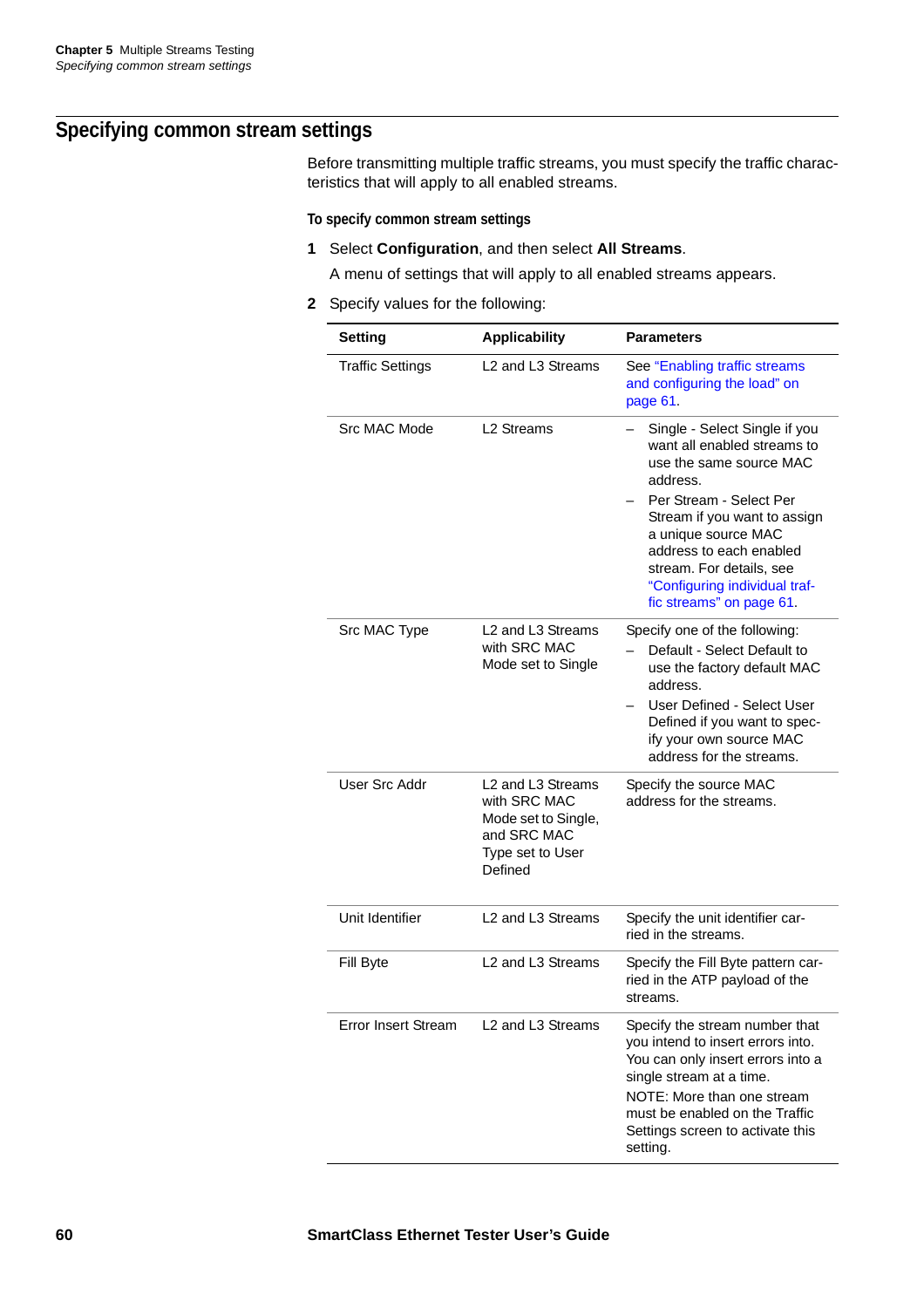# **Specifying common stream settings**

Before transmitting multiple traffic streams, you must specify the traffic characteristics that will apply to all enabled streams.

## **To specify common stream settings**

**1** Select **Configuration**, and then select **All Streams**.

A menu of settings that will apply to all enabled streams appears.

**2** Specify values for the following:

| <b>Setting</b>             | <b>Applicability</b>                                                                                                           | <b>Parameters</b>                                                                                                                                                                                                                                                                                         |
|----------------------------|--------------------------------------------------------------------------------------------------------------------------------|-----------------------------------------------------------------------------------------------------------------------------------------------------------------------------------------------------------------------------------------------------------------------------------------------------------|
| <b>Traffic Settings</b>    | L <sub>2</sub> and L <sub>3</sub> Streams                                                                                      | See "Enabling traffic streams<br>and configuring the load" on<br>page 61.                                                                                                                                                                                                                                 |
| Src MAC Mode               | L <sub>2</sub> Streams                                                                                                         | Single - Select Single if you<br>want all enabled streams to<br>use the same source MAC<br>address.<br>Per Stream - Select Per<br>Stream if you want to assign<br>a unique source MAC<br>address to each enabled<br>stream. For details, see<br>"Configuring individual traf-<br>fic streams" on page 61. |
| Src MAC Type               | L <sub>2</sub> and L <sub>3</sub> Streams<br>with SRC MAC<br>Mode set to Single                                                | Specify one of the following:<br>Default - Select Default to<br>use the factory default MAC<br>address.<br>User Defined - Select User<br>Defined if you want to spec-<br>ify your own source MAC<br>address for the streams.                                                                              |
| User Src Addr              | L <sub>2</sub> and L <sub>3</sub> Streams<br>with SRC MAC<br>Mode set to Single,<br>and SRC MAC<br>Type set to User<br>Defined | Specify the source MAC<br>address for the streams.                                                                                                                                                                                                                                                        |
| Unit Identifier            | L <sub>2</sub> and L <sub>3</sub> Streams                                                                                      | Specify the unit identifier car-<br>ried in the streams.                                                                                                                                                                                                                                                  |
| Fill Byte                  | L <sub>2</sub> and L <sub>3</sub> Streams                                                                                      | Specify the Fill Byte pattern car-<br>ried in the ATP payload of the<br>streams.                                                                                                                                                                                                                          |
| <b>Error Insert Stream</b> | L <sub>2</sub> and L <sub>3</sub> Streams                                                                                      | Specify the stream number that<br>you intend to insert errors into.<br>You can only insert errors into a<br>single stream at a time.<br>NOTE: More than one stream<br>must be enabled on the Traffic<br>Settings screen to activate this<br>setting.                                                      |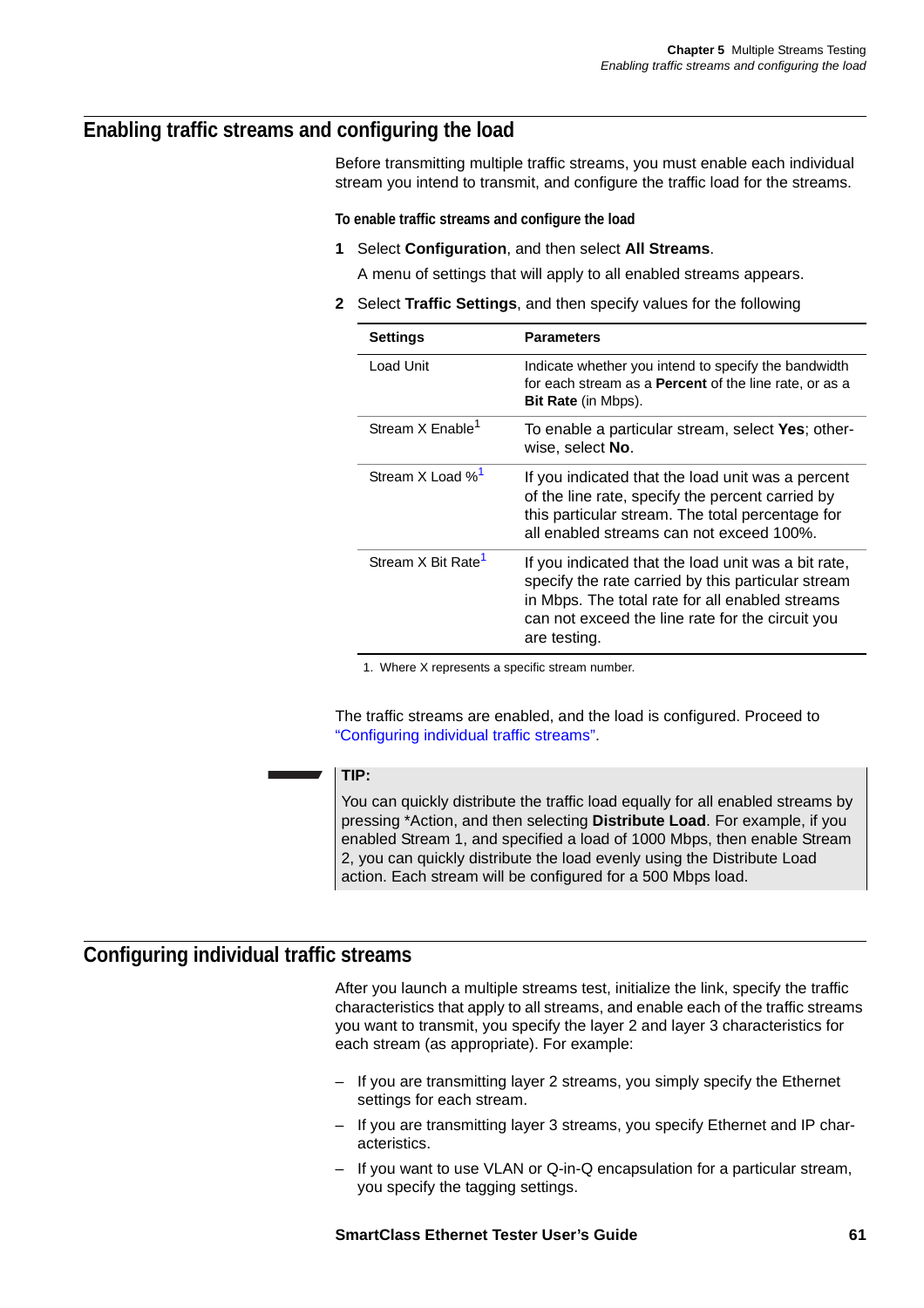# <span id="page-74-0"></span>**Enabling traffic streams and configuring the load**

Before transmitting multiple traffic streams, you must enable each individual stream you intend to transmit, and configure the traffic load for the streams.

#### **To enable traffic streams and configure the load**

**1** Select **Configuration**, and then select **All Streams**.

A menu of settings that will apply to all enabled streams appears.

**2** Select **Traffic Settings**, and then specify values for the following

| <b>Settings</b>                | <b>Parameters</b>                                                                                                                                                                                                                |
|--------------------------------|----------------------------------------------------------------------------------------------------------------------------------------------------------------------------------------------------------------------------------|
| Load Unit                      | Indicate whether you intend to specify the bandwidth<br>for each stream as a <b>Percent</b> of the line rate, or as a<br>Bit Rate (in Mbps).                                                                                     |
| Stream X Enable <sup>1</sup>   | To enable a particular stream, select Yes; other-<br>wise, select No.                                                                                                                                                            |
| Stream X Load % <sup>1</sup>   | If you indicated that the load unit was a percent<br>of the line rate, specify the percent carried by<br>this particular stream. The total percentage for<br>all enabled streams can not exceed 100%.                            |
| Stream X Bit Rate <sup>1</sup> | If you indicated that the load unit was a bit rate,<br>specify the rate carried by this particular stream<br>in Mbps. The total rate for all enabled streams<br>can not exceed the line rate for the circuit you<br>are testing. |

<span id="page-74-2"></span>1. Where X represents a specific stream number.

The traffic streams are enabled, and the load is configured. Proceed to ["Configuring individual traffic streams"](#page-74-1).

## **TIP:**

You can quickly distribute the traffic load equally for all enabled streams by pressing \*Action, and then selecting **Distribute Load**. For example, if you enabled Stream 1, and specified a load of 1000 Mbps, then enable Stream 2, you can quickly distribute the load evenly using the Distribute Load action. Each stream will be configured for a 500 Mbps load.

# <span id="page-74-1"></span>**Configuring individual traffic streams**

After you launch a multiple streams test, initialize the link, specify the traffic characteristics that apply to all streams, and enable each of the traffic streams you want to transmit, you specify the layer 2 and layer 3 characteristics for each stream (as appropriate). For example:

- If you are transmitting layer 2 streams, you simply specify the Ethernet settings for each stream.
- If you are transmitting layer 3 streams, you specify Ethernet and IP characteristics.
- If you want to use VLAN or Q-in-Q encapsulation for a particular stream, you specify the tagging settings.

## **SmartClass Ethernet Tester User's Guide 61**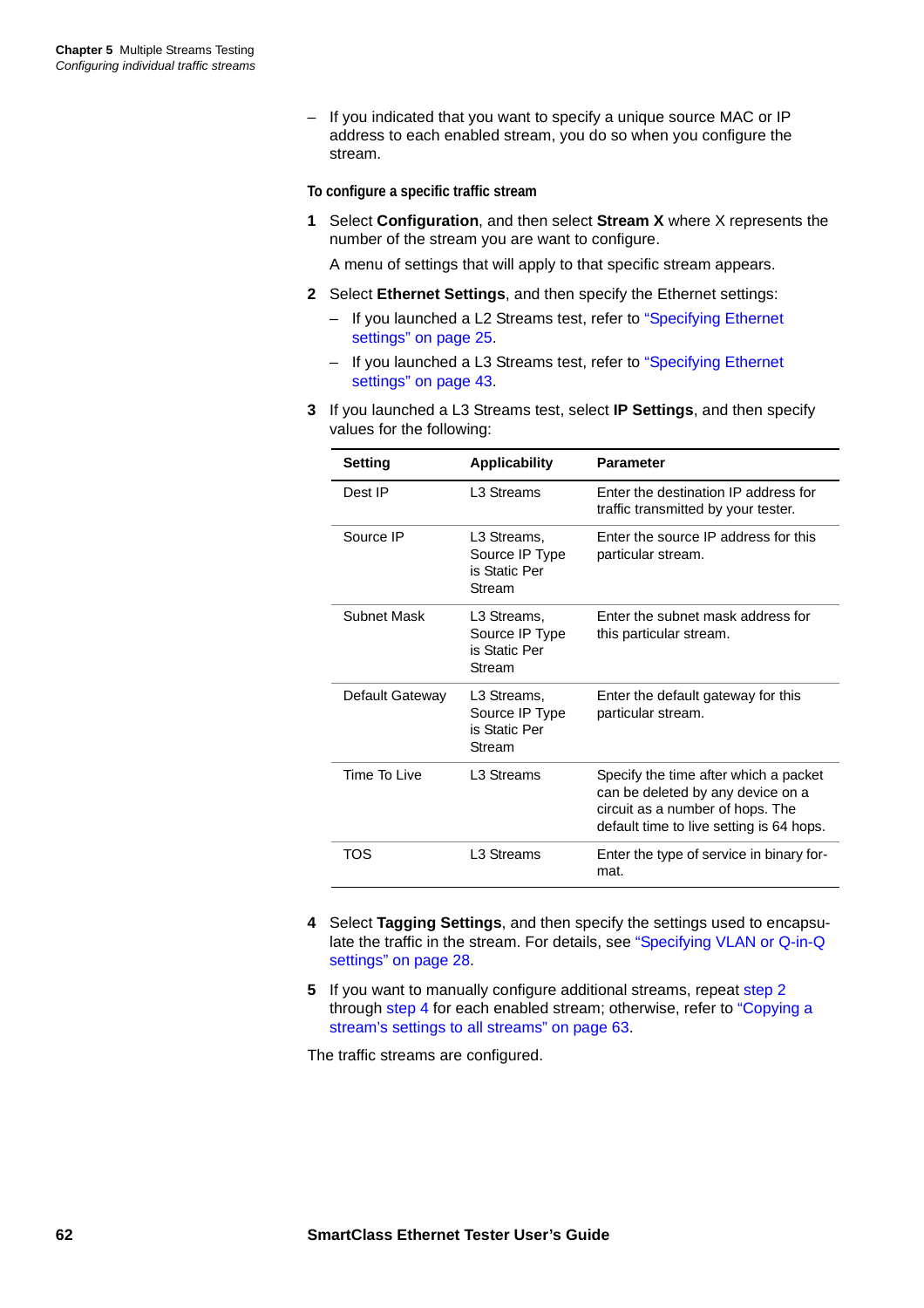– If you indicated that you want to specify a unique source MAC or IP address to each enabled stream, you do so when you configure the stream.

#### **To configure a specific traffic stream**

**1** Select **Configuration**, and then select **Stream X** where X represents the number of the stream you are want to configure.

A menu of settings that will apply to that specific stream appears.

- <span id="page-75-0"></span>**2** Select **Ethernet Settings**, and then specify the Ethernet settings:
	- If you launched a L2 Streams test, refer to ["Specifying Ethernet](#page-38-0)  [settings" on page 25](#page-38-0).
	- If you launched a L3 Streams test, refer to ["Specifying Ethernet](#page-56-0)  [settings" on page 43](#page-56-0).
- **3** If you launched a L3 Streams test, select **IP Settings**, and then specify values for the following:

| Setting         | <b>Applicability</b>                                     | <b>Parameter</b>                                                                                                                                           |
|-----------------|----------------------------------------------------------|------------------------------------------------------------------------------------------------------------------------------------------------------------|
| Dest IP         | L3 Streams                                               | Enter the destination IP address for<br>traffic transmitted by your tester.                                                                                |
| Source IP       | L3 Streams,<br>Source IP Type<br>is Static Per<br>Stream | Enter the source IP address for this<br>particular stream.                                                                                                 |
| Subnet Mask     | L3 Streams,<br>Source IP Type<br>is Static Per<br>Stream | Enter the subnet mask address for<br>this particular stream.                                                                                               |
| Default Gateway | L3 Streams,<br>Source IP Type<br>is Static Per<br>Stream | Enter the default gateway for this<br>particular stream.                                                                                                   |
| Time To Live    | L3 Streams                                               | Specify the time after which a packet<br>can be deleted by any device on a<br>circuit as a number of hops. The<br>default time to live setting is 64 hops. |
| TOS             | L3 Streams                                               | Enter the type of service in binary for-<br>mat.                                                                                                           |

- <span id="page-75-1"></span>**4** Select **Tagging Settings**, and then specify the settings used to encapsulate the traffic in the stream. For details, see ["Specifying VLAN or Q-in-Q](#page-41-0)  [settings" on page 28.](#page-41-0)
- **5** If you want to manually configure additional streams, repeat [step 2](#page-75-0) through [step 4](#page-75-1) for each enabled stream; otherwise, refer to ["Copying a](#page-76-0)  [stream's settings to all streams" on page 63](#page-76-0).

The traffic streams are configured.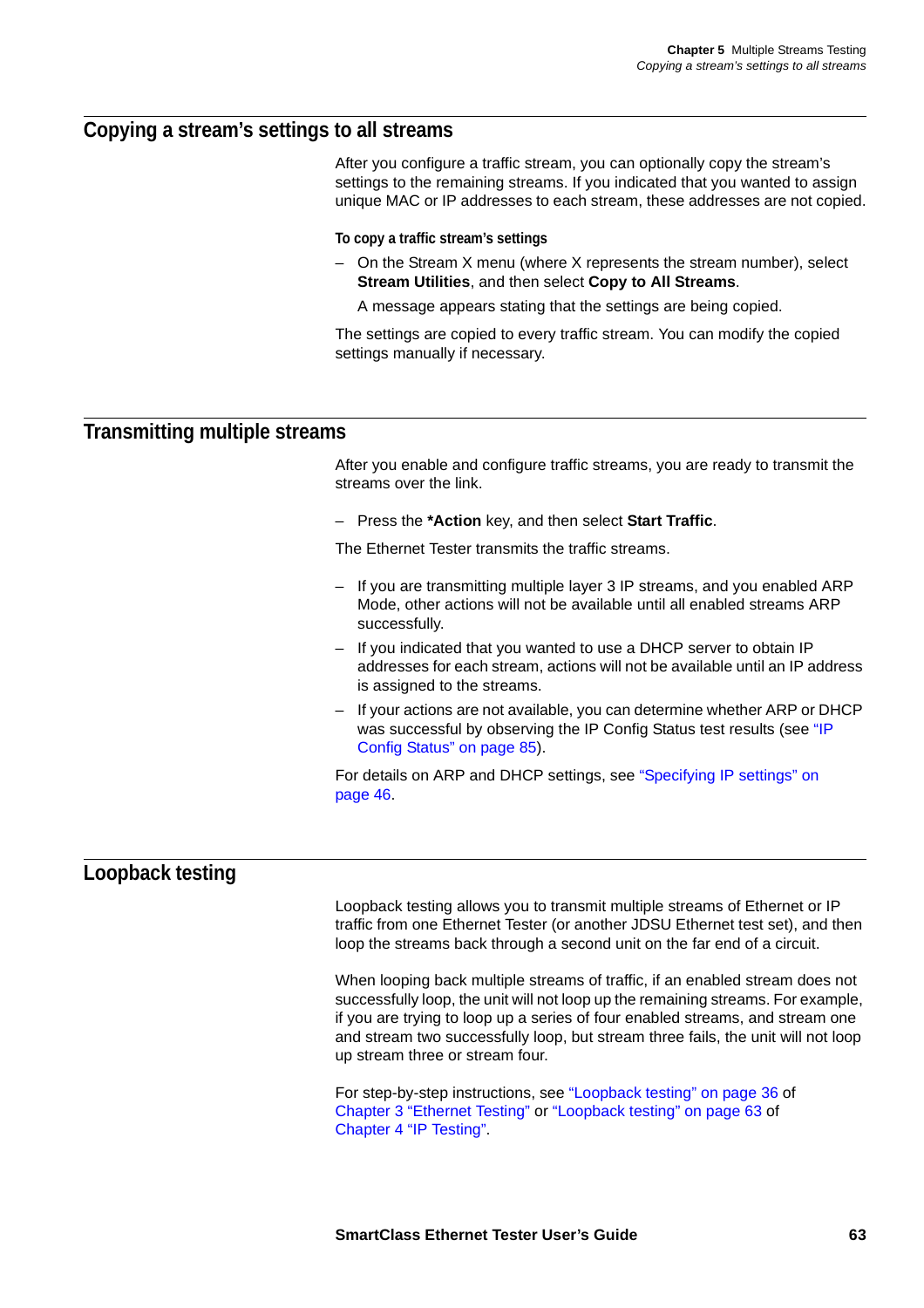# <span id="page-76-0"></span>**Copying a stream's settings to all streams**

After you configure a traffic stream, you can optionally copy the stream's settings to the remaining streams. If you indicated that you wanted to assign unique MAC or IP addresses to each stream, these addresses are not copied.

#### **To copy a traffic stream's settings**

– On the Stream X menu (where X represents the stream number), select **Stream Utilities**, and then select **Copy to All Streams**.

A message appears stating that the settings are being copied.

The settings are copied to every traffic stream. You can modify the copied settings manually if necessary.

## **Transmitting multiple streams**

After you enable and configure traffic streams, you are ready to transmit the streams over the link.

– Press the **\*Action** key, and then select **Start Traffic**.

The Ethernet Tester transmits the traffic streams.

- If you are transmitting multiple layer 3 IP streams, and you enabled ARP Mode, other actions will not be available until all enabled streams ARP successfully.
- If you indicated that you wanted to use a DHCP server to obtain IP addresses for each stream, actions will not be available until an IP address is assigned to the streams.
- If your actions are not available, you can determine whether ARP or DHCP was successful by observing the IP Config Status test results (see ["IP](#page-98-0)  [Config Status" on page 85\)](#page-98-0).

For details on ARP and DHCP settings, see ["Specifying IP settings" on](#page-59-0)  [page 46.](#page-59-0)

## <span id="page-76-1"></span>**Loopback testing**

Loopback testing allows you to transmit multiple streams of Ethernet or IP traffic from one Ethernet Tester (or another JDSU Ethernet test set), and then loop the streams back through a second unit on the far end of a circuit.

When looping back multiple streams of traffic, if an enabled stream does not successfully loop, the unit will not loop up the remaining streams. For example, if you are trying to loop up a series of four enabled streams, and stream one and stream two successfully loop, but stream three fails, the unit will not loop up stream three or stream four.

For step-by-step instructions, see ["Loopback testing" on page 36](#page-49-0) of [Chapter 3 "Ethernet Testing"](#page-32-0) or ["Loopback testing" on page 63](#page-76-1) of [Chapter 4 "IP Testing"](#page-54-0).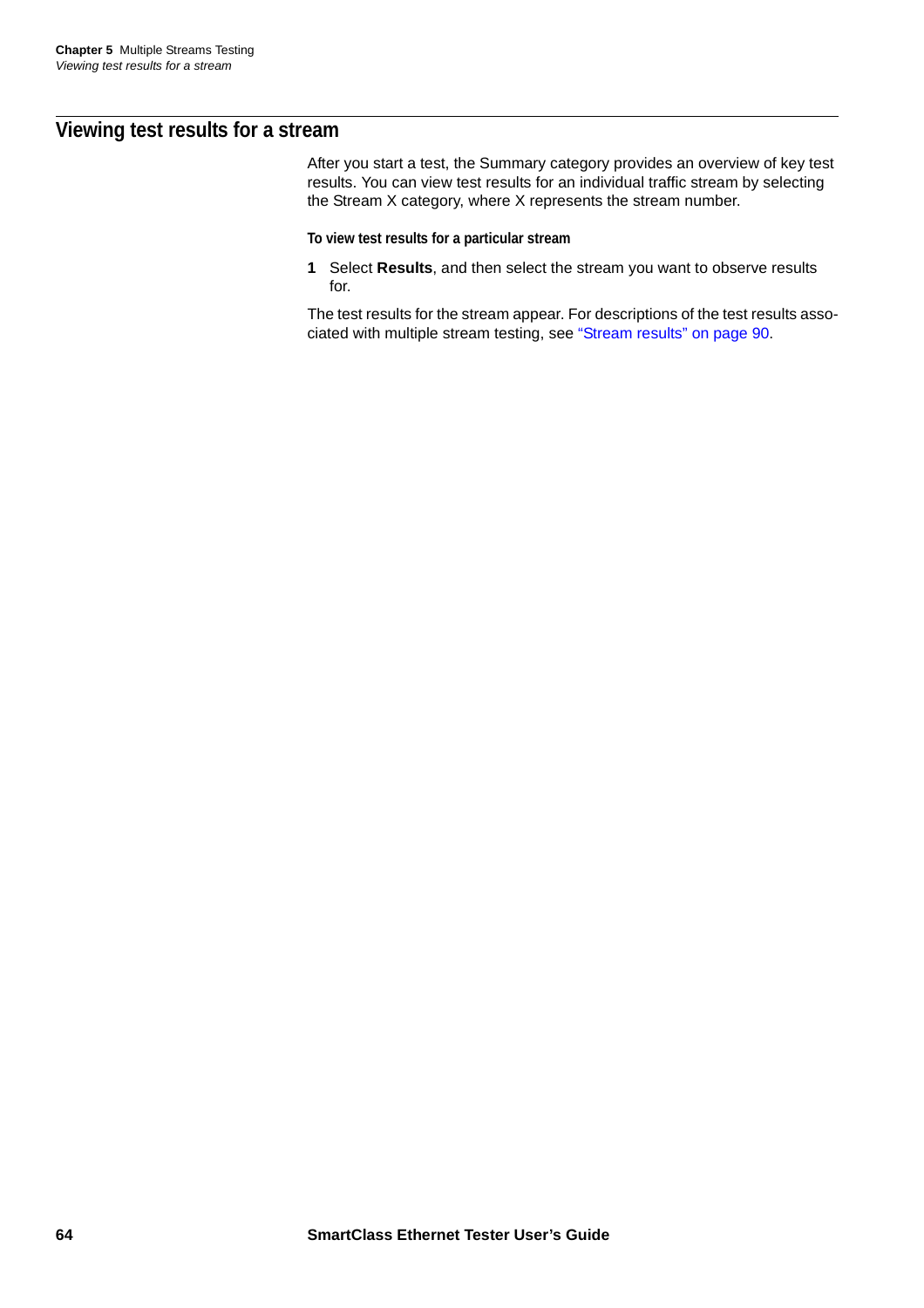# **Viewing test results for a stream**

After you start a test, the Summary category provides an overview of key test results. You can view test results for an individual traffic stream by selecting the Stream X category, where X represents the stream number.

## **To view test results for a particular stream**

**1** Select **Results**, and then select the stream you want to observe results for.

The test results for the stream appear. For descriptions of the test results associated with multiple stream testing, see ["Stream results" on page 90](#page-103-0).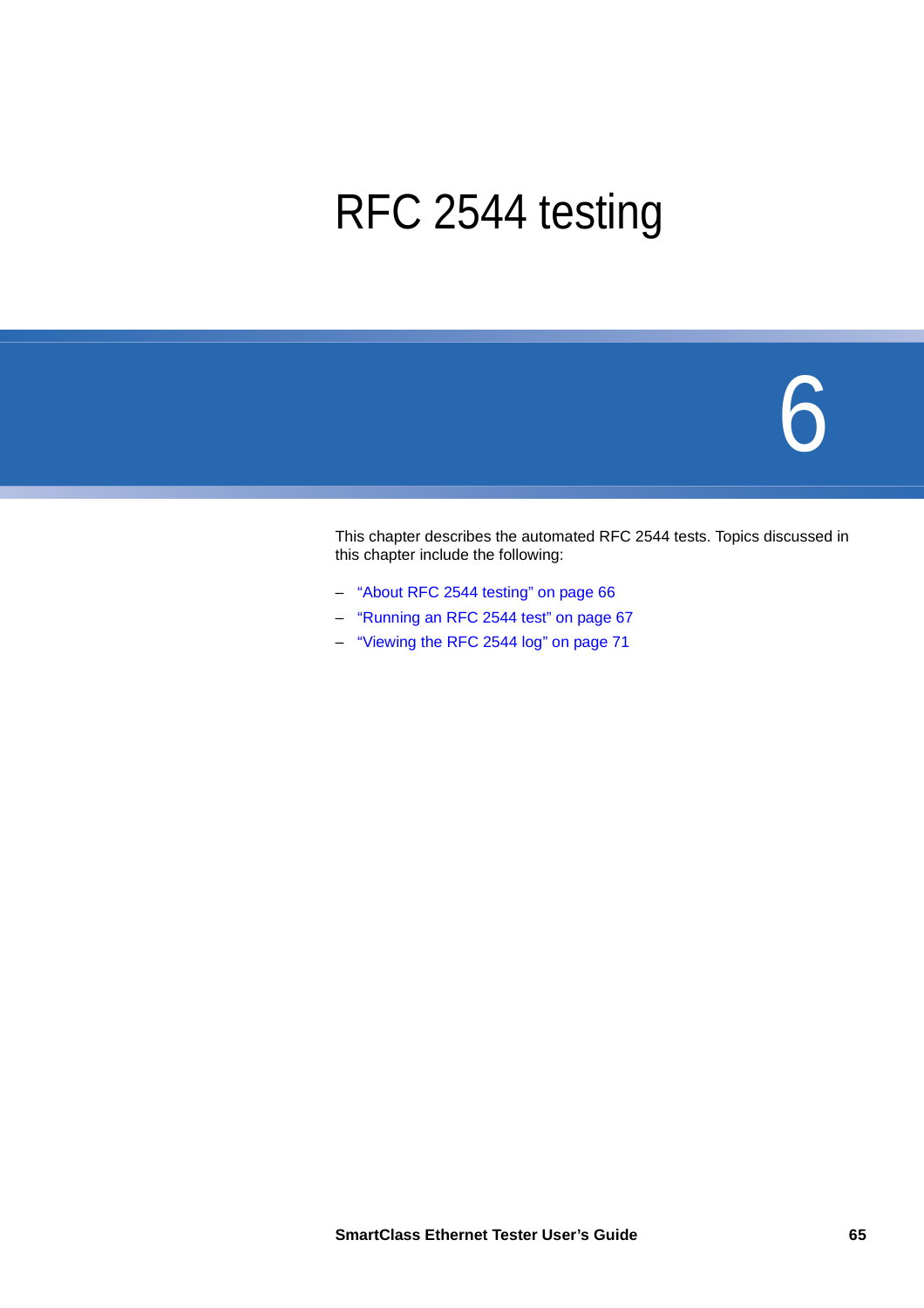# RFC 2544 testing



This chapter describes the automated RFC 2544 tests. Topics discussed in this chapter include the following:

- ["About RFC 2544 testing" on page 66](#page-79-0)
- ["Running an RFC 2544 test" on page 67](#page-80-0)
- ["Viewing the RFC 2544 log" on page 71](#page-84-0)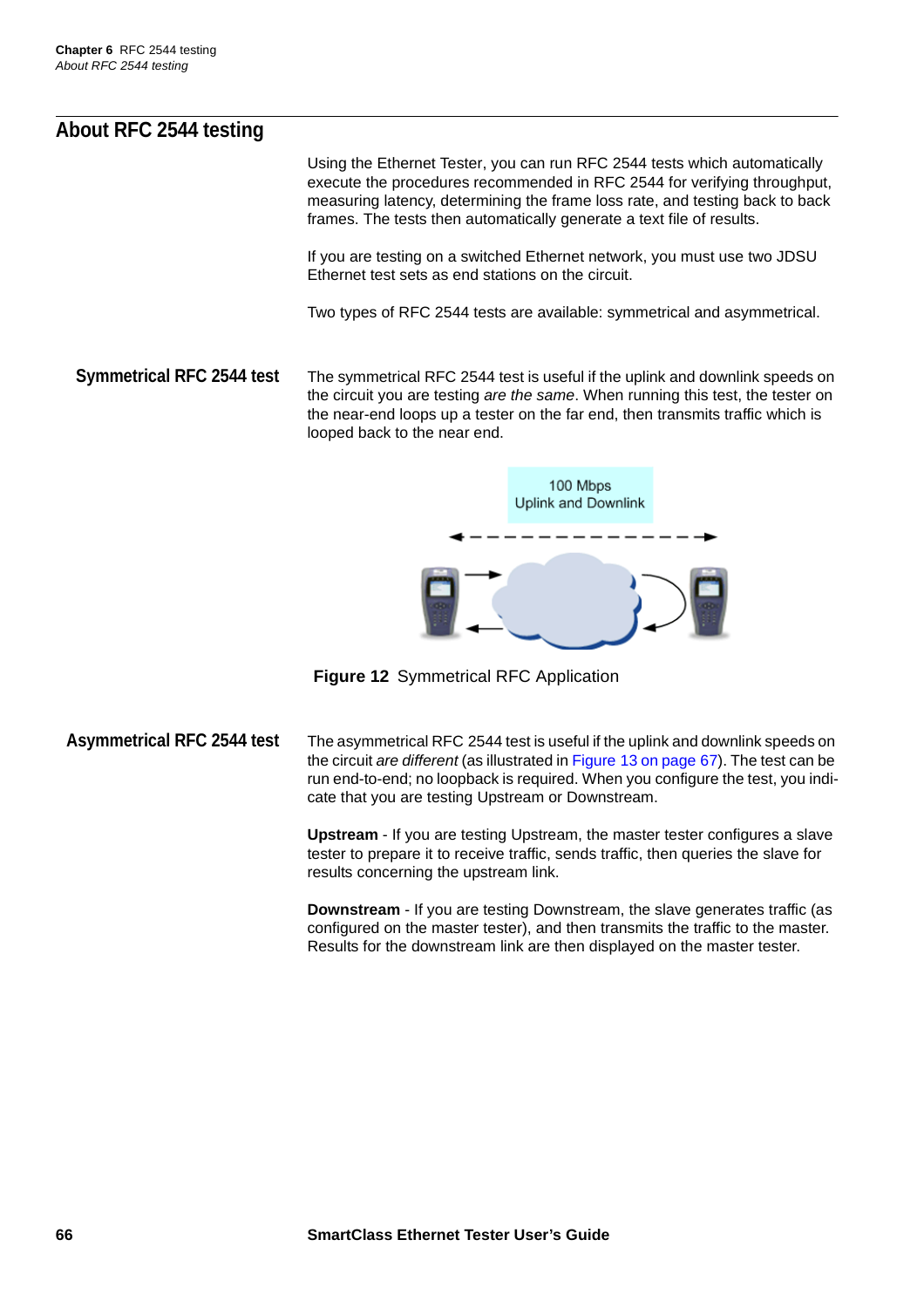# <span id="page-79-0"></span>**About RFC 2544 testing**

Using the Ethernet Tester, you can run RFC 2544 tests which automatically execute the procedures recommended in RFC 2544 for verifying throughput, measuring latency, determining the frame loss rate, and testing back to back frames. The tests then automatically generate a text file of results.

If you are testing on a switched Ethernet network, you must use two JDSU Ethernet test sets as end stations on the circuit.

Two types of RFC 2544 tests are available: symmetrical and asymmetrical.

**Symmetrical RFC 2544 test** The symmetrical RFC 2544 test is useful if the uplink and downlink speeds on the circuit you are testing are the same. When running this test, the tester on the near-end loops up a tester on the far end, then transmits traffic which is looped back to the near end.



**Figure 12** Symmetrical RFC Application

**Asymmetrical RFC 2544 test** The asymmetrical RFC 2544 test is useful if the uplink and downlink speeds on the circuit are different (as illustrated in [Figure 13 on page 67](#page-80-1)). The test can be run end-to-end; no loopback is required. When you configure the test, you indicate that you are testing Upstream or Downstream.

> **Upstream** - If you are testing Upstream, the master tester configures a slave tester to prepare it to receive traffic, sends traffic, then queries the slave for results concerning the upstream link.

> **Downstream** - If you are testing Downstream, the slave generates traffic (as configured on the master tester), and then transmits the traffic to the master. Results for the downstream link are then displayed on the master tester.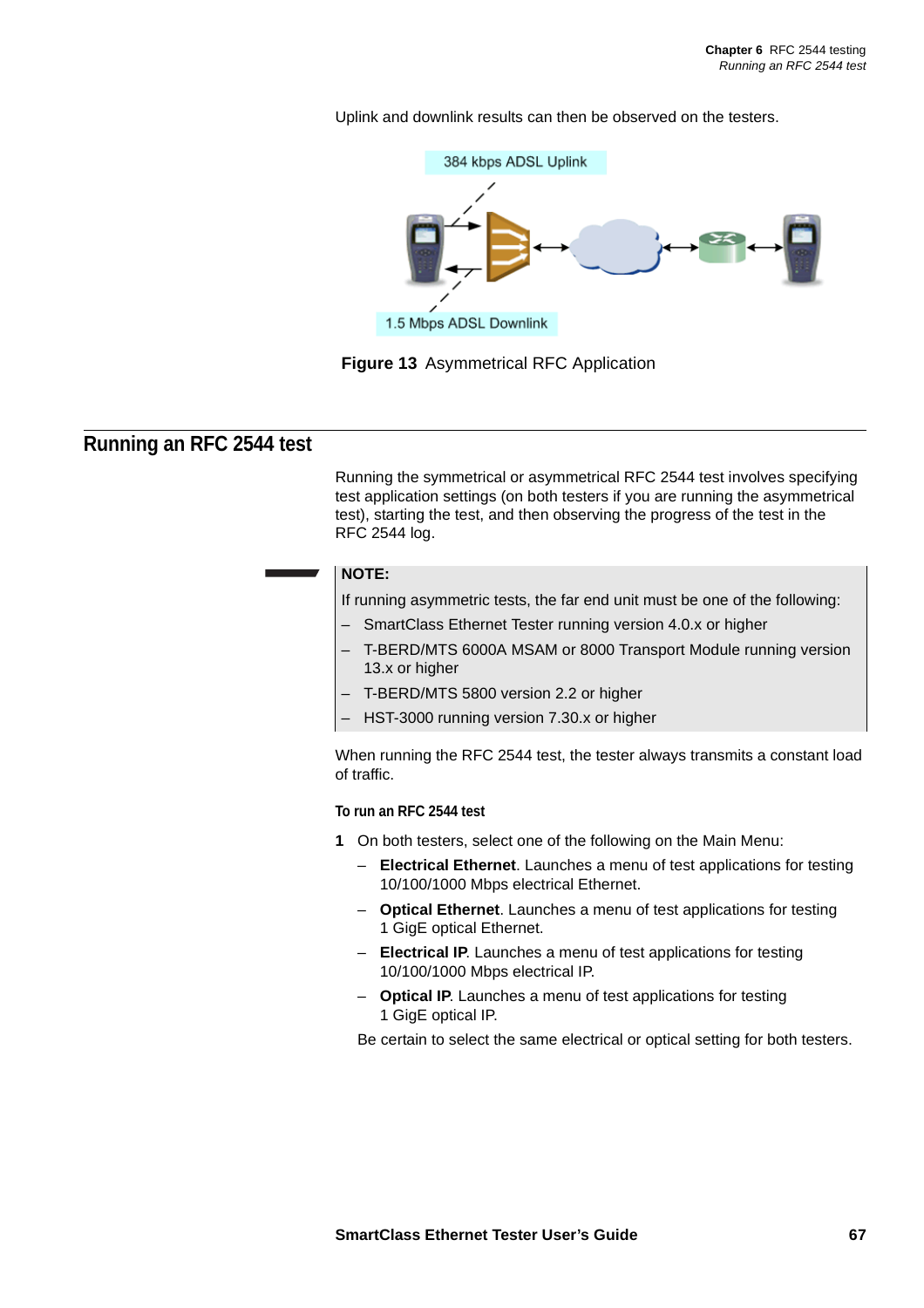Uplink and downlink results can then be observed on the testers.



<span id="page-80-1"></span>**Figure 13** Asymmetrical RFC Application

# <span id="page-80-0"></span>**Running an RFC 2544 test**

Running the symmetrical or asymmetrical RFC 2544 test involves specifying test application settings (on both testers if you are running the asymmetrical test), starting the test, and then observing the progress of the test in the RFC 2544 log.

## **NOTE:**

If running asymmetric tests, the far end unit must be one of the following:

- SmartClass Ethernet Tester running version 4.0.x or higher
- T-BERD/MTS 6000A MSAM or 8000 Transport Module running version 13.x or higher
- T-BERD/MTS 5800 version 2.2 or higher
- HST-3000 running version 7.30.x or higher

When running the RFC 2544 test, the tester always transmits a constant load of traffic.

#### **To run an RFC 2544 test**

- **1** On both testers, select one of the following on the Main Menu:
	- **Electrical Ethernet**. Launches a menu of test applications for testing 10/100/1000 Mbps electrical Ethernet.
	- **Optical Ethernet**. Launches a menu of test applications for testing 1 GigE optical Ethernet.
	- **Electrical IP**. Launches a menu of test applications for testing 10/100/1000 Mbps electrical IP.
	- **Optical IP**. Launches a menu of test applications for testing 1 GigE optical IP.

Be certain to select the same electrical or optical setting for both testers.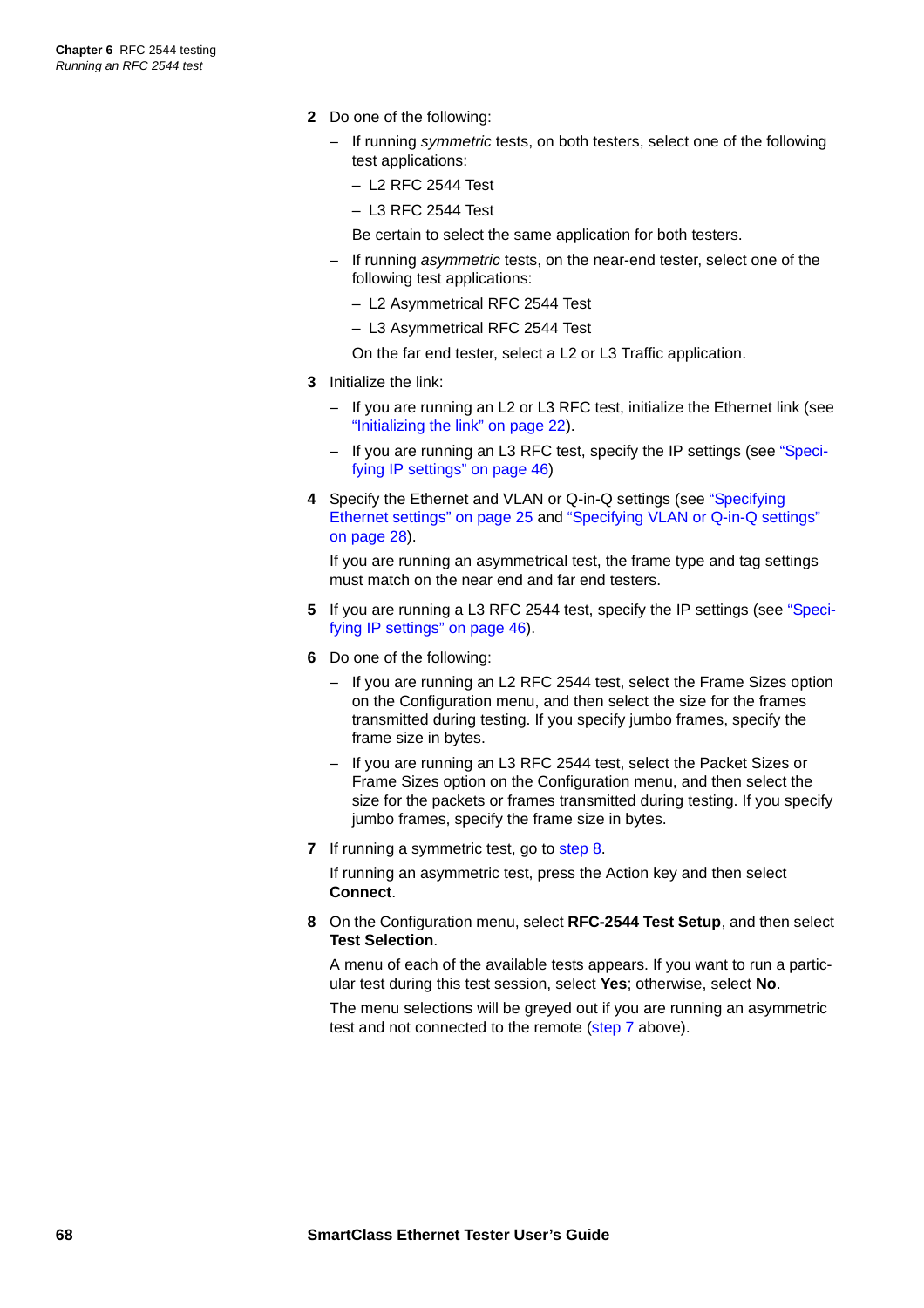- **2** Do one of the following:
	- If running symmetric tests, on both testers, select one of the following test applications:
		- L2 RFC 2544 Test
		- L3 RFC 2544 Test

Be certain to select the same application for both testers.

- If running asymmetric tests, on the near-end tester, select one of the following test applications:
	- L2 Asymmetrical RFC 2544 Test
	- L3 Asymmetrical RFC 2544 Test

On the far end tester, select a L2 or L3 Traffic application.

- **3** Initialize the link:
	- If you are running an L2 or L3 RFC test, initialize the Ethernet link (see ["Initializing the link" on page 22](#page-35-0)).
	- If you are running an L3 RFC test, specify the IP settings (see ["Speci](#page-59-0)[fying IP settings" on page 46](#page-59-0))
- **4** Specify the Ethernet and VLAN or Q-in-Q settings (see ["Specifying](#page-38-0)  [Ethernet settings" on page 25](#page-38-0) and ["Specifying VLAN or Q-in-Q settings"](#page-41-0)  [on page 28](#page-41-0)).

If you are running an asymmetrical test, the frame type and tag settings must match on the near end and far end testers.

- **5** If you are running a L3 RFC 2544 test, specify the IP settings (see ["Speci](#page-59-0)[fying IP settings" on page 46\)](#page-59-0).
- **6** Do one of the following:
	- If you are running an L2 RFC 2544 test, select the Frame Sizes option on the Configuration menu, and then select the size for the frames transmitted during testing. If you specify jumbo frames, specify the frame size in bytes.
	- If you are running an L3 RFC 2544 test, select the Packet Sizes or Frame Sizes option on the Configuration menu, and then select the size for the packets or frames transmitted during testing. If you specify jumbo frames, specify the frame size in bytes.
- <span id="page-81-1"></span>**7** If running a symmetric test, go to [step 8](#page-81-0).

If running an asymmetric test, press the Action key and then select **Connect**.

<span id="page-81-0"></span>**8** On the Configuration menu, select **RFC-2544 Test Setup**, and then select **Test Selection**.

A menu of each of the available tests appears. If you want to run a particular test during this test session, select **Yes**; otherwise, select **No**.

The menu selections will be greyed out if you are running an asymmetric test and not connected to the remote [\(step 7](#page-81-1) above).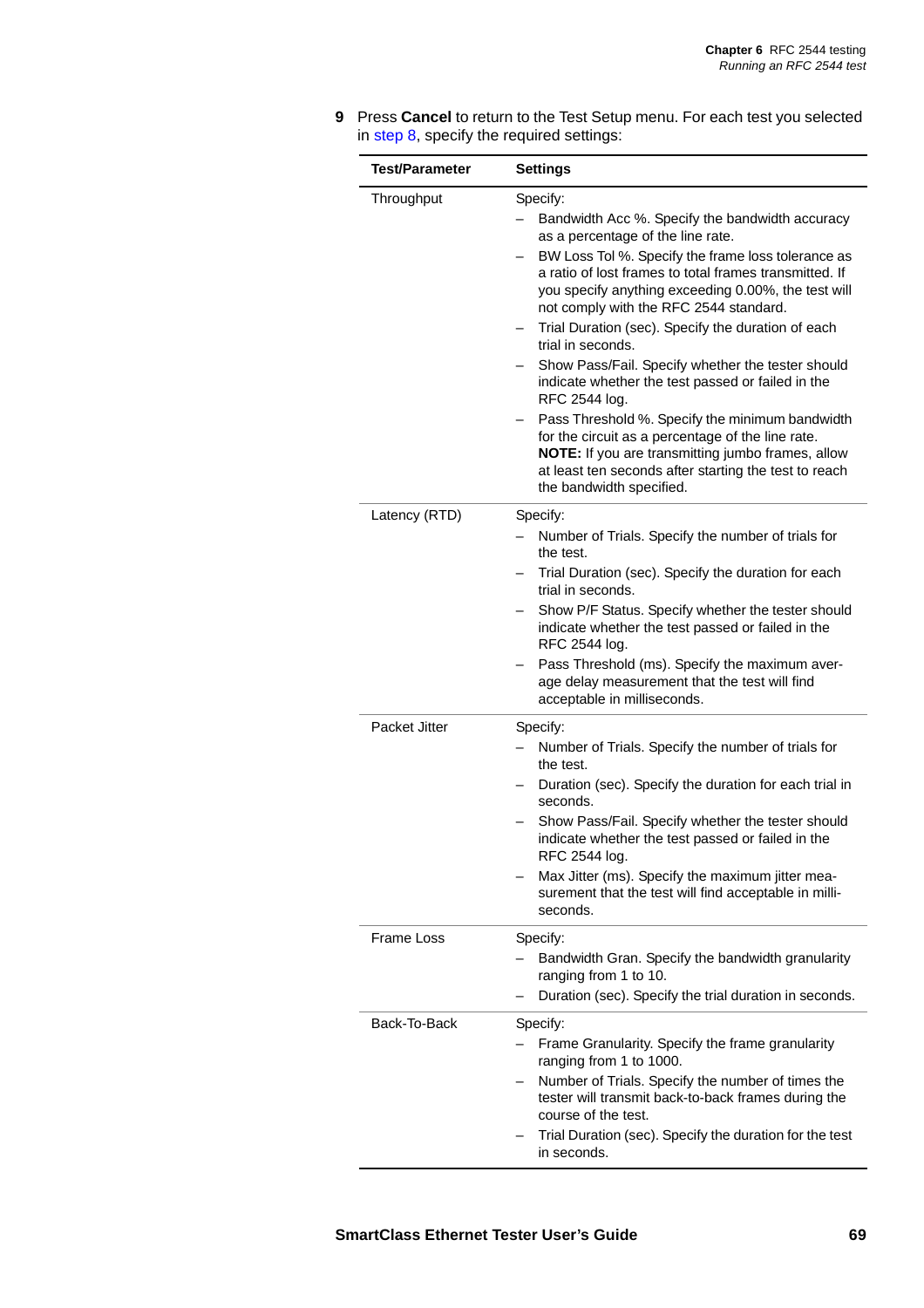| <b>Test/Parameter</b> | <b>Settings</b>                                                                                                                                                                                                                                                                                                                                                                                                                                                                                                                                                                                                                                                                                                                                                           |
|-----------------------|---------------------------------------------------------------------------------------------------------------------------------------------------------------------------------------------------------------------------------------------------------------------------------------------------------------------------------------------------------------------------------------------------------------------------------------------------------------------------------------------------------------------------------------------------------------------------------------------------------------------------------------------------------------------------------------------------------------------------------------------------------------------------|
| Throughput            | Specify:<br>Bandwidth Acc %. Specify the bandwidth accuracy<br>as a percentage of the line rate.<br>BW Loss Tol %. Specify the frame loss tolerance as<br>a ratio of lost frames to total frames transmitted. If<br>you specify anything exceeding 0.00%, the test will<br>not comply with the RFC 2544 standard.<br>Trial Duration (sec). Specify the duration of each<br>trial in seconds.<br>Show Pass/Fail. Specify whether the tester should<br>indicate whether the test passed or failed in the<br>RFC 2544 log.<br>Pass Threshold %. Specify the minimum bandwidth<br>for the circuit as a percentage of the line rate.<br>NOTE: If you are transmitting jumbo frames, allow<br>at least ten seconds after starting the test to reach<br>the bandwidth specified. |
| Latency (RTD)         | Specify:<br>Number of Trials. Specify the number of trials for<br>the test.<br>Trial Duration (sec). Specify the duration for each<br>-<br>trial in seconds.<br>Show P/F Status. Specify whether the tester should<br>indicate whether the test passed or failed in the<br>RFC 2544 log.<br>Pass Threshold (ms). Specify the maximum aver-<br>age delay measurement that the test will find<br>acceptable in milliseconds.                                                                                                                                                                                                                                                                                                                                                |
| <b>Packet Jitter</b>  | Specify:<br>Number of Trials. Specify the number of trials for<br>the test.<br>Duration (sec). Specify the duration for each trial in<br>seconds.<br>Show Pass/Fail. Specify whether the tester should<br>indicate whether the test passed or failed in the<br>RFC 2544 log.<br>Max Jitter (ms). Specify the maximum jitter mea-<br>surement that the test will find acceptable in milli-<br>seconds.                                                                                                                                                                                                                                                                                                                                                                     |
| Frame Loss            | Specify:<br>Bandwidth Gran. Specify the bandwidth granularity<br>ranging from 1 to 10.<br>Duration (sec). Specify the trial duration in seconds.                                                                                                                                                                                                                                                                                                                                                                                                                                                                                                                                                                                                                          |
| Back-To-Back          | Specify:<br>Frame Granularity. Specify the frame granularity<br>ranging from 1 to 1000.<br>Number of Trials. Specify the number of times the<br>tester will transmit back-to-back frames during the<br>course of the test.<br>Trial Duration (sec). Specify the duration for the test<br>in seconds.                                                                                                                                                                                                                                                                                                                                                                                                                                                                      |

**9** Press **Cancel** to return to the Test Setup menu. For each test you selected in [step 8](#page-81-0), specify the required settings: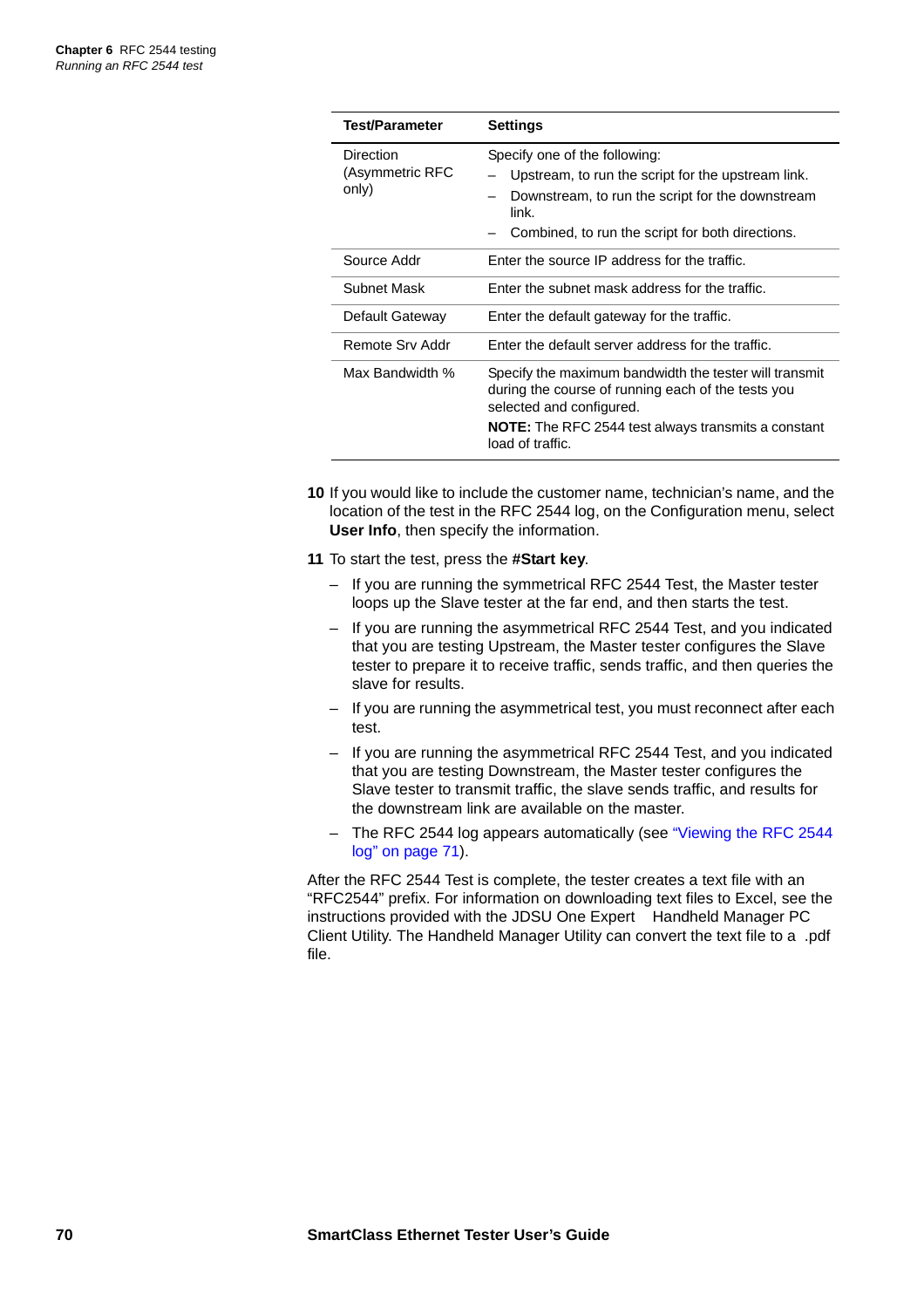| Test/Parameter                               | <b>Settings</b>                                                                                                                                                                                                            |
|----------------------------------------------|----------------------------------------------------------------------------------------------------------------------------------------------------------------------------------------------------------------------------|
| <b>Direction</b><br>(Asymmetric RFC<br>only) | Specify one of the following:<br>Upstream, to run the script for the upstream link.<br>Downstream, to run the script for the downstream<br>link.<br>Combined, to run the script for both directions.                       |
| Source Addr                                  | Enter the source IP address for the traffic.                                                                                                                                                                               |
| Subnet Mask                                  | Enter the subnet mask address for the traffic.                                                                                                                                                                             |
| Default Gateway                              | Enter the default gateway for the traffic.                                                                                                                                                                                 |
| Remote Srv Addr                              | Enter the default server address for the traffic.                                                                                                                                                                          |
| Max Bandwidth %                              | Specify the maximum bandwidth the tester will transmit<br>during the course of running each of the tests you<br>selected and configured.<br><b>NOTE:</b> The RFC 2544 test always transmits a constant<br>load of traffic. |

- **10** If you would like to include the customer name, technician's name, and the location of the test in the RFC 2544 log, on the Configuration menu, select **User Info**, then specify the information.
- **11** To start the test, press the **#Start key**.
	- If you are running the symmetrical RFC 2544 Test, the Master tester loops up the Slave tester at the far end, and then starts the test.
	- If you are running the asymmetrical RFC 2544 Test, and you indicated that you are testing Upstream, the Master tester configures the Slave tester to prepare it to receive traffic, sends traffic, and then queries the slave for results.
	- If you are running the asymmetrical test, you must reconnect after each test.
	- If you are running the asymmetrical RFC 2544 Test, and you indicated that you are testing Downstream, the Master tester configures the Slave tester to transmit traffic, the slave sends traffic, and results for the downstream link are available on the master.
	- The RFC 2544 log appears automatically (see ["Viewing the RFC 2544](#page-84-0)  [log" on page 71\)](#page-84-0).

After the RFC 2544 Test is complete, the tester creates a text file with an "RFC2544" prefix. For information on downloading text files to Excel, see the instructions provided with the JDSU One Expert<sup>TM</sup> Handheld Manager PC Client Utility. The Handheld Manager Utility can convert the text file to a .pdf file.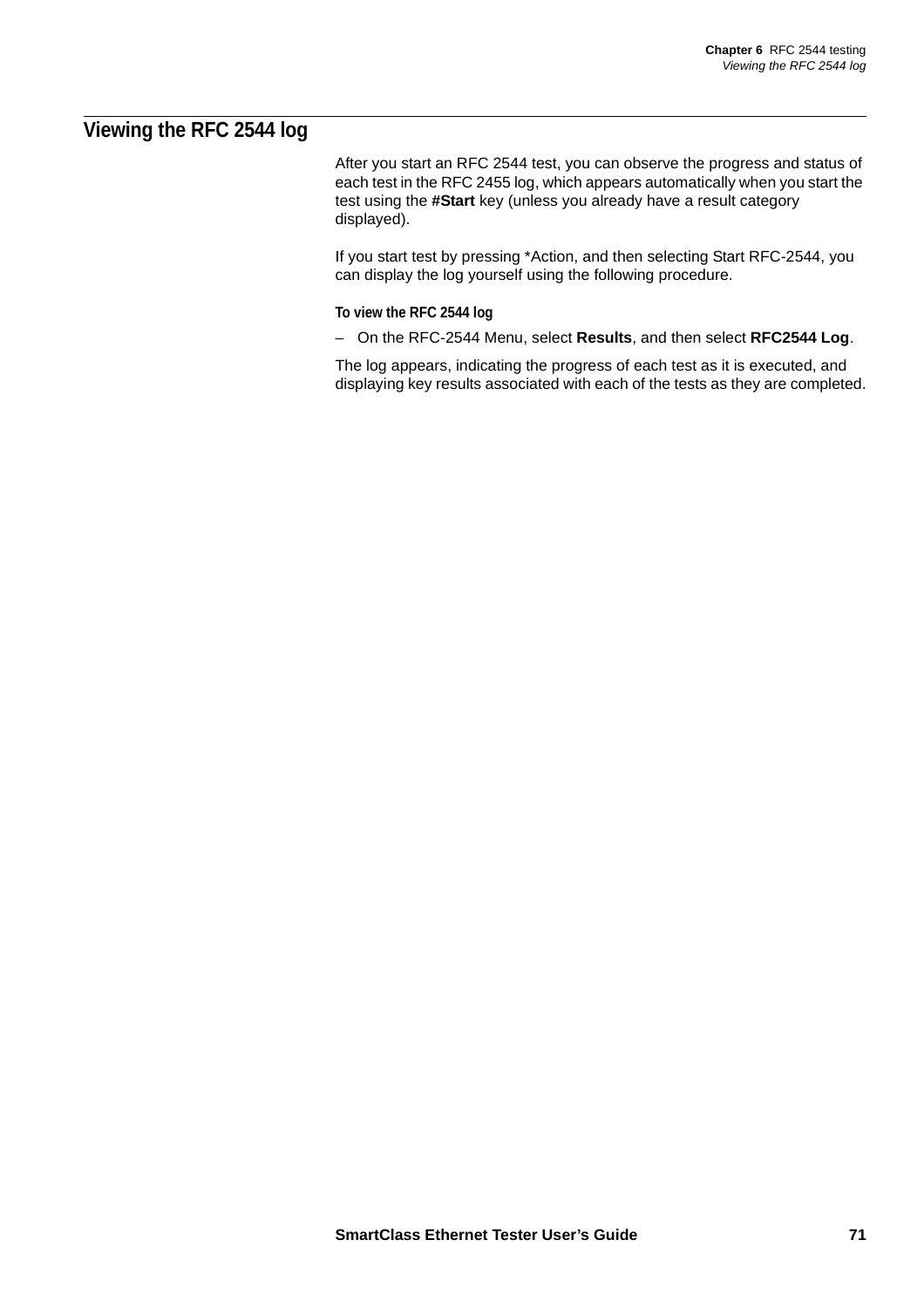# <span id="page-84-0"></span>**Viewing the RFC 2544 log**

After you start an RFC 2544 test, you can observe the progress and status of each test in the RFC 2455 log, which appears automatically when you start the test using the **#Start** key (unless you already have a result category displayed).

If you start test by pressing \*Action, and then selecting Start RFC-2544, you can display the log yourself using the following procedure.

#### **To view the RFC 2544 log**

– On the RFC-2544 Menu, select **Results**, and then select **RFC2544 Log**.

The log appears, indicating the progress of each test as it is executed, and displaying key results associated with each of the tests as they are completed.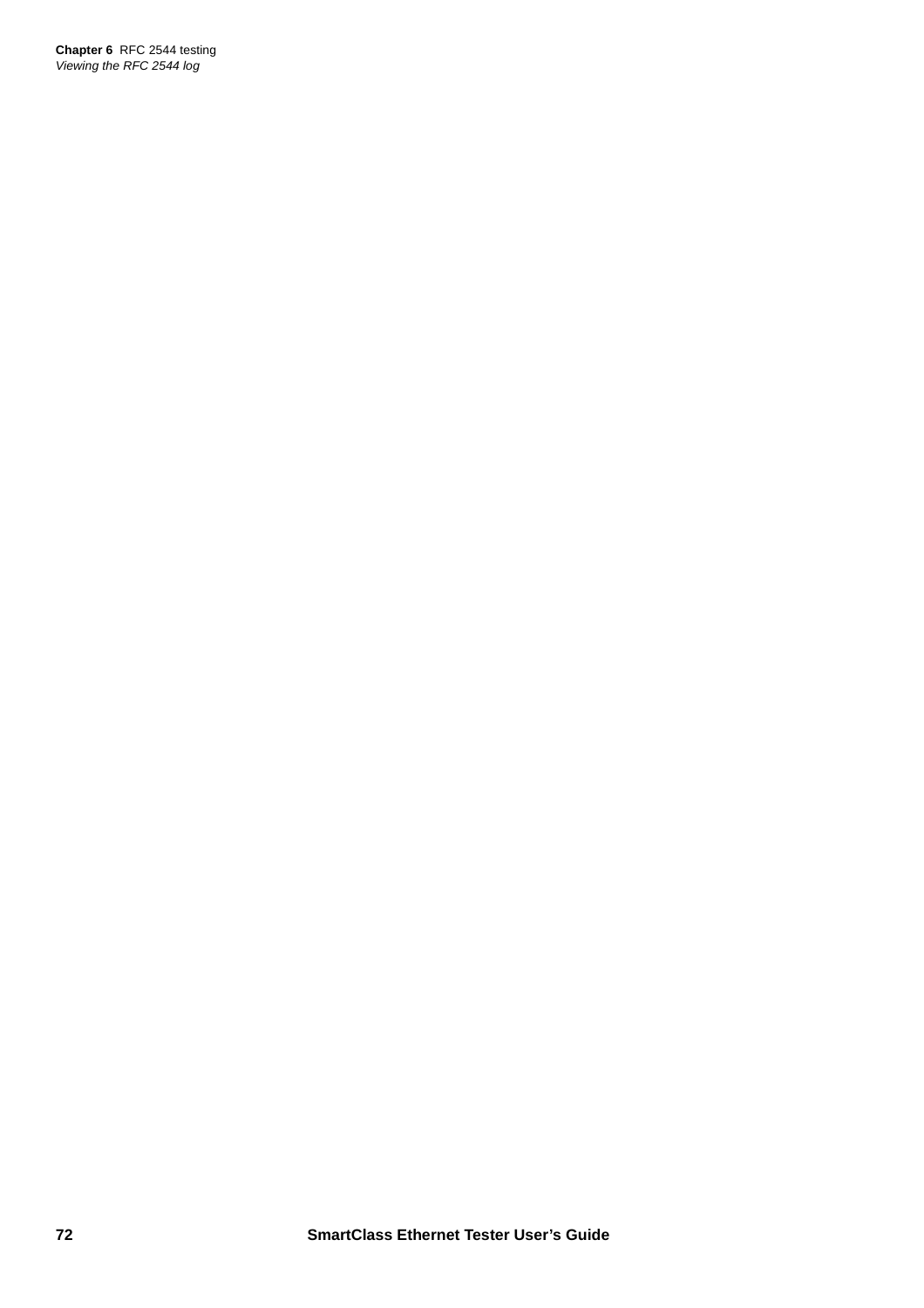**Chapter 6** RFC 2544 testing Viewing the RFC 2544 log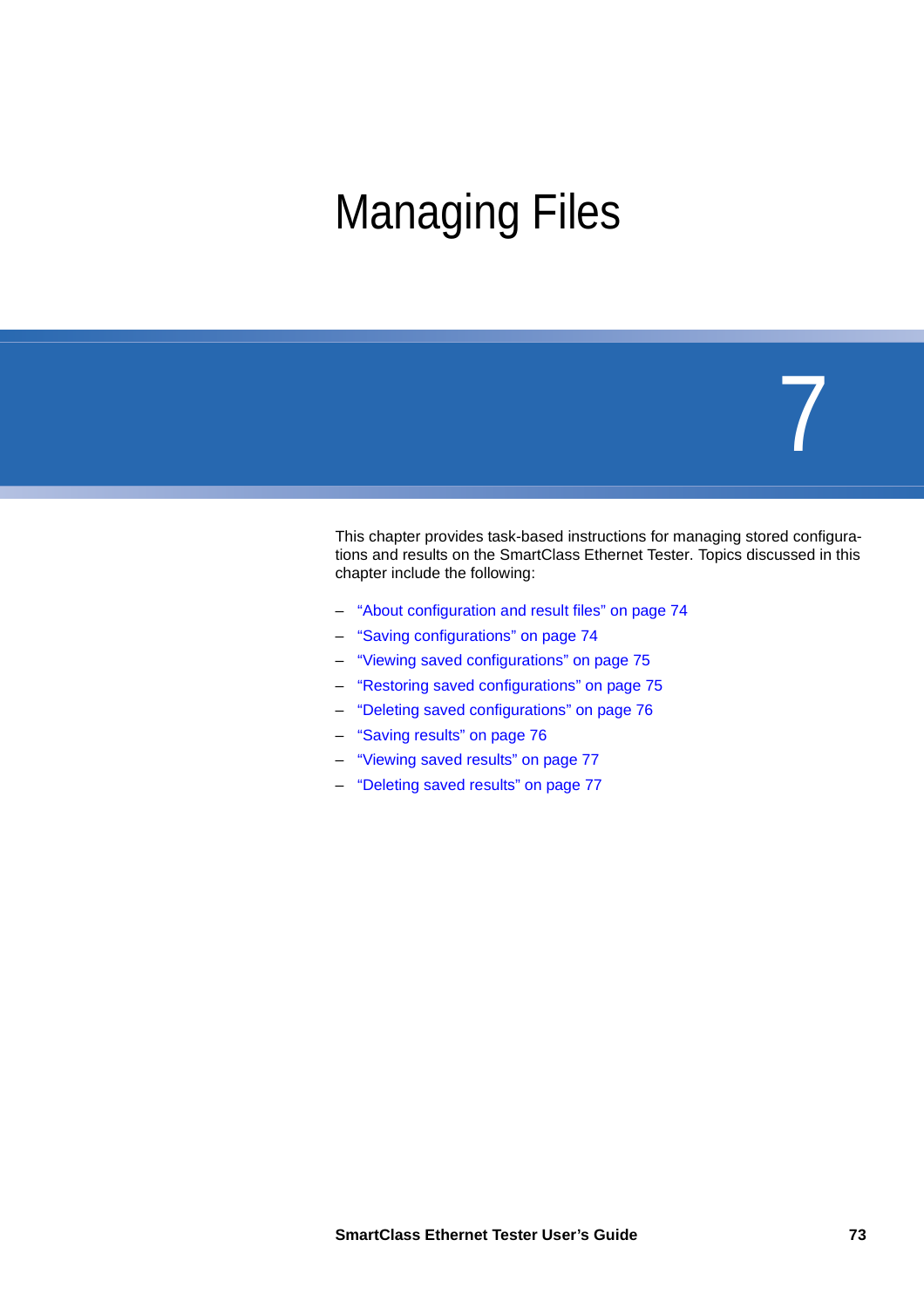# <span id="page-86-0"></span>**Managing Files**

This chapter provides task-based instructions for managing stored configurations and results on the SmartClass Ethernet Tester. Topics discussed in this chapter include the following:

- ["About configuration and result files" on page 74](#page-87-0)
- ["Saving configurations" on page 74](#page-87-1)
- ["Viewing saved configurations" on page 75](#page-88-1)
- ["Restoring saved configurations" on page 75](#page-88-0)
- ["Deleting saved configurations" on page 76](#page-89-1)
- ["Saving results" on page 76](#page-89-0)
- ["Viewing saved results" on page 77](#page-90-0)
- ["Deleting saved results" on page 77](#page-90-1)

7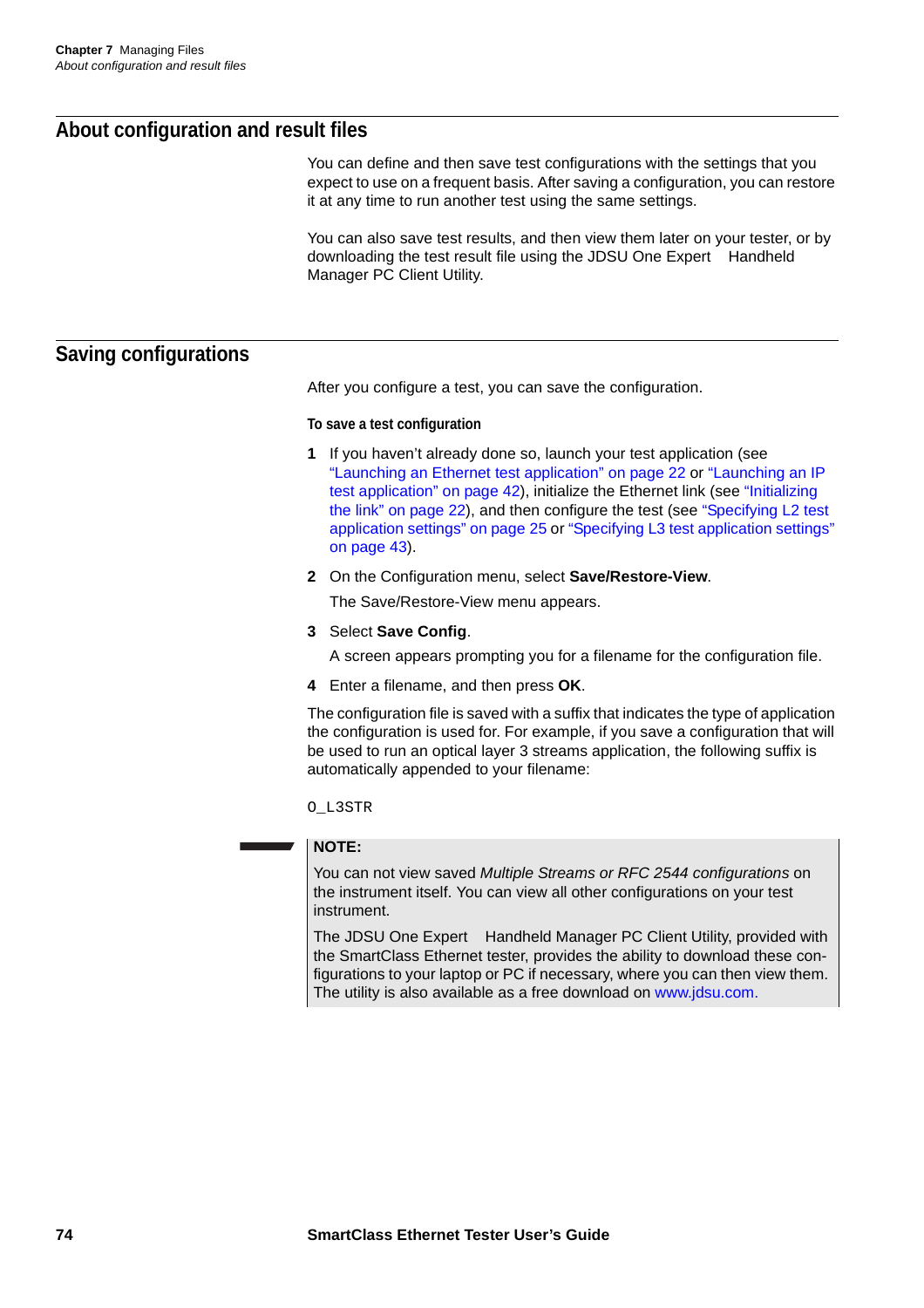# <span id="page-87-0"></span>**About configuration and result files**

You can define and then save test configurations with the settings that you expect to use on a frequent basis. After saving a configuration, you can restore it at any time to run another test using the same settings.

You can also save test results, and then view them later on your tester, or by downloading the test result file using the JDSU One Expert<sup>™</sup> Handheld Manager PC Client Utility.

## <span id="page-87-1"></span>**Saving configurations**

After you configure a test, you can save the configuration.

## **To save a test configuration**

- **1** If you haven't already done so, launch your test application (see ["Launching an Ethernet test application" on page 22](#page-35-1) or ["Launching an IP](#page-55-0)  [test application" on page 42\)](#page-55-0), initialize the Ethernet link (see ["Initializing](#page-35-0)  [the link" on page 22\)](#page-35-0), and then configure the test (see ["Specifying L2 test](#page-38-1)  [application settings" on page 25](#page-38-1) or ["Specifying L3 test application settings"](#page-56-1)  [on page 43](#page-56-1)).
- **2** On the Configuration menu, select **Save/Restore-View**. The Save/Restore-View menu appears.
- **3** Select **Save Config**.

A screen appears prompting you for a filename for the configuration file.

**4** Enter a filename, and then press **OK**.

The configuration file is saved with a suffix that indicates the type of application the configuration is used for. For example, if you save a configuration that will be used to run an optical layer 3 streams application, the following suffix is automatically appended to your filename:

O\_L3STR

## **NOTE:**

You can not view saved Multiple Streams or RFC 2544 configurations on the instrument itself. You can view all other configurations on your test instrument.

The JDSU One Expert<sup>™</sup> Handheld Manager PC Client Utility, provided with the SmartClass Ethernet tester, provides the ability to download these configurations to your laptop or PC if necessary, where you can then view them. The utility is also available as a free download on [www.jdsu.com.](http://www.jdsu.com)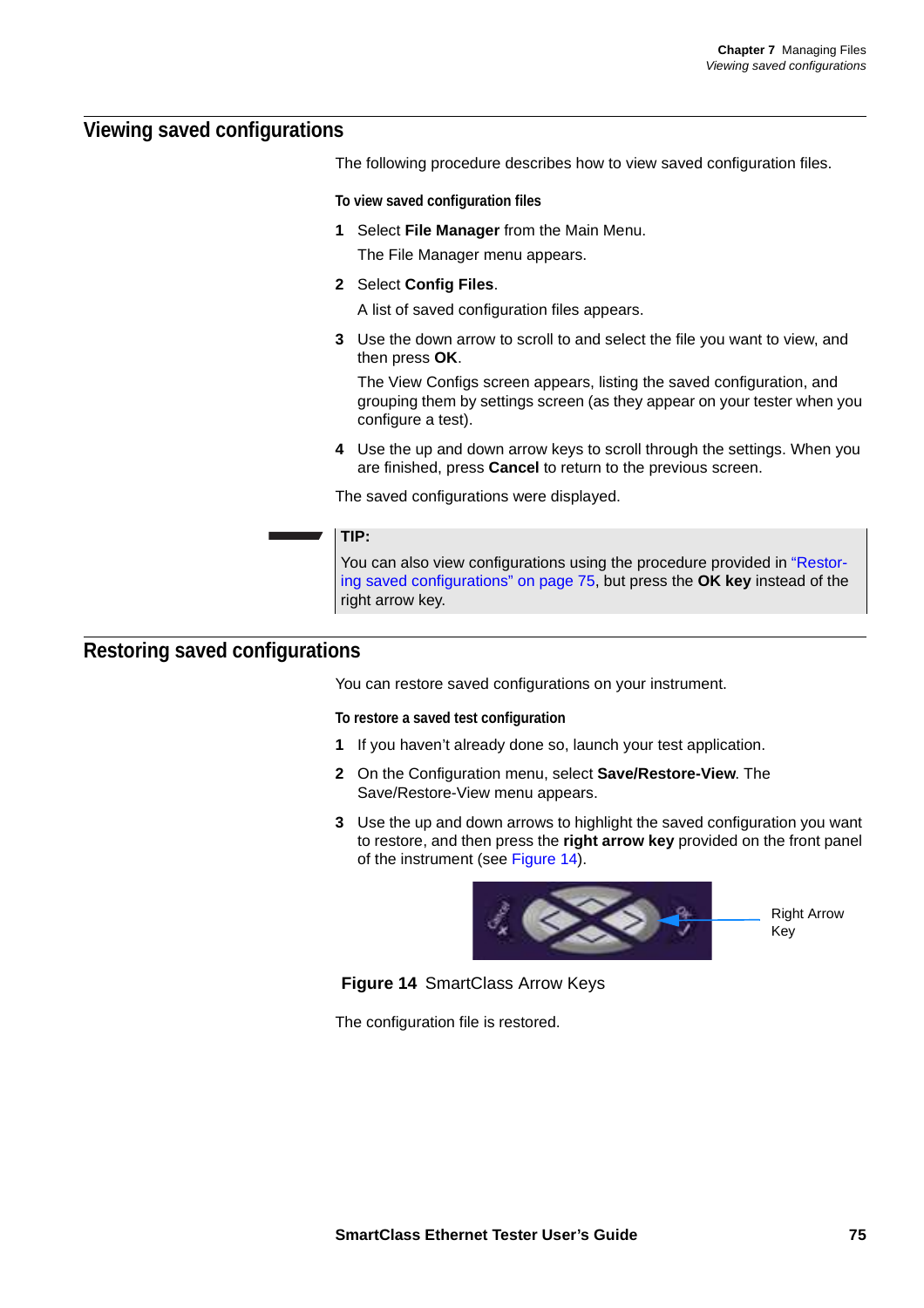# <span id="page-88-1"></span>**Viewing saved configurations**

The following procedure describes how to view saved configuration files.

## **To view saved configuration files**

**1** Select **File Manager** from the Main Menu.

The File Manager menu appears.

**2** Select **Config Files**.

A list of saved configuration files appears.

**3** Use the down arrow to scroll to and select the file you want to view, and then press **OK**.

The View Configs screen appears, listing the saved configuration, and grouping them by settings screen (as they appear on your tester when you configure a test).

**4** Use the up and down arrow keys to scroll through the settings. When you are finished, press **Cancel** to return to the previous screen.

The saved configurations were displayed.

## **TIP:**

You can also view configurations using the procedure provided in ["Restor](#page-88-0)[ing saved configurations" on page 75](#page-88-0), but press the **OK key** instead of the right arrow key.

# <span id="page-88-0"></span>**Restoring saved configurations**

You can restore saved configurations on your instrument.

## **To restore a saved test configuration**

- **1** If you haven't already done so, launch your test application.
- **2** On the Configuration menu, select **Save/Restore-View**. The Save/Restore-View menu appears.
- **3** Use the up and down arrows to highlight the saved configuration you want to restore, and then press the **right arrow key** provided on the front panel of the instrument (see Figure 14).



Right Arrow Key

**Figure 14** SmartClass Arrow Keys

The configuration file is restored.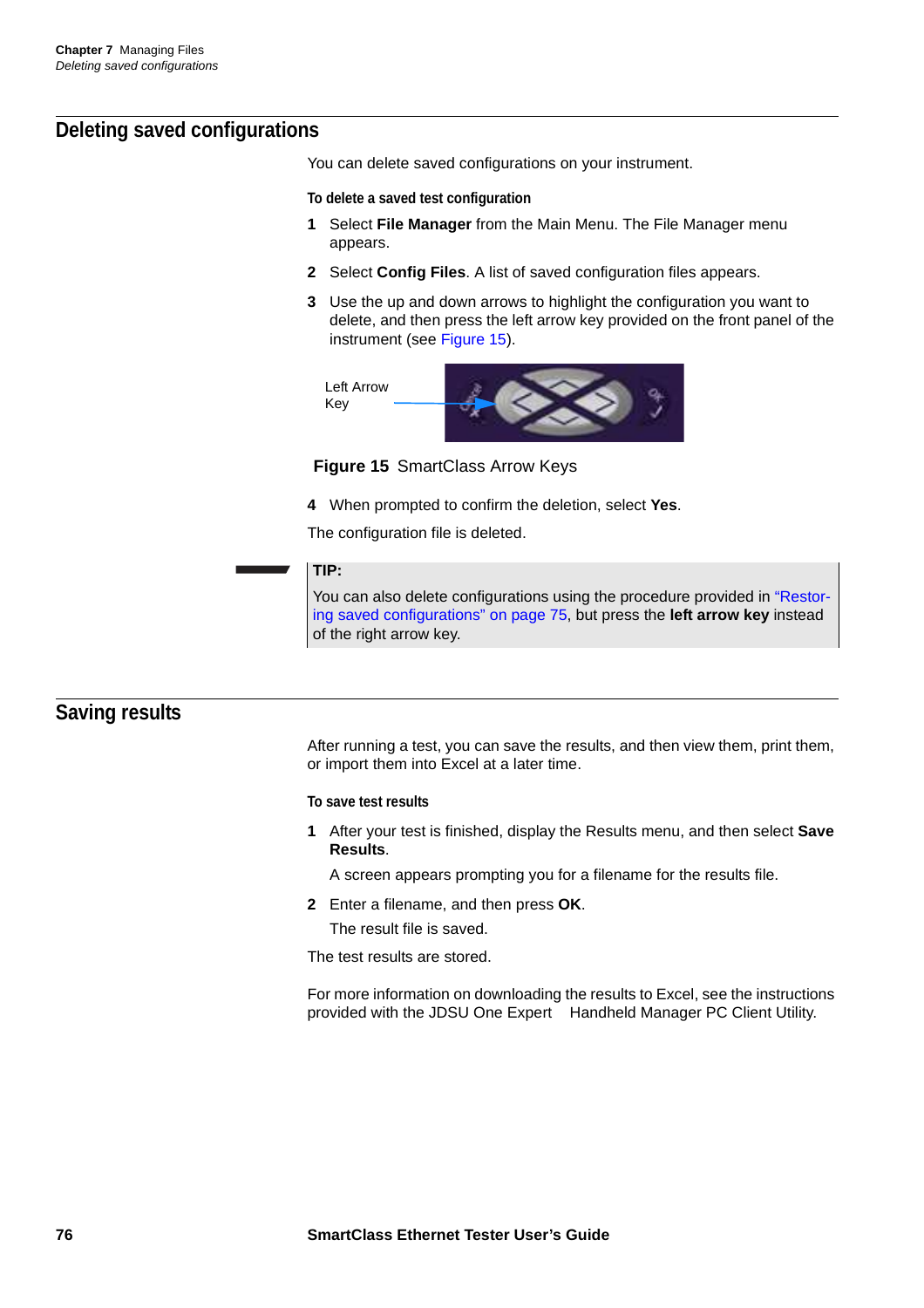# <span id="page-89-1"></span>**Deleting saved configurations**

You can delete saved configurations on your instrument.

#### **To delete a saved test configuration**

- **1** Select **File Manager** from the Main Menu. The File Manager menu appears.
- **2** Select **Config Files**. A list of saved configuration files appears.
- **3** Use the up and down arrows to highlight the configuration you want to delete, and then press the left arrow key provided on the front panel of the instrument (see Figure 15).

Left Arrow Key



**Figure 15** SmartClass Arrow Keys

**4** When prompted to confirm the deletion, select **Yes**.

The configuration file is deleted.

## **TIP:**

You can also delete configurations using the procedure provided in ["Restor](#page-88-0)[ing saved configurations" on page 75](#page-88-0), but press the **left arrow key** instead of the right arrow key.

# <span id="page-89-0"></span>**Saving results**

After running a test, you can save the results, and then view them, print them, or import them into Excel at a later time.

#### **To save test results**

**1** After your test is finished, display the Results menu, and then select **Save Results**.

A screen appears prompting you for a filename for the results file.

**2** Enter a filename, and then press **OK**.

The result file is saved.

The test results are stored.

For more information on downloading the results to Excel, see the instructions provided with the JDSU One Expert<sup>™</sup> Handheld Manager PC Client Utility.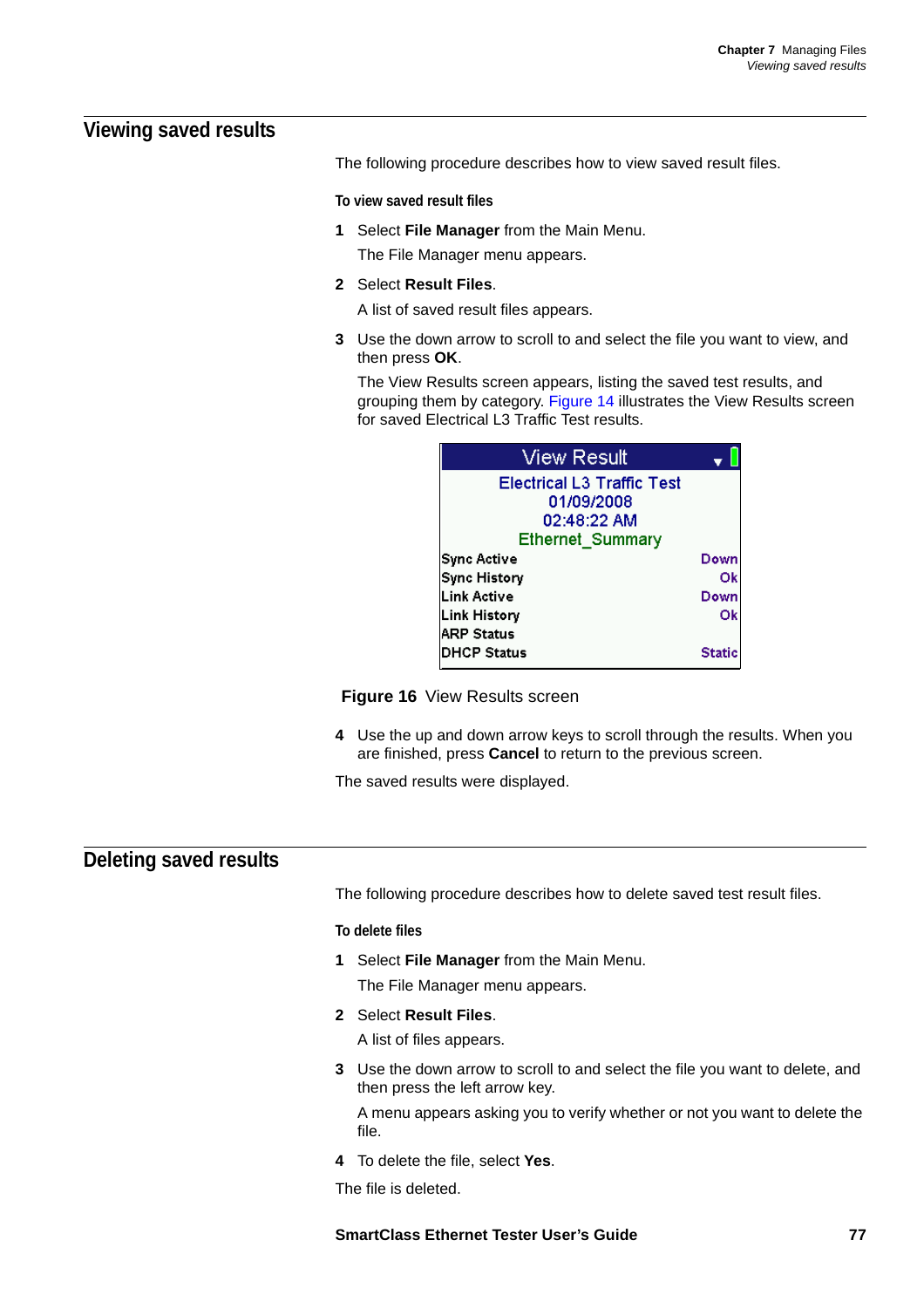# <span id="page-90-0"></span>**Viewing saved results**

The following procedure describes how to view saved result files.

## **To view saved result files**

**1** Select **File Manager** from the Main Menu.

The File Manager menu appears.

**2** Select **Result Files**.

A list of saved result files appears.

**3** Use the down arrow to scroll to and select the file you want to view, and then press **OK**.

The View Results screen appears, listing the saved test results, and grouping them by category. Figure 14 illustrates the View Results screen for saved Flectrical L3 Traffic Test results

| <b>View Result</b>                                                                 |       |
|------------------------------------------------------------------------------------|-------|
| <b>Electrical L3 Traffic Test</b><br>01/09/2008<br>02:48:22 AM<br>Ethernet_Summary |       |
| Sync Active                                                                        | Down  |
| <b>Sync History</b>                                                                | Ok    |
| <b>Link Active</b>                                                                 | Down  |
| Link History                                                                       | Ok    |
| <b>ARP Status</b>                                                                  |       |
| <b>DHCP Status</b>                                                                 | Stati |

**Figure 16** View Results screen

**4** Use the up and down arrow keys to scroll through the results. When you are finished, press **Cancel** to return to the previous screen.

The saved results were displayed.

## <span id="page-90-1"></span>**Deleting saved results**

The following procedure describes how to delete saved test result files.

## **To delete files**

**1** Select **File Manager** from the Main Menu.

The File Manager menu appears.

**2** Select **Result Files**.

A list of files appears.

**3** Use the down arrow to scroll to and select the file you want to delete, and then press the left arrow key.

A menu appears asking you to verify whether or not you want to delete the file.

**4** To delete the file, select **Yes**.

The file is deleted.

## **SmartClass Ethernet Tester User's Guide 77**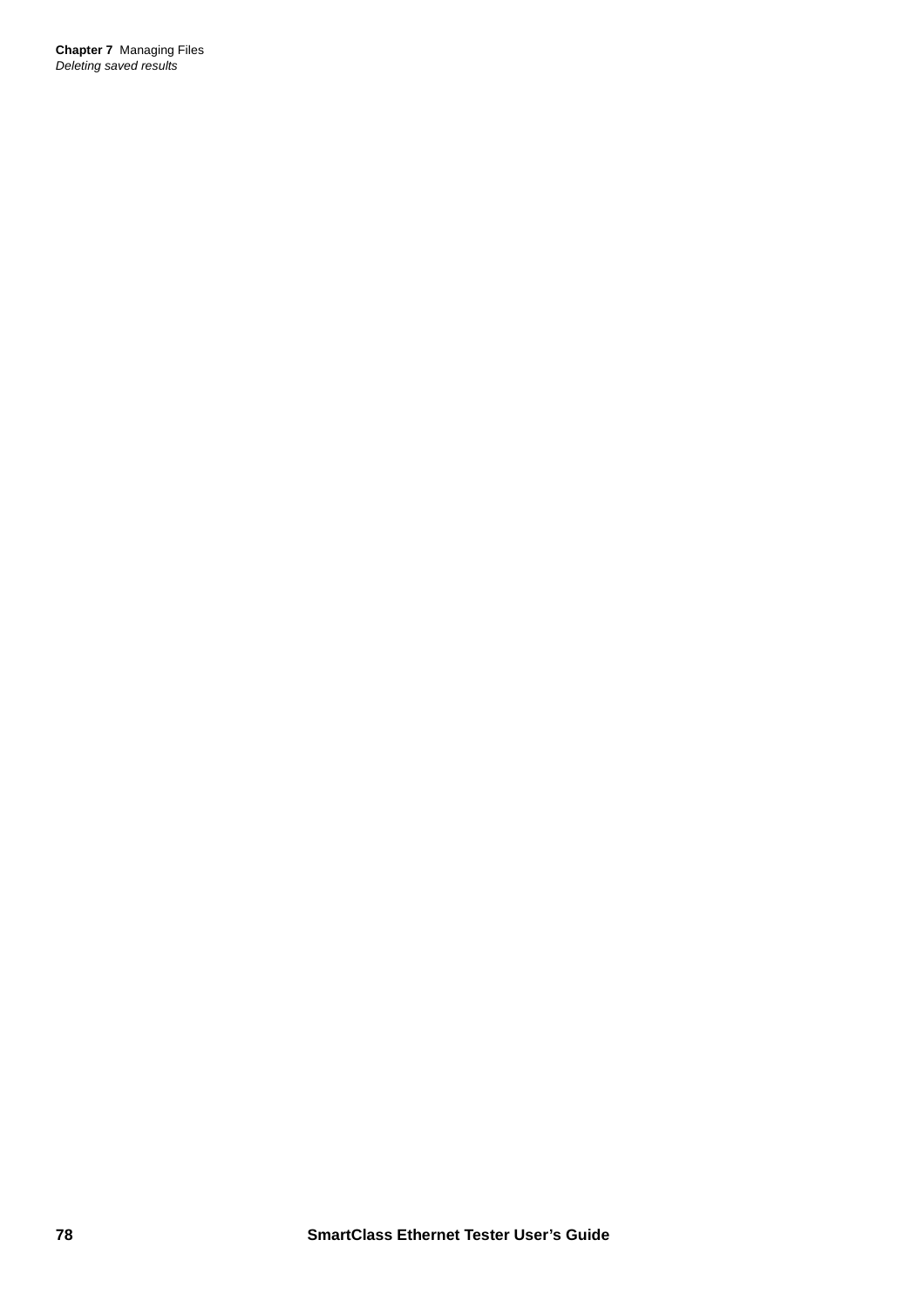**Chapter 7** Managing Files Deleting saved results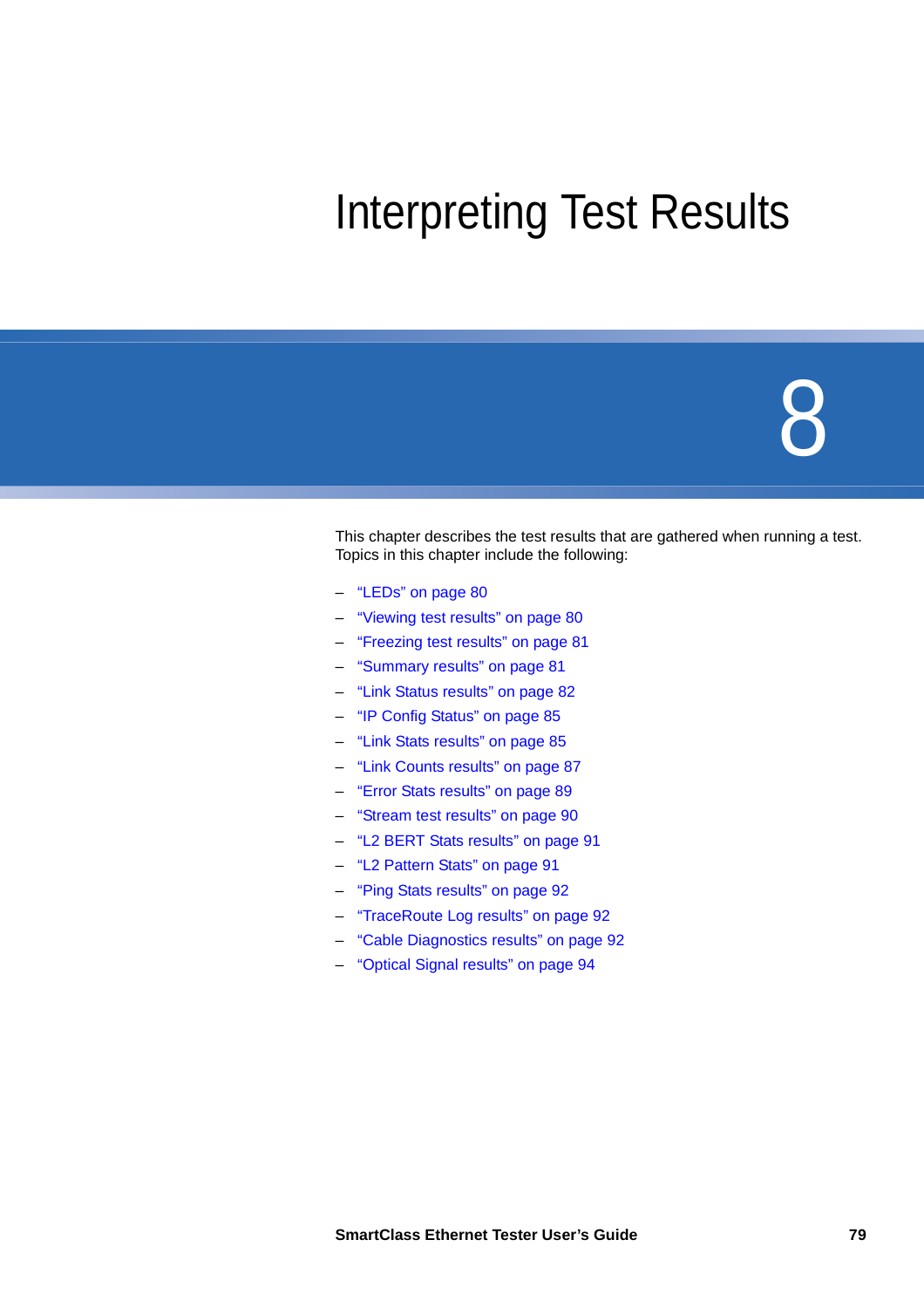# **Interpreting Test Results**



This chapter describes the test results that are gathered when running a test. Topics in this chapter include the following:

- ["LEDs" on page 80](#page-93-0)
- ["Viewing test results" on page 80](#page-93-1)
- ["Freezing test results" on page 81](#page-94-1)
- ["Summary results" on page 81](#page-94-0)
- ["Link Status results" on page 82](#page-95-0)
- ["IP Config Status" on page 85](#page-98-2)
- ["Link Stats results" on page 85](#page-98-1)
- ["Link Counts results" on page 87](#page-100-0)
- ["Error Stats results" on page 89](#page-102-0)
- ["Stream test results" on page 90](#page-103-1)
- ["L2 BERT Stats results" on page 91](#page-104-0)
- ["L2 Pattern Stats" on page 91](#page-104-1)
- ["Ping Stats results" on page 92](#page-105-0)
- ["TraceRoute Log results" on page 92](#page-105-1)
- ["Cable Diagnostics results" on page 92](#page-105-2)
- ["Optical Signal results" on page 94](#page-107-0)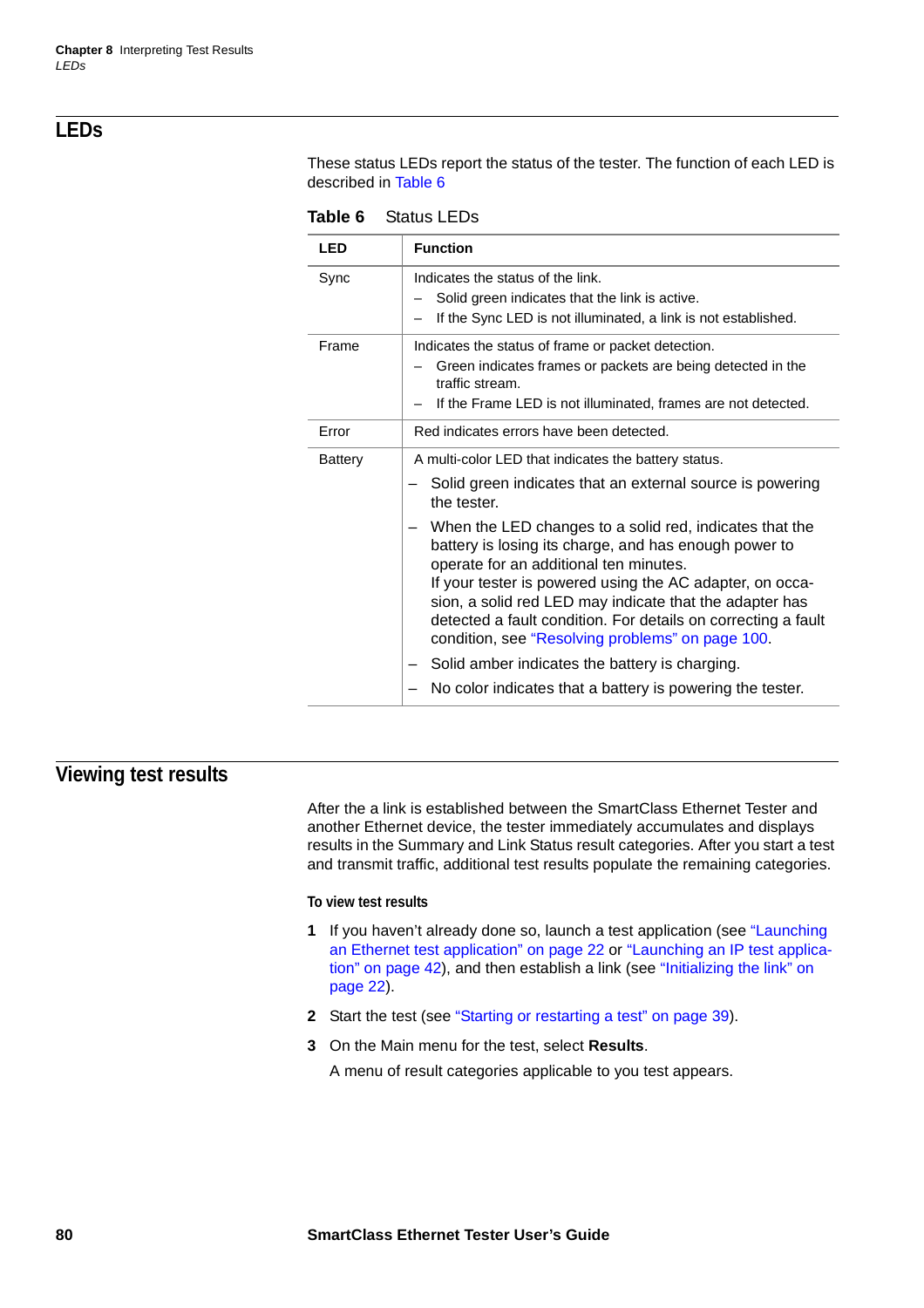# <span id="page-93-0"></span>**LEDs**

These status LEDs report the status of the tester. The function of each LED is described in Table 6

**Table 6** Status LEDs

| <b>LED</b>     | <b>Function</b>                                                                                                                                                                                                                                                                                                                                                                                                                                                                                                                                                                                                                                           |
|----------------|-----------------------------------------------------------------------------------------------------------------------------------------------------------------------------------------------------------------------------------------------------------------------------------------------------------------------------------------------------------------------------------------------------------------------------------------------------------------------------------------------------------------------------------------------------------------------------------------------------------------------------------------------------------|
| Sync           | Indicates the status of the link.<br>Solid green indicates that the link is active.<br>If the Sync LED is not illuminated, a link is not established.                                                                                                                                                                                                                                                                                                                                                                                                                                                                                                     |
| Frame          | Indicates the status of frame or packet detection.<br>Green indicates frames or packets are being detected in the<br>traffic stream.<br>If the Frame LED is not illuminated, frames are not detected.                                                                                                                                                                                                                                                                                                                                                                                                                                                     |
| Error          | Red indicates errors have been detected.                                                                                                                                                                                                                                                                                                                                                                                                                                                                                                                                                                                                                  |
| <b>Battery</b> | A multi-color LED that indicates the battery status.<br>Solid green indicates that an external source is powering<br>the tester.<br>When the LED changes to a solid red, indicates that the<br>battery is losing its charge, and has enough power to<br>operate for an additional ten minutes.<br>If your tester is powered using the AC adapter, on occa-<br>sion, a solid red LED may indicate that the adapter has<br>detected a fault condition. For details on correcting a fault<br>condition, see "Resolving problems" on page 100.<br>Solid amber indicates the battery is charging.<br>No color indicates that a battery is powering the tester. |

# <span id="page-93-1"></span>**Viewing test results**

After the a link is established between the SmartClass Ethernet Tester and another Ethernet device, the tester immediately accumulates and displays results in the Summary and Link Status result categories. After you start a test and transmit traffic, additional test results populate the remaining categories.

#### **To view test results**

- **1** If you haven't already done so, launch a test application (see ["Launching](#page-35-1)  [an Ethernet test application" on page 22](#page-35-1) or ["Launching an IP test applica](#page-55-0)[tion" on page 42](#page-55-0)), and then establish a link (see ["Initializing the link" on](#page-35-0)  [page 22](#page-35-0)).
- **2** Start the test (see ["Starting or restarting a test" on page 39\)](#page-52-0).
- **3** On the Main menu for the test, select **Results**.

A menu of result categories applicable to you test appears.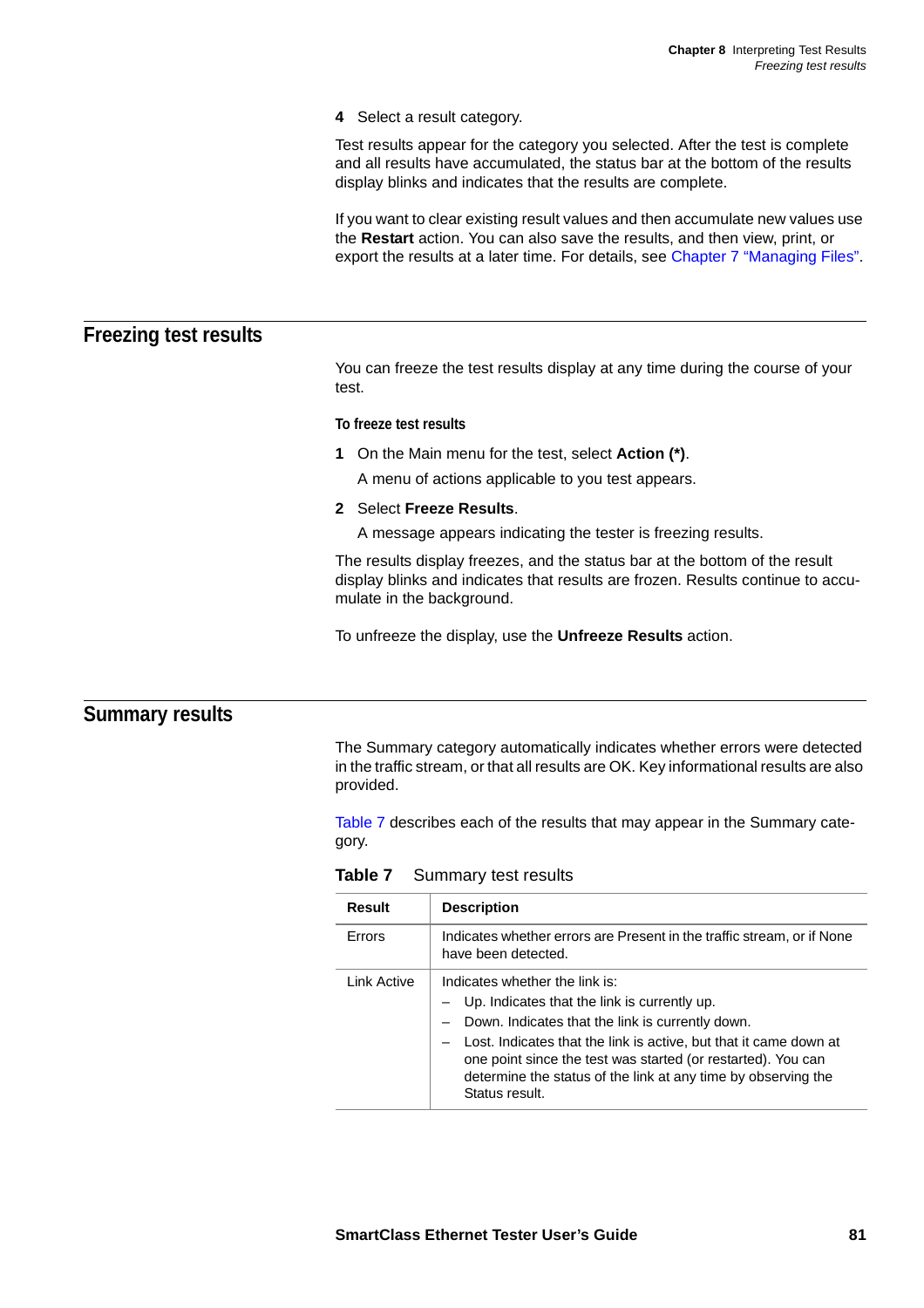**4** Select a result category.

Test results appear for the category you selected. After the test is complete and all results have accumulated, the status bar at the bottom of the results display blinks and indicates that the results are complete.

If you want to clear existing result values and then accumulate new values use the **Restart** action. You can also save the results, and then view, print, or export the results at a later time. For details, see [Chapter 7 "Managing Files"](#page-86-0).

## <span id="page-94-1"></span>**Freezing test results**

You can freeze the test results display at any time during the course of your test.

## **To freeze test results**

**1** On the Main menu for the test, select **Action (\*)**.

A menu of actions applicable to you test appears.

**2** Select **Freeze Results**.

A message appears indicating the tester is freezing results.

The results display freezes, and the status bar at the bottom of the result display blinks and indicates that results are frozen. Results continue to accumulate in the background.

To unfreeze the display, use the **Unfreeze Results** action.

## <span id="page-94-0"></span>**Summary results**

The Summary category automatically indicates whether errors were detected in the traffic stream, or that all results are OK. Key informational results are also provided.

[Table 7](#page-94-2) describes each of the results that may appear in the Summary category.

| Result      | <b>Description</b>                                                                                                                                                                                                                                                                                                                                         |
|-------------|------------------------------------------------------------------------------------------------------------------------------------------------------------------------------------------------------------------------------------------------------------------------------------------------------------------------------------------------------------|
| Errors      | Indicates whether errors are Present in the traffic stream, or if None<br>have been detected.                                                                                                                                                                                                                                                              |
| Link Active | Indicates whether the link is:<br>Up. Indicates that the link is currently up.<br>Down. Indicates that the link is currently down.<br>Lost. Indicates that the link is active, but that it came down at<br>one point since the test was started (or restarted). You can<br>determine the status of the link at any time by observing the<br>Status result. |

<span id="page-94-2"></span>**Table 7** Summary test results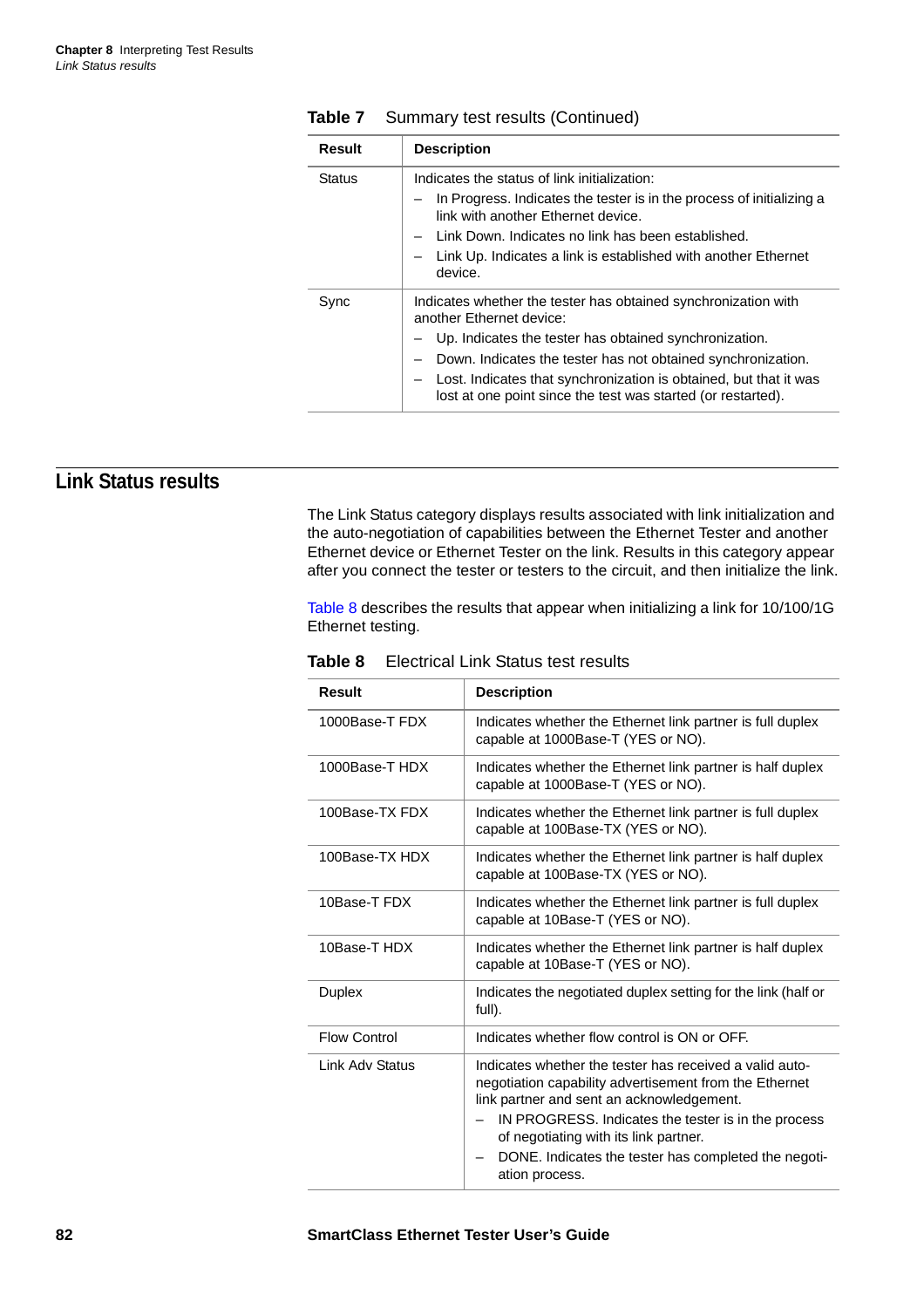| Result        | <b>Description</b>                                                                                                                                                                                                                                                                                                                                        |
|---------------|-----------------------------------------------------------------------------------------------------------------------------------------------------------------------------------------------------------------------------------------------------------------------------------------------------------------------------------------------------------|
| <b>Status</b> | Indicates the status of link initialization:<br>In Progress. Indicates the tester is in the process of initializing a<br>link with another Ethernet device.<br>Link Down, Indicates no link has been established.<br>Link Up. Indicates a link is established with another Ethernet<br>device.                                                            |
| Sync          | Indicates whether the tester has obtained synchronization with<br>another Ethernet device:<br>Up. Indicates the tester has obtained synchronization.<br>Down. Indicates the tester has not obtained synchronization.<br>Lost. Indicates that synchronization is obtained, but that it was<br>lost at one point since the test was started (or restarted). |

## Table 7 Summary test results (Continued)

# <span id="page-95-0"></span>**Link Status results**

The Link Status category displays results associated with link initialization and the auto-negotiation of capabilities between the Ethernet Tester and another Ethernet device or Ethernet Tester on the link. Results in this category appear after you connect the tester or testers to the circuit, and then initialize the link.

Table 8 describes the results that appear when initializing a link for 10/100/1G Ethernet testing.

| <b>Result</b>       | <b>Description</b>                                                                                                                                                                                                                                                                                                                       |
|---------------------|------------------------------------------------------------------------------------------------------------------------------------------------------------------------------------------------------------------------------------------------------------------------------------------------------------------------------------------|
| 1000Base-T FDX      | Indicates whether the Ethernet link partner is full duplex<br>capable at 1000Base-T (YES or NO).                                                                                                                                                                                                                                         |
| 1000Base-T HDX      | Indicates whether the Ethernet link partner is half duplex<br>capable at 1000Base-T (YES or NO).                                                                                                                                                                                                                                         |
| 100Base-TX FDX      | Indicates whether the Ethernet link partner is full duplex<br>capable at 100Base-TX (YES or NO).                                                                                                                                                                                                                                         |
| 100Base-TX HDX      | Indicates whether the Ethernet link partner is half duplex<br>capable at 100Base-TX (YES or NO).                                                                                                                                                                                                                                         |
| 10Base-T FDX        | Indicates whether the Ethernet link partner is full duplex<br>capable at 10Base-T (YES or NO).                                                                                                                                                                                                                                           |
| 10Base-T HDX        | Indicates whether the Ethernet link partner is half duplex<br>capable at 10Base-T (YES or NO).                                                                                                                                                                                                                                           |
| Duplex              | Indicates the negotiated duplex setting for the link (half or<br>full).                                                                                                                                                                                                                                                                  |
| <b>Flow Control</b> | Indicates whether flow control is ON or OFF.                                                                                                                                                                                                                                                                                             |
| Link Adv Status     | Indicates whether the tester has received a valid auto-<br>negotiation capability advertisement from the Ethernet<br>link partner and sent an acknowledgement.<br>IN PROGRESS. Indicates the tester is in the process<br>of negotiating with its link partner.<br>DONE. Indicates the tester has completed the negoti-<br>ation process. |

**Table 8** Electrical Link Status test results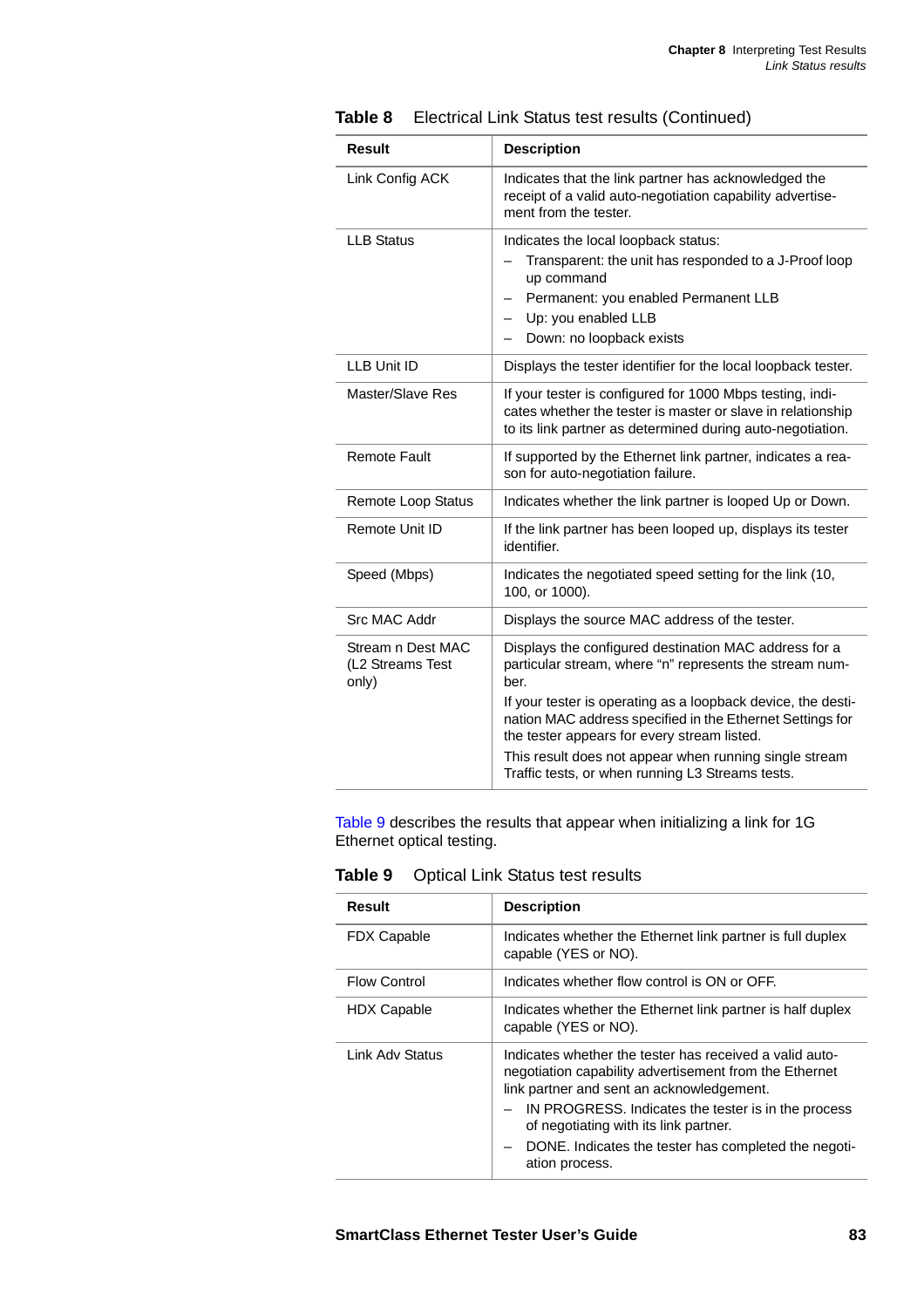| <b>Result</b>                                  | <b>Description</b>                                                                                                                                                                                                                                                                                                                                                                                                 |
|------------------------------------------------|--------------------------------------------------------------------------------------------------------------------------------------------------------------------------------------------------------------------------------------------------------------------------------------------------------------------------------------------------------------------------------------------------------------------|
| Link Config ACK                                | Indicates that the link partner has acknowledged the<br>receipt of a valid auto-negotiation capability advertise-<br>ment from the tester.                                                                                                                                                                                                                                                                         |
| <b>LLB Status</b>                              | Indicates the local loopback status:<br>Transparent: the unit has responded to a J-Proof loop<br>up command<br>Permanent: you enabled Permanent LLB<br>Up: you enabled LLB<br>Down: no loopback exists                                                                                                                                                                                                             |
| <b>LLB Unit ID</b>                             | Displays the tester identifier for the local loopback tester.                                                                                                                                                                                                                                                                                                                                                      |
| Master/Slave Res                               | If your tester is configured for 1000 Mbps testing, indi-<br>cates whether the tester is master or slave in relationship<br>to its link partner as determined during auto-negotiation.                                                                                                                                                                                                                             |
| <b>Remote Fault</b>                            | If supported by the Ethernet link partner, indicates a rea-<br>son for auto-negotiation failure.                                                                                                                                                                                                                                                                                                                   |
| Remote Loop Status                             | Indicates whether the link partner is looped Up or Down.                                                                                                                                                                                                                                                                                                                                                           |
| Remote Unit ID                                 | If the link partner has been looped up, displays its tester<br>identifier.                                                                                                                                                                                                                                                                                                                                         |
| Speed (Mbps)                                   | Indicates the negotiated speed setting for the link (10,<br>100, or 1000).                                                                                                                                                                                                                                                                                                                                         |
| Src MAC Addr                                   | Displays the source MAC address of the tester.                                                                                                                                                                                                                                                                                                                                                                     |
| Stream n Dest MAC<br>(L2 Streams Test<br>only) | Displays the configured destination MAC address for a<br>particular stream, where "n" represents the stream num-<br>ber.<br>If your tester is operating as a loopback device, the desti-<br>nation MAC address specified in the Ethernet Settings for<br>the tester appears for every stream listed.<br>This result does not appear when running single stream<br>Traffic tests, or when running L3 Streams tests. |

**Table 8** Electrical Link Status test results (Continued)

<span id="page-96-0"></span>Table 9 describes the results that appear when initializing a link for 1G Ethernet optical testing.

**Table 9** Optical Link Status test results

| Result              | <b>Description</b>                                                                                                                                                                                                                                                                                                                       |
|---------------------|------------------------------------------------------------------------------------------------------------------------------------------------------------------------------------------------------------------------------------------------------------------------------------------------------------------------------------------|
| <b>FDX Capable</b>  | Indicates whether the Ethernet link partner is full duplex<br>capable (YES or NO).                                                                                                                                                                                                                                                       |
| <b>Flow Control</b> | Indicates whether flow control is ON or OFF.                                                                                                                                                                                                                                                                                             |
| <b>HDX Capable</b>  | Indicates whether the Ethernet link partner is half duplex<br>capable (YES or NO).                                                                                                                                                                                                                                                       |
| Link Adv Status     | Indicates whether the tester has received a valid auto-<br>negotiation capability advertisement from the Ethernet<br>link partner and sent an acknowledgement.<br>IN PROGRESS. Indicates the tester is in the process<br>of negotiating with its link partner.<br>DONE. Indicates the tester has completed the negoti-<br>ation process. |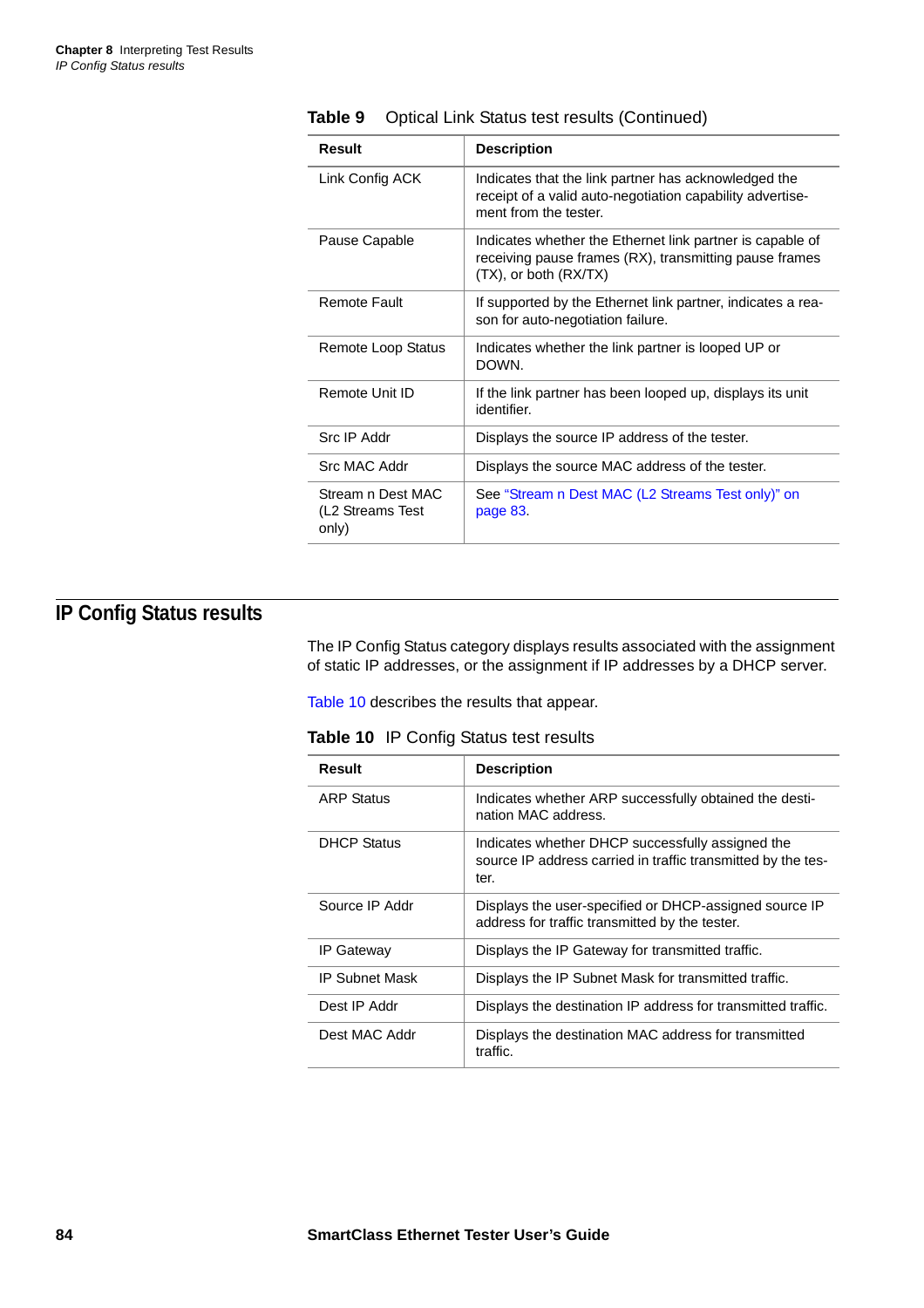| Result                                          | <b>Description</b>                                                                                                                                |
|-------------------------------------------------|---------------------------------------------------------------------------------------------------------------------------------------------------|
| Link Config ACK                                 | Indicates that the link partner has acknowledged the<br>receipt of a valid auto-negotiation capability advertise-<br>ment from the tester.        |
| Pause Capable                                   | Indicates whether the Ethernet link partner is capable of<br>receiving pause frames (RX), transmitting pause frames<br>$(TX)$ , or both $(RX/TX)$ |
| <b>Remote Fault</b>                             | If supported by the Ethernet link partner, indicates a rea-<br>son for auto-negotiation failure.                                                  |
| Remote Loop Status                              | Indicates whether the link partner is looped UP or<br>DOWN.                                                                                       |
| Remote Unit ID                                  | If the link partner has been looped up, displays its unit<br>identifier.                                                                          |
| Src IP Addr                                     | Displays the source IP address of the tester.                                                                                                     |
| <b>Src MAC Addr</b>                             | Displays the source MAC address of the tester.                                                                                                    |
| Stream n Dest MAC<br>(L2 Streams Test)<br>only) | See "Stream n Dest MAC (L2 Streams Test only)" on<br>page 83.                                                                                     |

## **Table 9** Optical Link Status test results (Continued)

# **IP Config Status results**

The IP Config Status category displays results associated with the assignment of static IP addresses, or the assignment if IP addresses by a DHCP server.

[Table 10](#page-97-0) describes the results that appear.

<span id="page-97-0"></span>

|  |  | Table 10 IP Config Status test results |
|--|--|----------------------------------------|
|--|--|----------------------------------------|

| Result                | <b>Description</b>                                                                                                       |
|-----------------------|--------------------------------------------------------------------------------------------------------------------------|
| <b>ARP Status</b>     | Indicates whether ARP successfully obtained the desti-<br>nation MAC address.                                            |
| <b>DHCP Status</b>    | Indicates whether DHCP successfully assigned the<br>source IP address carried in traffic transmitted by the tes-<br>ter. |
| Source IP Addr        | Displays the user-specified or DHCP-assigned source IP<br>address for traffic transmitted by the tester.                 |
| <b>IP Gateway</b>     | Displays the IP Gateway for transmitted traffic.                                                                         |
| <b>IP Subnet Mask</b> | Displays the IP Subnet Mask for transmitted traffic.                                                                     |
| Dest IP Addr          | Displays the destination IP address for transmitted traffic.                                                             |
| Dest MAC Addr         | Displays the destination MAC address for transmitted<br>traffic.                                                         |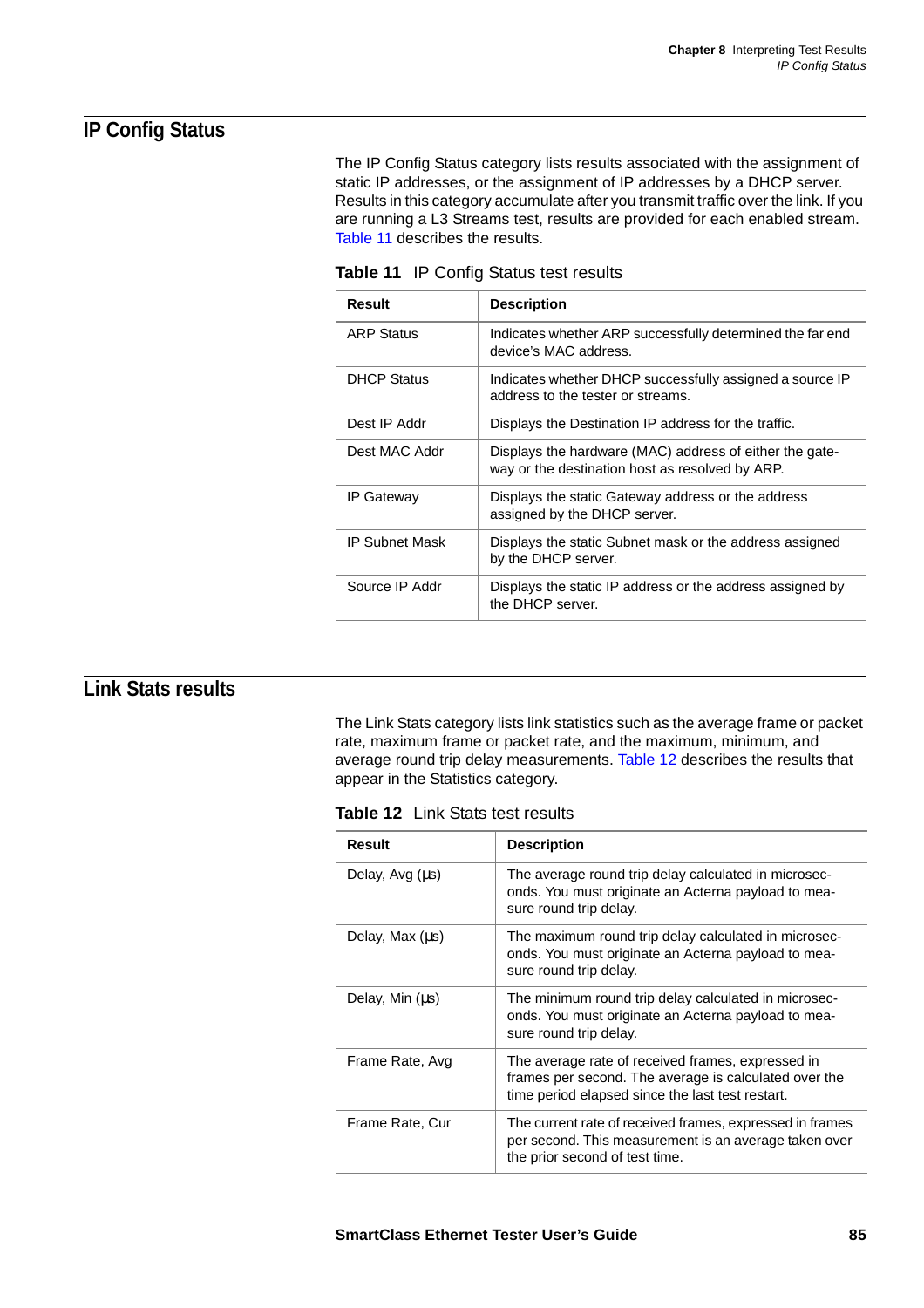# <span id="page-98-2"></span><span id="page-98-0"></span>**IP Config Status**

The IP Config Status category lists results associated with the assignment of static IP addresses, or the assignment of IP addresses by a DHCP server. Results in this category accumulate after you transmit traffic over the link. If you are running a L3 Streams test, results are provided for each enabled stream. [Table 11](#page-98-3) describes the results.

| Result                | <b>Description</b>                                                                                         |
|-----------------------|------------------------------------------------------------------------------------------------------------|
| <b>ARP Status</b>     | Indicates whether ARP successfully determined the far end<br>device's MAC address.                         |
| <b>DHCP Status</b>    | Indicates whether DHCP successfully assigned a source IP<br>address to the tester or streams.              |
| Dest IP Addr          | Displays the Destination IP address for the traffic.                                                       |
| Dest MAC Addr         | Displays the hardware (MAC) address of either the gate-<br>way or the destination host as resolved by ARP. |
| <b>IP Gateway</b>     | Displays the static Gateway address or the address<br>assigned by the DHCP server.                         |
| <b>IP Subnet Mask</b> | Displays the static Subnet mask or the address assigned<br>by the DHCP server.                             |
| Source IP Addr        | Displays the static IP address or the address assigned by<br>the DHCP server.                              |

<span id="page-98-3"></span>**Table 11** IP Config Status test results

# <span id="page-98-1"></span>**Link Stats results**

The Link Stats category lists link statistics such as the average frame or packet rate, maximum frame or packet rate, and the maximum, minimum, and average round trip delay measurements. Table 12 describes the results that appear in the Statistics category.

**Table 12** Link Stats test results

| Result          | <b>Description</b>                                                                                                                                             |
|-----------------|----------------------------------------------------------------------------------------------------------------------------------------------------------------|
| Delay, Avg (us) | The average round trip delay calculated in microsec-<br>onds. You must originate an Acterna payload to mea-<br>sure round trip delay.                          |
| Delay, Max (us) | The maximum round trip delay calculated in microsec-<br>onds. You must originate an Acterna payload to mea-<br>sure round trip delay.                          |
| Delay, Min (us) | The minimum round trip delay calculated in microsec-<br>onds. You must originate an Acterna payload to mea-<br>sure round trip delay.                          |
| Frame Rate, Avg | The average rate of received frames, expressed in<br>frames per second. The average is calculated over the<br>time period elapsed since the last test restart. |
| Frame Rate, Cur | The current rate of received frames, expressed in frames<br>per second. This measurement is an average taken over<br>the prior second of test time.            |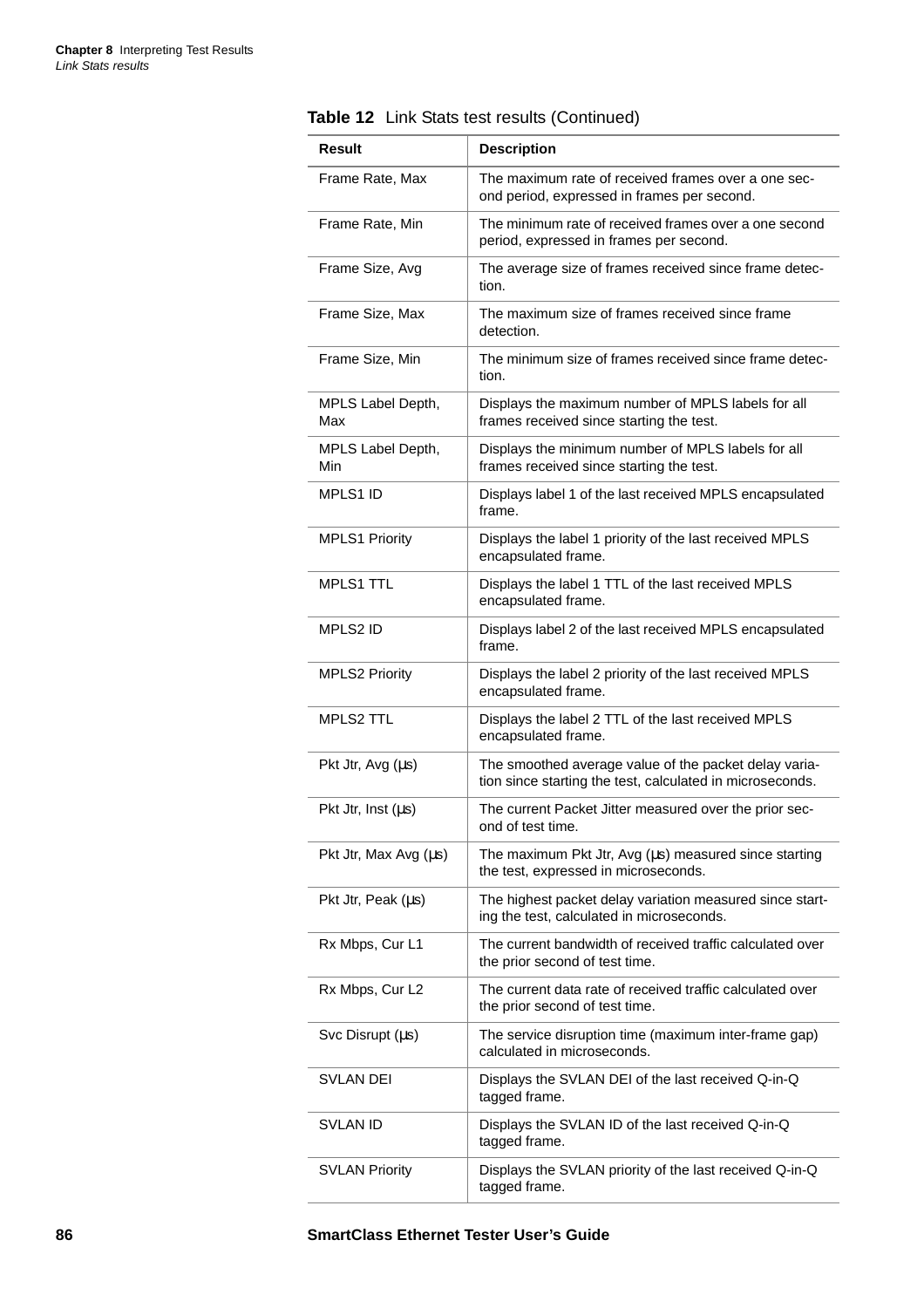| <b>Result</b>            | <b>Description</b>                                                                                                 |
|--------------------------|--------------------------------------------------------------------------------------------------------------------|
| Frame Rate, Max          | The maximum rate of received frames over a one sec-<br>ond period, expressed in frames per second.                 |
| Frame Rate, Min          | The minimum rate of received frames over a one second<br>period, expressed in frames per second.                   |
| Frame Size, Avg          | The average size of frames received since frame detec-<br>tion.                                                    |
| Frame Size, Max          | The maximum size of frames received since frame<br>detection.                                                      |
| Frame Size, Min          | The minimum size of frames received since frame detec-<br>tion.                                                    |
| MPLS Label Depth,<br>Max | Displays the maximum number of MPLS labels for all<br>frames received since starting the test.                     |
| MPLS Label Depth,<br>Min | Displays the minimum number of MPLS labels for all<br>frames received since starting the test.                     |
| MPLS1 ID                 | Displays label 1 of the last received MPLS encapsulated<br>frame.                                                  |
| <b>MPLS1 Priority</b>    | Displays the label 1 priority of the last received MPLS<br>encapsulated frame.                                     |
| <b>MPLS1 TTL</b>         | Displays the label 1 TTL of the last received MPLS<br>encapsulated frame.                                          |
| MPLS2 ID                 | Displays label 2 of the last received MPLS encapsulated<br>frame.                                                  |
| <b>MPLS2 Priority</b>    | Displays the label 2 priority of the last received MPLS<br>encapsulated frame.                                     |
| <b>MPLS2 TTL</b>         | Displays the label 2 TTL of the last received MPLS<br>encapsulated frame.                                          |
| Pkt Jtr, Avg (µs)        | The smoothed average value of the packet delay varia-<br>tion since starting the test, calculated in microseconds. |
| Pkt Jtr, Inst (µs)       | The current Packet Jitter measured over the prior sec-<br>ond of test time.                                        |
| Pkt Jtr, Max Avg (µs)    | The maximum Pkt Jtr, Avg (µs) measured since starting<br>the test, expressed in microseconds.                      |
| Pkt Jtr, Peak $(\mu s)$  | The highest packet delay variation measured since start-<br>ing the test, calculated in microseconds.              |
| Rx Mbps, Cur L1          | The current bandwidth of received traffic calculated over<br>the prior second of test time.                        |
| Rx Mbps, Cur L2          | The current data rate of received traffic calculated over<br>the prior second of test time.                        |
| Svc Disrupt (µs)         | The service disruption time (maximum inter-frame gap)<br>calculated in microseconds.                               |
| SVLAN DEI                | Displays the SVLAN DEI of the last received Q-in-Q<br>tagged frame.                                                |
| SVLAN ID                 | Displays the SVLAN ID of the last received Q-in-Q<br>tagged frame.                                                 |
| <b>SVLAN Priority</b>    | Displays the SVLAN priority of the last received Q-in-Q<br>tagged frame.                                           |

| <b>Table 12</b> Link Stats test results (Continued) |  |
|-----------------------------------------------------|--|
|-----------------------------------------------------|--|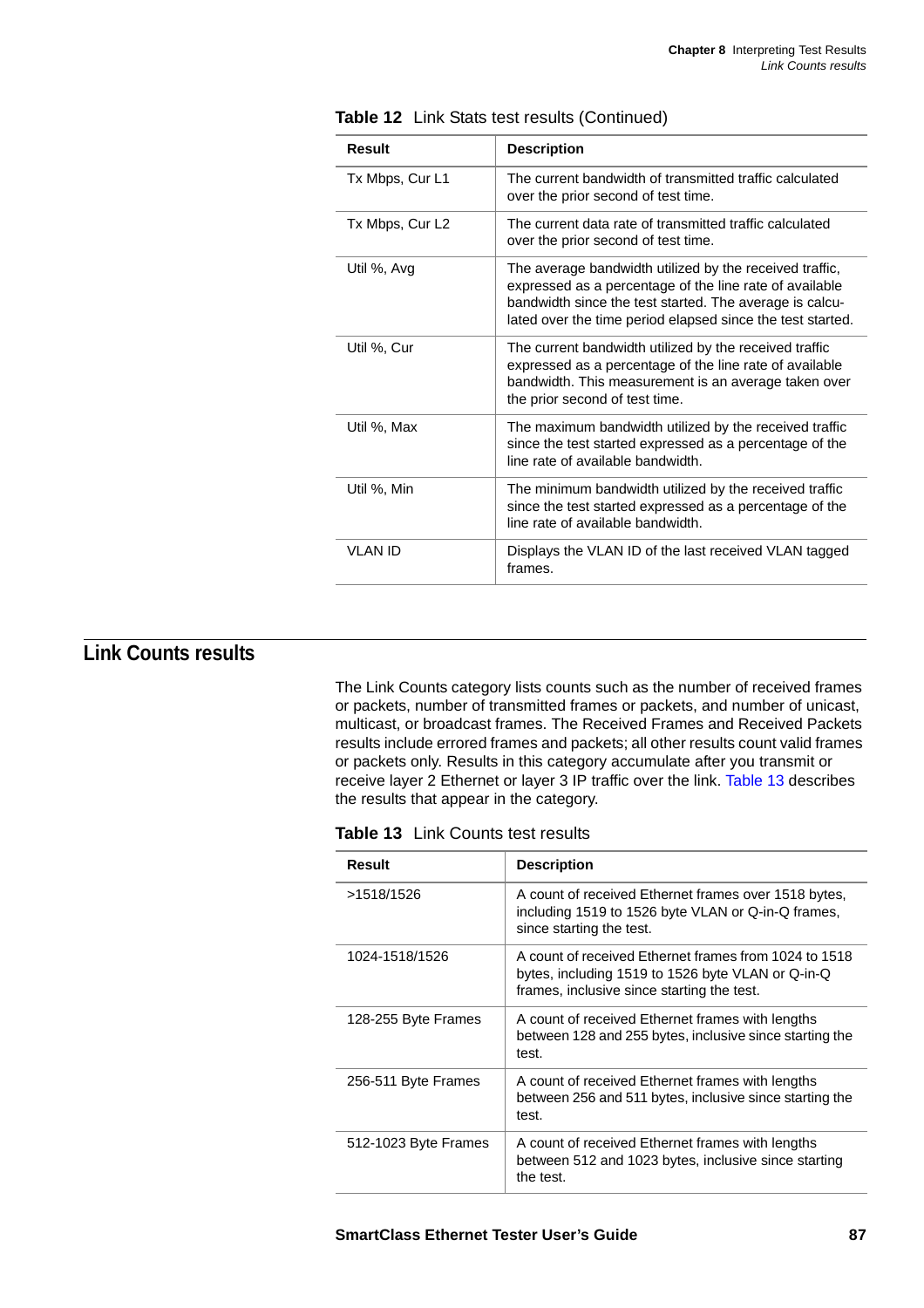| Result          | <b>Description</b>                                                                                                                                                                                                                          |
|-----------------|---------------------------------------------------------------------------------------------------------------------------------------------------------------------------------------------------------------------------------------------|
| Tx Mbps, Cur L1 | The current bandwidth of transmitted traffic calculated<br>over the prior second of test time.                                                                                                                                              |
| Tx Mbps, Cur L2 | The current data rate of transmitted traffic calculated<br>over the prior second of test time.                                                                                                                                              |
| Util %, Avg     | The average bandwidth utilized by the received traffic,<br>expressed as a percentage of the line rate of available<br>bandwidth since the test started. The average is calcu-<br>lated over the time period elapsed since the test started. |
| Util %, Cur     | The current bandwidth utilized by the received traffic<br>expressed as a percentage of the line rate of available<br>bandwidth. This measurement is an average taken over<br>the prior second of test time.                                 |
| Util %, Max     | The maximum bandwidth utilized by the received traffic<br>since the test started expressed as a percentage of the<br>line rate of available bandwidth.                                                                                      |
| Util %, Min     | The minimum bandwidth utilized by the received traffic<br>since the test started expressed as a percentage of the<br>line rate of available bandwidth.                                                                                      |
| VLAN ID         | Displays the VLAN ID of the last received VLAN tagged<br>frames.                                                                                                                                                                            |

**Table 12** Link Stats test results (Continued)

# <span id="page-100-0"></span>**Link Counts results**

The Link Counts category lists counts such as the number of received frames or packets, number of transmitted frames or packets, and number of unicast, multicast, or broadcast frames. The Received Frames and Received Packets results include errored frames and packets; all other results count valid frames or packets only. Results in this category accumulate after you transmit or receive layer 2 Ethernet or layer 3 IP traffic over the link. [Table 13](#page-100-1) describes the results that appear in the category.

<span id="page-100-1"></span>**Table 13** Link Counts test results

| Result               | <b>Description</b>                                                                                                                                       |
|----------------------|----------------------------------------------------------------------------------------------------------------------------------------------------------|
| >1518/1526           | A count of received Ethernet frames over 1518 bytes,<br>including 1519 to 1526 byte VLAN or Q-in-Q frames,<br>since starting the test.                   |
| 1024-1518/1526       | A count of received Ethernet frames from 1024 to 1518<br>bytes, including 1519 to 1526 byte VLAN or Q-in-Q<br>frames, inclusive since starting the test. |
| 128-255 Byte Frames  | A count of received Ethernet frames with lengths<br>between 128 and 255 bytes, inclusive since starting the<br>test.                                     |
| 256-511 Byte Frames  | A count of received Ethernet frames with lengths<br>between 256 and 511 bytes, inclusive since starting the<br>test.                                     |
| 512-1023 Byte Frames | A count of received Ethernet frames with lengths<br>between 512 and 1023 bytes, inclusive since starting<br>the test.                                    |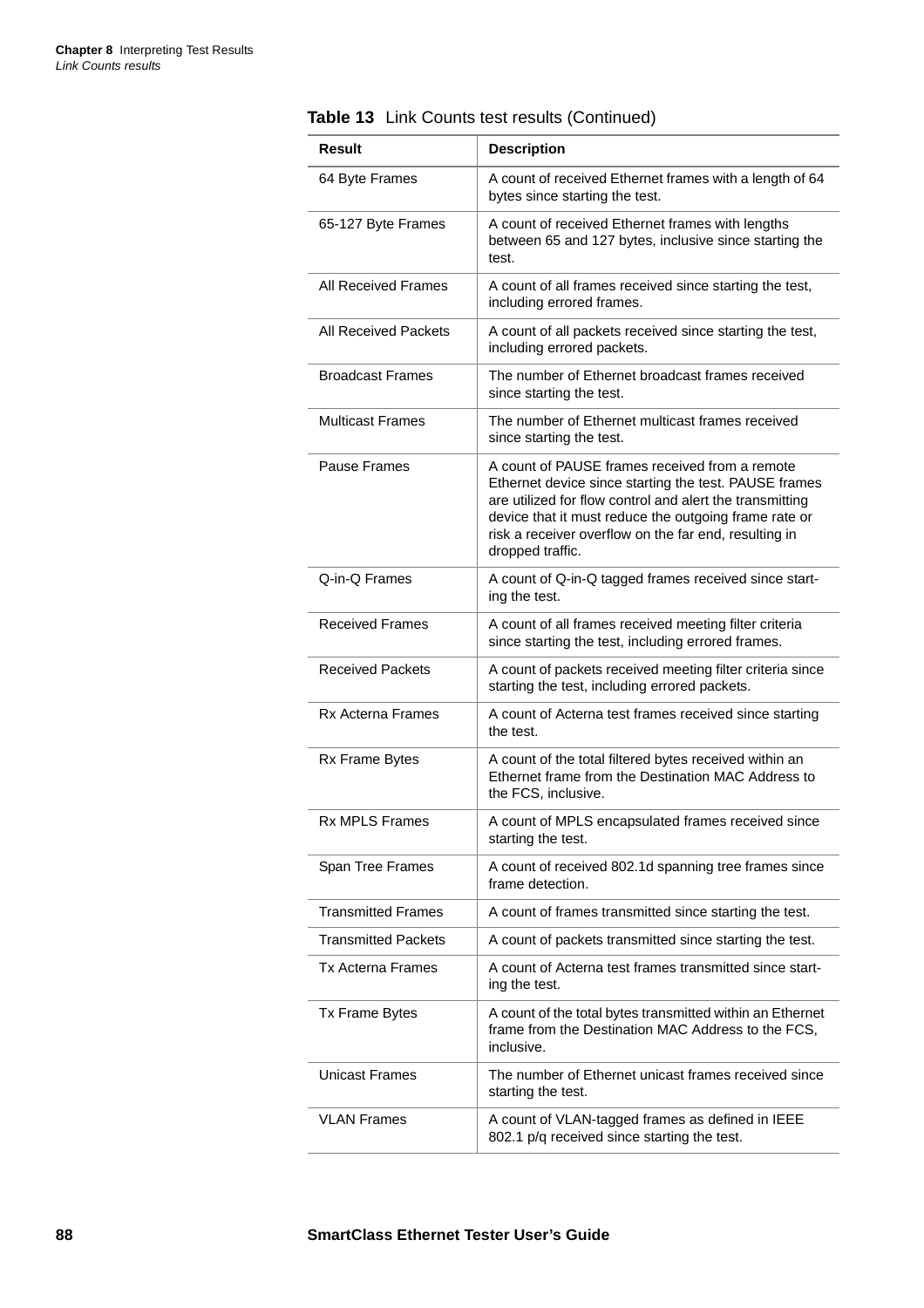| <b>Result</b>              | <b>Description</b>                                                                                                                                                                                                                                                                                        |  |
|----------------------------|-----------------------------------------------------------------------------------------------------------------------------------------------------------------------------------------------------------------------------------------------------------------------------------------------------------|--|
| 64 Byte Frames             | A count of received Ethernet frames with a length of 64<br>bytes since starting the test.                                                                                                                                                                                                                 |  |
| 65-127 Byte Frames         | A count of received Ethernet frames with lengths<br>between 65 and 127 bytes, inclusive since starting the<br>test.                                                                                                                                                                                       |  |
| <b>All Received Frames</b> | A count of all frames received since starting the test,<br>including errored frames.                                                                                                                                                                                                                      |  |
| All Received Packets       | A count of all packets received since starting the test,<br>including errored packets.                                                                                                                                                                                                                    |  |
| <b>Broadcast Frames</b>    | The number of Ethernet broadcast frames received<br>since starting the test.                                                                                                                                                                                                                              |  |
| <b>Multicast Frames</b>    | The number of Ethernet multicast frames received<br>since starting the test.                                                                                                                                                                                                                              |  |
| Pause Frames               | A count of PAUSE frames received from a remote<br>Ethernet device since starting the test. PAUSE frames<br>are utilized for flow control and alert the transmitting<br>device that it must reduce the outgoing frame rate or<br>risk a receiver overflow on the far end, resulting in<br>dropped traffic. |  |
| Q-in-Q Frames              | A count of Q-in-Q tagged frames received since start-<br>ing the test.                                                                                                                                                                                                                                    |  |
| <b>Received Frames</b>     | A count of all frames received meeting filter criteria<br>since starting the test, including errored frames.                                                                                                                                                                                              |  |
| <b>Received Packets</b>    | A count of packets received meeting filter criteria since<br>starting the test, including errored packets.                                                                                                                                                                                                |  |
| <b>Rx Acterna Frames</b>   | A count of Acterna test frames received since starting<br>the test.                                                                                                                                                                                                                                       |  |
| Rx Frame Bytes             | A count of the total filtered bytes received within an<br>Ethernet frame from the Destination MAC Address to<br>the FCS, inclusive.                                                                                                                                                                       |  |
| Rx MPLS Frames             | A count of MPLS encapsulated frames received since<br>starting the test.                                                                                                                                                                                                                                  |  |
| Span Tree Frames           | A count of received 802.1d spanning tree frames since<br>frame detection.                                                                                                                                                                                                                                 |  |
| <b>Transmitted Frames</b>  | A count of frames transmitted since starting the test.                                                                                                                                                                                                                                                    |  |
| <b>Transmitted Packets</b> | A count of packets transmitted since starting the test.                                                                                                                                                                                                                                                   |  |
| <b>Tx Acterna Frames</b>   | A count of Acterna test frames transmitted since start-<br>ing the test.                                                                                                                                                                                                                                  |  |
| Tx Frame Bytes             | A count of the total bytes transmitted within an Ethernet<br>frame from the Destination MAC Address to the FCS,<br>inclusive.                                                                                                                                                                             |  |
| <b>Unicast Frames</b>      | The number of Ethernet unicast frames received since<br>starting the test.                                                                                                                                                                                                                                |  |
| <b>VLAN Frames</b>         | A count of VLAN-tagged frames as defined in IEEE<br>802.1 p/q received since starting the test.                                                                                                                                                                                                           |  |

**Table 13** Link Counts test results (Continued)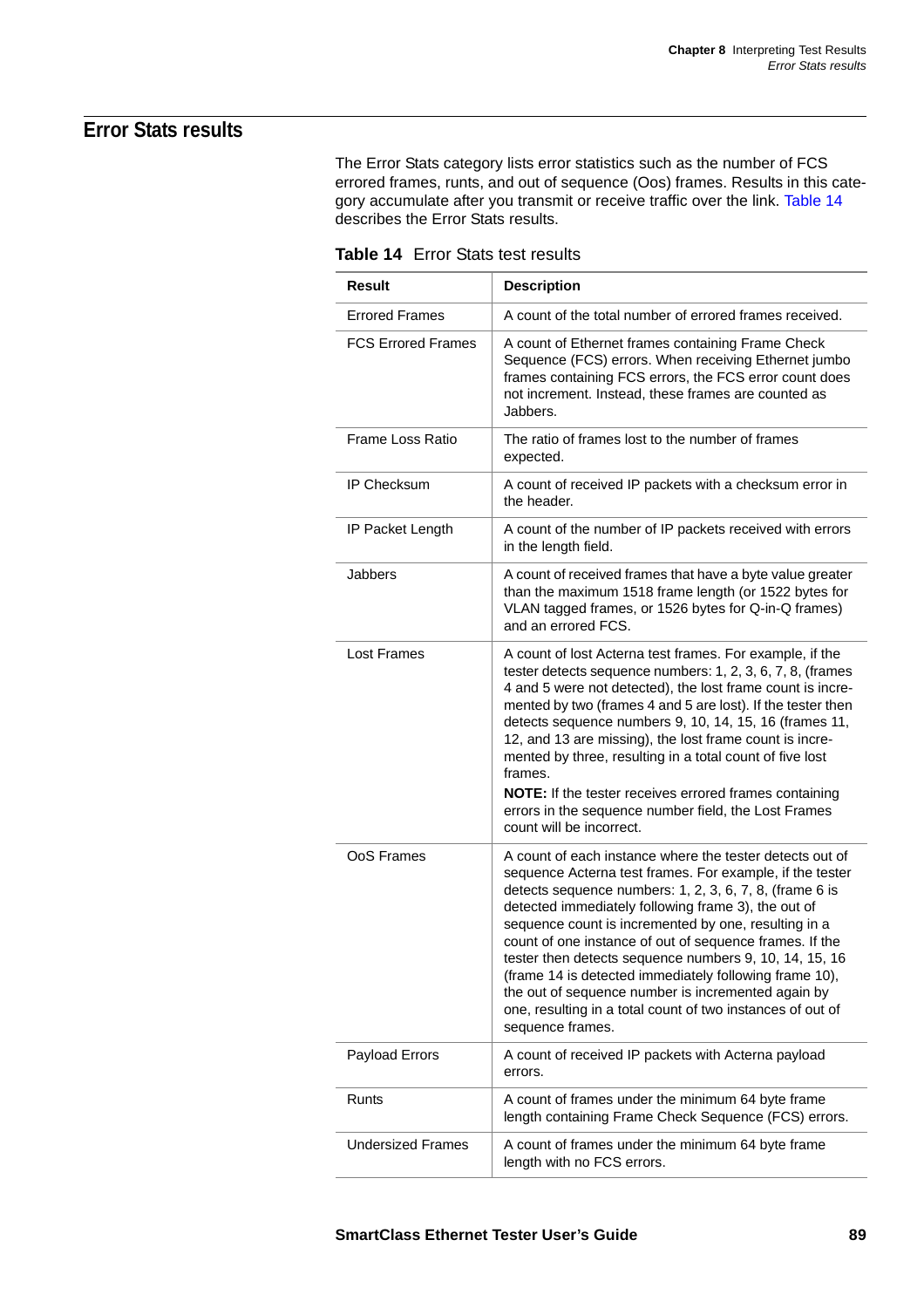# <span id="page-102-0"></span>**Error Stats results**

The Error Stats category lists error statistics such as the number of FCS errored frames, runts, and out of sequence (Oos) frames. Results in this category accumulate after you transmit or receive traffic over the link. [Table 14](#page-102-1) describes the Error Stats results.

<span id="page-102-1"></span>

| Table 14 Error Stats test results |  |  |
|-----------------------------------|--|--|
|-----------------------------------|--|--|

<span id="page-102-2"></span>

| <b>Result</b>             | <b>Description</b>                                                                                                                                                                                                                                                                                                                                                                                                                                                                                                                                                                                                    |
|---------------------------|-----------------------------------------------------------------------------------------------------------------------------------------------------------------------------------------------------------------------------------------------------------------------------------------------------------------------------------------------------------------------------------------------------------------------------------------------------------------------------------------------------------------------------------------------------------------------------------------------------------------------|
| <b>Errored Frames</b>     | A count of the total number of errored frames received.                                                                                                                                                                                                                                                                                                                                                                                                                                                                                                                                                               |
| <b>FCS Errored Frames</b> | A count of Ethernet frames containing Frame Check<br>Sequence (FCS) errors. When receiving Ethernet jumbo<br>frames containing FCS errors, the FCS error count does<br>not increment. Instead, these frames are counted as<br>Jabbers.                                                                                                                                                                                                                                                                                                                                                                                |
| <b>Frame Loss Ratio</b>   | The ratio of frames lost to the number of frames<br>expected.                                                                                                                                                                                                                                                                                                                                                                                                                                                                                                                                                         |
| IP Checksum               | A count of received IP packets with a checksum error in<br>the header.                                                                                                                                                                                                                                                                                                                                                                                                                                                                                                                                                |
| IP Packet Length          | A count of the number of IP packets received with errors<br>in the length field.                                                                                                                                                                                                                                                                                                                                                                                                                                                                                                                                      |
| Jabbers                   | A count of received frames that have a byte value greater<br>than the maximum 1518 frame length (or 1522 bytes for<br>VLAN tagged frames, or 1526 bytes for Q-in-Q frames)<br>and an errored FCS.                                                                                                                                                                                                                                                                                                                                                                                                                     |
| <b>Lost Frames</b>        | A count of lost Acterna test frames. For example, if the<br>tester detects sequence numbers: 1, 2, 3, 6, 7, 8, (frames<br>4 and 5 were not detected), the lost frame count is incre-<br>mented by two (frames 4 and 5 are lost). If the tester then<br>detects sequence numbers 9, 10, 14, 15, 16 (frames 11,<br>12, and 13 are missing), the lost frame count is incre-<br>mented by three, resulting in a total count of five lost<br>frames.<br>NOTE: If the tester receives errored frames containing<br>errors in the sequence number field, the Lost Frames<br>count will be incorrect.                         |
| OoS Frames                | A count of each instance where the tester detects out of<br>sequence Acterna test frames. For example, if the tester<br>detects sequence numbers: 1, 2, 3, 6, 7, 8, (frame 6 is<br>detected immediately following frame 3), the out of<br>sequence count is incremented by one, resulting in a<br>count of one instance of out of sequence frames. If the<br>tester then detects sequence numbers 9, 10, 14, 15, 16<br>(frame 14 is detected immediately following frame 10),<br>the out of sequence number is incremented again by<br>one, resulting in a total count of two instances of out of<br>sequence frames. |
| Payload Errors            | A count of received IP packets with Acterna payload<br>errors.                                                                                                                                                                                                                                                                                                                                                                                                                                                                                                                                                        |
| Runts                     | A count of frames under the minimum 64 byte frame<br>length containing Frame Check Sequence (FCS) errors.                                                                                                                                                                                                                                                                                                                                                                                                                                                                                                             |
| <b>Undersized Frames</b>  | A count of frames under the minimum 64 byte frame<br>length with no FCS errors.                                                                                                                                                                                                                                                                                                                                                                                                                                                                                                                                       |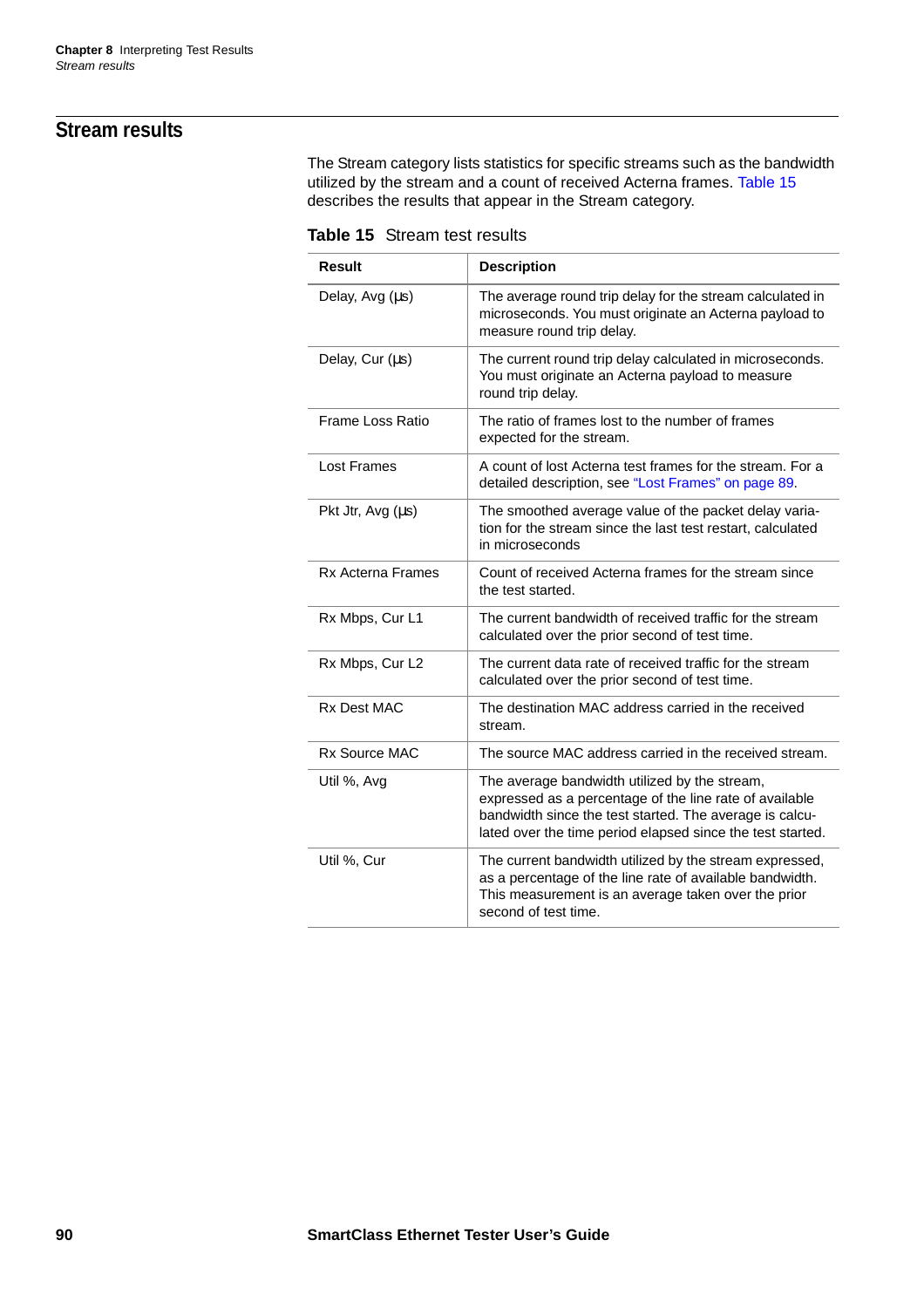# <span id="page-103-0"></span>**Stream results**

The Stream category lists statistics for specific streams such as the bandwidth utilized by the stream and a count of received Acterna frames. [Table 15](#page-103-1) describes the results that appear in the Stream category.

| Result                   | <b>Description</b>                                                                                                                                                                                                                |
|--------------------------|-----------------------------------------------------------------------------------------------------------------------------------------------------------------------------------------------------------------------------------|
| Delay, Avg (µs)          | The average round trip delay for the stream calculated in<br>microseconds. You must originate an Acterna payload to<br>measure round trip delay.                                                                                  |
| Delay, $Cur$ ( $\mu s$ ) | The current round trip delay calculated in microseconds.<br>You must originate an Acterna payload to measure<br>round trip delay.                                                                                                 |
| Frame Loss Ratio         | The ratio of frames lost to the number of frames<br>expected for the stream.                                                                                                                                                      |
| <b>Lost Frames</b>       | A count of lost Acterna test frames for the stream. For a<br>detailed description, see "Lost Frames" on page 89.                                                                                                                  |
| Pkt Jtr, Avg (µs)        | The smoothed average value of the packet delay varia-<br>tion for the stream since the last test restart, calculated<br>in microseconds                                                                                           |
| <b>Rx Acterna Frames</b> | Count of received Acterna frames for the stream since<br>the test started.                                                                                                                                                        |
| Rx Mbps, Cur L1          | The current bandwidth of received traffic for the stream<br>calculated over the prior second of test time.                                                                                                                        |
| Rx Mbps, Cur L2          | The current data rate of received traffic for the stream<br>calculated over the prior second of test time.                                                                                                                        |
| Rx Dest MAC              | The destination MAC address carried in the received<br>stream.                                                                                                                                                                    |
| Rx Source MAC            | The source MAC address carried in the received stream.                                                                                                                                                                            |
| Util %, Avg              | The average bandwidth utilized by the stream,<br>expressed as a percentage of the line rate of available<br>bandwidth since the test started. The average is calcu-<br>lated over the time period elapsed since the test started. |
| Util %, Cur              | The current bandwidth utilized by the stream expressed,<br>as a percentage of the line rate of available bandwidth.<br>This measurement is an average taken over the prior<br>second of test time.                                |

<span id="page-103-1"></span>**Table 15** Stream test results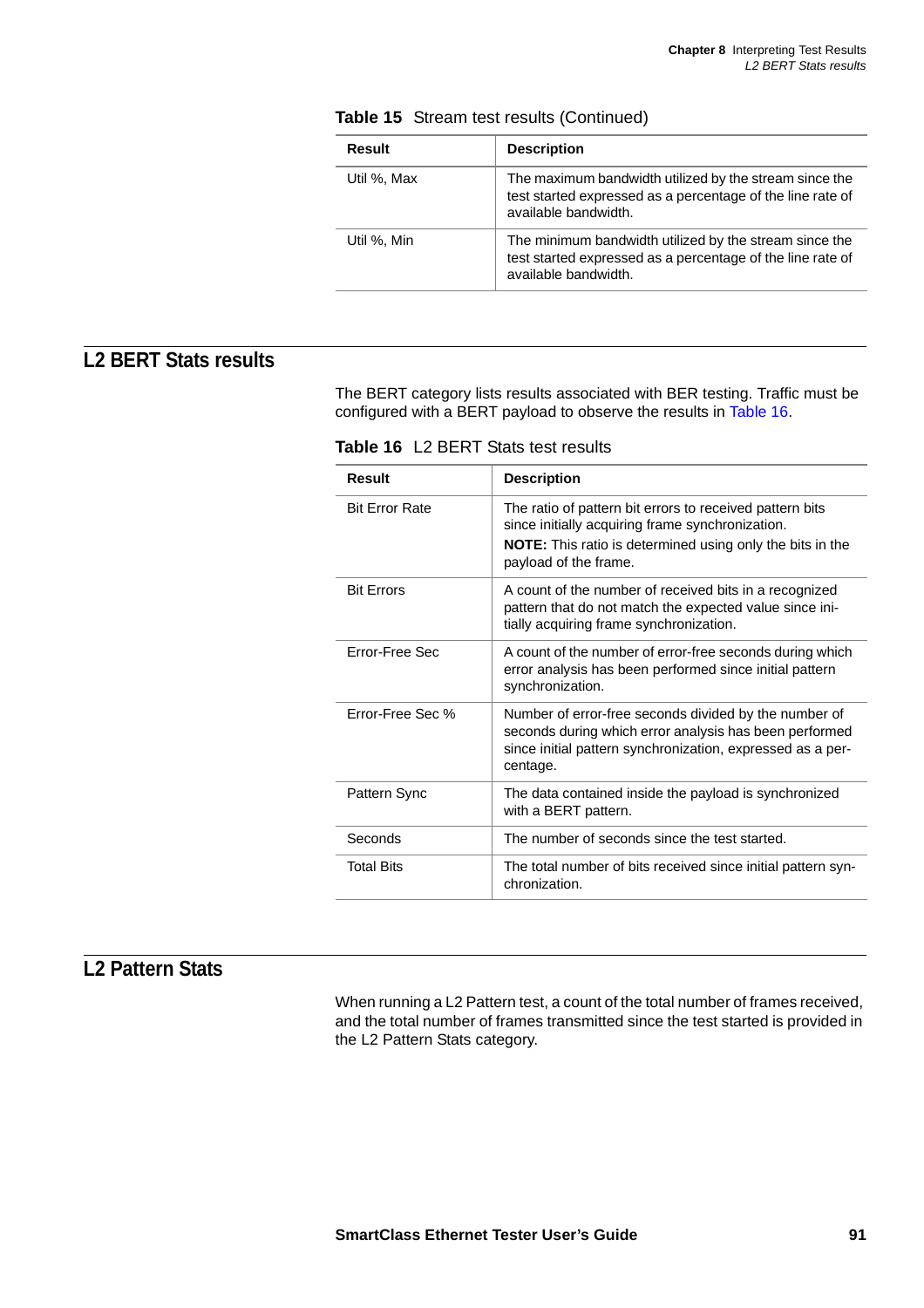| Result      | <b>Description</b>                                                                                                                           |
|-------------|----------------------------------------------------------------------------------------------------------------------------------------------|
| Util %, Max | The maximum bandwidth utilized by the stream since the<br>test started expressed as a percentage of the line rate of<br>available bandwidth. |
| Util %, Min | The minimum bandwidth utilized by the stream since the<br>test started expressed as a percentage of the line rate of<br>available bandwidth. |

Table 15 Stream test results (Continued)

# <span id="page-104-0"></span>**L2 BERT Stats results**

The BERT category lists results associated with BER testing. Traffic must be configured with a BERT payload to observe the results in [Table 16.](#page-104-2)

<span id="page-104-2"></span>Table 16 L2 BERT Stats test results

| Result                | <b>Description</b>                                                                                                                                                                                        |
|-----------------------|-----------------------------------------------------------------------------------------------------------------------------------------------------------------------------------------------------------|
| <b>Bit Error Rate</b> | The ratio of pattern bit errors to received pattern bits<br>since initially acquiring frame synchronization.<br><b>NOTE:</b> This ratio is determined using only the bits in the<br>payload of the frame. |
| <b>Bit Errors</b>     | A count of the number of received bits in a recognized<br>pattern that do not match the expected value since ini-<br>tially acquiring frame synchronization.                                              |
| Error-Free Sec        | A count of the number of error-free seconds during which<br>error analysis has been performed since initial pattern<br>synchronization.                                                                   |
| Error-Free Sec %      | Number of error-free seconds divided by the number of<br>seconds during which error analysis has been performed<br>since initial pattern synchronization, expressed as a per-<br>centage.                 |
| Pattern Sync          | The data contained inside the payload is synchronized<br>with a BERT pattern.                                                                                                                             |
| Seconds               | The number of seconds since the test started.                                                                                                                                                             |
| <b>Total Bits</b>     | The total number of bits received since initial pattern syn-<br>chronization.                                                                                                                             |

# <span id="page-104-1"></span>**L2 Pattern Stats**

When running a L2 Pattern test, a count of the total number of frames received, and the total number of frames transmitted since the test started is provided in the L2 Pattern Stats category.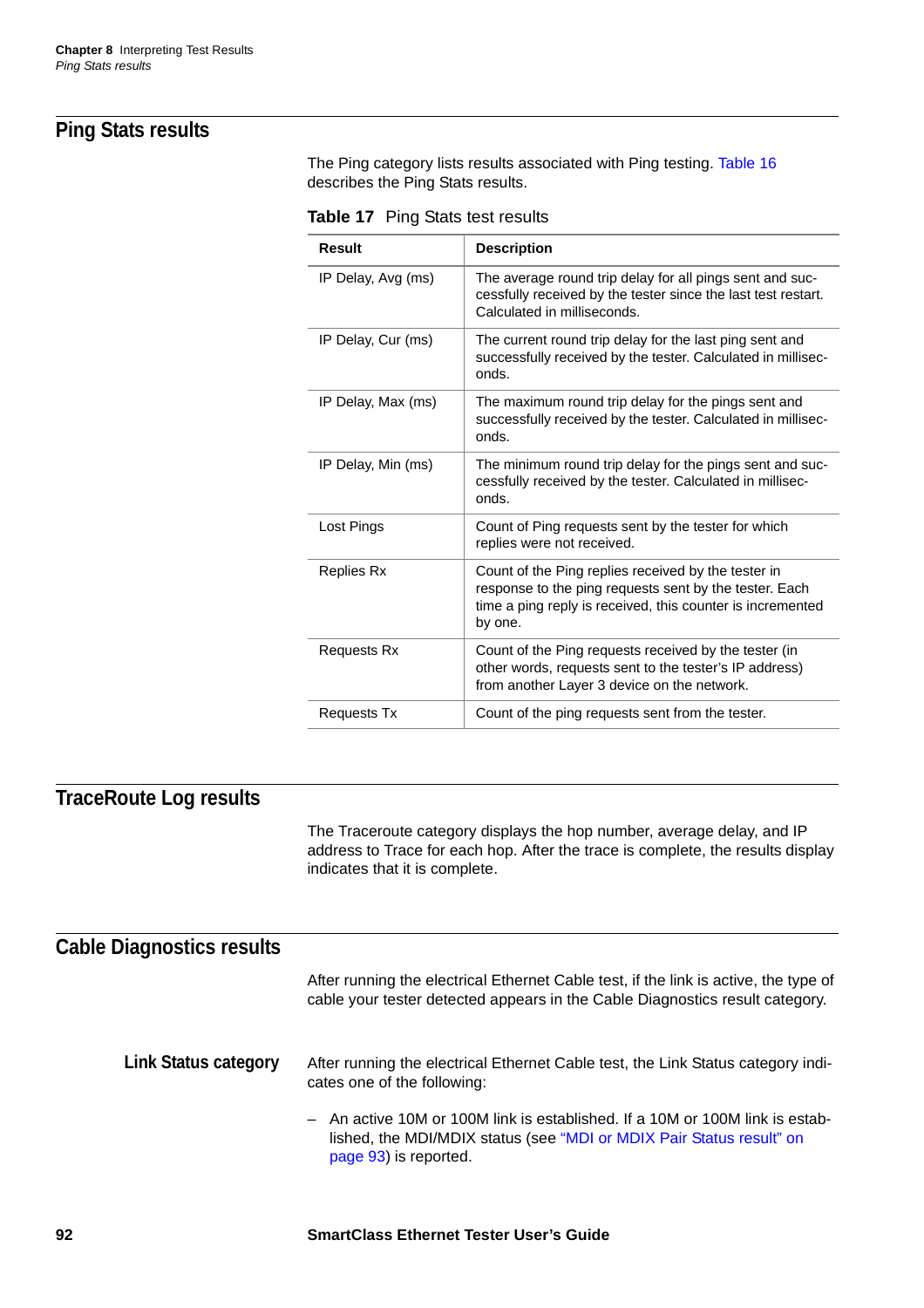# <span id="page-105-0"></span>**Ping Stats results**

The Ping category lists results associated with Ping testing. [Table 16](#page-104-2) describes the Ping Stats results.

| <b>Result</b>      | <b>Description</b>                                                                                                                                                                     |
|--------------------|----------------------------------------------------------------------------------------------------------------------------------------------------------------------------------------|
| IP Delay, Avg (ms) | The average round trip delay for all pings sent and suc-<br>cessfully received by the tester since the last test restart.<br>Calculated in milliseconds.                               |
| IP Delay, Cur (ms) | The current round trip delay for the last ping sent and<br>successfully received by the tester. Calculated in millisec-<br>onds.                                                       |
| IP Delay, Max (ms) | The maximum round trip delay for the pings sent and<br>successfully received by the tester. Calculated in millisec-<br>onds.                                                           |
| IP Delay, Min (ms) | The minimum round trip delay for the pings sent and suc-<br>cessfully received by the tester. Calculated in millisec-<br>onds.                                                         |
| Lost Pings         | Count of Ping requests sent by the tester for which<br>replies were not received.                                                                                                      |
| <b>Replies Rx</b>  | Count of the Ping replies received by the tester in<br>response to the ping requests sent by the tester. Each<br>time a ping reply is received, this counter is incremented<br>by one. |
| <b>Requests Rx</b> | Count of the Ping requests received by the tester (in<br>other words, requests sent to the tester's IP address)<br>from another Layer 3 device on the network.                         |
| <b>Requests Tx</b> | Count of the ping requests sent from the tester.                                                                                                                                       |

**Table 17** Ping Stats test results

# <span id="page-105-1"></span>**TraceRoute Log results**

The Traceroute category displays the hop number, average delay, and IP address to Trace for each hop. After the trace is complete, the results display indicates that it is complete.

## <span id="page-105-2"></span>**Cable Diagnostics results**

After running the electrical Ethernet Cable test, if the link is active, the type of cable your tester detected appears in the Cable Diagnostics result category.

- **Link Status category** After running the electrical Ethernet Cable test, the Link Status category indicates one of the following:
	- An active 10M or 100M link is established. If a 10M or 100M link is established, the MDI/MDIX status (see ["MDI or MDIX Pair Status result" on](#page-106-0)  [page 93](#page-106-0)) is reported.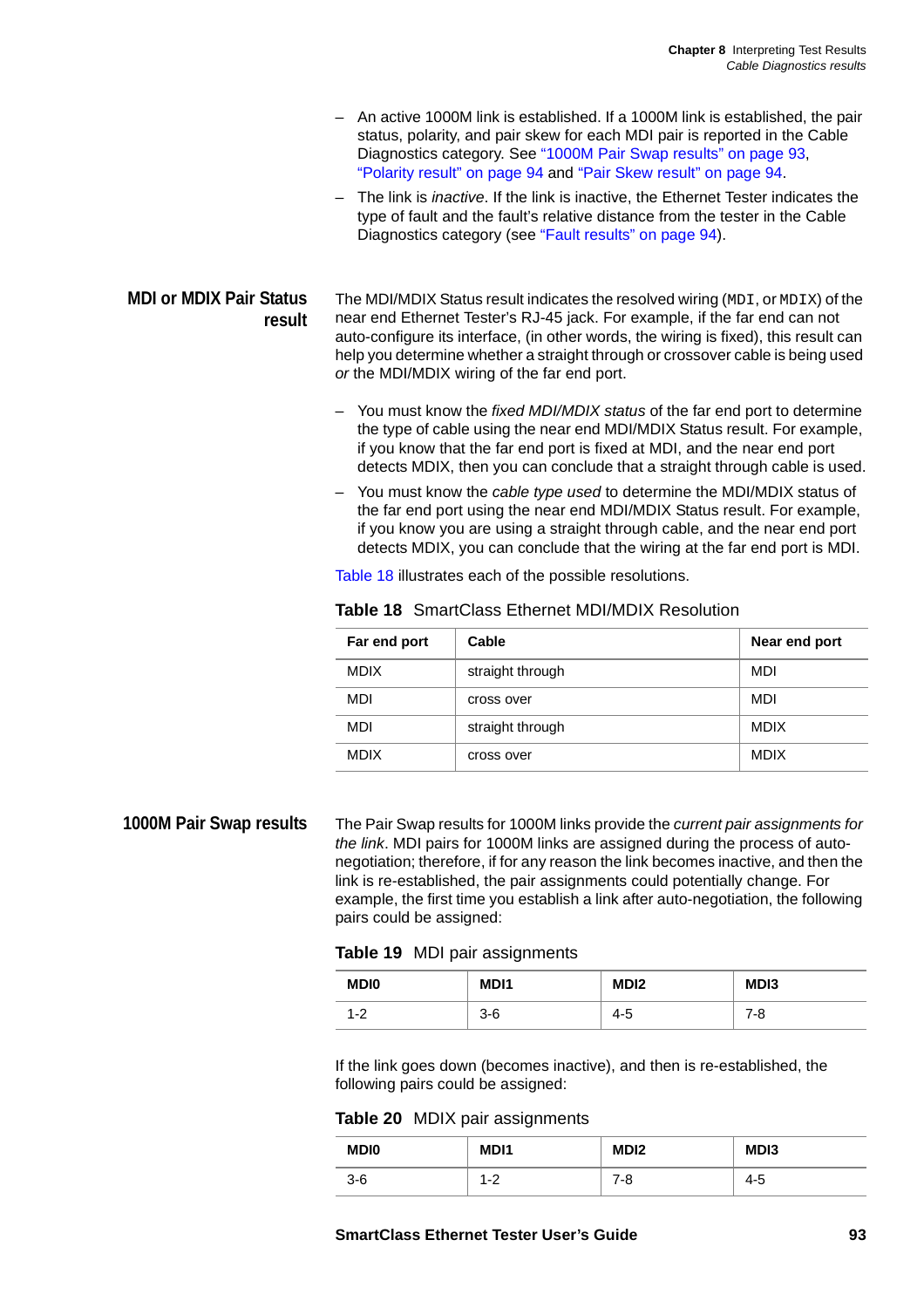- An active 1000M link is established. If a 1000M link is established, the pair status, polarity, and pair skew for each MDI pair is reported in the Cable Diagnostics category. See ["1000M Pair Swap results" on page 93,](#page-106-2) ["Polarity result" on page 94](#page-107-2) and ["Pair Skew result" on page 94.](#page-107-3)
- The link is inactive. If the link is inactive, the Ethernet Tester indicates the type of fault and the fault's relative distance from the tester in the Cable Diagnostics category (see ["Fault results" on page 94\)](#page-107-1).

<span id="page-106-0"></span>**MDI or MDIX Pair Status result** The MDI/MDIX Status result indicates the resolved wiring (MDI, or MDIX) of the near end Ethernet Tester's RJ-45 jack. For example, if the far end can not auto-configure its interface, (in other words, the wiring is fixed), this result can help you determine whether a straight through or crossover cable is being used or the MDI/MDIX wiring of the far end port.

- You must know the fixed MDI/MDIX status of the far end port to determine the type of cable using the near end MDI/MDIX Status result. For example, if you know that the far end port is fixed at MDI, and the near end port detects MDIX, then you can conclude that a straight through cable is used.
- You must know the cable type used to determine the MDI/MDIX status of the far end port using the near end MDI/MDIX Status result. For example, if you know you are using a straight through cable, and the near end port detects MDIX, you can conclude that the wiring at the far end port is MDI.

[Table 18](#page-106-1) illustrates each of the possible resolutions.

| Far end port | Cable            | Near end port |
|--------------|------------------|---------------|
| <b>MDIX</b>  | straight through | MDI           |
| MDI          | cross over       | MDI           |
| MDI          | straight through | <b>MDIX</b>   |
| <b>MDIX</b>  | cross over       | <b>MDIX</b>   |

## <span id="page-106-1"></span>**Table 18** SmartClass Ethernet MDI/MDIX Resolution

<span id="page-106-2"></span>**1000M Pair Swap results** The Pair Swap results for 1000M links provide the current pair assignments for the link. MDI pairs for 1000M links are assigned during the process of autonegotiation; therefore, if for any reason the link becomes inactive, and then the link is re-established, the pair assignments could potentially change. For example, the first time you establish a link after auto-negotiation, the following pairs could be assigned:

## **Table 19** MDI pair assignments

| <b>MDIO</b> | MD <sub>1</sub> | MDI <sub>2</sub> | MD <sub>13</sub> |
|-------------|-----------------|------------------|------------------|
| 1-2         | $3-6$           | 4-5              | 7-8              |

If the link goes down (becomes inactive), and then is re-established, the following pairs could be assigned:

## **Table 20** MDIX pair assignments

| <b>MDIO</b> | MD <sub>1</sub> | MD <sub>12</sub> | MD <sub>13</sub> |
|-------------|-----------------|------------------|------------------|
| $3-6$       | $1 - 2$         | o<br>-0          | 4-5              |

## **SmartClass Ethernet Tester User's Guide 93**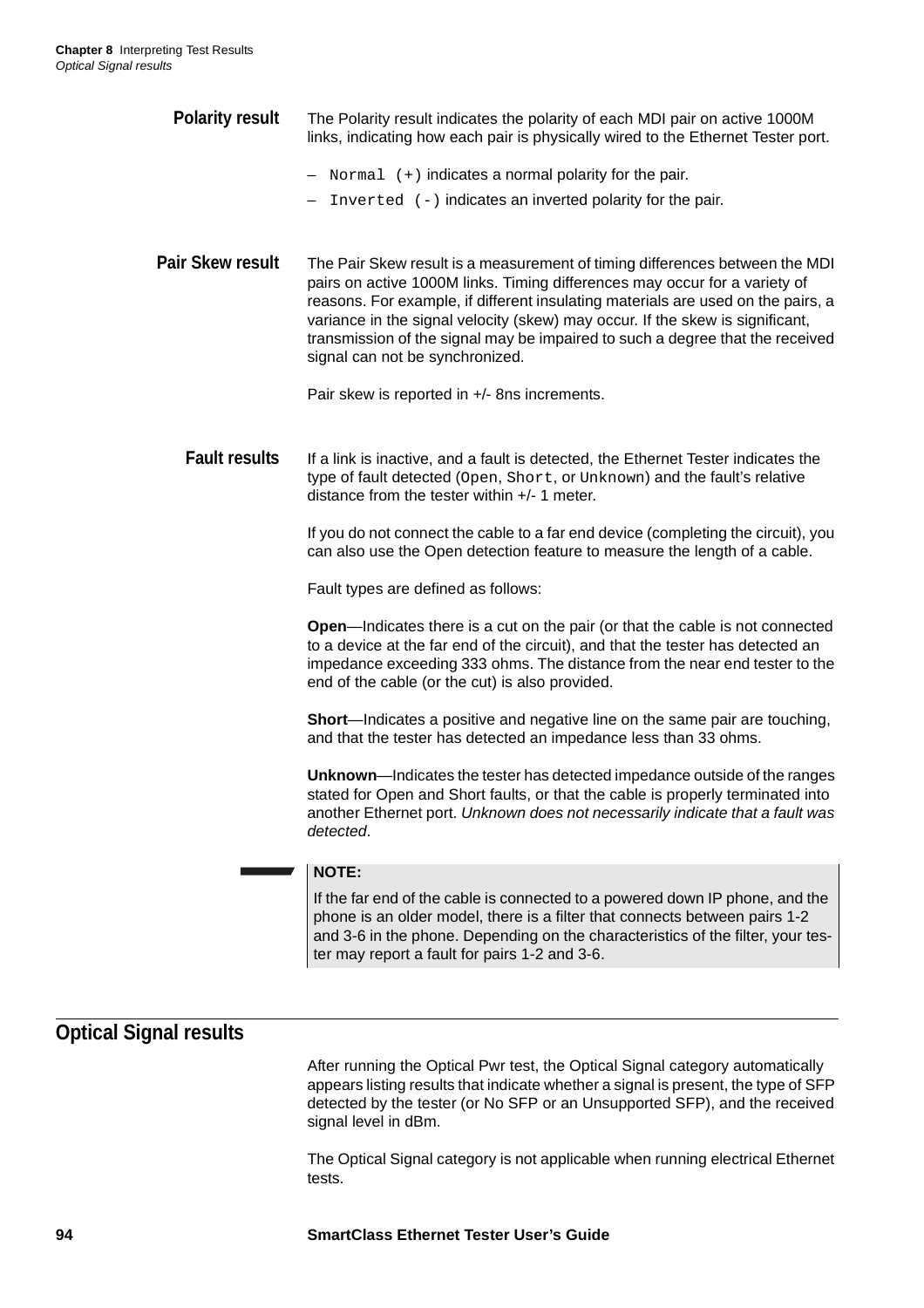<span id="page-107-2"></span>

| <b>Polarity result</b> | The Polarity result indicates the polarity of each MDI pair on active 1000M      |
|------------------------|----------------------------------------------------------------------------------|
|                        | links, indicating how each pair is physically wired to the Ethernet Tester port. |
|                        |                                                                                  |

- Normal (+) indicates a normal polarity for the pair.
- Inverted (-) indicates an inverted polarity for the pair.
- <span id="page-107-3"></span>**Pair Skew result** The Pair Skew result is a measurement of timing differences between the MDI pairs on active 1000M links. Timing differences may occur for a variety of reasons. For example, if different insulating materials are used on the pairs, a variance in the signal velocity (skew) may occur. If the skew is significant, transmission of the signal may be impaired to such a degree that the received signal can not be synchronized.

Pair skew is reported in +/- 8ns increments.

<span id="page-107-1"></span>**Fault results** If a link is inactive, and a fault is detected, the Ethernet Tester indicates the type of fault detected (Open, Short, or Unknown) and the fault's relative distance from the tester within +/- 1 meter.

> If you do not connect the cable to a far end device (completing the circuit), you can also use the Open detection feature to measure the length of a cable.

Fault types are defined as follows:

**Open**—Indicates there is a cut on the pair (or that the cable is not connected to a device at the far end of the circuit), and that the tester has detected an impedance exceeding 333 ohms. The distance from the near end tester to the end of the cable (or the cut) is also provided.

**Short**—Indicates a positive and negative line on the same pair are touching, and that the tester has detected an impedance less than 33 ohms.

**Unknown**—Indicates the tester has detected impedance outside of the ranges stated for Open and Short faults, or that the cable is properly terminated into another Ethernet port. Unknown does not necessarily indicate that a fault was detected.

## **NOTE:**

If the far end of the cable is connected to a powered down IP phone, and the phone is an older model, there is a filter that connects between pairs 1-2 and 3-6 in the phone. Depending on the characteristics of the filter, your tester may report a fault for pairs 1-2 and 3-6.

# <span id="page-107-0"></span>**Optical Signal results**

After running the Optical Pwr test, the Optical Signal category automatically appears listing results that indicate whether a signal is present, the type of SFP detected by the tester (or No SFP or an Unsupported SFP), and the received signal level in dBm.

The Optical Signal category is not applicable when running electrical Ethernet tests.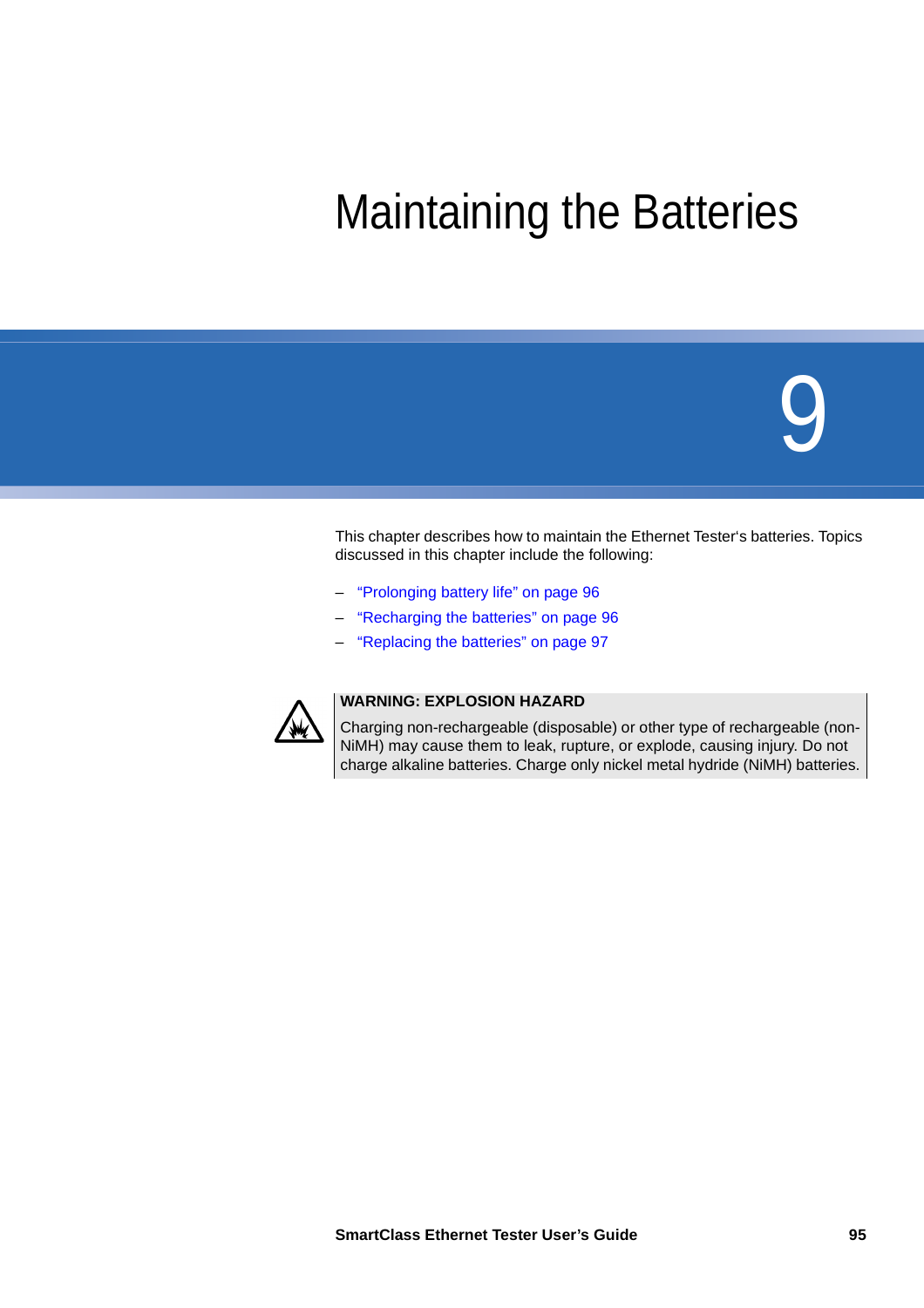# **Maintaining the Batteries**



This chapter describes how to maintain the Ethernet Tester's batteries. Topics discussed in this chapter include the following:

- ["Prolonging battery life" on page 96](#page-109-1)
- ["Recharging the batteries" on page 96](#page-109-0)
- ["Replacing the batteries" on page 97](#page-110-0)



### **WARNING: EXPLOSION HAZARD**

Charging non-rechargeable (disposable) or other type of rechargeable (non-NiMH) may cause them to leak, rupture, or explode, causing injury. Do not charge alkaline batteries. Charge only nickel metal hydride (NiMH) batteries.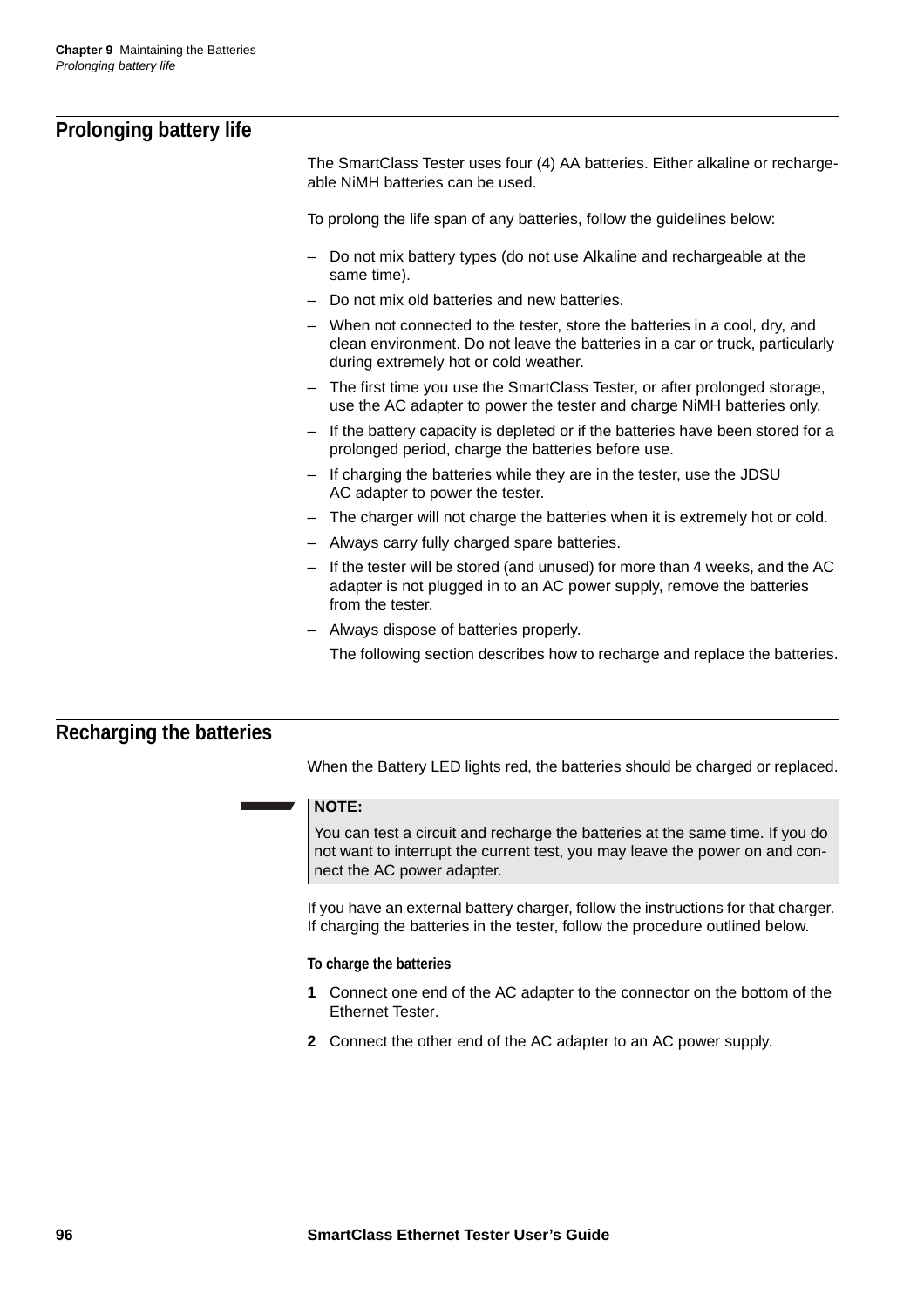## <span id="page-109-1"></span>**Prolonging battery life**

The SmartClass Tester uses four (4) AA batteries. Either alkaline or rechargeable NiMH batteries can be used.

To prolong the life span of any batteries, follow the guidelines below:

- Do not mix battery types (do not use Alkaline and rechargeable at the same time).
- Do not mix old batteries and new batteries.
- When not connected to the tester, store the batteries in a cool, dry, and clean environment. Do not leave the batteries in a car or truck, particularly during extremely hot or cold weather.
- The first time you use the SmartClass Tester, or after prolonged storage, use the AC adapter to power the tester and charge NiMH batteries only.
- If the battery capacity is depleted or if the batteries have been stored for a prolonged period, charge the batteries before use.
- If charging the batteries while they are in the tester, use the JDSU AC adapter to power the tester.
- The charger will not charge the batteries when it is extremely hot or cold.
- Always carry fully charged spare batteries.
- If the tester will be stored (and unused) for more than 4 weeks, and the AC adapter is not plugged in to an AC power supply, remove the batteries from the tester.
- Always dispose of batteries properly.

The following section describes how to recharge and replace the batteries.

### <span id="page-109-2"></span><span id="page-109-0"></span>**Recharging the batteries**

When the Battery LED lights red, the batteries should be charged or replaced.

#### **NOTE:**

You can test a circuit and recharge the batteries at the same time. If you do not want to interrupt the current test, you may leave the power on and connect the AC power adapter.

If you have an external battery charger, follow the instructions for that charger. If charging the batteries in the tester, follow the procedure outlined below.

#### **To charge the batteries**

- **1** Connect one end of the AC adapter to the connector on the bottom of the Ethernet Tester.
- **2** Connect the other end of the AC adapter to an AC power supply.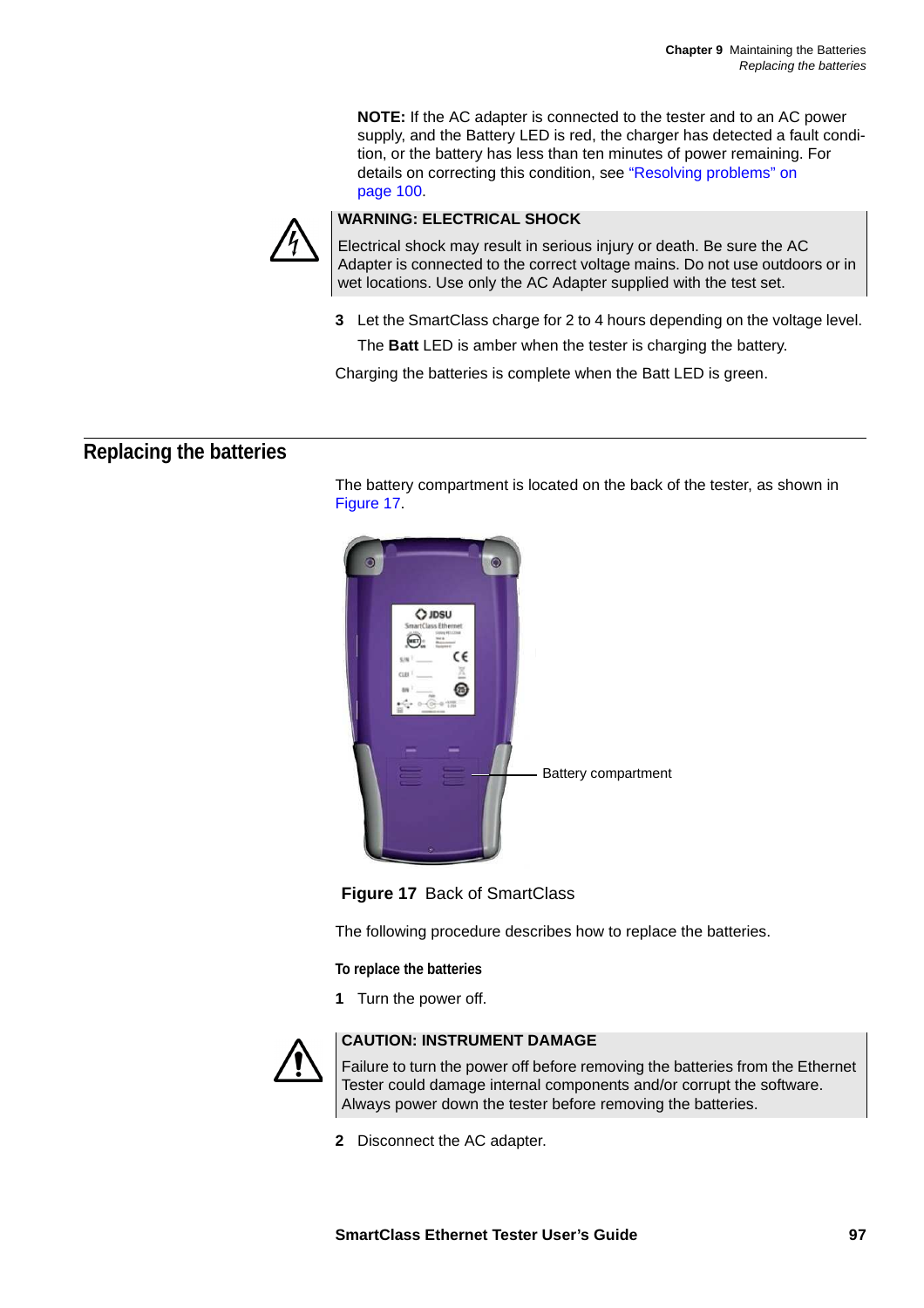**NOTE:** If the AC adapter is connected to the tester and to an AC power supply, and the Battery LED is red, the charger has detected a fault condition, or the battery has less than ten minutes of power remaining. For details on correcting this condition, see ["Resolving problems" on](#page-113-0)  [page 100.](#page-113-0)



### **WARNING: ELECTRICAL SHOCK**

Electrical shock may result in serious injury or death. Be sure the AC Adapter is connected to the correct voltage mains. Do not use outdoors or in wet locations. Use only the AC Adapter supplied with the test set.

**3** Let the SmartClass charge for 2 to 4 hours depending on the voltage level. The **Batt** LED is amber when the tester is charging the battery.

Charging the batteries is complete when the Batt LED is green.

## <span id="page-110-0"></span>**Replacing the batteries**

The battery compartment is located on the back of the tester, as shown in [Figure 17.](#page-110-1)



**Figure 17** Back of SmartClass

<span id="page-110-1"></span>The following procedure describes how to replace the batteries.

#### **To replace the batteries**

**1** Turn the power off.



#### **CAUTION: INSTRUMENT DAMAGE**

Failure to turn the power off before removing the batteries from the Ethernet Tester could damage internal components and/or corrupt the software. Always power down the tester before removing the batteries.

**2** Disconnect the AC adapter.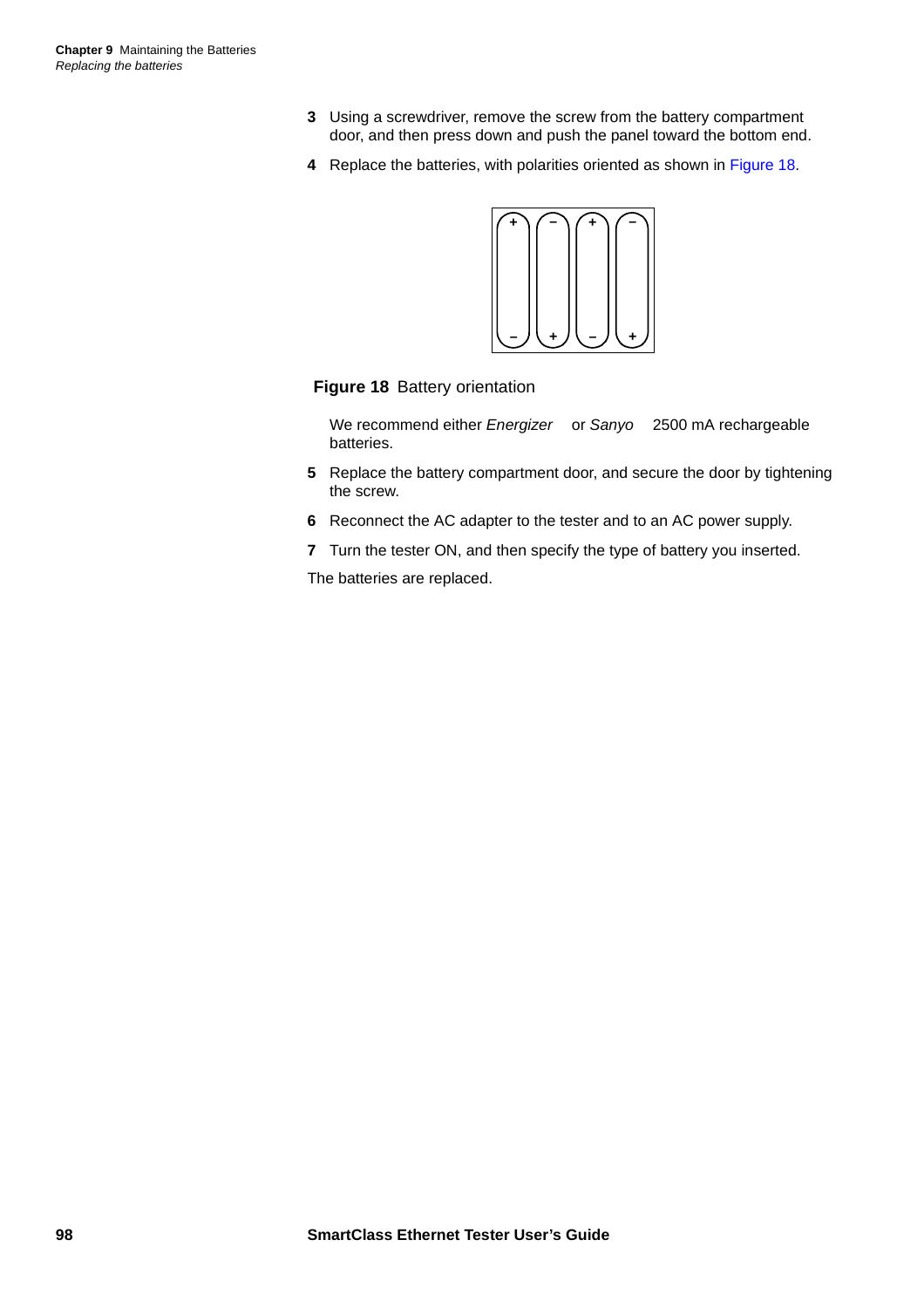- **3** Using a screwdriver, remove the screw from the battery compartment door, and then press down and push the panel toward the bottom end.
- **4** Replace the batteries, with polarities oriented as shown in [Figure 18](#page-111-0).



#### <span id="page-111-0"></span>**Figure 18** Battery orientation

<span id="page-111-1"></span>We recommend either Energizer® or Sanyo® 2500 mA rechargeable batteries.

- **5** Replace the battery compartment door, and secure the door by tightening the screw.
- **6** Reconnect the AC adapter to the tester and to an AC power supply.
- **7** Turn the tester ON, and then specify the type of battery you inserted.

The batteries are replaced.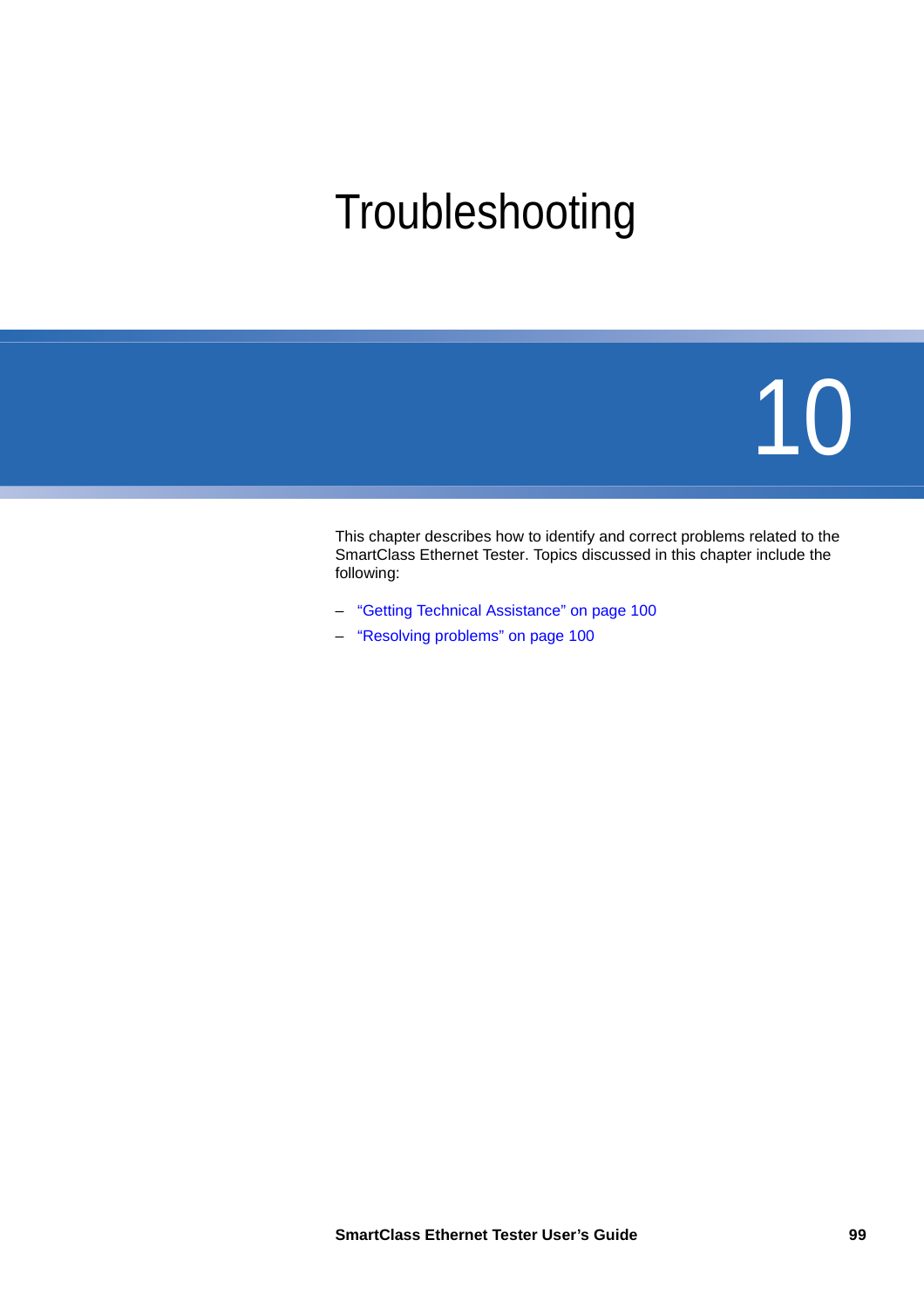## Troubleshooting



This chapter describes how to identify and correct problems related to the SmartClass Ethernet Tester. Topics discussed in this chapter include the following:

- ["Getting Technical Assistance" on page 100](#page-113-1)
- ["Resolving problems" on page 100](#page-113-2)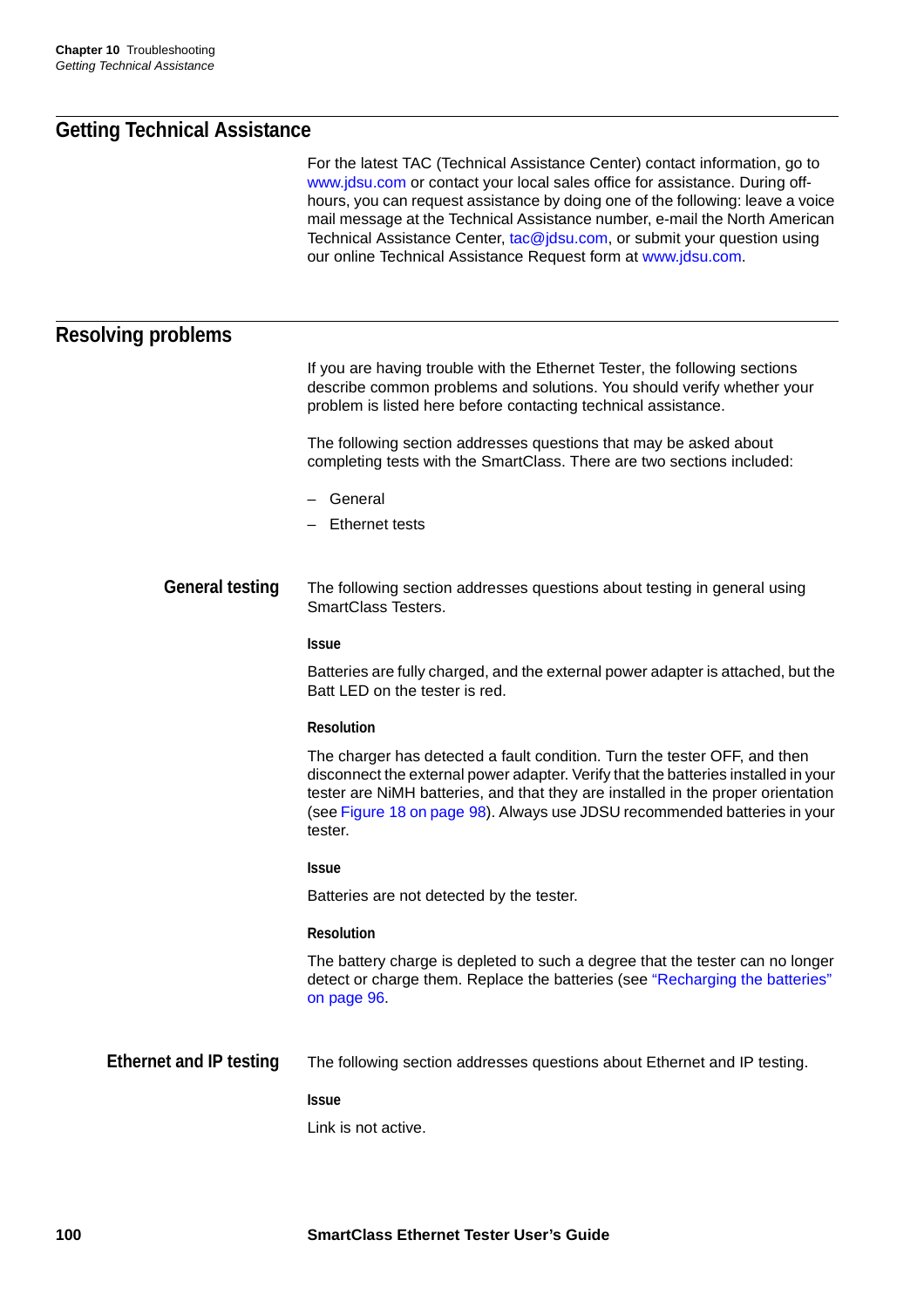## <span id="page-113-1"></span>**Getting Technical Assistance**

For the latest TAC (Technical Assistance Center) contact information, go to [www.jdsu.com](http://www.jdsu.com) or contact your local sales office for assistance. During offhours, you can request assistance by doing one of the following: leave a voice mail message at the Technical Assistance number, e-mail the North American Technical Assistance Center, [tac@jdsu.com,](mailto:tac@jdsu.com) or submit your question using our online Technical Assistance Request form at [www.jdsu.com.](http://www.jdsu.com)

<span id="page-113-2"></span><span id="page-113-0"></span>

| <b>Resolving problems</b> |
|---------------------------|
|---------------------------|

If you are having trouble with the Ethernet Tester, the following sections describe common problems and solutions. You should verify whether your problem is listed here before contacting technical assistance.

The following section addresses questions that may be asked about completing tests with the SmartClass. There are two sections included:

- General
- Ethernet tests
- **General testing** The following section addresses questions about testing in general using SmartClass Testers.

#### **Issue**

Batteries are fully charged, and the external power adapter is attached, but the Batt LED on the tester is red.

#### **Resolution**

The charger has detected a fault condition. Turn the tester OFF, and then disconnect the external power adapter. Verify that the batteries installed in your tester are NiMH batteries, and that they are installed in the proper orientation (see [Figure 18 on page 98](#page-111-1)). Always use JDSU recommended batteries in your tester.

#### **Issue**

Batteries are not detected by the tester.

#### **Resolution**

The battery charge is depleted to such a degree that the tester can no longer detect or charge them. Replace the batteries (see "Recharging the batteries" [on page 96.](#page-109-2)

**Ethernet and IP testing** The following section addresses questions about Ethernet and IP testing.

#### **Issue**

Link is not active.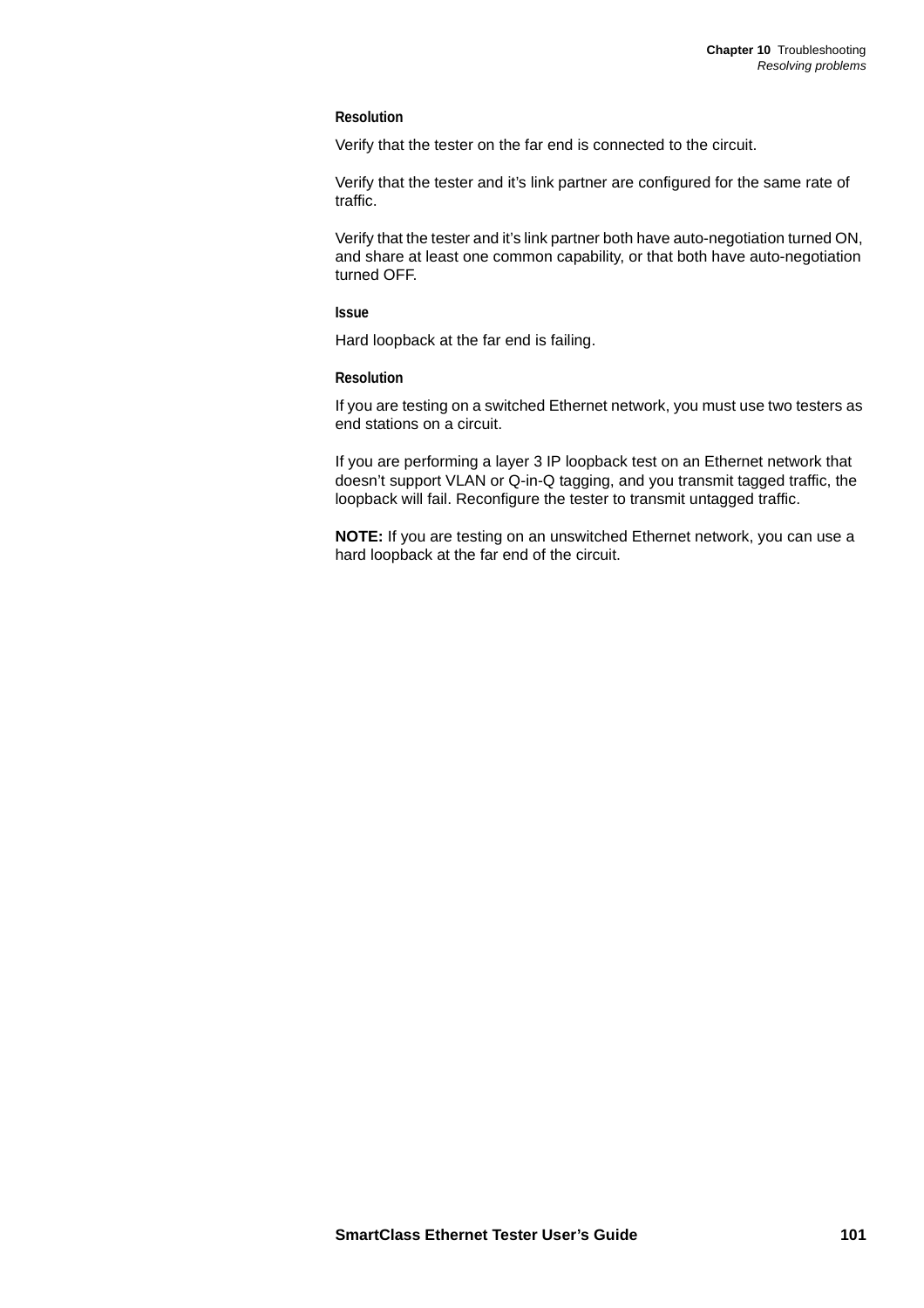#### **Resolution**

Verify that the tester on the far end is connected to the circuit.

Verify that the tester and it's link partner are configured for the same rate of traffic.

Verify that the tester and it's link partner both have auto-negotiation turned ON, and share at least one common capability, or that both have auto-negotiation turned OFF.

#### **Issue**

Hard loopback at the far end is failing.

#### **Resolution**

If you are testing on a switched Ethernet network, you must use two testers as end stations on a circuit.

If you are performing a layer 3 IP loopback test on an Ethernet network that doesn't support VLAN or Q-in-Q tagging, and you transmit tagged traffic, the loopback will fail. Reconfigure the tester to transmit untagged traffic.

**NOTE:** If you are testing on an unswitched Ethernet network, you can use a hard loopback at the far end of the circuit.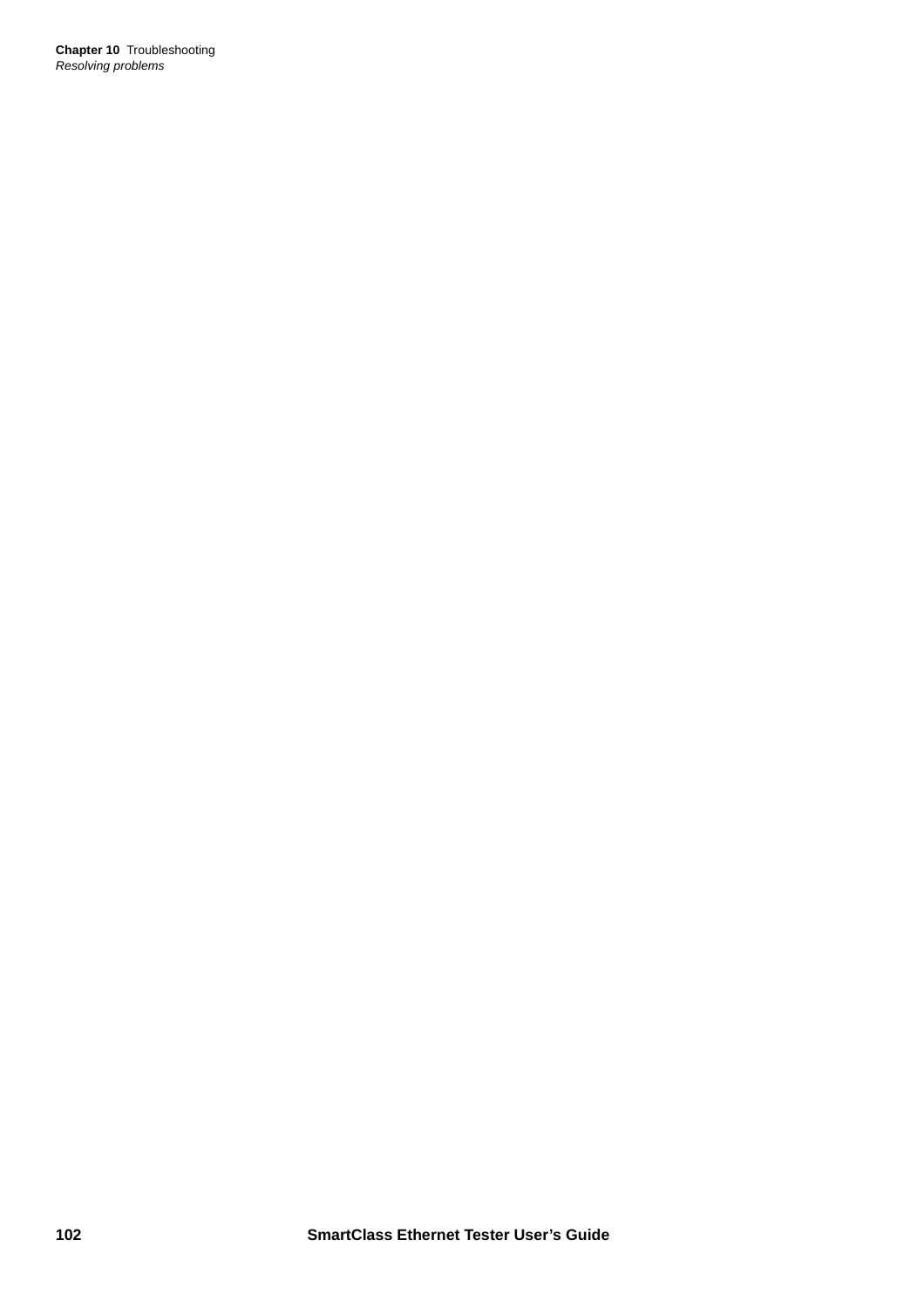**Chapter 10** Troubleshooting Resolving problems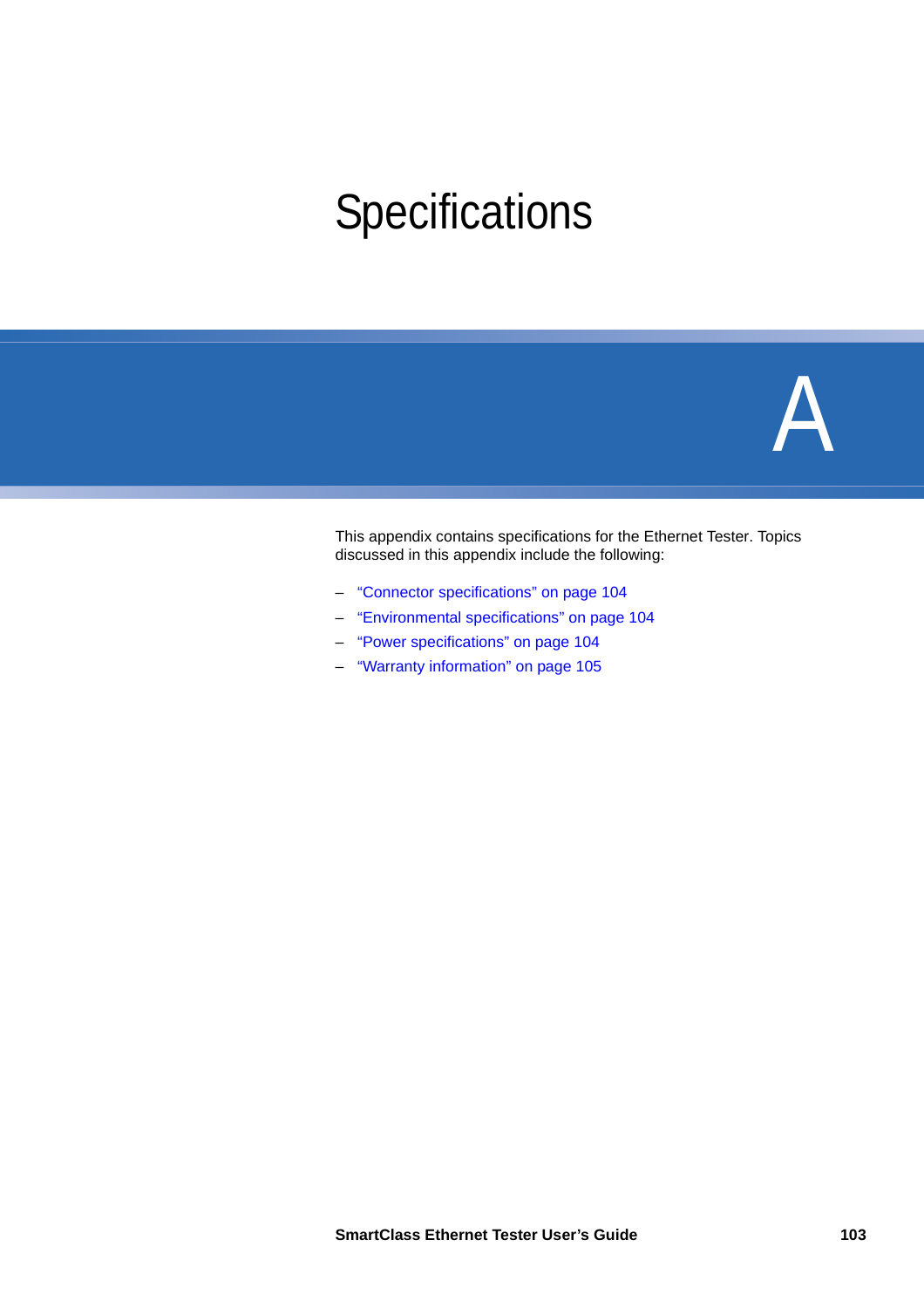## Specifications



This appendix contains specifications for the Ethernet Tester. Topics discussed in this appendix include the following:

- ["Connector specifications" on page 104](#page-117-0)
- ["Environmental specifications" on page 104](#page-117-1)
- ["Power specifications" on page 104](#page-117-2)
- ["Warranty information" on page 105](#page-118-0)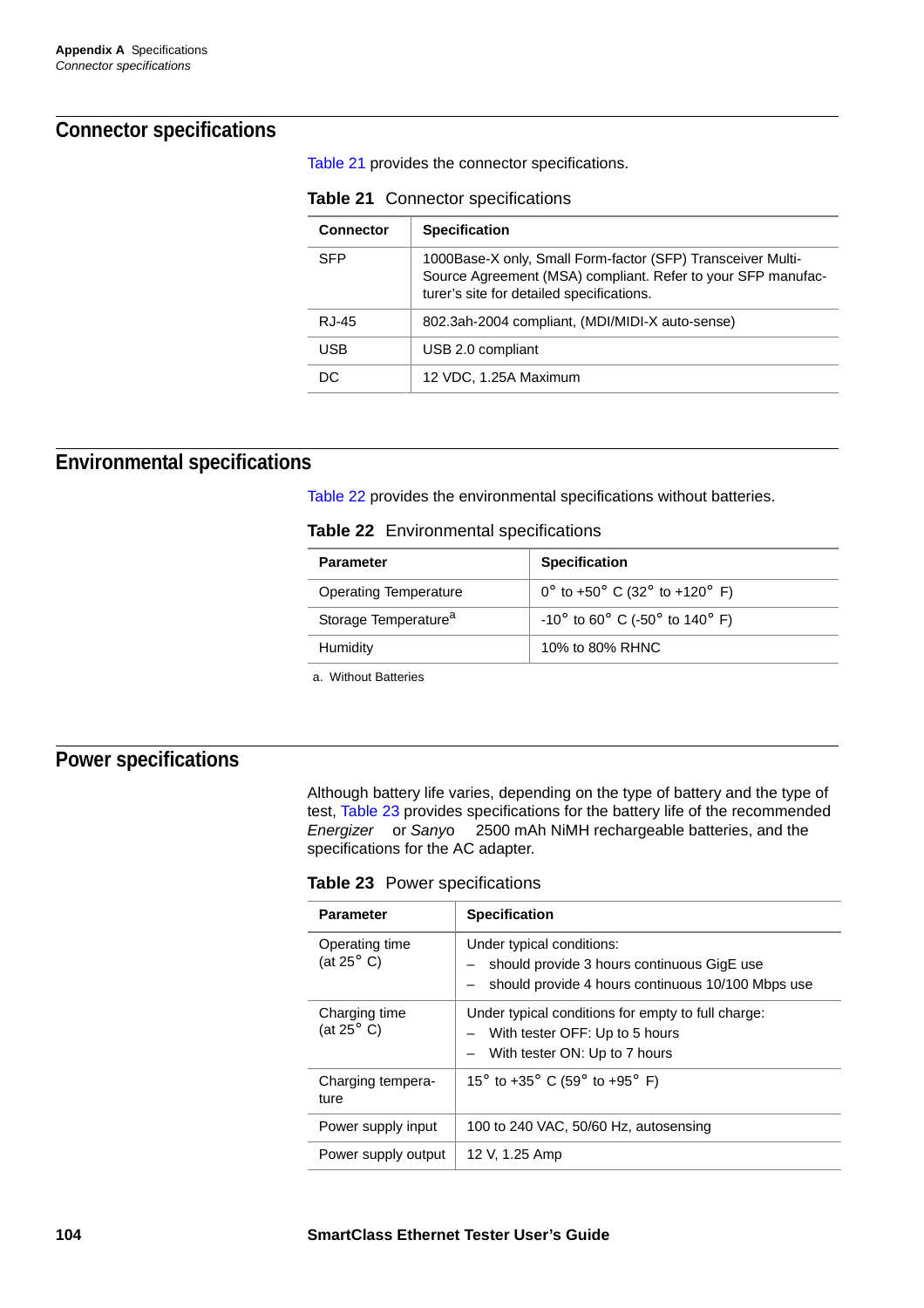## <span id="page-117-0"></span>**Connector specifications**

[Table 21](#page-117-3) provides the connector specifications.

| <b>Connector</b> | <b>Specification</b>                                                                                                                                                     |
|------------------|--------------------------------------------------------------------------------------------------------------------------------------------------------------------------|
| <b>SFP</b>       | 1000Base-X only, Small Form-factor (SFP) Transceiver Multi-<br>Source Agreement (MSA) compliant. Refer to your SFP manufac-<br>turer's site for detailed specifications. |
| R.J-45           | 802.3ah-2004 compliant, (MDI/MIDI-X auto-sense)                                                                                                                          |
| USB              | USB 2.0 compliant                                                                                                                                                        |
| DC               | 12 VDC, 1.25A Maximum                                                                                                                                                    |

<span id="page-117-3"></span>**Table 21** Connector specifications

## <span id="page-117-1"></span>**Environmental specifications**

[Table 22](#page-117-4) provides the environmental specifications without batteries.

<span id="page-117-4"></span>

| <b>Table 22</b> Environmental specifications |
|----------------------------------------------|
|----------------------------------------------|

| <b>Parameter</b>                 | <b>Specification</b>                    |  |
|----------------------------------|-----------------------------------------|--|
| <b>Operating Temperature</b>     | $0^{\circ}$ to +50° C (32° to +120° F)  |  |
| Storage Temperature <sup>a</sup> | $-10^{\circ}$ to 60° C (-50° to 140° F) |  |
| Humidity                         | 10% to 80% RHNC                         |  |

a. Without Batteries

## <span id="page-117-2"></span>**Power specifications**

Although battery life varies, depending on the type of battery and the type of test, Table 23 provides specifications for the battery life of the recommended Energizer® or Sanyo® 2500 mAh NiMH rechargeable batteries, and the specifications for the AC adapter.

**Table 23** Power specifications

| <b>Parameter</b>                      | <b>Specification</b>                                                                                                         |  |  |
|---------------------------------------|------------------------------------------------------------------------------------------------------------------------------|--|--|
| Operating time<br>(at $25^{\circ}$ C) | Under typical conditions:<br>should provide 3 hours continuous GigE use<br>should provide 4 hours continuous 10/100 Mbps use |  |  |
| Charging time<br>(at $25^{\circ}$ C)  | Under typical conditions for empty to full charge:<br>With tester OFF: Up to 5 hours<br>With tester ON: Up to 7 hours        |  |  |
| Charging tempera-<br>ture             | 15 $^{\circ}$ to +35 $^{\circ}$ C (59 $^{\circ}$ to +95 $^{\circ}$ F)                                                        |  |  |
| Power supply input                    | 100 to 240 VAC, 50/60 Hz, autosensing                                                                                        |  |  |
| Power supply output                   | 12 V, 1.25 Amp                                                                                                               |  |  |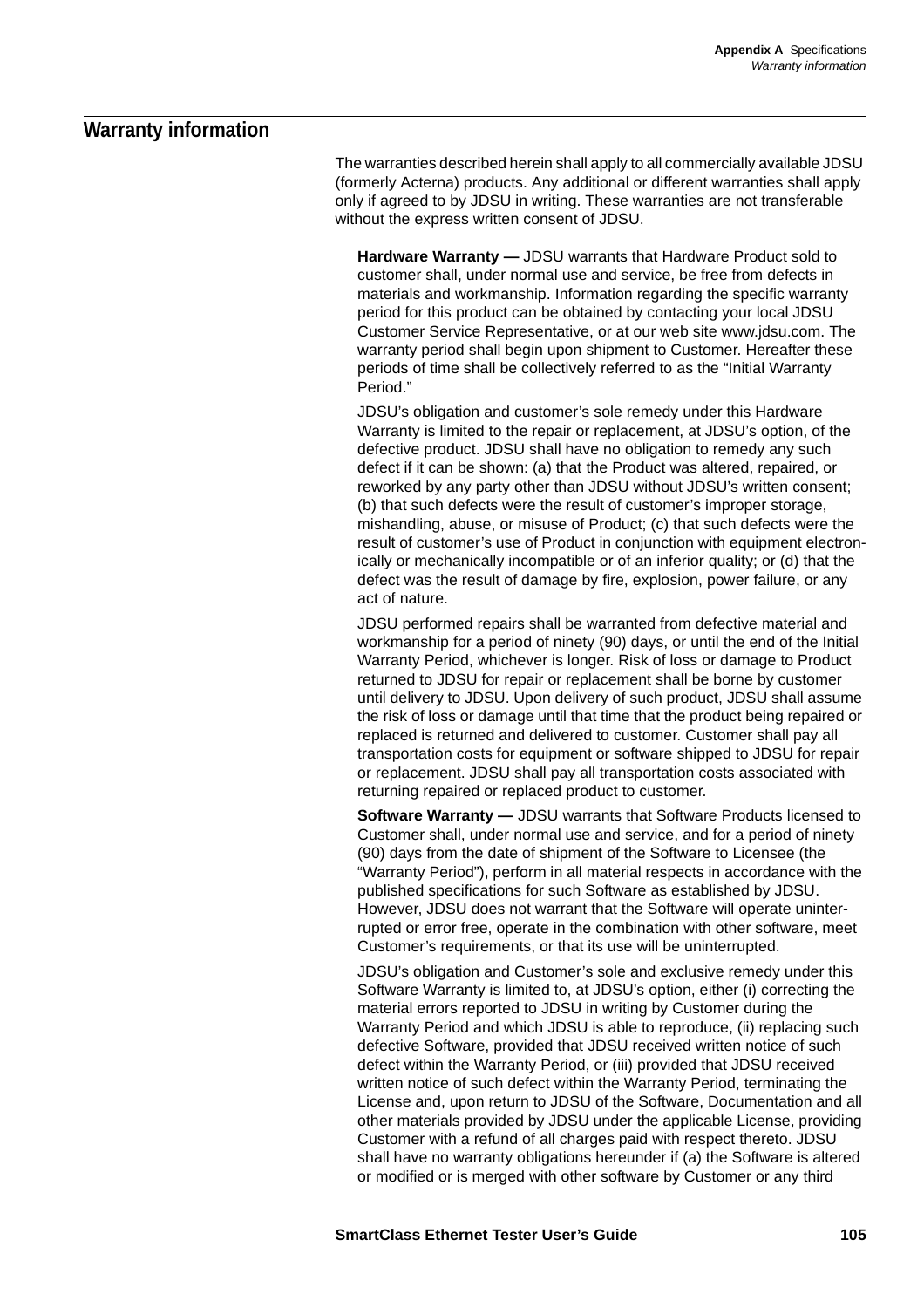### <span id="page-118-0"></span>**Warranty information**

The warranties described herein shall apply to all commercially available JDSU (formerly Acterna) products. Any additional or different warranties shall apply only if agreed to by JDSU in writing. These warranties are not transferable without the express written consent of JDSU.

**Hardware Warranty —** JDSU warrants that Hardware Product sold to customer shall, under normal use and service, be free from defects in materials and workmanship. Information regarding the specific warranty period for this product can be obtained by contacting your local JDSU Customer Service Representative, or at our web site www.jdsu.com. The warranty period shall begin upon shipment to Customer. Hereafter these periods of time shall be collectively referred to as the "Initial Warranty Period."

JDSU's obligation and customer's sole remedy under this Hardware Warranty is limited to the repair or replacement, at JDSU's option, of the defective product. JDSU shall have no obligation to remedy any such defect if it can be shown: (a) that the Product was altered, repaired, or reworked by any party other than JDSU without JDSU's written consent; (b) that such defects were the result of customer's improper storage, mishandling, abuse, or misuse of Product; (c) that such defects were the result of customer's use of Product in conjunction with equipment electronically or mechanically incompatible or of an inferior quality; or (d) that the defect was the result of damage by fire, explosion, power failure, or any act of nature.

JDSU performed repairs shall be warranted from defective material and workmanship for a period of ninety (90) days, or until the end of the Initial Warranty Period, whichever is longer. Risk of loss or damage to Product returned to JDSU for repair or replacement shall be borne by customer until delivery to JDSU. Upon delivery of such product, JDSU shall assume the risk of loss or damage until that time that the product being repaired or replaced is returned and delivered to customer. Customer shall pay all transportation costs for equipment or software shipped to JDSU for repair or replacement. JDSU shall pay all transportation costs associated with returning repaired or replaced product to customer.

**Software Warranty —** JDSU warrants that Software Products licensed to Customer shall, under normal use and service, and for a period of ninety (90) days from the date of shipment of the Software to Licensee (the "Warranty Period"), perform in all material respects in accordance with the published specifications for such Software as established by JDSU. However, JDSU does not warrant that the Software will operate uninterrupted or error free, operate in the combination with other software, meet Customer's requirements, or that its use will be uninterrupted.

JDSU's obligation and Customer's sole and exclusive remedy under this Software Warranty is limited to, at JDSU's option, either (i) correcting the material errors reported to JDSU in writing by Customer during the Warranty Period and which JDSU is able to reproduce, (ii) replacing such defective Software, provided that JDSU received written notice of such defect within the Warranty Period, or (iii) provided that JDSU received written notice of such defect within the Warranty Period, terminating the License and, upon return to JDSU of the Software, Documentation and all other materials provided by JDSU under the applicable License, providing Customer with a refund of all charges paid with respect thereto. JDSU shall have no warranty obligations hereunder if (a) the Software is altered or modified or is merged with other software by Customer or any third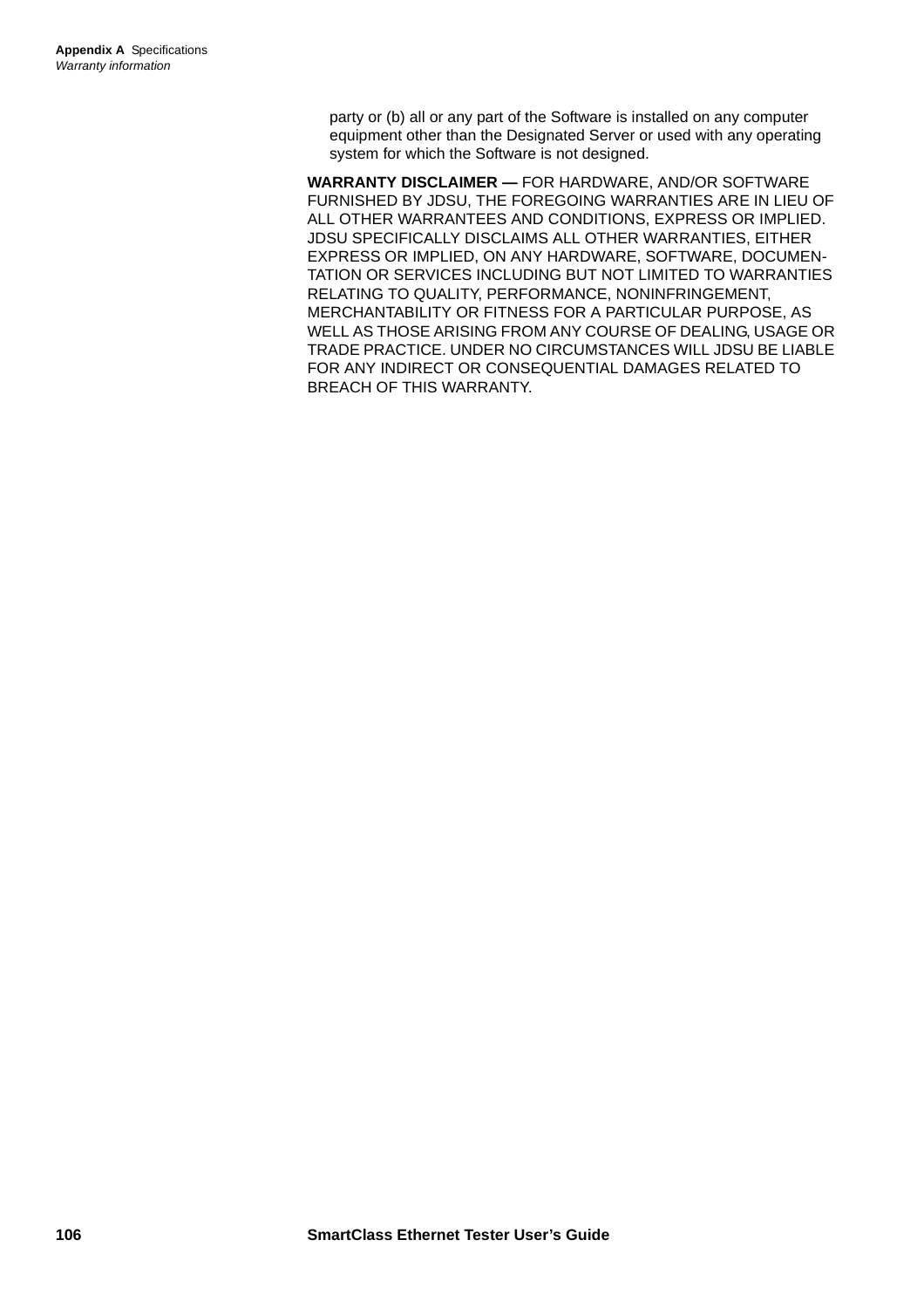party or (b) all or any part of the Software is installed on any computer equipment other than the Designated Server or used with any operating system for which the Software is not designed.

**WARRANTY DISCLAIMER —** FOR HARDWARE, AND/OR SOFTWARE FURNISHED BY JDSU, THE FOREGOING WARRANTIES ARE IN LIEU OF ALL OTHER WARRANTEES AND CONDITIONS, EXPRESS OR IMPLIED. JDSU SPECIFICALLY DISCLAIMS ALL OTHER WARRANTIES, EITHER EXPRESS OR IMPLIED, ON ANY HARDWARE, SOFTWARE, DOCUMEN-TATION OR SERVICES INCLUDING BUT NOT LIMITED TO WARRANTIES RELATING TO QUALITY, PERFORMANCE, NONINFRINGEMENT, MERCHANTABILITY OR FITNESS FOR A PARTICULAR PURPOSE, AS WELL AS THOSE ARISING FROM ANY COURSE OF DEALING, USAGE OR TRADE PRACTICE. UNDER NO CIRCUMSTANCES WILL JDSU BE LIABLE FOR ANY INDIRECT OR CONSEQUENTIAL DAMAGES RELATED TO BREACH OF THIS WARRANTY.